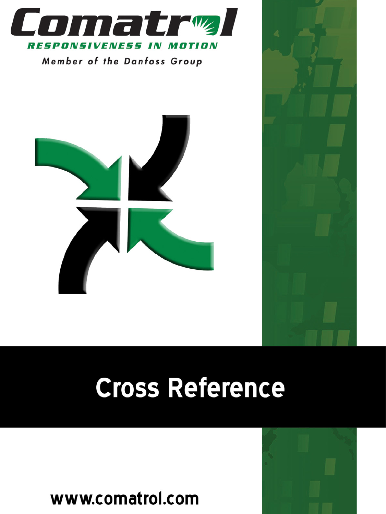

Member of the Danfoss Group





# Cross Reference

www.comatrol.com

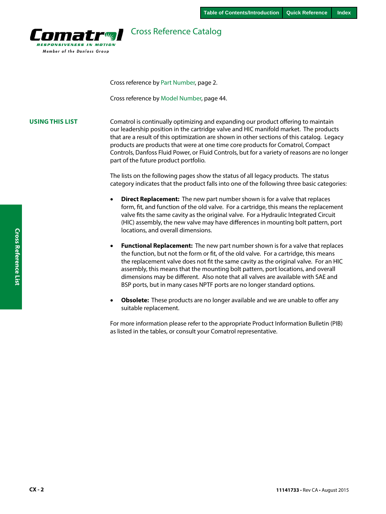

## Cross Reference Catalog

Cross reference by Part Number, page 2.

Cross reference by Model Number, page 44.

**USING THIS LIST** Comatrol is continually optimizing and expanding our product offering to maintain our leadership position in the cartridge valve and HIC manifold market. The products that are a result of this optimization are shown in other sections of this catalog. Legacy products are products that were at one time core products for Comatrol, Compact Controls, Danfoss Fluid Power, or Fluid Controls, but for a variety of reasons are no longer part of the future product portfolio.

> The lists on the following pages show the status of all legacy products. The status category indicates that the product falls into one of the following three basic categories:

- **Direct Replacement:** The new part number shown is for a valve that replaces form, fit, and function of the old valve. For a cartridge, this means the replacement valve fits the same cavity as the original valve. For a Hydraulic Integrated Circuit (HIC) assembly, the new valve may have differences in mounting bolt pattern, port locations, and overall dimensions.
- **Functional Replacement:** The new part number shown is for a valve that replaces the function, but not the form or fit, of the old valve. For a cartridge, this means the replacement valve does not fit the same cavity as the original valve. For an HIC assembly, this means that the mounting bolt pattern, port locations, and overall dimensions may be different. Also note that all valves are available with SAE and BSP ports, but in many cases NPTF ports are no longer standard options.
- **Obsolete:** These products are no longer available and we are unable to offer any suitable replacement.

For more information please refer to the appropriate Product Information Bulletin (PIB) as listed in the tables, or consult your Comatrol representative.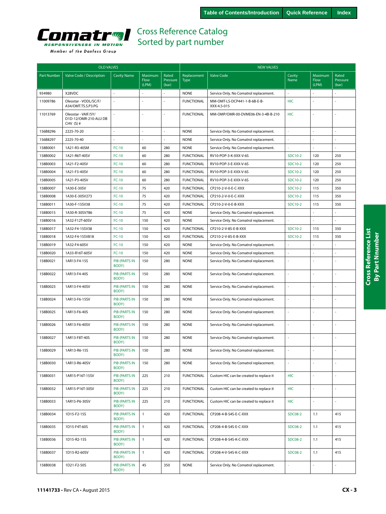

|  | Member of the Danfoss Group |  |
|--|-----------------------------|--|
|  |                             |  |

| <b>OLD VALVES</b>  |                                                             |                               |                          |                            | <b>NEW VALVES</b>          |                                             |                |                          |                            |  |
|--------------------|-------------------------------------------------------------|-------------------------------|--------------------------|----------------------------|----------------------------|---------------------------------------------|----------------|--------------------------|----------------------------|--|
| <b>Part Number</b> | Valve Code / Description                                    | <b>Cavity Name</b>            | Maximum<br>Flow<br>(LPM) | Rated<br>Pressure<br>(bar) | Replacement<br><b>Type</b> | <b>Valve Code</b>                           | Cavity<br>Name | Maximum<br>Flow<br>(LPM) | Rated<br>Pressure<br>(bar) |  |
| 934980             | X28VDC                                                      |                               |                          |                            | <b>NONE</b>                | Service Only. No Comatrol replacement.      | L.             |                          |                            |  |
| 11009786           | Oleostar - VODL/SC/F/<br>A34/OMT.TS.S.P3.PG                 |                               |                          | L,                         | <b>FUNCTIONAL</b>          | MM-OMT-LS-DCP441-1-B-6B-E-B-<br>XXX-4.5-015 | <b>HIC</b>     |                          | ÷,                         |  |
| 11013769           | Oleostar - VAIF/5Y/<br>D1D-12/OMR-210-ALU DB<br>CHV $(S)$ # |                               |                          |                            | <b>FUNCTIONAL</b>          | MM-OMP/OMR-00-DVME06-EN-3-4B-B-210          | <b>HIC</b>     |                          | ÷,                         |  |
| 156B8296           | 2225-70-20                                                  | ä,                            | ÷.                       | ÷.                         | <b>NONE</b>                | Service Only. No Comatrol replacement.      | ä,             | $\sim$                   | ÷,                         |  |
| 156B8297           | 2225-70-40                                                  |                               |                          |                            | <b>NONE</b>                | Service Only. No Comatrol replacement.      |                |                          |                            |  |
| 158B0001           | 1A21-R3-40SM                                                | $FC-10$                       | 60                       | 280                        | <b>NONE</b>                | Service Only. No Comatrol replacement.      |                |                          |                            |  |
| 158B0002           | 1A21-R6T-40SV                                               | $FC-10$                       | 60                       | 280                        | <b>FUNCTIONAL</b>          | RV10-POP-3-K-XXX-V-6S                       | SDC10-2        | 120                      | 250                        |  |
| 158B0003           | 1A21-F2-40SV                                                | $FC-10$                       | 60                       | 280                        | <b>FUNCTIONAL</b>          | RV10-POP-3-E-XXX-V-6S                       | SDC10-2        | 120                      | 250                        |  |
| 158B0004           | 1A21-F3-40SV                                                | $FC-10$                       | 60                       | 280                        | <b>FUNCTIONAL</b>          | RV10-POP-3-E-XXX-V-6S                       | SDC10-2        | 120                      | 250                        |  |
| 158B0005           | 1A21-P3-40SV                                                | $FC-10$                       | 60                       | 280                        | <b>FUNCTIONAL</b>          | RV10-POP-3-E-XXX-V-6S                       | SDC10-2        | 120                      | 250                        |  |
| 158B0007           | 1A30-E-30SV                                                 | $FC-10$                       | 75                       | 420                        | <b>FUNCTIONAL</b>          | CP210-2-V-0-E-C-XXX                         | SDC10-2        | 115                      | 350                        |  |
| 158B0008           | 1A30-E-30SV273                                              | $FC-10$                       | 75                       | 420                        | <b>FUNCTIONAL</b>          | CP210-2-V-0-E-C-XXX                         | SDC10-2        | 115                      | 350                        |  |
| 158B0011           | 1A30-F-15SV38                                               | $FC-10$                       | 75                       | 420                        | <b>FUNCTIONAL</b>          | CP210-2-V-0-E-B-XXX                         | SDC10-2        | 115                      | 350                        |  |
| 158B0015           | 1A30-R-30SV786                                              | $FC-10$                       | 75                       | 420                        | <b>NONE</b>                | Service Only. No Comatrol replacement.      |                |                          |                            |  |
| 158B0016           | 1A32-F12T-60SV                                              | $FC-10$                       | 150                      | 420                        | <b>NONE</b>                | Service Only. No Comatrol replacement.      |                |                          |                            |  |
| 158B0017           | 1A32-F4-15SV38                                              | $FC-10$                       | 150                      | 420                        | <b>FUNCTIONAL</b>          | CP210-2-V-8S-E-B-XXX                        | SDC10-2        | 115                      | 350                        |  |
| 158B0018           | 1A32-F4-15SV818                                             | $FC-10$                       | 150                      | 420                        | <b>FUNCTIONAL</b>          | CP210-2-V-8S-E-B-XXX                        | SDC10-2        | 115                      | 350                        |  |
| 158B0019           | 1A32-F4-60SV                                                | $FC-10$                       | 150                      | 420                        | <b>NONE</b>                | Service Only. No Comatrol replacement.      |                |                          |                            |  |
| 158B0020           | 1A33-R16T-60SV                                              | $FC-10$                       | 150                      | 420                        | <b>NONE</b>                | Service Only. No Comatrol replacement.      | L,             |                          | ÷,                         |  |
| 158B0021           | 1AR13-F4-15S                                                | <b>PIB (PARTS IN</b><br>BODY) | 150                      | 280                        | <b>NONE</b>                | Service Only. No Comatrol replacement.      |                |                          |                            |  |
| 158B0022           | 1AR13-F4-40S                                                | <b>PIB (PARTS IN</b><br>BODY) | 150                      | 280                        | <b>NONE</b>                | Service Only. No Comatrol replacement.      | ÷,             |                          | L.                         |  |
| 158B0023           | 1AR13-F4-40SV                                               | <b>PIB (PARTS IN</b><br>BODY) | 150                      | 280                        | <b>NONE</b>                | Service Only. No Comatrol replacement.      | ÷,             |                          | ä,                         |  |
| 158B0024           | 1AR13-F6-15SV                                               | <b>PIB (PARTS IN</b><br>BODY) | 150                      | 280                        | <b>NONE</b>                | Service Only. No Comatrol replacement.      | L.             |                          | ÷,                         |  |
| 158B0025           | 1AR13-F6-40S                                                | <b>PIB (PARTS IN</b><br>BODY) | 150                      | 280                        | <b>NONE</b>                | Service Only. No Comatrol replacement.      | ÷,             |                          | J,                         |  |
| 158B0026           | 1AR13-F6-40SV                                               | <b>PIB (PARTS IN</b><br>BODY) | 150                      | 280                        | <b>NONE</b>                | Service Only. No Comatrol replacement.      | ä,             |                          | ÷,                         |  |
| 158B0027           | 1AR13-F8T-40S                                               | <b>PIB (PARTS IN</b><br>BODY) | 150                      | 280                        | <b>NONE</b>                | Service Only. No Comatrol replacement.      | ä,             |                          | J,                         |  |
| 158B0029           | 1AR13-R6-15S                                                | <b>PIB (PARTS IN</b><br>BODY) | 150                      | 280                        | <b>NONE</b>                | Service Only. No Comatrol replacement.      |                |                          |                            |  |
| 158B0030           | 1AR13-R6-40SV                                               | <b>PIB (PARTS IN</b><br>BODY) | 150                      | 280                        | <b>NONE</b>                | Service Only. No Comatrol replacement.      | ÷.             |                          | $\omega$                   |  |
| 158B0031           | 1AR15-P16T-15SV                                             | <b>PIB (PARTS IN</b><br>BODY) | 225                      | 210                        | <b>FUNCTIONAL</b>          | Custom HIC can be created to replace it     | <b>HIC</b>     | $\overline{\phantom{a}}$ | $\overline{\phantom{a}}$   |  |
| 158B0032           | 1AR15-P16T-30SV                                             | PIB (PARTS IN<br>BODY)        | 225                      | 210                        | <b>FUNCTIONAL</b>          | Custom HIC can be created to replace it     | <b>HIC</b>     | $\overline{a}$           | $\bar{a}$                  |  |
| 158B0033           | 1AR15-P6-30SV                                               | PIB (PARTS IN<br>BODY)        | 225                      | 210                        | <b>FUNCTIONAL</b>          | Custom HIC can be created to replace it     | <b>HIC</b>     | ÷,                       | ÷,                         |  |
| 158B0034           | 1D15-F2-15S                                                 | <b>PIB (PARTS IN</b><br>BODY) | $\mathbf{1}$             | 420                        | <b>FUNCTIONAL</b>          | CP208-4-B-S4S-E-C-XXX                       | <b>SDC08-2</b> | 1.1                      | 415                        |  |
| 158B0035           | 1D15-F4T-60S                                                | <b>PIB (PARTS IN</b><br>BODY) | $\mathbf{1}$             | 420                        | <b>FUNCTIONAL</b>          | CP208-4-B-S4S-E-C-XXX                       | <b>SDC08-2</b> | 1.1                      | 415                        |  |
| 158B0036           | 1D15-R2-15S                                                 | <b>PIB (PARTS IN</b><br>BODY) | $\mathbf{1}$             | 420                        | <b>FUNCTIONAL</b>          | CP208-4-B-S4S-K-C-XXX                       | <b>SDC08-2</b> | 1.1                      | 415                        |  |
| 158B0037           | 1D15-R2-60SV                                                | <b>PIB (PARTS IN</b><br>BODY) | $\mathbf{1}$             | 420                        | <b>FUNCTIONAL</b>          | CP208-4-V-S4S-K-C-XXX                       | <b>SDC08-2</b> | 1.1                      | 415                        |  |
| 158B0038           | 1D21-F2-50S                                                 | <b>PIB (PARTS IN</b><br>BODY) | 45                       | 350                        | <b>NONE</b>                | Service Only. No Comatrol replacement.      | ÷.             | ä,                       | ä,                         |  |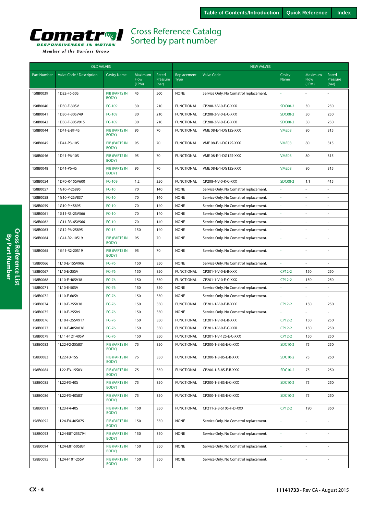<span id="page-3-0"></span>

|                    | <b>OLD VALVES</b>        |                               |                          |                            |                            | <b>NEW VALVES</b>                      |                |                          |                            |  |
|--------------------|--------------------------|-------------------------------|--------------------------|----------------------------|----------------------------|----------------------------------------|----------------|--------------------------|----------------------------|--|
| <b>Part Number</b> | Valve Code / Description | <b>Cavity Name</b>            | Maximum<br>Flow<br>(LPM) | Rated<br>Pressure<br>(bar) | Replacement<br><b>Type</b> | <b>Valve Code</b>                      | Cavity<br>Name | Maximum<br>Flow<br>(LPM) | Rated<br>Pressure<br>(bar) |  |
| 158B0039           | 1D22-F6-50S              | <b>PIB (PARTS IN</b><br>BODY) | 45                       | 560                        | <b>NONE</b>                | Service Only. No Comatrol replacement. |                |                          |                            |  |
| 158B0040           | 1D30-E-30SV              | FC-109                        | 30                       | 210                        | <b>FUNCTIONAL</b>          | CP208-3-V-0-E-C-XXX                    | <b>SDC08-2</b> | 30                       | 250                        |  |
| 158B0041           | 1D30-F-30SV49            | FC-109                        | 30                       | 210                        | <b>FUNCTIONAL</b>          | CP208-3-V-0-E-C-XXX                    | <b>SDC08-2</b> | 30                       | 250                        |  |
| 158B0042           | 1D30-F-30SV915           | FC-109                        | 30                       | 210                        | <b>FUNCTIONAL</b>          | CP208-3-V-0-E-C-XXX                    | <b>SDC08-2</b> | 30                       | 250                        |  |
| 158B0044           | 1D41-E-8T-4S             | <b>PIB (PARTS IN</b><br>BODY) | 95                       | 70                         | <b>FUNCTIONAL</b>          | VME 08-E-1-DG12S-XXX                   | VME08          | 80                       | 315                        |  |
| 158B0045           | 1D41-P3-10S              | <b>PIB (PARTS IN</b><br>BODY) | 95                       | 70                         | <b>FUNCTIONAL</b>          | VME 08-E-1-DG12S-XXX                   | VME08          | 80                       | 315                        |  |
| 158B0046           | 1D41-P6-10S              | <b>PIB (PARTS IN</b><br>BODY) | 95                       | 70                         | <b>FUNCTIONAL</b>          | VME 08-E-1-DG12S-XXX                   | VME08          | 80                       | 315                        |  |
| 158B0048           | 1D41-P6-4S               | <b>PIB (PARTS IN</b><br>BODY) | 95                       | 70                         | <b>FUNCTIONAL</b>          | VME 08-E-1-DG12S-XXX                   | VME08          | 80                       | 315                        |  |
| 158B0054           | 1D70-R-15SV600           | FC-109                        | 1.2                      | 350                        | <b>FUNCTIONAL</b>          | CP208-4-V-0-K-C-XXX                    | <b>SDC08-2</b> | 1.1                      | 415                        |  |
| 158B0057           | 1G10-P-2S895             | $FC-10$                       | 70                       | 140                        | <b>NONE</b>                | Service Only. No Comatrol replacement. |                |                          | ÷.                         |  |
| 158B0058           | 1G10-P-2SV837            | $FC-10$                       | 70                       | 140                        | <b>NONE</b>                | Service Only. No Comatrol replacement. |                |                          |                            |  |
| 158B0059           | 1G10-P-4S895             | $FC-10$                       | 70                       | 140                        | <b>NONE</b>                | Service Only. No Comatrol replacement. |                |                          | $\sim$                     |  |
| 158B0061           | 1G11-R3-2SV566           | $FC-10$                       | 70                       | 140                        | <b>NONE</b>                | Service Only. No Comatrol replacement. |                |                          | ÷.                         |  |
| 158B0062           | 1G11-R3-6SV566           | $FC-10$                       | 70                       | 140                        | <b>NONE</b>                | Service Only. No Comatrol replacement. | ÷.             |                          | ÷,                         |  |
| 158B0063           | 1G12-P6-2S895            | $FC-15$                       | 150                      | 140                        | <b>NONE</b>                | Service Only. No Comatrol replacement. |                |                          |                            |  |
| 158B0064           | 1G41-R2-10S19            | <b>PIB (PARTS IN</b><br>BODY) | 95                       | 70                         | <b>NONE</b>                | Service Only. No Comatrol replacement. |                |                          | ÷.                         |  |
| 158B0065           | 1G41-R2-20S19            | <b>PIB (PARTS IN</b><br>BODY) | 95                       | 70                         | <b>NONE</b>                | Service Only. No Comatrol replacement. | L.             |                          | ÷.                         |  |
| 158B0066           | 1L10-E-15SV906           | $FC-76$                       | 150                      | 350                        | <b>NONE</b>                | Service Only. No Comatrol replacement. |                |                          |                            |  |
| 158B0067           | 1L10-E-25SV              | $FC-76$                       | 150                      | 350                        | <b>FUNCTIONAL</b>          | CP201-1-V-0-E-B-XXX                    | CP12-2         | 150                      | 250                        |  |
| 158B0068           | 1L10-E-40SV38            | $FC-76$                       | 150                      | 350                        | <b>FUNCTIONAL</b>          | CP201-1-V-0-E-C-XXX                    | CP12-2         | 150                      | 250                        |  |
| 158B0071           | 1L10-E-50SV              | <b>FC-76</b>                  | 150                      | 350                        | <b>NONE</b>                | Service Only. No Comatrol replacement. |                |                          | ÷,                         |  |
| 158B0072           | 1L10-E-60SV              | <b>FC-76</b>                  | 150                      | 350                        | <b>NONE</b>                | Service Only. No Comatrol replacement. |                |                          |                            |  |
| 158B0074           | 1L10-F-25SV38            | <b>FC-76</b>                  | 150                      | 350                        | <b>FUNCTIONAL</b>          | CP201-1-V-0-E-B-XXX                    | CP12-2         | 150                      | 250                        |  |
| 158B0075           | 1L10-F-25SV9             | <b>FC-76</b>                  | 150                      | 350                        | <b>NONE</b>                | Service Only. No Comatrol replacement. |                |                          | ÷,                         |  |
| 158B0076           | 1L10-F-25SV917           | <b>FC-76</b>                  | 150                      | 350                        | <b>FUNCTIONAL</b>          | CP201-1-V-0-E-B-XXX                    | CP12-2         | 150                      | 250                        |  |
| 158B0077           | 1L10-F-40SV836           | <b>FC-76</b>                  | 150                      | 350                        | <b>FUNCTIONAL</b>          | CP201-1-V-0-E-C-XXX                    | CP12-2         | 150                      | 250                        |  |
| 158B0079           | 1L11-F12T-40SV           | $FC-76$                       | 150                      | 350                        | <b>FUNCTIONAL</b>          | CP201-1-V-12S-E-C-XXX                  | CP12-2         | 150                      | 250                        |  |
| 158B0082           | 1L22-F2-25S831           | <b>PIB (PARTS IN</b><br>BODY) | 75                       | 350                        | <b>FUNCTIONAL</b>          | CP200-1-B-6S-E-C-XXX                   | SDC10-2        | 75                       | 250                        |  |
| 158B0083           | 1L22-F3-15S              | <b>PIB (PARTS IN</b><br>BODY) | 75                       | 350                        | <b>FUNCTIONAL</b>          | CP200-1-B-8S-E-B-XXX                   | SDC10-2        | 75                       | 250                        |  |
| 158B0084           | 1L22-F3-15S831           | PIB (PARTS IN<br>BODY)        | 75                       | 350                        | <b>FUNCTIONAL</b>          | CP200-1-B-8S-E-B-XXX                   | SDC10-2        | 75                       | 250                        |  |
| 158B0085           | 1L22-F3-40S              | PIB (PARTS IN<br>BODY)        | 75                       | 350                        | <b>FUNCTIONAL</b>          | CP200-1-B-8S-E-C-XXX                   | SDC10-2        | 75                       | 250                        |  |
| 158B0086           | 1L22-F3-40S831           | PIB (PARTS IN<br>BODY)        | 75                       | 350                        | <b>FUNCTIONAL</b>          | CP200-1-B-8S-E-C-XXX                   | SDC10-2        | 75                       | 250                        |  |
| 158B0091           | 1L23-F4-40S              | PIB (PARTS IN<br>BODY)        | 150                      | 350                        | <b>FUNCTIONAL</b>          | CP211-2-B-S10S-F-D-XXX                 | CP12-2         | 190                      | 350                        |  |
| 158B0092           | 1L24-E4-40S875           | <b>PIB (PARTS IN</b><br>BODY) | 150                      | 350                        | <b>NONE</b>                | Service Only. No Comatrol replacement. | ×              |                          | $\blacksquare$             |  |
| 158B0093           | 1L24-E8T-25S794          | PIB (PARTS IN<br>BODY)        | 150                      | 350                        | <b>NONE</b>                | Service Only. No Comatrol replacement. | ä,             | ÷.                       | $\sim$                     |  |
| 158B0094           | 1L24-E8T-50S831          | PIB (PARTS IN<br>BODY)        | 150                      | 350                        | <b>NONE</b>                | Service Only. No Comatrol replacement. |                |                          |                            |  |
| 158B0095           | 1L24-F10T-25SV           | PIB (PARTS IN<br>BODY)        | 150                      | 350                        | <b>NONE</b>                | Service Only. No Comatrol replacement. | $\omega$       |                          | $\bar{z}$                  |  |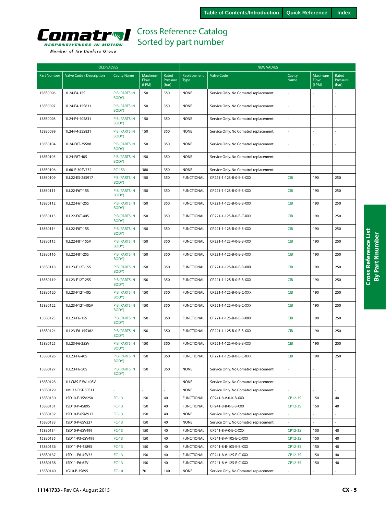<span id="page-4-0"></span>

|  | Member of the Danfoss Group |  |
|--|-----------------------------|--|
|  |                             |  |

| <b>OLD VALVES</b>  |                          |                               |                          |                            | <b>NEW VALVES</b>          |                                        |                |                          |                            |  |
|--------------------|--------------------------|-------------------------------|--------------------------|----------------------------|----------------------------|----------------------------------------|----------------|--------------------------|----------------------------|--|
| <b>Part Number</b> | Valve Code / Description | <b>Cavity Name</b>            | Maximum<br>Flow<br>(LPM) | Rated<br>Pressure<br>(bar) | Replacement<br><b>Type</b> | <b>Valve Code</b>                      | Cavity<br>Name | Maximum<br>Flow<br>(LPM) | Rated<br>Pressure<br>(bar) |  |
| 158B0096           | 1L24-F4-15S              | <b>PIB (PARTS IN</b><br>BODY) | 150                      | 350                        | <b>NONE</b>                | Service Only. No Comatrol replacement. |                | $\overline{a}$           |                            |  |
| 158B0097           | 1L24-F4-15S831           | <b>PIB (PARTS IN</b><br>BODY) | 150                      | 350                        | <b>NONE</b>                | Service Only. No Comatrol replacement. | ä,             |                          | ÷,                         |  |
| 158B0098           | 1L24-F4-40S831           | <b>PIB (PARTS IN</b><br>BODY) | 150                      | 350                        | <b>NONE</b>                | Service Only. No Comatrol replacement. |                |                          |                            |  |
| 158B0099           | 1L24-F4-25S831           | <b>PIB (PARTS IN</b><br>BODY) | 150                      | 350                        | <b>NONE</b>                | Service Only. No Comatrol replacement. |                |                          | ÷,                         |  |
| 158B0104           | 1L24-F8T-25SV8           | <b>PIB (PARTS IN</b><br>BODY) | 150                      | 350                        | <b>NONE</b>                | Service Only. No Comatrol replacement. |                |                          |                            |  |
| 158B0105           | 1L24-F8T-40S             | <b>PIB (PARTS IN</b><br>BODY) | 150                      | 350                        | <b>NONE</b>                | Service Only. No Comatrol replacement. |                |                          |                            |  |
| 158B0106           | 1L60-F-30SV732           | $FC-153$                      | 380                      | 350                        | <b>NONE</b>                | Service Only. No Comatrol replacement. |                |                          |                            |  |
| 158B0109           | 1LL22-E3-25S917          | <b>PIB (PARTS IN</b><br>BODY) | 150                      | 350                        | <b>FUNCTIONAL</b>          | CP221-1-12S-B-0-E-B-XXX                | <b>CIB</b>     | 190                      | 250                        |  |
| 158B0111           | 1LL22-F6T-15S            | <b>PIB (PARTS IN</b><br>BODY) | 150                      | 350                        | <b>FUNCTIONAL</b>          | CP221-1-12S-B-0-E-B-XXX                | <b>CIB</b>     | 190                      | 250                        |  |
| 158B0112           | 1LL22-F6T-25S            | <b>PIB (PARTS IN</b><br>BODY) | 150                      | 350                        | <b>FUNCTIONAL</b>          | CP221-1-12S-B-0-E-B-XXX                | <b>CIB</b>     | 190                      | 250                        |  |
| 158B0113           | 1LL22-F6T-40S            | <b>PIB (PARTS IN</b><br>BODY) | 150                      | 350                        | <b>FUNCTIONAL</b>          | CP221-1-12S-B-0-E-C-XXX                | <b>CIB</b>     | 190                      | 250                        |  |
| 158B0114           | 1LL22-F8T-15S            | <b>PIB (PARTS IN</b><br>BODY) | 150                      | 350                        | <b>FUNCTIONAL</b>          | CP221-1-12S-B-0-E-B-XXX                | <b>CIB</b>     | 190                      | 250                        |  |
| 158B0115           | 1LL22-F8T-15SV           | <b>PIB (PARTS IN</b><br>BODY) | 150                      | 350                        | <b>FUNCTIONAL</b>          | CP221-1-12S-V-0-E-B-XXX                | <b>CIB</b>     | 190                      | 250                        |  |
| 158B0116           | 1LL22-F8T-25S            | <b>PIB (PARTS IN</b><br>BODY) | 150                      | 350                        | <b>FUNCTIONAL</b>          | CP221-1-12S-B-0-E-B-XXX                | <b>CIB</b>     | 190                      | 250                        |  |
| 158B0118           | 1LL23-F12T-15S           | <b>PIB (PARTS IN</b><br>BODY) | 150                      | 350                        | <b>FUNCTIONAL</b>          | CP221-1-12S-B-0-E-B-XXX                | <b>CIB</b>     | 190                      | 250                        |  |
| 158B0119           | 1LL23-F12T-25S           | <b>PIB (PARTS IN</b><br>BODY) | 150                      | 350                        | <b>FUNCTIONAL</b>          | CP221-1-12S-B-0-E-B-XXX                | <b>CIB</b>     | 190                      | 250                        |  |
| 158B0120           | 1LL23-F12T-40S           | <b>PIB (PARTS IN</b><br>BODY) | 150                      | 350                        | <b>FUNCTIONAL</b>          | CP221-1-12S-B-0-E-C-XXX                | <b>CIB</b>     | 190                      | 250                        |  |
| 158B0122           | 1LL23-F12T-40SV          | <b>PIB (PARTS IN</b><br>BODY) | 150                      | 350                        | <b>FUNCTIONAL</b>          | CP221-1-12S-V-0-E-C-XXX                | <b>CIB</b>     | 190                      | 250                        |  |
| 158B0123           | 1LL23-F6-15S             | <b>PIB (PARTS IN</b><br>BODY) | 150                      | 350                        | <b>FUNCTIONAL</b>          | CP221-1-12S-B-0-E-B-XXX                | <b>CIB</b>     | 190                      | 250                        |  |
| 158B0124           | 1LL23-F6-15S362          | <b>PIB (PARTS IN</b><br>BODY) | 150                      | 350                        | <b>FUNCTIONAL</b>          | CP221-1-12S-B-0-E-B-XXX                | <b>CIB</b>     | 190                      | 250                        |  |
| 158B0125           | 1LL23-F6-25SV            | <b>PIB (PARTS IN</b><br>BODY) | 150                      | 350                        | <b>FUNCTIONAL</b>          | CP221-1-12S-V-0-E-B-XXX                | <b>CIB</b>     | 190                      | 250                        |  |
| 158B0126           | 1LL23-F6-40S             | <b>PIB (PARTS IN</b><br>BODY) | 150                      | 350                        | <b>FUNCTIONAL</b>          | CP221-1-12S-B-0-E-C-XXX                | CIB            | 190                      | 250                        |  |
| 158B0127           | 1LL23-F6-50S             | <b>PIB (PARTS IN</b><br>BODY) | 150                      | 350                        | <b>NONE</b>                | Service Only. No Comatrol replacement. |                | $\overline{\phantom{a}}$ |                            |  |
| 158B0128           | 1LLCMS-F3W-40SV          | ä,                            | $\omega$                 | $\omega$                   | <b>NONE</b>                | Service Only. No Comatrol replacement. | ä,             | ä,                       | $\bar{a}$                  |  |
| 158B0129           | 1ML33-P6T-30S11          |                               | $\sim$                   |                            | <b>NONE</b>                | Service Only. No Comatrol replacement. |                |                          |                            |  |
| 158B0130           | 1SD10-E-3SV:250          | $FC-13$                       | 150                      | 40                         | <b>FUNCTIONAL</b>          | CP241-8-V-0-K-B-XXX                    | CP12-3S        | 150                      | 40                         |  |
| 158B0131           | 1SD10-P-4S895            | $FC-13$                       | 150                      | 40                         | <b>FUNCTIONAL</b>          | CP241-8-B-0-E-B-XXX                    | CP12-3S        | 150                      | 40                         |  |
| 158B0132           | 1SD10-P-6SM917           | $FC-13$                       | 150                      | 40                         | <b>NONE</b>                | Service Only. No Comatrol replacement. |                |                          |                            |  |
| 158B0133           | 1SD10-P-6SV227           | $FC-13$                       | 150                      | 40                         | <b>NONE</b>                | Service Only. No Comatrol replacement. |                |                          |                            |  |
| 158B0134           | 1SD10-P-6SV499           | $FC-13$                       | 150                      | 40                         | <b>FUNCTIONAL</b>          | CP241-8-V-0-E-C-XXX                    | CP12-3S        | 150                      | 40                         |  |
| 158B0135           | 1SD11-P3-6SV499          | $FC-13$                       | 150                      | 40                         | <b>FUNCTIONAL</b>          | CP241-8-V-10S-E-C-XXX                  | CP12-3S        | 150                      | 40                         |  |
| 158B0136           | 1SD11-P4-4S895           | $FC-13$                       | 150                      | 40                         | <b>FUNCTIONAL</b>          | CP241-8-B-10S-E-B-XXX                  | CP12-3S        | 150                      | 40                         |  |
| 158B0137           | 1SD11-P6-4SV33           | $FC-13$                       | 150                      | 40                         | <b>FUNCTIONAL</b>          | CP241-8-V-12S-E-C-XXX                  | CP12-3S        | 150                      | 40                         |  |
| 158B0138           | 1SD11-P6-6SV             | $FC-13$                       | 150                      | 40                         | <b>FUNCTIONAL</b>          | CP241-8-V-12S-E-C-XXX                  | CP12-3S        | 150                      | 40                         |  |
| 158B0140           | 1G10-P-3S895             | $FC-10$                       | 70                       | 140                        | <b>NONE</b>                | Service Only. No Comatrol replacement. |                | $\sim$                   |                            |  |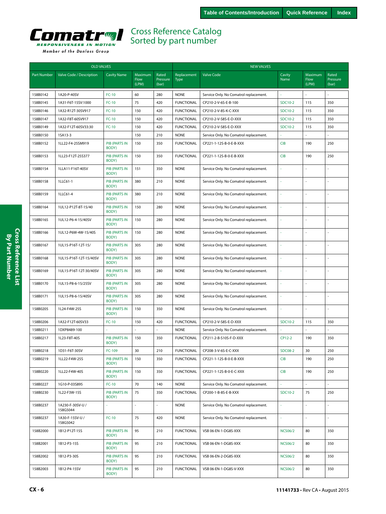<span id="page-5-0"></span>

| <b>OLD VALVES</b>  |                             |                               |                                 |                            | <b>NEW VALVES</b>          |                                        |                |                          |                            |  |
|--------------------|-----------------------------|-------------------------------|---------------------------------|----------------------------|----------------------------|----------------------------------------|----------------|--------------------------|----------------------------|--|
| <b>Part Number</b> | Valve Code / Description    | <b>Cavity Name</b>            | Maximum<br><b>Flow</b><br>(LPM) | Rated<br>Pressure<br>(bar) | Replacement<br><b>Type</b> | <b>Valve Code</b>                      | Cavity<br>Name | Maximum<br>Flow<br>(LPM) | Rated<br>Pressure<br>(bar) |  |
| 158B0142           | 1A20-P-40SV                 | $FC-10$                       | 60                              | 280                        | <b>NONE</b>                | Service Only. No Comatrol replacement. |                |                          |                            |  |
| 158B0145           | 1A31-F6T-15SV:1000          | $FC-10$                       | 75                              | 420                        | <b>FUNCTIONAL</b>          | CP210-2-V-6S-E-B-100                   | SDC10-2        | 115                      | 350                        |  |
| 158B0146           | 1A32-R12T-30SV917           | $FC-10$                       | 150                             | 420                        | <b>FUNCTIONAL</b>          | CP210-2-V-8S-K-C-XXX                   | SDC10-2        | 115                      | 350                        |  |
| 158B0147           | 1A32-F8T-60SV917            | $FC-10$                       | 150                             | 420                        | <b>FUNCTIONAL</b>          | CP210-2-V-S8S-E-D-XXX                  | SDC10-2        | 115                      | 350                        |  |
| 158B0149           | 1A32-F12T-60SV33:30         | $FC-10$                       | 150                             | 420                        | <b>FUNCTIONAL</b>          | CP210-2-V-S8S-E-D-XXX                  | SDC10-2        | 115                      | 350                        |  |
| 158B0150           | 1SA13-3                     |                               | 150                             | 210                        | <b>NONE</b>                | Service Only. No Comatrol replacement. |                |                          |                            |  |
| 158B0152           | 1LL22-F4-25SM919            | <b>PIB (PARTS IN</b><br>BODY) | 150                             | 350                        | <b>FUNCTIONAL</b>          | CP221-1-12S-B-0-E-B-XXX                | <b>CIB</b>     | 190                      | 250                        |  |
| 158B0153           | 1LL23-F12T-25S377           | <b>PIB (PARTS IN</b><br>BODY) | 150                             | 350                        | <b>FUNCTIONAL</b>          | CP221-1-12S-B-0-E-B-XXX                | <b>CIB</b>     | 190                      | 250                        |  |
| 158B0154           | 1LLA11-F16T-40SV            | <b>PIB (PARTS IN</b><br>BODY) | 151                             | 350                        | <b>NONE</b>                | Service Only. No Comatrol replacement. | ä,             | ÷,                       |                            |  |
| 158B0158           | 1LLC61-1                    | PIB (PARTS IN<br>BODY)        | 380                             | 210                        | <b>NONE</b>                | Service Only. No Comatrol replacement. |                | ÷,                       |                            |  |
| 158B0159           | 1LLC61-4                    | <b>PIB (PARTS IN</b><br>BODY) | 380                             | 210                        | <b>NONE</b>                | Service Only. No Comatrol replacement. |                | ÷.                       |                            |  |
| 158B0164           | 1UL12-P12T-8T-15/40         | <b>PIB (PARTS IN</b><br>BODY) | 150                             | 280                        | <b>NONE</b>                | Service Only. No Comatrol replacement. | à,             | ÷.                       |                            |  |
| 158B0165           | 1UL12-P6-4-15/40SV          | <b>PIB (PARTS IN</b><br>BODY) | 150                             | 280                        | <b>NONE</b>                | Service Only. No Comatrol replacement. |                | ÷.                       |                            |  |
| 158B0166           | 1UL12-P6W-4W-15/40S         | <b>PIB (PARTS IN</b><br>BODY) | 150                             | 280                        | <b>NONE</b>                | Service Only. No Comatrol replacement. |                |                          |                            |  |
| 158B0167           | 1UL15-P16T-12T-15/          | <b>PIB (PARTS IN</b><br>BODY) | 305                             | 280                        | <b>NONE</b>                | Service Only. No Comatrol replacement. |                |                          |                            |  |
| 158B0168           | 1UL15-P16T-12T-15/40SV      | <b>PIB (PARTS IN</b><br>BODY) | 305                             | 280                        | <b>NONE</b>                | Service Only. No Comatrol replacement. | ÷,             | ÷,                       | ÷.                         |  |
| 158B0169           | 1UL15-P16T-12T-30/40SV      | <b>PIB (PARTS IN</b><br>BODY) | 305                             | 280                        | <b>NONE</b>                | Service Only. No Comatrol replacement. | ÷,             | ÷,                       | $\overline{a}$             |  |
| 158B0170           | 1UL15-P8-6-15/25SV          | <b>PIB (PARTS IN</b><br>BODY) | 305                             | 280                        | <b>NONE</b>                | Service Only. No Comatrol replacement. |                | ÷.                       |                            |  |
| 158B0171           | 1UL15-P8-6-15/40SV          | <b>PIB (PARTS IN</b><br>BODY) | 305                             | 280                        | <b>NONE</b>                | Service Only. No Comatrol replacement. | à,             | ÷,                       | $\overline{\phantom{a}}$   |  |
| 158B0205           | 1L24-F4W-25S                | <b>PIB (PARTS IN</b><br>BODY) | 150                             | 350                        | <b>NONE</b>                | Service Only. No Comatrol replacement. |                |                          |                            |  |
| 158B0206           | 1A32-F12T-60SV33            | $FC-10$                       | 150                             | 420                        | <b>FUNCTIONAL</b>          | CP210-2-V-S8S-E-D-XXX                  | SDC10-2        | 115                      | 350                        |  |
| 158B0211           | 1DXP8489-100                |                               |                                 |                            | <b>NONE</b>                | Service Only. No Comatrol replacement. |                |                          |                            |  |
| 158B0217           | 1L23-F8T-40S                | <b>PIB (PARTS IN</b><br>BODY) | 150                             | 350                        | <b>FUNCTIONAL</b>          | CP211-2-B-S10S-F-D-XXX                 | CP12-2         | 190                      | 350                        |  |
| 158B0218           | 1D31-F6T-30SV               | FC-109                        | 30                              | 210                        | <b>FUNCTIONAL</b>          | CP208-3-V-6S-E-C-XXX                   | <b>SDC08-2</b> | 30                       | 250                        |  |
| 158B0219           | 1LL22-F4W-25S               | <b>PIB (PARTS IN</b><br>BODY) | 150                             | 350                        | <b>FUNCTIONAL</b>          | CP221-1-12S-B-0-E-B-XXX                | <b>CIB</b>     | 190                      | 250                        |  |
| 158B0220           | 1LL22-F4W-40S               | PIB (PARTS IN<br>BODY)        | 150                             | 350                        | <b>FUNCTIONAL</b>          | CP221-1-12S-B-0-E-C-XXX                | <b>CIB</b>     | 190                      | 250                        |  |
| 158B0227           | 1G10-P-03S895               | $FC-10$                       | 70                              | 140                        | <b>NONE</b>                | Service Only. No Comatrol replacement. |                |                          |                            |  |
| 158B0230           | 1L22-F3W-15S                | <b>PIB (PARTS IN</b><br>BODY) | 75                              | 350                        | <b>FUNCTIONAL</b>          | CP200-1-B-8S-E-B-XXX                   | SDC10-2        | 75                       | 250                        |  |
| 158B0237           | 1A230-F-30SV-U/<br>158G5044 |                               | $\blacksquare$                  | L,                         | <b>NONE</b>                | Service Only. No Comatrol replacement. |                | $\omega$                 | ä,                         |  |
| 158B0237           | 1A30-F-15SV-U/<br>158G5042  | $FC-10$                       | 75                              | 420                        | <b>NONE</b>                | Service Only. No Comatrol replacement. | ä,             | $\omega$                 | ÷,                         |  |
| 158B2000           | 1B12-P12T-15S               | <b>PIB (PARTS IN</b><br>BODY) | 95                              | 210                        | <b>FUNCTIONAL</b>          | VSB 06-EN-1-DG8S-XXX                   | <b>NCS06/2</b> | 80                       | 350                        |  |
| 158B2001           | 1B12-P3-15S                 | PIB (PARTS IN<br>BODY)        | 95                              | 210                        | <b>FUNCTIONAL</b>          | VSB 06-EN-1-DG8S-XXX                   | <b>NCS06/2</b> | 80                       | 350                        |  |
| 158B2002           | 1B12-P3-30S                 | PIB (PARTS IN<br>BODY)        | 95                              | 210                        | <b>FUNCTIONAL</b>          | VSB 06-EN-2-DG8S-XXX                   | <b>NCS06/2</b> | 80                       | 350                        |  |
| 158B2003           | 1B12-P4-15SV                | PIB (PARTS IN<br>BODY)        | 95                              | 210                        | <b>FUNCTIONAL</b>          | VSB 06-EN-1-DG8S-V-XXX                 | <b>NCS06/2</b> | 80                       | 350                        |  |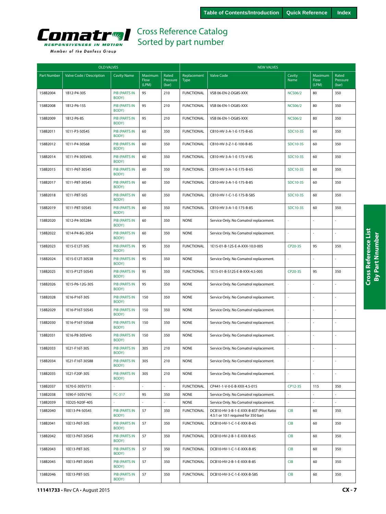<span id="page-6-0"></span>

|  | Member of the Danfoss Group |  |
|--|-----------------------------|--|
|  |                             |  |

|                    | <b>OLD VALVES</b>        |                               |                          |                            | <b>NEW VALVES</b>          |                                                                                |                 |                          |                            |  |
|--------------------|--------------------------|-------------------------------|--------------------------|----------------------------|----------------------------|--------------------------------------------------------------------------------|-----------------|--------------------------|----------------------------|--|
| <b>Part Number</b> | Valve Code / Description | <b>Cavity Name</b>            | Maximum<br>Flow<br>(LPM) | Rated<br>Pressure<br>(bar) | Replacement<br><b>Type</b> | <b>Valve Code</b>                                                              | Cavity<br>Name  | Maximum<br>Flow<br>(LPM) | Rated<br>Pressure<br>(bar) |  |
| 158B2004           | 1B12-P4-30S              | <b>PIB (PARTS IN</b><br>BODY) | 95                       | 210                        | <b>FUNCTIONAL</b>          | VSB 06-EN-2-DG8S-XXX                                                           | <b>NCS06/2</b>  | 80                       | 350                        |  |
| 158B2008           | 1B12-P6-15S              | <b>PIB (PARTS IN</b><br>BODY) | 95                       | 210                        | <b>FUNCTIONAL</b>          | VSB 06-EN-1-DG8S-XXX                                                           | <b>NCS06/2</b>  | 80                       | 350                        |  |
| 158B2009           | 1B12-P6-8S               | <b>PIB (PARTS IN</b><br>BODY) | 95                       | 210                        | <b>FUNCTIONAL</b>          | VSB 06-EN-1-DG8S-XXX                                                           | <b>NCS06/2</b>  | 80                       | 350                        |  |
| 158B2011           | 1E11-P3-50S45            | PIB (PARTS IN<br>BODY)        | 60                       | 350                        | <b>FUNCTIONAL</b>          | CB10-HV-3-A-1-E-175-B-6S                                                       | <b>SDC10-3S</b> | 60                       | 350                        |  |
| 158B2012           | 1E11-P4-30S68            | PIB (PARTS IN<br>BODY)        | 60                       | 350                        | <b>FUNCTIONAL</b>          | CB10-HV-3-Z-1-E-100-B-8S                                                       | SDC10-3S        | 60                       | 350                        |  |
| 158B2014           | 1E11-P4-30SV45           | <b>PIB (PARTS IN</b><br>BODY) | 60                       | 350                        | <b>FUNCTIONAL</b>          | CB10-HV-3-A-1-E-175-V-8S                                                       | <b>SDC10-3S</b> | 60                       | 350                        |  |
| 158B2015           | 1E11-P6T-30S45           | <b>PIB (PARTS IN</b><br>BODY) | 60                       | 350                        | <b>FUNCTIONAL</b>          | CB10-HV-3-A-1-E-175-B-6S                                                       | SDC10-3S        | 60                       | 350                        |  |
| 158B2017           | 1E11-P8T-30S45           | <b>PIB (PARTS IN</b><br>BODY) | 60                       | 350                        | <b>FUNCTIONAL</b>          | CB10-HV-3-A-1-E-175-B-8S                                                       | <b>SDC10-3S</b> | 60                       | 350                        |  |
| 158B2018           | 1E11-P8T-50S             | <b>PIB (PARTS IN</b><br>BODY) | 60                       | 350                        | <b>FUNCTIONAL</b>          | CB10-HV-1-C-1-E-175-B-S8S                                                      | <b>SDC10-3S</b> | 60                       | 350                        |  |
| 158B2019           | 1E11-P8T-50S45           | <b>PIB (PARTS IN</b><br>BODY) | 60                       | 350                        | <b>FUNCTIONAL</b>          | CB10-HV-3-A-1-E-175-B-8S                                                       | SDC10-3S        | 60                       | 350                        |  |
| 158B2020           | 1E12-P4-30S284           | <b>PIB (PARTS IN</b><br>BODY) | 60                       | 350                        | <b>NONE</b>                | Service Only. No Comatrol replacement.                                         | ä,              |                          |                            |  |
| 158B2022           | 1E14-P4-8G-30S4          | PIB (PARTS IN<br>BODY)        | 60                       | 350                        | <b>NONE</b>                | Service Only. No Comatrol replacement.                                         |                 |                          |                            |  |
| 158B2023           | 1E15-E12T-30S            | <b>PIB (PARTS IN</b><br>BODY) | 95                       | 350                        | <b>FUNCTIONAL</b>          | 1E15-01-B-12S-E-A-XXX-10.0-005                                                 | CP20-3S         | 95                       | 350                        |  |
| 158B2024           | 1E15-E12T-30S38          | <b>PIB (PARTS IN</b><br>BODY) | 95                       | 350                        | <b>NONE</b>                | Service Only. No Comatrol replacement.                                         | ä,              |                          | ÷,                         |  |
| 158B2025           | 1E15-P12T-50S45          | <b>PIB (PARTS IN</b><br>BODY) | 95                       | 350                        | <b>FUNCTIONAL</b>          | 1E15-01-B-S12S-E-B-XXX-4.5-005                                                 | CP20-3S         | 95                       | 350                        |  |
| 158B2026           | 1E15-P6-12G-30S          | <b>PIB (PARTS IN</b><br>BODY) | 95                       | 350                        | <b>NONE</b>                | Service Only. No Comatrol replacement.                                         |                 |                          | ÷,                         |  |
| 158B2028           | 1E16-P16T-30S            | <b>PIB (PARTS IN</b><br>BODY) | 150                      | 350                        | <b>NONE</b>                | Service Only. No Comatrol replacement.                                         | ä,              |                          | ÷,                         |  |
| 158B2029           | 1E16-P16T-50S45          | <b>PIB (PARTS IN</b><br>BODY) | 150                      | 350                        | <b>NONE</b>                | Service Only. No Comatrol replacement.                                         | ä,              |                          | ÷,                         |  |
| 158B2030           | 1E16-P16T-50S68          | <b>PIB (PARTS IN</b><br>BODY) | 150                      | 350                        | <b>NONE</b>                | Service Only. No Comatrol replacement.                                         |                 |                          |                            |  |
| 158B2031           | 1E16-P8-30SV45           | <b>PIB (PARTS IN</b><br>BODY) | 150                      | 350                        | <b>NONE</b>                | Service Only. No Comatrol replacement.                                         | i,              |                          | L.                         |  |
| 158B2033           | 1E21-F16T-30S            | <b>PIB (PARTS IN</b><br>BODY) | 305                      | 210                        | <b>NONE</b>                | Service Only. No Comatrol replacement.                                         | ä,              |                          |                            |  |
| 158B2034           | 1E21-F16T-30S88          | <b>PIB (PARTS IN</b><br>BODY) | 305                      | 210                        | <b>NONE</b>                | Service Only. No Comatrol replacement.                                         |                 |                          |                            |  |
| 158B2035           | 1E21-F20F-30S            | <b>PIB (PARTS IN</b><br>BODY) | 305                      | 210                        | <b>NONE</b>                | Service Only. No Comatrol replacement.                                         | ä,              |                          | ÷,                         |  |
| 158B2037           | 1E70-E-30SV731           |                               | $\overline{\phantom{a}}$ | $\overline{\phantom{a}}$   | <b>FUNCTIONAL</b>          | CP441-1-V-0-E-B-XXX-4.5-015                                                    | CP12-3S         | 115                      | 350                        |  |
| 158B2038           | 1E90-F-50SV745           | FC-317                        | 95                       | 350                        | <b>NONE</b>                | Service Only. No Comatrol replacement.                                         |                 |                          |                            |  |
| 158B2039           | 1ED25-N20F-40S           |                               | $\mathbf{r}$             |                            | <b>NONE</b>                | Service Only. No Comatrol replacement.                                         | ä,              |                          |                            |  |
| 158B2040           | 1EE13-P4-50S45           | <b>PIB (PARTS IN</b><br>BODY) | 57                       | 350                        | <b>FUNCTIONAL</b>          | DCB10-HV-3-B-1-E-XXX-B-8ST (Pilot Ratio<br>4.5:1 or 10:1 required for 350 bar) | <b>CIB</b>      | 60                       | 350                        |  |
| 158B2041           | 1EE13-P6T-30S            | <b>PIB (PARTS IN</b><br>BODY) | 57                       | 350                        | <b>FUNCTIONAL</b>          | DCB10-HV-1-C-1-E-XXX-B-6S                                                      | <b>CIB</b>      | 60                       | 350                        |  |
| 158B2042           | 1EE13-P6T-30S45          | <b>PIB (PARTS IN</b><br>BODY) | 57                       | 350                        | <b>FUNCTIONAL</b>          | DCB10-HV-2-B-1-E-XXX-B-6S                                                      | CIB             | 60                       | 350                        |  |
| 158B2043           | 1EE13-P8T-30S            | PIB (PARTS IN<br>BODY)        | 57                       | 350                        | <b>FUNCTIONAL</b>          | DCB10-HV-1-C-1-E-XXX-B-8S                                                      | CIB             | 60                       | 350                        |  |
| 158B2045           | 1EE13-P8T-30S45          | PIB (PARTS IN<br>BODY)        | 57                       | 350                        | <b>FUNCTIONAL</b>          | DCB10-HV-2-B-1-E-XXX-B-8S                                                      | CIB             | 60                       | 350                        |  |
| 158B2046           | 1EE13-P8T-50S            | PIB (PARTS IN<br>BODY)        | 57                       | 350                        | <b>FUNCTIONAL</b>          | DCB10-HV-3-C-1-E-XXX-B-S8S                                                     | CIB             | 60                       | 350                        |  |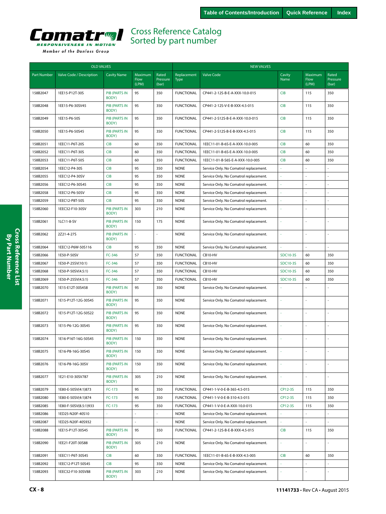<span id="page-7-0"></span>

| Member of the Danfoss Group |  |  |
|-----------------------------|--|--|
|                             |  |  |

|                    | <b>OLD VALVES</b>        |                               |                          |                            | <b>NEW VALVES</b>          |                                        |                 |                          |                            |
|--------------------|--------------------------|-------------------------------|--------------------------|----------------------------|----------------------------|----------------------------------------|-----------------|--------------------------|----------------------------|
| <b>Part Number</b> | Valve Code / Description | <b>Cavity Name</b>            | Maximum<br>Flow<br>(LPM) | Rated<br>Pressure<br>(bar) | Replacement<br><b>Type</b> | <b>Valve Code</b>                      | Cavity<br>Name  | Maximum<br>Flow<br>(LPM) | Rated<br>Pressure<br>(bar) |
| 158B2047           | 1EE15-P12T-30S           | <b>PIB (PARTS IN</b><br>BODY) | 95                       | 350                        | <b>FUNCTIONAL</b>          | CP441-2-12S-B-E-A-XXX-10.0-015         | <b>CIB</b>      | 115                      | 350                        |
| 158B2048           | 1EE15-P6-30SV45          | <b>PIB (PARTS IN</b><br>BODY) | 95                       | 350                        | <b>FUNCTIONAL</b>          | CP441-2-12S-V-E-B-XXX-4.5-015          | <b>CIB</b>      | 115                      | 350                        |
| 158B2049           | 1EE15-P6-50S             | <b>PIB (PARTS IN</b><br>BODY) | 95                       | 350                        | <b>FUNCTIONAL</b>          | CP441-2-S12S-B-E-A-XXX-10.0-015        | <b>CIB</b>      | 115                      | 350                        |
| 158B2050           | 1EE15-P6-50S45           | <b>PIB (PARTS IN</b><br>BODY) | 95                       | 350                        | <b>FUNCTIONAL</b>          | CP441-2-S12S-B-E-B-XXX-4.5-015         | <b>CIB</b>      | 115                      | 350                        |
| 158B2051           | 1EEC11-P6T-20S           | <b>CIB</b>                    | 60                       | 350                        | <b>FUNCTIONAL</b>          | 1EEC11-01-B-6S-E-A-XXX-10.0-005        | <b>CIB</b>      | 60                       | 350                        |
| 158B2052           | 1EEC11-P6T-30S           | <b>CIB</b>                    | 60                       | 350                        | <b>FUNCTIONAL</b>          | 1EEC11-01-B-6S-E-A-XXX-10.0-005        | <b>CIB</b>      | 60                       | 350                        |
| 158B2053           | 1EEC11-P6T-50S           | <b>CIB</b>                    | 60                       | 350                        | <b>FUNCTIONAL</b>          | 1EEC11-01-B-S6S-E-A-XXX-10.0-005       | <b>CIB</b>      | 60                       | 350                        |
| 158B2054           | 1EEC12-P4-30S            | <b>CIB</b>                    | 95                       | 350                        | <b>NONE</b>                | Service Only. No Comatrol replacement. |                 |                          |                            |
| 158B2055           | 1EEC12-P4-30SV           | <b>CIB</b>                    | 95                       | 350                        | <b>NONE</b>                | Service Only. No Comatrol replacement. |                 |                          | ÷                          |
| 158B2056           | 1EEC12-P6-30S45          | <b>CIB</b>                    | 95                       | 350                        | <b>NONE</b>                | Service Only. No Comatrol replacement. |                 |                          |                            |
| 158B2058           | 1EEC12-P6-50SV           | CIB                           | 95                       | 350                        | <b>NONE</b>                | Service Only. No Comatrol replacement. |                 |                          |                            |
| 158B2059           | 1EEC12-P8T-50S           | <b>CIB</b>                    | 95                       | 350                        | <b>NONE</b>                | Service Only. No Comatrol replacement. |                 |                          |                            |
| 158B2060           | 1EEC32-F10-30SV          | <b>PIB (PARTS IN</b><br>BODY) | 303                      | 210                        | <b>NONE</b>                | Service Only. No Comatrol replacement. |                 |                          |                            |
| 158B2061           | 1LC11-8-SV               | PIB (PARTS IN<br>BODY)        | 150                      | 175                        | <b>NONE</b>                | Service Only. No Comatrol replacement. | ä,              |                          |                            |
| 158B2062           | 2Z21-4-27S               | <b>PIB (PARTS IN</b><br>BODY) | ä,                       | ÷                          | <b>NONE</b>                | Service Only. No Comatrol replacement. | L.              |                          | ÷                          |
| 158B2064           | 1EEC12-P6W-50S116        | <b>CIB</b>                    | 95                       | 350                        | <b>NONE</b>                | Service Only. No Comatrol replacement. |                 |                          |                            |
| 158B2066           | 1E50-P-50SV              | FC-346                        | 57                       | 350                        | <b>FUNCTIONAL</b>          | CB10-HV                                | <b>SDC10-3S</b> | 60                       | 350                        |
| 158B2067           | 1E50-P-25SV(10:1)        | FC-346                        | 57                       | 350                        | <b>FUNCTIONAL</b>          | CB10-HV                                | <b>SDC10-3S</b> | 60                       | 350                        |
| 158B2068           | 1E50-P-50SV(4.5:1)       | FC-346                        | 57                       | 350                        | <b>FUNCTIONAL</b>          | CB10-HV                                | SDC10-3S        | 60                       | 350                        |
| 158B2069           | 1E50-P-25SV(4.5:1)       | FC-346                        | 57                       | 350                        | <b>FUNCTIONAL</b>          | CB10-HV                                | <b>SDC10-3S</b> | 60                       | 350                        |
| 158B2070           | 1E15-E12T-30S458         | <b>PIB (PARTS IN</b><br>BODY) | 95                       | 350                        | <b>NONE</b>                | Service Only. No Comatrol replacement. |                 |                          |                            |
| 158B2071           | 1E15-P12T-12G-30S45      | <b>PIB (PARTS IN</b><br>BODY) | 95                       | 350                        | <b>NONE</b>                | Service Only. No Comatrol replacement. | $\omega$        |                          |                            |
| 158B2072           | 1E15-P12T-12G-50S22      | <b>PIB (PARTS IN</b><br>BODY) | 95                       | 350                        | <b>NONE</b>                | Service Only. No Comatrol replacement. | ×,              |                          |                            |
| 158B2073           | 1E15-P6-12G-30S45        | <b>PIB (PARTS IN</b><br>BODY) | 95                       | 350                        | <b>NONE</b>                | Service Only. No Comatrol replacement. | ä,              |                          |                            |
| 158B2074           | 1E16-P16T-16G-50S45      | <b>PIB (PARTS IN</b><br>BODY) | 150                      | 350                        | <b>NONE</b>                | Service Only. No Comatrol replacement. | ä,              | ÷,                       | ÷,                         |
| 158B2075           | 1E16-P8-16G-30S45        | PIB (PARTS IN<br>BODY)        | 150                      | 350                        | <b>NONE</b>                | Service Only. No Comatrol replacement. |                 |                          |                            |
| 158B2076           | 1E16-P8-16G-30SV         | <b>PIB (PARTS IN</b><br>BODY) | 150                      | 350                        | <b>NONE</b>                | Service Only. No Comatrol replacement. |                 |                          |                            |
| 158B2077           | 1E21-E10-30SV787         | <b>PIB (PARTS IN</b><br>BODY) | 305                      | 210                        | <b>NONE</b>                | Service Only. No Comatrol replacement. | ä,              |                          | ÷,                         |
| 158B2079           | 1E80-E-50SV(4:1)873      | FC-173                        | 95                       | 350                        | <b>FUNCTIONAL</b>          | CP441-1-V-0-E-B-365-4.5-015            | CP12-3S         | 115                      | 350                        |
| 158B2080           | 1E80-E-50SV(4:1)874      | FC-173                        | 95                       | 350                        | <b>FUNCTIONAL</b>          | CP441-1-V-0-E-B-310-4.5-015            | CP12-3S         | 115                      | 350                        |
| 158B2085           | 1E80-F-50SV(8.5:1)933    | FC-173                        | 95                       | 350                        | <b>FUNCTIONAL</b>          | CP441-1-V-0-E-A-XXX-10.0-015           | CP12-3S         | 115                      | 350                        |
| 158B2086           | 1ED25-N20F-40S10         | $\sim$                        |                          |                            | <b>NONE</b>                | Service Only. No Comatrol replacement. |                 |                          | $\omega$                   |
| 158B2087           | 1ED25-N20F-40S932        | $\bar{\phantom{a}}$           |                          |                            | <b>NONE</b>                | Service Only. No Comatrol replacement. | ä,              |                          |                            |
| 158B2088           | 1EE15-P12T-30S45         | PIB (PARTS IN<br>BODY)        | 95                       | 350                        | <b>FUNCTIONAL</b>          | CP441-2-12S-B-E-B-XXX-4.5-015          | <b>CIB</b>      | 115                      | 350                        |
| 158B2090           | 1EE21-F20T-30S88         | <b>PIB (PARTS IN</b><br>BODY) | 305                      | 210                        | <b>NONE</b>                | Service Only. No Comatrol replacement. | ä,              | L.                       | $\blacksquare$             |
| 158B2091           | 1EEC11-P6T-30S45         | <b>CIB</b>                    | 60                       | 350                        | <b>FUNCTIONAL</b>          | 1EEC11-01-B-6S-E-B-XXX-4.5-005         | <b>CIB</b>      | 60                       | 350                        |
| 158B2092           | 1EEC12-P12T-50S45        | <b>CIB</b>                    | 95                       | 350                        | <b>NONE</b>                | Service Only. No Comatrol replacement. |                 |                          | L.                         |
| 158B2093           | 1EEC32-F10-30SV88        | <b>PIB (PARTS IN</b><br>BODY) | 303                      | 210                        | <b>NONE</b>                | Service Only. No Comatrol replacement. |                 |                          |                            |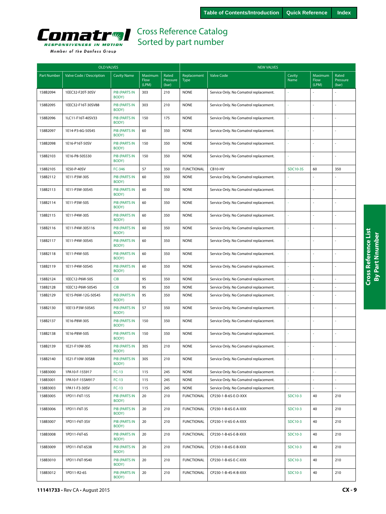<span id="page-8-0"></span>

|  | Member of the Danfoss Group |  |
|--|-----------------------------|--|
|  |                             |  |

| <b>OLD VALVES</b>  |                          |                               |                          |                            | <b>NEW VALVES</b>          |                                        |                 |                          |                            |  |
|--------------------|--------------------------|-------------------------------|--------------------------|----------------------------|----------------------------|----------------------------------------|-----------------|--------------------------|----------------------------|--|
| <b>Part Number</b> | Valve Code / Description | <b>Cavity Name</b>            | Maximum<br>Flow<br>(LPM) | Rated<br>Pressure<br>(bar) | Replacement<br><b>Type</b> | <b>Valve Code</b>                      | Cavity<br>Name  | Maximum<br>Flow<br>(LPM) | Rated<br>Pressure<br>(bar) |  |
| 158B2094           | 1EEC32-F20T-30SV         | <b>PIB (PARTS IN</b><br>BODY) | 303                      | 210                        | <b>NONE</b>                | Service Only. No Comatrol replacement. |                 |                          |                            |  |
| 158B2095           | 1EEC32-F16T-30SV88       | <b>PIB (PARTS IN</b><br>BODY) | 303                      | 210                        | <b>NONE</b>                | Service Only. No Comatrol replacement. | ä,              |                          | ÷,                         |  |
| 158B2096           | 1LC11-F16T-40SV33        | <b>PIB (PARTS IN</b><br>BODY) | 150                      | 175                        | <b>NONE</b>                | Service Only. No Comatrol replacement. | L               |                          | ÷,                         |  |
| 158B2097           | 1E14-P3-6G-50S45         | <b>PIB (PARTS IN</b><br>BODY) | 60                       | 350                        | <b>NONE</b>                | Service Only. No Comatrol replacement. | ä,              |                          | ÷,                         |  |
| 158B2098           | 1E16-P16T-50SV           | <b>PIB (PARTS IN</b><br>BODY) | 150                      | 350                        | <b>NONE</b>                | Service Only. No Comatrol replacement. | í,              |                          | ÷,                         |  |
| 158B2103           | 1E16-P8-50S530           | <b>PIB (PARTS IN</b><br>BODY) | 150                      | 350                        | <b>NONE</b>                | Service Only. No Comatrol replacement. | ÷               |                          | ÷.                         |  |
| 158B2105           | 1E50-P-40SV              | FC-346                        | 57                       | 350                        | <b>FUNCTIONAL</b>          | CB10-HV                                | <b>SDC10-3S</b> | 60                       | 350                        |  |
| 158B2112           | 1E11-P3W-30S             | <b>PIB (PARTS IN</b><br>BODY) | 60                       | 350                        | <b>NONE</b>                | Service Only. No Comatrol replacement. | í,              |                          |                            |  |
| 158B2113           | 1E11-P3W-30S45           | <b>PIB (PARTS IN</b><br>BODY) | 60                       | 350                        | <b>NONE</b>                | Service Only. No Comatrol replacement. |                 |                          |                            |  |
| 158B2114           | 1E11-P3W-50S             | <b>PIB (PARTS IN</b><br>BODY) | 60                       | 350                        | <b>NONE</b>                | Service Only. No Comatrol replacement. | ÷,              |                          | ÷.                         |  |
| 158B2115           | 1E11-P4W-30S             | <b>PIB (PARTS IN</b><br>BODY) | 60                       | 350                        | <b>NONE</b>                | Service Only. No Comatrol replacement. | ä,              |                          | ÷,                         |  |
| 158B2116           | 1E11-P4W-30S116          | <b>PIB (PARTS IN</b><br>BODY) | 60                       | 350                        | <b>NONE</b>                | Service Only. No Comatrol replacement. | ä,              |                          | ł,                         |  |
| 158B2117           | 1E11-P4W-30S45           | <b>PIB (PARTS IN</b><br>BODY) | 60                       | 350                        | <b>NONE</b>                | Service Only. No Comatrol replacement. | ä,              |                          |                            |  |
| 158B2118           | 1E11-P4W-50S             | <b>PIB (PARTS IN</b><br>BODY) | 60                       | 350                        | <b>NONE</b>                | Service Only. No Comatrol replacement. | ä,              |                          | ä,                         |  |
| 158B2119           | 1E11-P4W-50S45           | <b>PIB (PARTS IN</b><br>BODY) | 60                       | 350                        | <b>NONE</b>                | Service Only. No Comatrol replacement. | í,              |                          | L.                         |  |
| 158B2124           | 1EEC12-P6W-50S           | <b>CIB</b>                    | 95                       | 350                        | <b>NONE</b>                | Service Only. No Comatrol replacement. | í,              |                          | L,                         |  |
| 158B2128           | 1EEC12-P6W-50S45         | <b>CIB</b>                    | 95                       | 350                        | <b>NONE</b>                | Service Only. No Comatrol replacement. | í.              |                          | ä,                         |  |
| 158B2129           | 1E15-P6W-12G-50S45       | <b>PIB (PARTS IN</b><br>BODY) | 95                       | 350                        | <b>NONE</b>                | Service Only. No Comatrol replacement. | ä,              |                          |                            |  |
| 158B2130           | 1EE13-P3W-50S45          | <b>PIB (PARTS IN</b><br>BODY) | 57                       | 350                        | <b>NONE</b>                | Service Only. No Comatrol replacement. | L,              |                          |                            |  |
| 158B2137           | 1E16-P8W-30S             | <b>PIB (PARTS IN</b><br>BODY) | 150                      | 350                        | <b>NONE</b>                | Service Only. No Comatrol replacement. | í,              |                          | L.                         |  |
| 158B2138           | 1E16-P8W-50S             | <b>PIB (PARTS IN</b><br>BODY) | 150                      | 350                        | <b>NONE</b>                | Service Only. No Comatrol replacement. | L,              |                          | ÷,                         |  |
| 158B2139           | 1E21-F10W-30S            | PIB (PARTS IN<br>BODY)        | 305                      | 210                        | <b>NONE</b>                | Service Only. No Comatrol replacement. | ä,              |                          | ÷,                         |  |
| 158B2140           | 1E21-F10W-30S88          | <b>PIB (PARTS IN</b><br>BODY) | 305                      | 210                        | <b>NONE</b>                | Service Only. No Comatrol replacement. |                 |                          |                            |  |
| 158B3000           | 1PA10-F-15S917           | $FC-13$                       | 115                      | 245                        | <b>NONE</b>                | Service Only. No Comatrol replacement. | à,              | L.                       | $\overline{\phantom{a}}$   |  |
| 158B3001           | 1PA10-F-15SM917          | $FC-13$                       | 115                      | 245                        | <b>NONE</b>                | Service Only. No Comatrol replacement. |                 |                          |                            |  |
| 158B3003           | 1PA11-F3-30SV            | $FC-13$                       | 115                      | 245                        | <b>NONE</b>                | Service Only. No Comatrol replacement. |                 |                          |                            |  |
| 158B3005           | 1PD11-F6T-15S            | PIB (PARTS IN<br>BODY)        | 20                       | 210                        | <b>FUNCTIONAL</b>          | CP230-1-B-6S-E-D-XXX                   | SDC10-3         | 40                       | 210                        |  |
| 158B3006           | 1PD11-F6T-3S             | PIB (PARTS IN<br>BODY)        | 20                       | 210                        | <b>FUNCTIONAL</b>          | CP230-1-B-6S-E-A-XXX                   | SDC10-3         | 40                       | 210                        |  |
| 158B3007           | 1PD11-F6T-3SV            | <b>PIB (PARTS IN</b><br>BODY) | 20                       | 210                        | <b>FUNCTIONAL</b>          | CP230-1-V-6S-E-A-XXX                   | SDC10-3         | 40                       | 210                        |  |
| 158B3008           | 1PD11-F6T-6S             | PIB (PARTS IN<br>BODY)        | 20                       | 210                        | <b>FUNCTIONAL</b>          | CP230-1-B-6S-E-B-XXX                   | SDC10-3         | 40                       | 210                        |  |
| 158B3009           | 1PD11-F6T-6S38           | <b>PIB (PARTS IN</b><br>BODY) | 20                       | 210                        | <b>FUNCTIONAL</b>          | CP230-1-B-6S-E-B-XXX                   | SDC10-3         | 40                       | 210                        |  |
| 158B3010           | 1PD11-F6T-9S40           | PIB (PARTS IN<br>BODY)        | 20                       | 210                        | <b>FUNCTIONAL</b>          | CP230-1-B-6S-E-C-XXX                   | SDC10-3         | 40                       | 210                        |  |
| 158B3012           | 1PD11-R2-6S              | PIB (PARTS IN<br>BODY)        | 20                       | 210                        | <b>FUNCTIONAL</b>          | CP230-1-B-4S-K-B-XXX                   | SDC10-3         | 40                       | 210                        |  |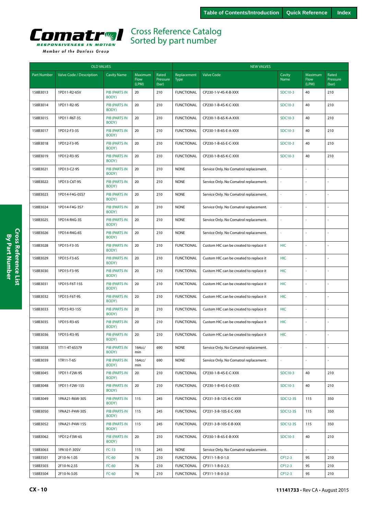<span id="page-9-0"></span>

|  |  |  | Member of the Danfoss Group |  |
|--|--|--|-----------------------------|--|
|--|--|--|-----------------------------|--|

| <b>OLD VALVES</b> |                          |                               |                          |                            | <b>NEW VALVES</b>          |                                         |                |                          |                            |  |
|-------------------|--------------------------|-------------------------------|--------------------------|----------------------------|----------------------------|-----------------------------------------|----------------|--------------------------|----------------------------|--|
| Part Number       | Valve Code / Description | <b>Cavity Name</b>            | Maximum<br>Flow<br>(LPM) | Rated<br>Pressure<br>(bar) | Replacement<br><b>Type</b> | <b>Valve Code</b>                       | Cavity<br>Name | Maximum<br>Flow<br>(LPM) | Rated<br>Pressure<br>(bar) |  |
| 158B3013          | 1PD11-R2-6SV             | <b>PIB (PARTS IN</b><br>BODY) | 20                       | 210                        | <b>FUNCTIONAL</b>          | CP230-1-V-4S-K-B-XXX                    | SDC10-3        | 40                       | 210                        |  |
| 158B3014          | 1PD11-R2-9S              | <b>PIB (PARTS IN</b><br>BODY) | 20                       | 210                        | <b>FUNCTIONAL</b>          | CP230-1-B-4S-K-C-XXX                    | SDC10-3        | 40                       | 210                        |  |
| 158B3015          | 1PD11-R6T-3S             | <b>PIB (PARTS IN</b><br>BODY) | 20                       | 210                        | <b>FUNCTIONAL</b>          | CP230-1-B-6S-K-A-XXX                    | SDC10-3        | 40                       | 210                        |  |
| 158B3017          | 1PD12-F3-3S              | <b>PIB (PARTS IN</b><br>BODY) | 20                       | 210                        | <b>FUNCTIONAL</b>          | CP230-1-B-6S-E-A-XXX                    | SDC10-3        | 40                       | 210                        |  |
| 158B3018          | 1PD12-F3-9S              | <b>PIB (PARTS IN</b><br>BODY) | 20                       | 210                        | <b>FUNCTIONAL</b>          | CP230-1-B-6S-E-C-XXX                    | SDC10-3        | 40                       | 210                        |  |
| 158B3019          | 1PD12-R3-9S              | <b>PIB (PARTS IN</b><br>BODY) | 20                       | 210                        | <b>FUNCTIONAL</b>          | CP230-1-B-6S-K-C-XXX                    | SDC10-3        | 40                       | 210                        |  |
| 158B3021          | 1PD13-C2-9S              | <b>PIB (PARTS IN</b><br>BODY) | 20                       | 210                        | <b>NONE</b>                | Service Only. No Comatrol replacement.  |                |                          |                            |  |
| 158B3022          | 1PD13-C6T-9S             | PIB (PARTS IN<br>BODY)        | 20                       | 210                        | <b>NONE</b>                | Service Only. No Comatrol replacement.  | ä,             | ÷,                       | $\overline{a}$             |  |
| 158B3023          | 1PD14-F4G-05S7           | <b>PIB (PARTS IN</b><br>BODY) | 20                       | 210                        | <b>NONE</b>                | Service Only. No Comatrol replacement.  | ä,             | ÷.                       | ä,                         |  |
| 158B3024          | 1PD14-F4G-3S7            | <b>PIB (PARTS IN</b><br>BODY) | 20                       | 210                        | <b>NONE</b>                | Service Only. No Comatrol replacement.  | ä,             |                          | L.                         |  |
| 158B3025          | 1PD14-R4G-3S             | <b>PIB (PARTS IN</b><br>BODY) | 20                       | 210                        | <b>NONE</b>                | Service Only. No Comatrol replacement.  |                | ÷,                       | L                          |  |
| 158B3026          | 1PD14-R4G-6S             | <b>PIB (PARTS IN</b><br>BODY) | 20                       | 210                        | <b>NONE</b>                | Service Only. No Comatrol replacement.  | ä,             | ÷,                       | L.                         |  |
| 158B3028          | 1PD15-F3-3S              | PIB (PARTS IN<br>BODY)        | 20                       | 210                        | <b>FUNCTIONAL</b>          | Custom HIC can be created to replace it | HIC            | ÷,                       |                            |  |
| 158B3029          | 1PD15-F3-6S              | PIB (PARTS IN<br>BODY)        | 20                       | 210                        | <b>FUNCTIONAL</b>          | Custom HIC can be created to replace it | <b>HIC</b>     |                          |                            |  |
| 158B3030          | 1PD15-F3-9S              | <b>PIB (PARTS IN</b><br>BODY) | 20                       | 210                        | <b>FUNCTIONAL</b>          | Custom HIC can be created to replace it | <b>HIC</b>     | ÷,                       | L                          |  |
| 158B3031          | 1PD15-F6T-15S            | <b>PIB (PARTS IN</b><br>BODY) | 20                       | 210                        | <b>FUNCTIONAL</b>          | Custom HIC can be created to replace it | <b>HIC</b>     | ÷,                       |                            |  |
| 158B3032          | 1PD15-F6T-9S             | <b>PIB (PARTS IN</b><br>BODY) | 20                       | 210                        | <b>FUNCTIONAL</b>          | Custom HIC can be created to replace it | <b>HIC</b>     | ÷,                       | $\overline{a}$             |  |
| 158B3033          | 1PD15-R3-15S             | <b>PIB (PARTS IN</b><br>BODY) | 20                       | 210                        | <b>FUNCTIONAL</b>          | Custom HIC can be created to replace it | <b>HIC</b>     | ÷.                       | L.                         |  |
| 158B3035          | 1PD15-R3-6S              | <b>PIB (PARTS IN</b><br>BODY) | 20                       | 210                        | <b>FUNCTIONAL</b>          | Custom HIC can be created to replace it | <b>HIC</b>     | ÷,                       | ä,                         |  |
| 158B3036          | 1PD15-R3-9S              | <b>PIB (PARTS IN</b><br>BODY) | 20                       | 210                        | <b>FUNCTIONAL</b>          | Custom HIC can be created to replace it | <b>HIC</b>     | ÷,                       | L,                         |  |
| 158B3038          | 1T11-4T-6S579            | <b>PIB (PARTS IN</b><br>BODY) | 164cc/<br>min            | 690                        | <b>NONE</b>                | Service Only. No Comatrol replacement.  |                |                          |                            |  |
| 158B3039          | 1TR11-T-6S               | <b>PIB (PARTS IN</b><br>BODY) | 164cc/<br>min            | 690                        | <b>NONE</b>                | Service Only. No Comatrol replacement.  | ä,             | $\omega$                 | ÷,                         |  |
| 158B3045          | 1PD11-F2W-9S             | <b>PIB (PARTS IN</b><br>BODY) | 20                       | 210                        | <b>FUNCTIONAL</b>          | CP230-1-B-4S-E-C-XXX                    | SDC10-3        | 40                       | 210                        |  |
| 158B3048          | 1PD11-F2W-15S            | <b>PIB (PARTS IN</b><br>BODY) | 20                       | 210                        | <b>FUNCTIONAL</b>          | CP230-1-B-4S-E-D-XXX                    | SDC10-3        | 40                       | 210                        |  |
| 158B3049          | 1PAA21-R6W-30S           | <b>PIB (PARTS IN</b><br>BODY) | 115                      | 245                        | <b>FUNCTIONAL</b>          | CP231-3-B-12S-K-C-XXX                   | SDC12-3S       | 115                      | 350                        |  |
| 158B3050          | 1PAA21-P4W-30S           | <b>PIB (PARTS IN</b><br>BODY) | 115                      | 245                        | <b>FUNCTIONAL</b>          | CP231-3-B-10S-E-C-XXX                   | SDC12-3S       | 115                      | 350                        |  |
| 158B3052          | 1PAA21-P4W-15S           | <b>PIB (PARTS IN</b><br>BODY) | 115                      | 245                        | <b>FUNCTIONAL</b>          | CP231-3-B-10S-E-B-XXX                   | SDC12-3S       | 115                      | 350                        |  |
| 158B3062          | 1PD12-F3W-6S             | <b>PIB (PARTS IN</b><br>BODY) | 20                       | 210                        | <b>FUNCTIONAL</b>          | CP230-1-B-6S-E-B-XXX                    | SDC10-3        | 40                       | 210                        |  |
| 158B3063          | 1PA10-F-30SV             | $FC-13$                       | 115                      | 245                        | <b>NONE</b>                | Service Only. No Comatrol replacement.  |                | $\sim$                   | L.                         |  |
| 158B3501          | 2F10-N-1.0S              | $FC-60$                       | 76                       | 210                        | <b>FUNCTIONAL</b>          | CP311-1-B-0-1.0                         | CP12-3         | 95                       | 210                        |  |
| 158B3503          | 2F10-N-2.5S              | $FC-60$                       | 76                       | 210                        | <b>FUNCTIONAL</b>          | CP311-1-B-0-2.5                         | CP12-3         | 95                       | 210                        |  |
| 158B3504          | 2F10-N-3.0S              | $FC-60$                       | 76                       | 210                        | <b>FUNCTIONAL</b>          | CP311-1-B-0-3.0                         | CP12-3         | 95                       | 210                        |  |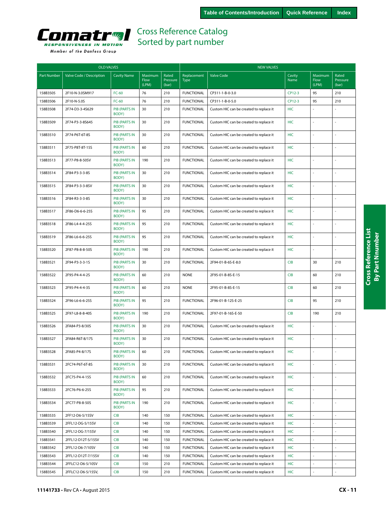<span id="page-10-0"></span>

|  | Member of the Danfoss Group |  |
|--|-----------------------------|--|
|  |                             |  |

| <b>OLD VALVES</b>  |                          |                               |                          |                            | <b>NEW VALVES</b>          |                                         |                |                          |                            |  |
|--------------------|--------------------------|-------------------------------|--------------------------|----------------------------|----------------------------|-----------------------------------------|----------------|--------------------------|----------------------------|--|
| <b>Part Number</b> | Valve Code / Description | <b>Cavity Name</b>            | Maximum<br>Flow<br>(LPM) | Rated<br>Pressure<br>(bar) | Replacement<br><b>Type</b> | <b>Valve Code</b>                       | Cavity<br>Name | Maximum<br>Flow<br>(LPM) | Rated<br>Pressure<br>(bar) |  |
| 158B3505           | 2F10-N-3.0SM917          | $FC-60$                       | 76                       | 210                        | <b>FUNCTIONAL</b>          | CP311-1-B-0-3.0                         | CP12-3         | 95                       | 210                        |  |
| 158B3506           | 2F10-N-5.0S              | $FC-60$                       | 76                       | 210                        | <b>FUNCTIONAL</b>          | CP311-1-B-0-5.0                         | CP12-3         | 95                       | 210                        |  |
| 158B3508           | 2F74-D3-3-4S629          | <b>PIB (PARTS IN</b><br>BODY) | 30                       | 210                        | <b>FUNCTIONAL</b>          | Custom HIC can be created to replace it | <b>HIC</b>     |                          |                            |  |
| 158B3509           | 2F74-P3-3-8S645          | <b>PIB (PARTS IN</b><br>BODY) | 30                       | 210                        | <b>FUNCTIONAL</b>          | Custom HIC can be created to replace it | <b>HIC</b>     | ÷                        | ÷.                         |  |
| 158B3510           | 2F74-P6T-6T-8S           | <b>PIB (PARTS IN</b><br>BODY) | 30                       | 210                        | <b>FUNCTIONAL</b>          | Custom HIC can be created to replace it | <b>HIC</b>     |                          | ÷,                         |  |
| 158B3511           | 2F75-P8T-8T-15S          | <b>PIB (PARTS IN</b><br>BODY) | 60                       | 210                        | <b>FUNCTIONAL</b>          | Custom HIC can be created to replace it | <b>HIC</b>     |                          |                            |  |
| 158B3513           | 2F77-P8-8-50SV           | <b>PIB (PARTS IN</b><br>BODY) | 190                      | 210                        | <b>FUNCTIONAL</b>          | Custom HIC can be created to replace it | HIC            |                          |                            |  |
| 158B3514           | 2F84-P3-3-3-8S           | <b>PIB (PARTS IN</b><br>BODY) | 30                       | 210                        | <b>FUNCTIONAL</b>          | Custom HIC can be created to replace it | HIC            |                          |                            |  |
| 158B3515           | 2F84-P3-3-3-8SV          | <b>PIB (PARTS IN</b><br>BODY) | 30                       | 210                        | <b>FUNCTIONAL</b>          | Custom HIC can be created to replace it | HIC            |                          | L.                         |  |
| 158B3516           | 2F84-R3-3-3-8S           | <b>PIB (PARTS IN</b><br>BODY) | 30                       | 210                        | <b>FUNCTIONAL</b>          | Custom HIC can be created to replace it | HIC            |                          |                            |  |
| 158B3517           | 2F86-D6-6-6-25S          | <b>PIB (PARTS IN</b><br>BODY) | 95                       | 210                        | <b>FUNCTIONAL</b>          | Custom HIC can be created to replace it | <b>HIC</b>     |                          | ÷.                         |  |
| 158B3518           | 2F86-L4-4-4-25S          | <b>PIB (PARTS IN</b><br>BODY) | 95                       | 210                        | <b>FUNCTIONAL</b>          | Custom HIC can be created to replace it | <b>HIC</b>     |                          | ÷,                         |  |
| 158B3519           | 2F86-L6-6-6-25S          | <b>PIB (PARTS IN</b><br>BODY) | 95                       | 210                        | <b>FUNCTIONAL</b>          | Custom HIC can be created to replace it | HIC            |                          | ÷,                         |  |
| 158B3520           | 2F87-P8-8-8-50S          | <b>PIB (PARTS IN</b><br>BODY) | 190                      | 210                        | <b>FUNCTIONAL</b>          | Custom HIC can be created to replace it | <b>HIC</b>     |                          |                            |  |
| 158B3521           | 2F94-P3-3-3-1S           | <b>PIB (PARTS IN</b><br>BODY) | 30                       | 210                        | <b>FUNCTIONAL</b>          | 2F94-01-B-6S-E-8.0                      | <b>CIB</b>     | 30                       | 210                        |  |
| 158B3522           | 2F95-P4-4-4-2S           | <b>PIB (PARTS IN</b><br>BODY) | 60                       | 210                        | <b>NONE</b>                | 2F95-01-B-8S-E-15                       | <b>CIB</b>     | 60                       | 210                        |  |
| 158B3523           | 2F95-P4-4-4-3S           | PIB (PARTS IN<br>BODY)        | 60                       | 210                        | <b>NONE</b>                | 2F95-01-B-8S-E-15                       | <b>CIB</b>     | 60                       | 210                        |  |
| 158B3524           | 2F96-L6-6-6-25S          | <b>PIB (PARTS IN</b><br>BODY) | 95                       | 210                        | <b>FUNCTIONAL</b>          | 2F96-01-B-12S-E-25                      | <b>CIB</b>     | 95                       | 210                        |  |
| 158B3525           | 2F97-L8-8-8-40S          | <b>PIB (PARTS IN</b><br>BODY) | 190                      | 210                        | <b>FUNCTIONAL</b>          | 2F97-01-B-16S-E-50                      | <b>CIB</b>     | 190                      | 210                        |  |
| 158B3526           | 2FA84-P3-8/30S           | <b>PIB (PARTS IN</b><br>BODY) | 30                       | 210                        | <b>FUNCTIONAL</b>          | Custom HIC can be created to replace it | <b>HIC</b>     |                          |                            |  |
| 158B3527           | 2FA84-R6T-8/17S          | PIB (PARTS IN<br>BODY)        | 30                       | 210                        | <b>FUNCTIONAL</b>          | Custom HIC can be created to replace it | <b>HIC</b>     |                          | ÷,                         |  |
| 158B3528           | 2FA85-P4-8/17S           | <b>PIB (PARTS IN</b><br>BODY) | 60                       | 210                        | <b>FUNCTIONAL</b>          | Custom HIC can be created to replace it | <b>HIC</b>     |                          |                            |  |
| 158B3531           | 2FC74-P6T-6T-8S          | <b>PIB (PARTS IN</b><br>BODY) | 30                       | 210                        | <b>FUNCTIONAL</b>          | Custom HIC can be created to replace it | <b>HIC</b>     |                          |                            |  |
| 158B3532           | 2FC75-P4-4-15S           | PIB (PARTS IN<br>BODY)        | 60                       | 210                        | <b>FUNCTIONAL</b>          | Custom HIC can be created to replace it | <b>HIC</b>     |                          |                            |  |
| 158B3533           | 2FC76-P6-6-25S           | <b>PIB (PARTS IN</b><br>BODY) | 95                       | 210                        | <b>FUNCTIONAL</b>          | Custom HIC can be created to replace it | HIC            | ÷,                       | ä,                         |  |
| 158B3534           | 2FC77-P8-8-50S           | <b>PIB (PARTS IN</b><br>BODY) | 190                      | 210                        | <b>FUNCTIONAL</b>          | Custom HIC can be created to replace it | HIC            | $\sim$                   | $\sim$                     |  |
| 158B3535           | 2FF12-D6-5/15SV          | <b>CIB</b>                    | 140                      | 150                        | <b>FUNCTIONAL</b>          | Custom HIC can be created to replace it | <b>HIC</b>     | L.                       | L.                         |  |
| 158B3539           | 2FFL12-DG-5/15SV         | <b>CIB</b>                    | 140                      | 150                        | <b>FUNCTIONAL</b>          | Custom HIC can be created to replace it | <b>HIC</b>     |                          |                            |  |
| 158B3540           | 2FFL12-DG-7/15SV         | <b>CIB</b>                    | 140                      | 150                        | <b>FUNCTIONAL</b>          | Custom HIC can be created to replace it | HIC            |                          |                            |  |
| 158B3541           | 2FFL12-D12T-5/15SV       | <b>CIB</b>                    | 140                      | 150                        | <b>FUNCTIONAL</b>          | Custom HIC can be created to replace it | <b>HIC</b>     | ÷,                       | ł,                         |  |
| 158B3542           | 2FFL12-D6-7/10SV         | <b>CIB</b>                    | 140                      | 150                        | <b>FUNCTIONAL</b>          | Custom HIC can be created to replace it | HIC            | ÷,                       |                            |  |
| 158B3543           | 2FFL12-D12T-7/15SV       | <b>CIB</b>                    | 140                      | 150                        | <b>FUNCTIONAL</b>          | Custom HIC can be created to replace it | HIC            | $\overline{\phantom{a}}$ | ÷,                         |  |
| 158B3544           | 2FFLC12-D6-5/10SV        | <b>CIB</b>                    | 150                      | 210                        | <b>FUNCTIONAL</b>          | Custom HIC can be created to replace it | HIC            |                          | $\blacksquare$             |  |
| 158B3545           | 2FFLC12-D6-5/15SV,       | <b>CIB</b>                    | 150                      | 210                        | <b>FUNCTIONAL</b>          | Custom HIC can be created to replace it | HIC            | $\overline{\phantom{a}}$ | $\overline{\phantom{a}}$   |  |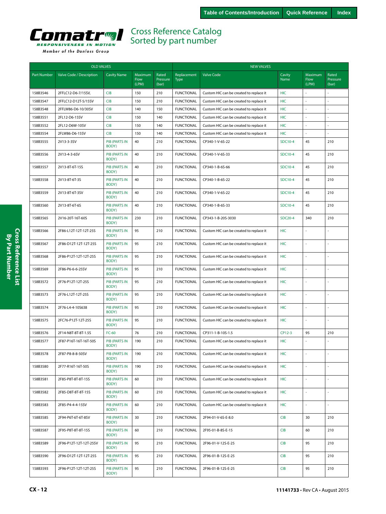<span id="page-11-0"></span>

| <b>OLD VALVES</b>  |                          |                               |                          |                            | <b>NEW VALVES</b>          |                                         |                |                          |                            |  |
|--------------------|--------------------------|-------------------------------|--------------------------|----------------------------|----------------------------|-----------------------------------------|----------------|--------------------------|----------------------------|--|
| <b>Part Number</b> | Valve Code / Description | <b>Cavity Name</b>            | Maximum<br>Flow<br>(LPM) | Rated<br>Pressure<br>(bar) | Replacement<br><b>Type</b> | <b>Valve Code</b>                       | Cavity<br>Name | Maximum<br>Flow<br>(LPM) | Rated<br>Pressure<br>(bar) |  |
| 158B3546           | 2FFLC12-D6-7/15SV,       | <b>CIB</b>                    | 150                      | 210                        | <b>FUNCTIONAL</b>          | Custom HIC can be created to replace it | <b>HIC</b>     |                          |                            |  |
| 158B3547           | 2FFLC12-D12T-5/15SV      | <b>CIB</b>                    | 150                      | 210                        | <b>FUNCTIONAL</b>          | Custom HIC can be created to replace it | <b>HIC</b>     | $\overline{\phantom{a}}$ | $\overline{\phantom{a}}$   |  |
| 158B3548           | 2FFLW86-D6-10/30SV       | <b>CIB</b>                    | 140                      | 150                        | <b>FUNCTIONAL</b>          | Custom HIC can be created to replace it | HIC            |                          |                            |  |
| 158B3551           | 2FL12-D6-15SV            | <b>CIB</b>                    | 150                      | 140                        | <b>FUNCTIONAL</b>          | Custom HIC can be created to replace it | <b>HIC</b>     |                          |                            |  |
| 158B3552           | 2FL12-D6W-10SV           | <b>CIB</b>                    | 150                      | 140                        | <b>FUNCTIONAL</b>          | Custom HIC can be created to replace it | <b>HIC</b>     | ä,                       |                            |  |
| 158B3554           | 2FLW86-D6-15SV           | <b>CIB</b>                    | 150                      | 140                        | <b>FUNCTIONAL</b>          | Custom HIC can be created to replace it | HIC            | $\sim$                   |                            |  |
| 158B3555           | 2V13-3-3SV               | <b>PIB (PARTS IN</b><br>BODY) | 40                       | 210                        | <b>FUNCTIONAL</b>          | CP340-1-V-6S-22                         | SDC10-4        | 45                       | 210                        |  |
| 158B3556           | 2V13-4-3-6SV             | <b>PIB (PARTS IN</b><br>BODY) | 40                       | 210                        | <b>FUNCTIONAL</b>          | CP340-1-V-6S-33                         | SDC10-4        | 45                       | 210                        |  |
| 158B3557           | 2V13-8T-6T-15S           | <b>PIB (PARTS IN</b><br>BODY) | 40                       | 210                        | <b>FUNCTIONAL</b>          | CP340-1-B-6S-66                         | SDC10-4        | 45                       | 210                        |  |
| 158B3558           | 2V13-8T-6T-3S            | <b>PIB (PARTS IN</b><br>BODY) | 40                       | 210                        | <b>FUNCTIONAL</b>          | CP340-1-B-6S-22                         | SDC10-4        | 45                       | 210                        |  |
| 158B3559           | 2V13-8T-6T-3SV           | <b>PIB (PARTS IN</b><br>BODY) | 40                       | 210                        | <b>FUNCTIONAL</b>          | CP340-1-V-6S-22                         | SDC10-4        | 45                       | 210                        |  |
| 158B3560           | 2V13-8T-6T-6S            | <b>PIB (PARTS IN</b><br>BODY) | 40                       | 210                        | <b>FUNCTIONAL</b>          | CP340-1-B-6S-33                         | SDC10-4        | 45                       | 210                        |  |
| 158B3565           | 2V16-20T-16T-60S         | <b>PIB (PARTS IN</b><br>BODY) | 230                      | 210                        | <b>FUNCTIONAL</b>          | CP343-1-B-20S-3030                      | <b>SDC20-4</b> | 340                      | 210                        |  |
| 158B3566           | 2F86-L12T-12T-12T-25S    | <b>PIB (PARTS IN</b><br>BODY) | 95                       | 210                        | <b>FUNCTIONAL</b>          | Custom HIC can be created to replace it | <b>HIC</b>     | $\sim$                   |                            |  |
| 158B3567           | 2F86-D12T-12T-12T-25S    | <b>PIB (PARTS IN</b><br>BODY) | 95                       | 210                        | <b>FUNCTIONAL</b>          | Custom HIC can be created to replace it | <b>HIC</b>     |                          |                            |  |
| 158B3568           | 2F86-P12T-12T-12T-25S    | <b>PIB (PARTS IN</b><br>BODY) | 95                       | 210                        | <b>FUNCTIONAL</b>          | Custom HIC can be created to replace it | <b>HIC</b>     | ÷,                       |                            |  |
| 158B3569           | 2F86-P6-6-6-25SV         | <b>PIB (PARTS IN</b><br>BODY) | 95                       | 210                        | <b>FUNCTIONAL</b>          | Custom HIC can be created to replace it | <b>HIC</b>     | $\sim$                   |                            |  |
| 158B3572           | 2F76-P12T-12T-25S        | <b>PIB (PARTS IN</b><br>BODY) | 95                       | 210                        | <b>FUNCTIONAL</b>          | Custom HIC can be created to replace it | <b>HIC</b>     | ä,                       |                            |  |
| 158B3573           | 2F76-L12T-12T-25S        | <b>PIB (PARTS IN</b><br>BODY) | 95                       | 210                        | <b>FUNCTIONAL</b>          | Custom HIC can be created to replace it | <b>HIC</b>     |                          |                            |  |
| 158B3574           | 2F76-L4-4-10S638         | <b>PIB (PARTS IN</b><br>BODY) | 95                       | 210                        | <b>FUNCTIONAL</b>          | Custom HIC can be created to replace it | <b>HIC</b>     | ÷,                       |                            |  |
| 158B3575           | 2FC76-P12T-12T-25S       | <b>PIB (PARTS IN</b><br>BODY) | 95                       | 210                        | <b>FUNCTIONAL</b>          | Custom HIC can be created to replace it | HIC            | L.                       |                            |  |
| 158B3576           | 2F14-N8T-8T-8T-1.5S      | FC-60                         | 76                       | 210                        | <b>FUNCTIONAL</b>          | CP311-1-B-10S-1.5                       | CP12-3         | 95                       | 210                        |  |
| 158B3577           | 2F87-P16T-16T-16T-50S    | <b>PIB (PARTS IN</b><br>BODY) | 190                      | 210                        | <b>FUNCTIONAL</b>          | Custom HIC can be created to replace it | <b>HIC</b>     |                          |                            |  |
| 158B3578           | 2F87-P8-8-8-50SV         | <b>PIB (PARTS IN</b><br>BODY) | 190                      | 210                        | <b>FUNCTIONAL</b>          | Custom HIC can be created to replace it | HIC            |                          |                            |  |
| 158B3580           | 2F77-R16T-16T-50S        | <b>PIB (PARTS IN</b><br>BODY) | 190                      | 210                        | <b>FUNCTIONAL</b>          | Custom HIC can be created to replace it | <b>HIC</b>     |                          | ä,                         |  |
| 158B3581           | 2F85-P8T-8T-8T-15S       | <b>PIB (PARTS IN</b><br>BODY) | 60                       | 210                        | <b>FUNCTIONAL</b>          | Custom HIC can be created to replace it | <b>HIC</b>     | $\omega$                 | ÷,                         |  |
| 158B3582           | 2F85-D8T-8T-8T-15S       | <b>PIB (PARTS IN</b><br>BODY) | 60                       | 210                        | <b>FUNCTIONAL</b>          | Custom HIC can be created to replace it | <b>HIC</b>     |                          |                            |  |
| 158B3583           | 2F85-P4-4-4-15SV         | PIB (PARTS IN<br>BODY)        | 60                       | 210                        | <b>FUNCTIONAL</b>          | Custom HIC can be created to replace it | <b>HIC</b>     | $\omega$                 | $\overline{\phantom{a}}$   |  |
| 158B3585           | 2F94-P6T-6T-6T-8SV       | PIB (PARTS IN<br>BODY)        | 30                       | 210                        | <b>FUNCTIONAL</b>          | 2F94-01-V-6S-E-8.0                      | <b>CIB</b>     | 30                       | 210                        |  |
| 158B3587           | 2F95-P8T-8T-8T-15S       | <b>PIB (PARTS IN</b><br>BODY) | 60                       | 210                        | <b>FUNCTIONAL</b>          | 2F95-01-B-8S-E-15                       | <b>CIB</b>     | 60                       | 210                        |  |
| 158B3589           | 2F96-P12T-12T-12T-25SV   | PIB (PARTS IN<br>BODY)        | 95                       | 210                        | <b>FUNCTIONAL</b>          | 2F96-01-V-12S-E-25                      | <b>CIB</b>     | 95                       | 210                        |  |
| 158B3590           | 2F96-D12T-12T-12T-25S    | PIB (PARTS IN<br>BODY)        | 95                       | 210                        | <b>FUNCTIONAL</b>          | 2F96-01-B-12S-E-25                      | <b>CIB</b>     | 95                       | 210                        |  |
| 158B3593           | 2F96-P12T-12T-12T-25S    | PIB (PARTS IN<br>BODY)        | 95                       | 210                        | <b>FUNCTIONAL</b>          | 2F96-01-B-12S-E-25                      | <b>CIB</b>     | 95                       | 210                        |  |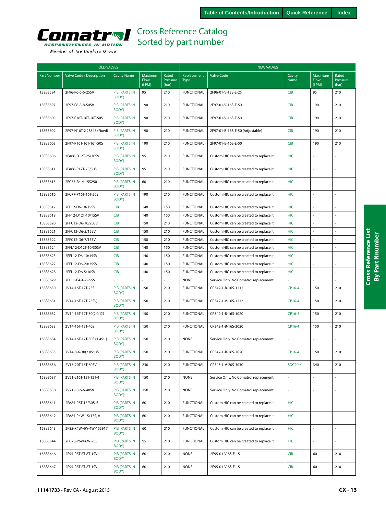

|  | Member of the Danfoss Group |  |
|--|-----------------------------|--|
|  |                             |  |

| <b>OLD VALVES</b> |                           |                               |                          |                            | <b>NEW VALVES</b>          |                                         |                |                          |                            |  |
|-------------------|---------------------------|-------------------------------|--------------------------|----------------------------|----------------------------|-----------------------------------------|----------------|--------------------------|----------------------------|--|
| Part Number       | Valve Code / Description  | <b>Cavity Name</b>            | Maximum<br>Flow<br>(LPM) | Rated<br>Pressure<br>(bar) | Replacement<br><b>Type</b> | <b>Valve Code</b>                       | Cavity<br>Name | Maximum<br>Flow<br>(LPM) | Rated<br>Pressure<br>(bar) |  |
| 158B3594          | 2F96-P6-6-6-25SV          | <b>PIB (PARTS IN</b><br>BODY) | 95                       | 210                        | <b>FUNCTIONAL</b>          | 2F96-01-V-12S-E-25                      | <b>CIB</b>     | 95                       | 210                        |  |
| 158B3597          | 2F97-P8-8-8-50SV          | <b>PIB (PARTS IN</b><br>BODY) | 190                      | 210                        | <b>FUNCTIONAL</b>          | 2F97-01-V-16S-E-50                      | <b>CIB</b>     | 190                      | 210                        |  |
| 158B3600          | 2F97-E16T-16T-16T-50S     | <b>PIB (PARTS IN</b><br>BODY) | 190                      | 210                        | <b>FUNCTIONAL</b>          | 2F97-01-V-16S-E-50                      | <b>CIB</b>     | 190                      | 210                        |  |
| 158B3602          | 2F97-N16T-2.2S846 (Fixed) | <b>PIB (PARTS IN</b><br>BODY) | 190                      | 210                        | <b>FUNCTIONAL</b>          | 2F97-01-B-16S-E-50 (Adjustable)         | <b>CIB</b>     | 190                      | 210                        |  |
| 158B3603          | 2F97-P16T-16T-16T-50S     | <b>PIB (PARTS IN</b><br>BODY) | 190                      | 210                        | <b>FUNCTIONAL</b>          | 2F97-01-B-16S-E-50                      | <b>CIB</b>     | 190                      | 210                        |  |
| 158B3606          | 2FA86-D12T-25/30SV        | <b>PIB (PARTS IN</b><br>BODY) | 95                       | 210                        | <b>FUNCTIONAL</b>          | Custom HIC can be created to replace it | <b>HIC</b>     | L.                       |                            |  |
| 158B3611          | 2FA86-P12T-25/30S,        | <b>PIB (PARTS IN</b><br>BODY) | 95                       | 210                        | <b>FUNCTIONAL</b>          | Custom HIC can be created to replace it | <b>HIC</b>     | L.                       | ÷,                         |  |
| 158B3615          | 2FC75-R4-4-15S250         | <b>PIB (PARTS IN</b><br>BODY) | 60                       | 210                        | <b>FUNCTIONAL</b>          | Custom HIC can be created to replace it | <b>HIC</b>     | L.                       | ÷,                         |  |
| 158B3616          | 2FC77-P16T-16T-50S        | <b>PIB (PARTS IN</b><br>BODY) | 190                      | 210                        | <b>FUNCTIONAL</b>          | Custom HIC can be created to replace it | HIC            |                          |                            |  |
| 158B3617          | 2FF12-D6-10/15SV          | <b>CIB</b>                    | 140                      | 150                        | <b>FUNCTIONAL</b>          | Custom HIC can be created to replace it | <b>HIC</b>     | ÷,                       |                            |  |
| 158B3618          | 2FF12-D12T-10/15SV        | <b>CIB</b>                    | 140                      | 150                        | <b>FUNCTIONAL</b>          | Custom HIC can be created to replace it | <b>HIC</b>     |                          |                            |  |
| 158B3620          | 2FFC12-D6-10/20SV         | <b>CIB</b>                    | 150                      | 210                        | <b>FUNCTIONAL</b>          | Custom HIC can be created to replace it | <b>HIC</b>     |                          |                            |  |
| 158B3621          | 2FFC12-D6-5/15SV          | <b>CIB</b>                    | 150                      | 210                        | <b>FUNCTIONAL</b>          | Custom HIC can be created to replace it | <b>HIC</b>     |                          |                            |  |
| 158B3622          | 2FFC12-D6-7/15SV          | <b>CIB</b>                    | 150                      | 210                        | <b>FUNCTIONAL</b>          | Custom HIC can be created to replace it | <b>HIC</b>     | ÷,                       | ÷.                         |  |
| 158B3624          | 2FFL12-D12T-10/30SV       | <b>CIB</b>                    | 140                      | 150                        | <b>FUNCTIONAL</b>          | Custom HIC can be created to replace it | <b>HIC</b>     | $\sim$                   | ÷,                         |  |
| 158B3625          | 2FFL12-D6-10/15SV         | <b>CIB</b>                    | 140                      | 150                        | <b>FUNCTIONAL</b>          | Custom HIC can be created to replace it | <b>HIC</b>     |                          |                            |  |
| 158B3627          | 2FFL12-D6-20/25SV         | <b>CIB</b>                    | 140                      | 150                        | <b>FUNCTIONAL</b>          | Custom HIC can be created to replace it | <b>HIC</b>     | ÷,                       |                            |  |
| 158B3628          | 2FFL12-D6-5/10SV          | <b>CIB</b>                    | 140                      | 150                        | <b>FUNCTIONAL</b>          | Custom HIC can be created to replace it | <b>HIC</b>     | ÷,                       | ä,                         |  |
| 158B3629          | 2FL11-P4-4-2-2-5S         |                               |                          |                            | <b>NONE</b>                | Service Only. No Comatrol replacement.  |                |                          |                            |  |
| 158B3630          | 2V14-16T-12T-25S          | <b>PIB (PARTS IN</b><br>BODY) | 150                      | 210                        | <b>FUNCTIONAL</b>          | CP342-1-B-16S-1212                      | CP16-4         | 150                      | 210                        |  |
| 158B3631          | 2V14-16T-12T-25SV,        | <b>PIB (PARTS IN</b><br>BODY) | 150                      | 210                        | <b>FUNCTIONAL</b>          | CP342-1-V-16S-1212                      | CP16-4         | 150                      | 210                        |  |
| 158B3632          | 2V14-16T-12T-30(2.0:1)S   | <b>PIB (PARTS IN</b><br>BODY) | 150                      | 210                        | <b>FUNCTIONAL</b>          | CP342-1-B-16S-1020                      | CP16-4         | 150                      | 210                        |  |
| 158B3633          | 2V14-16T-12T-40S          | <b>PIB (PARTS IN</b><br>BODY) | 150                      | 210                        | <b>FUNCTIONAL</b>          | CP342-1-B-16S-2020                      | CP16-4         | 150                      | 210                        |  |
| 158B3634          | 2V14-16T-12T-50S (1.45:1) | <b>PIB (PARTS IN</b><br>BODY) | 150                      | 210                        | <b>NONE</b>                | Service Only. No Comatrol replacement.  |                |                          |                            |  |
| 158B3635          | 2V14-8-6-30(2.05:1)S      | <b>PIB (PARTS IN</b><br>BODY) | 150                      | 210                        | <b>FUNCTIONAL</b>          | CP342-1-B-16S-2020                      | CP16-4         | 150                      | 210                        |  |
| 158B3636          | 2V16-20T-16T-60SV         | <b>PIB (PARTS IN</b><br>BODY) | 230                      | 210                        | <b>FUNCTIONAL</b>          | CP343-1-V-20S-3030                      | <b>SDC20-4</b> | 340                      | 210                        |  |
| 158B3637          | 2V21-L16T-12T-12T-4       | PIB (PARTS IN<br>BODY)        | 150                      | 210                        | <b>NONE</b>                | Service Only. No Comatrol replacement.  |                |                          |                            |  |
| 158B3638          | 2V21-L8-6-6-40SV          | PIB (PARTS IN<br>BODY)        | 150                      | 210                        | <b>NONE</b>                | Service Only. No Comatrol replacement.  | ÷,             | $\bar{\mathcal{L}}$      | $\sim$                     |  |
| 158B3641          | 2FA85-P8T-15/30S, B       | <b>PIB (PARTS IN</b><br>BODY) | 60                       | 210                        | <b>FUNCTIONAL</b>          | Custom HIC can be created to replace it | <b>HIC</b>     | $\omega$                 | ÷.                         |  |
| 158B3642          | 2FA85-P4W-15/17S, A       | PIB (PARTS IN<br>BODY)        | 60                       | 210                        | <b>FUNCTIONAL</b>          | Custom HIC can be created to replace it | <b>HIC</b>     | $\overline{\phantom{a}}$ | ä,                         |  |
| 158B3643          | 2F85-R4W-4W-4W-15S917     | <b>PIB (PARTS IN</b><br>BODY) | 60                       | 210                        | <b>FUNCTIONAL</b>          | Custom HIC can be created to replace it | HIC            | $\bar{\mathcal{L}}$      | ä,                         |  |
| 158B3644          | 2FC76-P6W-6W-25S          | <b>PIB (PARTS IN</b><br>BODY) | 95                       | 210                        | <b>FUNCTIONAL</b>          | Custom HIC can be created to replace it | <b>HIC</b>     | $\sim$                   |                            |  |
| 158B3646          | 2F95-P8T-8T-8T-1SV        | <b>PIB (PARTS IN</b><br>BODY) | 60                       | 210                        | <b>NONE</b>                | 2F95-01-V-8S-E-15                       | <b>CIB</b>     | 60                       | 210                        |  |
| 158B3647          | 2F95-P8T-8T-8T-1SV        | PIB (PARTS IN<br>BODY)        | 60                       | 210                        | <b>NONE</b>                | 2F95-01-V-8S-E-15                       | <b>CIB</b>     | 60                       | 210                        |  |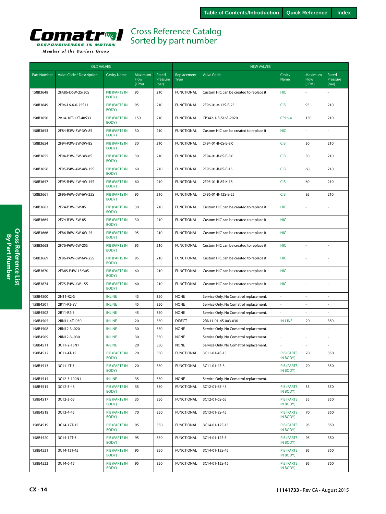<span id="page-13-0"></span>

| Valve Code / Description<br><b>Cavity Name</b><br>Maximum<br>Rated<br>Cavity<br>Maximum<br>Rated<br><b>Part Number</b><br>Replacement<br><b>Valve Code</b><br>Flow<br>Pressure<br>Name<br>Flow<br>Pressure<br><b>Type</b><br>(LPM)<br>(LPM)<br>(bar)<br>(bar)<br><b>FUNCTIONAL</b><br>158B3648<br>2FA86-D6W-25/30S<br><b>PIB (PARTS IN</b><br>95<br>210<br><b>HIC</b><br>Custom HIC can be created to replace it<br>ä,<br>÷,<br>BODY)<br>210<br>158B3649<br>2F96-L6-6-6-25S11<br><b>PIB (PARTS IN</b><br>95<br><b>FUNCTIONAL</b><br>2F96-01-V-12S-E-25<br><b>CIB</b><br>95<br>210<br>BODY)<br>158B3650<br>2V14-16T-12T-40S33<br><b>PIB (PARTS IN</b><br>150<br>210<br><b>FUNCTIONAL</b><br>CP342-1-B-S16S-2020<br>CP16-4<br>150<br>210<br>BODY)<br><b>FUNCTIONAL</b><br>158B3653<br>2F84-R3W-3W-3W-8S<br><b>PIB (PARTS IN</b><br>30<br>210<br>Custom HIC can be created to replace it<br><b>HIC</b><br>÷,<br>ä,<br>BODY)<br>30<br><b>CIB</b><br>158B3654<br>2F94-P3W-3W-3W-8S<br><b>PIB (PARTS IN</b><br>210<br><b>FUNCTIONAL</b><br>2F94-01-B-6S-E-8.0<br>30<br>210<br>BODY)<br>30<br>210<br>2F94-P3W-3W-3W-8S<br><b>PIB (PARTS IN</b><br><b>FUNCTIONAL</b><br>2F94-01-B-6S-E-8.0<br><b>CIB</b><br>30<br>210<br>158B3655<br>BODY)<br>210<br>210<br>158B3656<br><b>PIB (PARTS IN</b><br>60<br><b>FUNCTIONAL</b><br>2F95-01-B-8S-E-15<br><b>CIB</b><br>60<br>2F95-P4W-4W-4W-15S<br>BODY)<br><b>PIB (PARTS IN</b><br>60<br>210<br><b>FUNCTIONAL</b><br><b>CIB</b><br>60<br>210<br>158B3657<br>2F95-R4W-4W-4W-15S<br>2F95-01-B-8S-K-15<br>BODY)<br>210<br>158B3661<br>2F96-P6W-6W-6W-25S<br><b>PIB (PARTS IN</b><br>95<br><b>FUNCTIONAL</b><br>2F96-01-B-12S-E-25<br><b>CIB</b><br>95<br>210<br>BODY)<br>158B3662<br>2F74-P3W-3W-8S<br><b>PIB (PARTS IN</b><br>30<br>210<br><b>FUNCTIONAL</b><br>Custom HIC can be created to replace it<br><b>HIC</b><br>ä,<br>÷,<br>BODY)<br>158B3665<br>2F74-R3W-3W-8S<br><b>PIB (PARTS IN</b><br>30<br>210<br><b>FUNCTIONAL</b><br><b>HIC</b><br>Custom HIC can be created to replace it<br>ä,<br>÷,<br>BODY)<br>158B3666<br>2F86-R6W-6W-6W-25<br>PIB (PARTS IN<br>95<br>210<br><b>FUNCTIONAL</b><br>HIC<br>$\overline{a}$<br>÷,<br>Custom HIC can be created to replace it<br>BODY)<br>95<br>2F76-P6W-6W-25S<br><b>PIB (PARTS IN</b><br>210<br><b>FUNCTIONAL</b><br><b>HIC</b><br>158B3668<br>Custom HIC can be created to replace it<br>÷,<br>BODY)<br>95<br>210<br><b>FUNCTIONAL</b><br>158B3669<br>2F86-P6W-6W-6W-25S<br>PIB (PARTS IN<br><b>HIC</b><br>ä,<br>÷,<br>Custom HIC can be created to replace it<br>BODY)<br>158B3670<br><b>PIB (PARTS IN</b><br>60<br>210<br><b>FUNCTIONAL</b><br><b>HIC</b><br>÷,<br>2FA85-P4W-15/30S<br>Custom HIC can be created to replace it<br>ä,<br>BODY)<br>210<br><b>HIC</b><br><b>PIB (PARTS IN</b><br>60<br><b>FUNCTIONAL</b><br>158B3674<br>2F75-P4W-4W-15S<br>Custom HIC can be created to replace it<br>÷,<br>BODY)<br>45<br>158B4500<br>2N11-R2-S<br><b>INLINE</b><br>350<br><b>NONE</b><br>Service Only. No Comatrol replacement.<br>J.<br>ä,<br>ä,<br>45<br>158B4501<br>2R11-P2-SV<br><b>INLINE</b><br>350<br><b>NONE</b><br>Service Only. No Comatrol replacement.<br>$\bar{\phantom{a}}$<br>÷,<br>158B4502<br>2R11-R2-S<br>45<br>350<br><b>NONE</b><br>$\bar{\phantom{a}}$<br><b>INLINE</b><br>Service Only. No Comatrol replacement.<br>à,<br>ä, | <b>OLD VALVES</b> |               |               |    |     | <b>NEW VALVES</b> |                     |                |    |     |  |
|---------------------------------------------------------------------------------------------------------------------------------------------------------------------------------------------------------------------------------------------------------------------------------------------------------------------------------------------------------------------------------------------------------------------------------------------------------------------------------------------------------------------------------------------------------------------------------------------------------------------------------------------------------------------------------------------------------------------------------------------------------------------------------------------------------------------------------------------------------------------------------------------------------------------------------------------------------------------------------------------------------------------------------------------------------------------------------------------------------------------------------------------------------------------------------------------------------------------------------------------------------------------------------------------------------------------------------------------------------------------------------------------------------------------------------------------------------------------------------------------------------------------------------------------------------------------------------------------------------------------------------------------------------------------------------------------------------------------------------------------------------------------------------------------------------------------------------------------------------------------------------------------------------------------------------------------------------------------------------------------------------------------------------------------------------------------------------------------------------------------------------------------------------------------------------------------------------------------------------------------------------------------------------------------------------------------------------------------------------------------------------------------------------------------------------------------------------------------------------------------------------------------------------------------------------------------------------------------------------------------------------------------------------------------------------------------------------------------------------------------------------------------------------------------------------------------------------------------------------------------------------------------------------------------------------------------------------------------------------------------------------------------------------------------------------------------------------------------------------------------------------------------------------------------------------------------------------------------------------------------------------------------------------------------------------------------------------------|-------------------|---------------|---------------|----|-----|-------------------|---------------------|----------------|----|-----|--|
|                                                                                                                                                                                                                                                                                                                                                                                                                                                                                                                                                                                                                                                                                                                                                                                                                                                                                                                                                                                                                                                                                                                                                                                                                                                                                                                                                                                                                                                                                                                                                                                                                                                                                                                                                                                                                                                                                                                                                                                                                                                                                                                                                                                                                                                                                                                                                                                                                                                                                                                                                                                                                                                                                                                                                                                                                                                                                                                                                                                                                                                                                                                                                                                                                                                                                                                                       |                   |               |               |    |     |                   |                     |                |    |     |  |
|                                                                                                                                                                                                                                                                                                                                                                                                                                                                                                                                                                                                                                                                                                                                                                                                                                                                                                                                                                                                                                                                                                                                                                                                                                                                                                                                                                                                                                                                                                                                                                                                                                                                                                                                                                                                                                                                                                                                                                                                                                                                                                                                                                                                                                                                                                                                                                                                                                                                                                                                                                                                                                                                                                                                                                                                                                                                                                                                                                                                                                                                                                                                                                                                                                                                                                                                       |                   |               |               |    |     |                   |                     |                |    |     |  |
|                                                                                                                                                                                                                                                                                                                                                                                                                                                                                                                                                                                                                                                                                                                                                                                                                                                                                                                                                                                                                                                                                                                                                                                                                                                                                                                                                                                                                                                                                                                                                                                                                                                                                                                                                                                                                                                                                                                                                                                                                                                                                                                                                                                                                                                                                                                                                                                                                                                                                                                                                                                                                                                                                                                                                                                                                                                                                                                                                                                                                                                                                                                                                                                                                                                                                                                                       |                   |               |               |    |     |                   |                     |                |    |     |  |
|                                                                                                                                                                                                                                                                                                                                                                                                                                                                                                                                                                                                                                                                                                                                                                                                                                                                                                                                                                                                                                                                                                                                                                                                                                                                                                                                                                                                                                                                                                                                                                                                                                                                                                                                                                                                                                                                                                                                                                                                                                                                                                                                                                                                                                                                                                                                                                                                                                                                                                                                                                                                                                                                                                                                                                                                                                                                                                                                                                                                                                                                                                                                                                                                                                                                                                                                       |                   |               |               |    |     |                   |                     |                |    |     |  |
|                                                                                                                                                                                                                                                                                                                                                                                                                                                                                                                                                                                                                                                                                                                                                                                                                                                                                                                                                                                                                                                                                                                                                                                                                                                                                                                                                                                                                                                                                                                                                                                                                                                                                                                                                                                                                                                                                                                                                                                                                                                                                                                                                                                                                                                                                                                                                                                                                                                                                                                                                                                                                                                                                                                                                                                                                                                                                                                                                                                                                                                                                                                                                                                                                                                                                                                                       |                   |               |               |    |     |                   |                     |                |    |     |  |
|                                                                                                                                                                                                                                                                                                                                                                                                                                                                                                                                                                                                                                                                                                                                                                                                                                                                                                                                                                                                                                                                                                                                                                                                                                                                                                                                                                                                                                                                                                                                                                                                                                                                                                                                                                                                                                                                                                                                                                                                                                                                                                                                                                                                                                                                                                                                                                                                                                                                                                                                                                                                                                                                                                                                                                                                                                                                                                                                                                                                                                                                                                                                                                                                                                                                                                                                       |                   |               |               |    |     |                   |                     |                |    |     |  |
|                                                                                                                                                                                                                                                                                                                                                                                                                                                                                                                                                                                                                                                                                                                                                                                                                                                                                                                                                                                                                                                                                                                                                                                                                                                                                                                                                                                                                                                                                                                                                                                                                                                                                                                                                                                                                                                                                                                                                                                                                                                                                                                                                                                                                                                                                                                                                                                                                                                                                                                                                                                                                                                                                                                                                                                                                                                                                                                                                                                                                                                                                                                                                                                                                                                                                                                                       |                   |               |               |    |     |                   |                     |                |    |     |  |
|                                                                                                                                                                                                                                                                                                                                                                                                                                                                                                                                                                                                                                                                                                                                                                                                                                                                                                                                                                                                                                                                                                                                                                                                                                                                                                                                                                                                                                                                                                                                                                                                                                                                                                                                                                                                                                                                                                                                                                                                                                                                                                                                                                                                                                                                                                                                                                                                                                                                                                                                                                                                                                                                                                                                                                                                                                                                                                                                                                                                                                                                                                                                                                                                                                                                                                                                       |                   |               |               |    |     |                   |                     |                |    |     |  |
|                                                                                                                                                                                                                                                                                                                                                                                                                                                                                                                                                                                                                                                                                                                                                                                                                                                                                                                                                                                                                                                                                                                                                                                                                                                                                                                                                                                                                                                                                                                                                                                                                                                                                                                                                                                                                                                                                                                                                                                                                                                                                                                                                                                                                                                                                                                                                                                                                                                                                                                                                                                                                                                                                                                                                                                                                                                                                                                                                                                                                                                                                                                                                                                                                                                                                                                                       |                   |               |               |    |     |                   |                     |                |    |     |  |
|                                                                                                                                                                                                                                                                                                                                                                                                                                                                                                                                                                                                                                                                                                                                                                                                                                                                                                                                                                                                                                                                                                                                                                                                                                                                                                                                                                                                                                                                                                                                                                                                                                                                                                                                                                                                                                                                                                                                                                                                                                                                                                                                                                                                                                                                                                                                                                                                                                                                                                                                                                                                                                                                                                                                                                                                                                                                                                                                                                                                                                                                                                                                                                                                                                                                                                                                       |                   |               |               |    |     |                   |                     |                |    |     |  |
|                                                                                                                                                                                                                                                                                                                                                                                                                                                                                                                                                                                                                                                                                                                                                                                                                                                                                                                                                                                                                                                                                                                                                                                                                                                                                                                                                                                                                                                                                                                                                                                                                                                                                                                                                                                                                                                                                                                                                                                                                                                                                                                                                                                                                                                                                                                                                                                                                                                                                                                                                                                                                                                                                                                                                                                                                                                                                                                                                                                                                                                                                                                                                                                                                                                                                                                                       |                   |               |               |    |     |                   |                     |                |    |     |  |
|                                                                                                                                                                                                                                                                                                                                                                                                                                                                                                                                                                                                                                                                                                                                                                                                                                                                                                                                                                                                                                                                                                                                                                                                                                                                                                                                                                                                                                                                                                                                                                                                                                                                                                                                                                                                                                                                                                                                                                                                                                                                                                                                                                                                                                                                                                                                                                                                                                                                                                                                                                                                                                                                                                                                                                                                                                                                                                                                                                                                                                                                                                                                                                                                                                                                                                                                       |                   |               |               |    |     |                   |                     |                |    |     |  |
|                                                                                                                                                                                                                                                                                                                                                                                                                                                                                                                                                                                                                                                                                                                                                                                                                                                                                                                                                                                                                                                                                                                                                                                                                                                                                                                                                                                                                                                                                                                                                                                                                                                                                                                                                                                                                                                                                                                                                                                                                                                                                                                                                                                                                                                                                                                                                                                                                                                                                                                                                                                                                                                                                                                                                                                                                                                                                                                                                                                                                                                                                                                                                                                                                                                                                                                                       |                   |               |               |    |     |                   |                     |                |    |     |  |
|                                                                                                                                                                                                                                                                                                                                                                                                                                                                                                                                                                                                                                                                                                                                                                                                                                                                                                                                                                                                                                                                                                                                                                                                                                                                                                                                                                                                                                                                                                                                                                                                                                                                                                                                                                                                                                                                                                                                                                                                                                                                                                                                                                                                                                                                                                                                                                                                                                                                                                                                                                                                                                                                                                                                                                                                                                                                                                                                                                                                                                                                                                                                                                                                                                                                                                                                       |                   |               |               |    |     |                   |                     |                |    |     |  |
|                                                                                                                                                                                                                                                                                                                                                                                                                                                                                                                                                                                                                                                                                                                                                                                                                                                                                                                                                                                                                                                                                                                                                                                                                                                                                                                                                                                                                                                                                                                                                                                                                                                                                                                                                                                                                                                                                                                                                                                                                                                                                                                                                                                                                                                                                                                                                                                                                                                                                                                                                                                                                                                                                                                                                                                                                                                                                                                                                                                                                                                                                                                                                                                                                                                                                                                                       |                   |               |               |    |     |                   |                     |                |    |     |  |
|                                                                                                                                                                                                                                                                                                                                                                                                                                                                                                                                                                                                                                                                                                                                                                                                                                                                                                                                                                                                                                                                                                                                                                                                                                                                                                                                                                                                                                                                                                                                                                                                                                                                                                                                                                                                                                                                                                                                                                                                                                                                                                                                                                                                                                                                                                                                                                                                                                                                                                                                                                                                                                                                                                                                                                                                                                                                                                                                                                                                                                                                                                                                                                                                                                                                                                                                       |                   |               |               |    |     |                   |                     |                |    |     |  |
|                                                                                                                                                                                                                                                                                                                                                                                                                                                                                                                                                                                                                                                                                                                                                                                                                                                                                                                                                                                                                                                                                                                                                                                                                                                                                                                                                                                                                                                                                                                                                                                                                                                                                                                                                                                                                                                                                                                                                                                                                                                                                                                                                                                                                                                                                                                                                                                                                                                                                                                                                                                                                                                                                                                                                                                                                                                                                                                                                                                                                                                                                                                                                                                                                                                                                                                                       |                   |               |               |    |     |                   |                     |                |    |     |  |
|                                                                                                                                                                                                                                                                                                                                                                                                                                                                                                                                                                                                                                                                                                                                                                                                                                                                                                                                                                                                                                                                                                                                                                                                                                                                                                                                                                                                                                                                                                                                                                                                                                                                                                                                                                                                                                                                                                                                                                                                                                                                                                                                                                                                                                                                                                                                                                                                                                                                                                                                                                                                                                                                                                                                                                                                                                                                                                                                                                                                                                                                                                                                                                                                                                                                                                                                       |                   |               |               |    |     |                   |                     |                |    |     |  |
|                                                                                                                                                                                                                                                                                                                                                                                                                                                                                                                                                                                                                                                                                                                                                                                                                                                                                                                                                                                                                                                                                                                                                                                                                                                                                                                                                                                                                                                                                                                                                                                                                                                                                                                                                                                                                                                                                                                                                                                                                                                                                                                                                                                                                                                                                                                                                                                                                                                                                                                                                                                                                                                                                                                                                                                                                                                                                                                                                                                                                                                                                                                                                                                                                                                                                                                                       |                   |               |               |    |     |                   |                     |                |    |     |  |
|                                                                                                                                                                                                                                                                                                                                                                                                                                                                                                                                                                                                                                                                                                                                                                                                                                                                                                                                                                                                                                                                                                                                                                                                                                                                                                                                                                                                                                                                                                                                                                                                                                                                                                                                                                                                                                                                                                                                                                                                                                                                                                                                                                                                                                                                                                                                                                                                                                                                                                                                                                                                                                                                                                                                                                                                                                                                                                                                                                                                                                                                                                                                                                                                                                                                                                                                       |                   |               |               |    |     |                   |                     |                |    |     |  |
|                                                                                                                                                                                                                                                                                                                                                                                                                                                                                                                                                                                                                                                                                                                                                                                                                                                                                                                                                                                                                                                                                                                                                                                                                                                                                                                                                                                                                                                                                                                                                                                                                                                                                                                                                                                                                                                                                                                                                                                                                                                                                                                                                                                                                                                                                                                                                                                                                                                                                                                                                                                                                                                                                                                                                                                                                                                                                                                                                                                                                                                                                                                                                                                                                                                                                                                                       | 158B4505          | 2RN11-4T-.030 | <b>INLINE</b> | 20 | 350 | <b>DIRECT</b>     | 2RN11-01-4S-003-030 | <b>IN-LINE</b> | 20 | 350 |  |
| 158B4508<br>2RN12-3-.020<br><b>INLINE</b><br>30<br>350<br><b>NONE</b><br>Service Only. No Comatrol replacement.<br>ä,<br>$\sim$                                                                                                                                                                                                                                                                                                                                                                                                                                                                                                                                                                                                                                                                                                                                                                                                                                                                                                                                                                                                                                                                                                                                                                                                                                                                                                                                                                                                                                                                                                                                                                                                                                                                                                                                                                                                                                                                                                                                                                                                                                                                                                                                                                                                                                                                                                                                                                                                                                                                                                                                                                                                                                                                                                                                                                                                                                                                                                                                                                                                                                                                                                                                                                                                       |                   |               |               |    |     |                   |                     |                |    |     |  |
| 158B4509<br>30<br><b>NONE</b><br>2RN12-3-.030<br><b>INLINE</b><br>350<br>Service Only. No Comatrol replacement.<br>÷,                                                                                                                                                                                                                                                                                                                                                                                                                                                                                                                                                                                                                                                                                                                                                                                                                                                                                                                                                                                                                                                                                                                                                                                                                                                                                                                                                                                                                                                                                                                                                                                                                                                                                                                                                                                                                                                                                                                                                                                                                                                                                                                                                                                                                                                                                                                                                                                                                                                                                                                                                                                                                                                                                                                                                                                                                                                                                                                                                                                                                                                                                                                                                                                                                 |                   |               |               |    |     |                   |                     |                |    |     |  |
| 158B4511<br>3C11-2-15N1<br><b>INLINE</b><br>20<br>350<br><b>NONE</b><br>Service Only. No Comatrol replacement.                                                                                                                                                                                                                                                                                                                                                                                                                                                                                                                                                                                                                                                                                                                                                                                                                                                                                                                                                                                                                                                                                                                                                                                                                                                                                                                                                                                                                                                                                                                                                                                                                                                                                                                                                                                                                                                                                                                                                                                                                                                                                                                                                                                                                                                                                                                                                                                                                                                                                                                                                                                                                                                                                                                                                                                                                                                                                                                                                                                                                                                                                                                                                                                                                        |                   |               |               |    |     |                   |                     |                |    |     |  |
| 158B4512<br><b>PIB (PARTS IN</b><br>20<br>350<br><b>FUNCTIONAL</b><br><b>PIB (PARTS</b><br>20<br>350<br>3C11-4T-15<br>3C11-01-4S-15<br>IN BODY)<br>BODY)                                                                                                                                                                                                                                                                                                                                                                                                                                                                                                                                                                                                                                                                                                                                                                                                                                                                                                                                                                                                                                                                                                                                                                                                                                                                                                                                                                                                                                                                                                                                                                                                                                                                                                                                                                                                                                                                                                                                                                                                                                                                                                                                                                                                                                                                                                                                                                                                                                                                                                                                                                                                                                                                                                                                                                                                                                                                                                                                                                                                                                                                                                                                                                              |                   |               |               |    |     |                   |                     |                |    |     |  |
| 158B4513<br>3C11-4T-3<br><b>PIB (PARTS IN</b><br>20<br>350<br><b>FUNCTIONAL</b><br>3C11-01-4S-3<br><b>PIB (PARTS</b><br>20<br>350<br>IN BODY)<br>BODY)                                                                                                                                                                                                                                                                                                                                                                                                                                                                                                                                                                                                                                                                                                                                                                                                                                                                                                                                                                                                                                                                                                                                                                                                                                                                                                                                                                                                                                                                                                                                                                                                                                                                                                                                                                                                                                                                                                                                                                                                                                                                                                                                                                                                                                                                                                                                                                                                                                                                                                                                                                                                                                                                                                                                                                                                                                                                                                                                                                                                                                                                                                                                                                                |                   |               |               |    |     |                   |                     |                |    |     |  |
| $\overline{\phantom{a}}$<br>158B4514<br>3C12-3-100N1<br><b>INLINE</b><br>35<br>350<br><b>NONE</b><br>Service Only. No Comatrol replacement.<br>$\overline{\phantom{a}}$<br>$\omega$                                                                                                                                                                                                                                                                                                                                                                                                                                                                                                                                                                                                                                                                                                                                                                                                                                                                                                                                                                                                                                                                                                                                                                                                                                                                                                                                                                                                                                                                                                                                                                                                                                                                                                                                                                                                                                                                                                                                                                                                                                                                                                                                                                                                                                                                                                                                                                                                                                                                                                                                                                                                                                                                                                                                                                                                                                                                                                                                                                                                                                                                                                                                                   |                   |               |               |    |     |                   |                     |                |    |     |  |
| 158B4515<br><b>PIB (PARTS IN</b><br>35<br><b>FUNCTIONAL</b><br><b>PIB (PARTS</b><br>35<br>3C12-3-45<br>350<br>3C12-01-6S-45<br>350<br>BODY)<br>IN BODY)                                                                                                                                                                                                                                                                                                                                                                                                                                                                                                                                                                                                                                                                                                                                                                                                                                                                                                                                                                                                                                                                                                                                                                                                                                                                                                                                                                                                                                                                                                                                                                                                                                                                                                                                                                                                                                                                                                                                                                                                                                                                                                                                                                                                                                                                                                                                                                                                                                                                                                                                                                                                                                                                                                                                                                                                                                                                                                                                                                                                                                                                                                                                                                               |                   |               |               |    |     |                   |                     |                |    |     |  |
| <b>PIB (PARTS IN</b><br>35<br><b>FUNCTIONAL</b><br><b>PIB (PARTS</b><br>158B4517<br>3C12-3-65<br>350<br>3C12-01-6S-65<br>35<br>350<br>BODY)<br>IN BODY)                                                                                                                                                                                                                                                                                                                                                                                                                                                                                                                                                                                                                                                                                                                                                                                                                                                                                                                                                                                                                                                                                                                                                                                                                                                                                                                                                                                                                                                                                                                                                                                                                                                                                                                                                                                                                                                                                                                                                                                                                                                                                                                                                                                                                                                                                                                                                                                                                                                                                                                                                                                                                                                                                                                                                                                                                                                                                                                                                                                                                                                                                                                                                                               |                   |               |               |    |     |                   |                     |                |    |     |  |
| 158B4518<br>PIB (PARTS IN<br>70<br>350<br><b>FUNCTIONAL</b><br><b>PIB (PARTS</b><br>70<br>350<br>3C13-4-45<br>3C13-01-8S-45<br>BODY)<br>IN BODY)                                                                                                                                                                                                                                                                                                                                                                                                                                                                                                                                                                                                                                                                                                                                                                                                                                                                                                                                                                                                                                                                                                                                                                                                                                                                                                                                                                                                                                                                                                                                                                                                                                                                                                                                                                                                                                                                                                                                                                                                                                                                                                                                                                                                                                                                                                                                                                                                                                                                                                                                                                                                                                                                                                                                                                                                                                                                                                                                                                                                                                                                                                                                                                                      |                   |               |               |    |     |                   |                     |                |    |     |  |
| <b>PIB (PARTS IN</b><br>95<br>350<br><b>FUNCTIONAL</b><br><b>PIB (PARTS</b><br>158B4519<br>3C14-12T-15<br>3C14-01-12S-15<br>95<br>350<br>BODY)<br>IN BODY)                                                                                                                                                                                                                                                                                                                                                                                                                                                                                                                                                                                                                                                                                                                                                                                                                                                                                                                                                                                                                                                                                                                                                                                                                                                                                                                                                                                                                                                                                                                                                                                                                                                                                                                                                                                                                                                                                                                                                                                                                                                                                                                                                                                                                                                                                                                                                                                                                                                                                                                                                                                                                                                                                                                                                                                                                                                                                                                                                                                                                                                                                                                                                                            |                   |               |               |    |     |                   |                     |                |    |     |  |
| 158B4520<br><b>PIB (PARTS IN</b><br>95<br>350<br><b>FUNCTIONAL</b><br><b>PIB (PARTS</b><br>95<br>350<br>3C14-12T-3<br>3C14-01-12S-3<br>BODY)<br>IN BODY)                                                                                                                                                                                                                                                                                                                                                                                                                                                                                                                                                                                                                                                                                                                                                                                                                                                                                                                                                                                                                                                                                                                                                                                                                                                                                                                                                                                                                                                                                                                                                                                                                                                                                                                                                                                                                                                                                                                                                                                                                                                                                                                                                                                                                                                                                                                                                                                                                                                                                                                                                                                                                                                                                                                                                                                                                                                                                                                                                                                                                                                                                                                                                                              |                   |               |               |    |     |                   |                     |                |    |     |  |
| PIB (PARTS IN<br>95<br>350<br><b>FUNCTIONAL</b><br><b>PIB (PARTS</b><br>95<br>350<br>158B4521<br>3C14-12T-45<br>3C14-01-12S-45<br>BODY)<br>IN BODY)                                                                                                                                                                                                                                                                                                                                                                                                                                                                                                                                                                                                                                                                                                                                                                                                                                                                                                                                                                                                                                                                                                                                                                                                                                                                                                                                                                                                                                                                                                                                                                                                                                                                                                                                                                                                                                                                                                                                                                                                                                                                                                                                                                                                                                                                                                                                                                                                                                                                                                                                                                                                                                                                                                                                                                                                                                                                                                                                                                                                                                                                                                                                                                                   |                   |               |               |    |     |                   |                     |                |    |     |  |
| PIB (PARTS IN<br>95<br><b>FUNCTIONAL</b><br><b>PIB (PARTS</b><br>95<br>158B4522<br>3C14-6-15<br>350<br>3C14-01-12S-15<br>350<br>BODY)<br>IN BODY)                                                                                                                                                                                                                                                                                                                                                                                                                                                                                                                                                                                                                                                                                                                                                                                                                                                                                                                                                                                                                                                                                                                                                                                                                                                                                                                                                                                                                                                                                                                                                                                                                                                                                                                                                                                                                                                                                                                                                                                                                                                                                                                                                                                                                                                                                                                                                                                                                                                                                                                                                                                                                                                                                                                                                                                                                                                                                                                                                                                                                                                                                                                                                                                     |                   |               |               |    |     |                   |                     |                |    |     |  |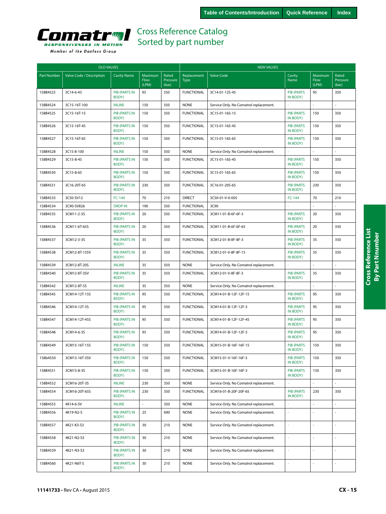<span id="page-14-0"></span>

|  | Member of the Danfoss Group |  |
|--|-----------------------------|--|
|  |                             |  |

| <b>OLD VALVES</b>  |                          |                               |                          |                            | <b>NEW VALVES</b>          |                                        |                               |                          |                            |  |
|--------------------|--------------------------|-------------------------------|--------------------------|----------------------------|----------------------------|----------------------------------------|-------------------------------|--------------------------|----------------------------|--|
| <b>Part Number</b> | Valve Code / Description | <b>Cavity Name</b>            | Maximum<br>Flow<br>(LPM) | Rated<br>Pressure<br>(bar) | Replacement<br><b>Type</b> | <b>Valve Code</b>                      | Cavity<br>Name                | Maximum<br>Flow<br>(LPM) | Rated<br>Pressure<br>(bar) |  |
| 158B4523           | 3C14-6-45                | <b>PIB (PARTS IN</b><br>BODY) | 95                       | 350                        | <b>FUNCTIONAL</b>          | 3C14-01-12S-45                         | <b>PIB (PARTS</b><br>IN BODY) | 95                       | 350                        |  |
| 158B4524           | 3C15-16T-100             | <b>INLINE</b>                 | 150                      | 350                        | <b>NONE</b>                | Service Only. No Comatrol replacement. |                               | $\overline{a}$           | ÷                          |  |
| 158B4525           | 3C15-16T-15              | <b>PIB (PARTS IN</b><br>BODY) | 150                      | 350                        | <b>FUNCTIONAL</b>          | 3C15-01-16S-15                         | <b>PIB (PARTS</b><br>IN BODY) | 150                      | 350                        |  |
| 158B4526           | 3C15-16T-45              | <b>PIB (PARTS IN</b><br>BODY) | 150                      | 350                        | <b>FUNCTIONAL</b>          | 3C15-01-16S-45                         | <b>PIB (PARTS</b><br>IN BODY) | 150                      | 350                        |  |
| 158B4527           | 3C15-16T-65              | <b>PIB (PARTS IN</b><br>BODY) | 150                      | 350                        | <b>FUNCTIONAL</b>          | 3C15-01-16S-65                         | <b>PIB (PARTS</b><br>IN BODY) | 150                      | 350                        |  |
| 158B4528           | 3C15-8-100               | <b>INLINE</b>                 | 150                      | 350                        | <b>NONE</b>                | Service Only. No Comatrol replacement. |                               |                          |                            |  |
| 158B4529           | 3C15-8-45                | <b>PIB (PARTS IN</b><br>BODY) | 150                      | 350                        | <b>FUNCTIONAL</b>          | 3C15-01-16S-45                         | <b>PIB (PARTS</b><br>IN BODY) | 150                      | 350                        |  |
| 158B4530           | 3C15-8-65                | <b>PIB (PARTS IN</b><br>BODY) | 150                      | 350                        | <b>FUNCTIONAL</b>          | 3C15-01-16S-65                         | <b>PIB (PARTS</b><br>IN BODY) | 150                      | 350                        |  |
| 158B4531           | 3C16-20T-65              | <b>PIB (PARTS IN</b><br>BODY) | 230                      | 350                        | <b>FUNCTIONAL</b>          | 3C16-01-20S-65                         | <b>PIB (PARTS</b><br>IN BODY) | 230                      | 350                        |  |
| 158B4533           | 3C50-SV12                | FC-144                        | 70                       | 210                        | <b>DIRECT</b>              | 3C50-01-V-0-005                        | FC-144                        | 70                       | 210                        |  |
| 158B4534           | 3C90-SV826               | <b>DROP IN</b>                | 190                      | 350                        | <b>FUNCTIONAL</b>          | 3C90                                   |                               |                          |                            |  |
| 158B4535           | 3CM11-2-3S               | <b>PIB (PARTS IN</b><br>BODY) | 20                       | 350                        | <b>FUNCTIONAL</b>          | 3CM11-01-B-6F-6F-3                     | <b>PIB (PARTS</b><br>IN BODY) | 20                       | 350                        |  |
| 158B4536           | 3CM11-6T-65S             | <b>PIB (PARTS IN</b><br>BODY) | 20                       | 350                        | <b>FUNCTIONAL</b>          | 3CM11-01-B-6F-6F-65                    | <b>PIB (PARTS</b><br>IN BODY) | 20                       | 350                        |  |
| 158B4537           | 3CM12-3-3S               | <b>PIB (PARTS IN</b><br>BODY) | 35                       | 350                        | <b>FUNCTIONAL</b>          | 3CM12-01-B-8F-8F-3                     | <b>PIB (PARTS</b><br>IN BODY) | 35                       | 350                        |  |
| 158B4538           | 3CM12-8T-15SV            | <b>PIB (PARTS IN</b><br>BODY) | 35                       | 350                        | <b>FUNCTIONAL</b>          | 3CM12-01-V-8F-8F-15                    | <b>PIB (PARTS</b><br>IN BODY) | 35                       | 350                        |  |
| 158B4539           | 3CM12-8T-20S             | <b>INLINE</b>                 | 35                       | 350                        | <b>NONE</b>                | Service Only. No Comatrol replacement. |                               |                          |                            |  |
| 158B4540           | 3CM12-8T-3SV             | <b>PIB (PARTS IN</b><br>BODY) | 35                       | 350                        | <b>FUNCTIONAL</b>          | 3CM12-01-V-8F-8F-3                     | <b>PIB (PARTS</b><br>IN BODY) | 35                       | 350                        |  |
| 158B4542           | 3CM12-8T-5S              | <b>INLINE</b>                 | 35                       | 350                        | <b>NONE</b>                | Service Only. No Comatrol replacement. |                               | L.                       |                            |  |
| 158B4545           | 3CM14-12T-15S            | <b>PIB (PARTS IN</b><br>BODY) | 95                       | 350                        | <b>FUNCTIONAL</b>          | 3CM14-01-B-12F-12F-15                  | <b>PIB (PARTS</b><br>IN BODY) | 95                       | 350                        |  |
| 158B4546           | 3CM14-12T-3S             | <b>PIB (PARTS IN</b><br>BODY) | 95                       | 350                        | <b>FUNCTIONAL</b>          | 3CM14-01-B-12F-12F-3                   | <b>PIB (PARTS</b><br>IN BODY) | 95                       | 350                        |  |
| 158B4547           | 3CM14-12T-45S            | <b>PIB (PARTS IN</b><br>BODY) | 95                       | 350                        | <b>FUNCTIONAL</b>          | 3CM14-01-B-12F-12F-45                  | <b>PIB (PARTS</b><br>IN BODY) | 95                       | 350                        |  |
| 158B4548           | 3CM14-6-3S               | <b>PIB (PARTS IN</b><br>BODY) | 95                       | 350                        | <b>FUNCTIONAL</b>          | 3CM14-01-B-12F-12F-3                   | <b>PIB (PARTS</b><br>IN BODY) | 95                       | 350                        |  |
| 158B4549           | 3CM15-16T-15S            | <b>PIB (PARTS IN</b><br>BODY) | 150                      | 350                        | <b>FUNCTIONAL</b>          | 3CM15-01-B-16F-16F-15                  | <b>PIB (PARTS</b><br>IN BODY) | 150                      | 350                        |  |
| 158b4550           | 3CM15-16T-3SV            | <b>PIB (PARTS IN</b><br>BODY) | 150                      | 350                        | <b>FUNCTIONAL</b>          | 3CM15-01-V-16F-16F-3                   | <b>PIB (PARTS</b><br>IN BODY) | 150                      | 350                        |  |
| 158B4551           | 3CM15-8-3S               | PIB (PARTS IN<br>BODY)        | 150                      | 350                        | <b>FUNCTIONAL</b>          | 3CM15-01-B-16F-16F-3                   | <b>PIB (PARTS</b><br>IN BODY) | 150                      | 350                        |  |
| 158B4552           | 3CM16-20T-3S             | <b>INLINE</b>                 | 230                      | 350                        | <b>NONE</b>                | Service Only. No Comatrol replacement. |                               | $\mathcal{L}$            |                            |  |
| 158B4554           | 3CM16-20T-65S            | PIB (PARTS IN<br>BODY)        | 230                      | 350                        | <b>FUNCTIONAL</b>          | 3CM16-01-B-20F-20F-65                  | <b>PIB (PARTS</b><br>IN BODY) | 230                      | 350                        |  |
| 158B4555           | 4K14-6-SV                | <b>INLINE</b>                 | ÷,                       | 350                        | <b>NONE</b>                | Service Only. No Comatrol replacement. |                               | $\overline{\phantom{a}}$ |                            |  |
| 158B4556           | 4K19-N2-S                | PIB (PARTS IN<br>BODY)        | 25                       | 690                        | <b>NONE</b>                | Service Only. No Comatrol replacement. | ÷                             | ÷,                       | ÷,                         |  |
| 158B4557           | 4K21-K3-S3               | <b>PIB (PARTS IN</b><br>BODY) | 30                       | 210                        | <b>NONE</b>                | Service Only. No Comatrol replacement. | ÷,                            | $\bar{\mathcal{L}}$      | ÷,                         |  |
| 158B4558           | 4K21-N2-S3               | PIB (PARTS IN<br>BODY)        | 30                       | 210                        | <b>NONE</b>                | Service Only. No Comatrol replacement. | ä,                            | $\bar{\mathcal{L}}$      | $\mathcal{L}$              |  |
| 158B4559           | 4K21-N3-S3               | <b>PIB (PARTS IN</b><br>BODY) | 30                       | 210                        | <b>NONE</b>                | Service Only. No Comatrol replacement. |                               |                          |                            |  |
| 158B4560           | 4K21-N6T-S               | PIB (PARTS IN<br>BODY)        | 30                       | 210                        | <b>NONE</b>                | Service Only. No Comatrol replacement. | ä,                            | $\sim$                   |                            |  |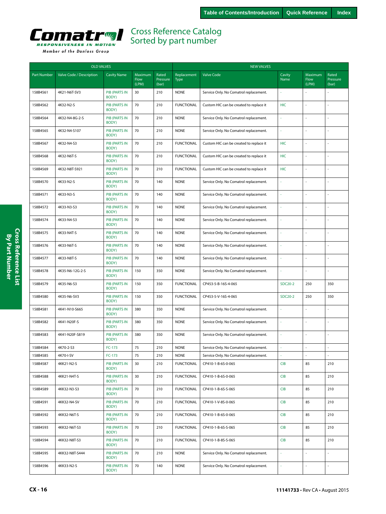<span id="page-15-0"></span>

| <b>OLD VALVES</b>  |                          |                               |                          |                            | <b>NEW VALVES</b>          |                                         |                |                          |                            |  |
|--------------------|--------------------------|-------------------------------|--------------------------|----------------------------|----------------------------|-----------------------------------------|----------------|--------------------------|----------------------------|--|
| <b>Part Number</b> | Valve Code / Description | <b>Cavity Name</b>            | Maximum<br>Flow<br>(LPM) | Rated<br>Pressure<br>(bar) | Replacement<br><b>Type</b> | <b>Valve Code</b>                       | Cavity<br>Name | Maximum<br>Flow<br>(LPM) | Rated<br>Pressure<br>(bar) |  |
| 158B4561           | 4K21-N6T-SV3             | <b>PIB (PARTS IN</b><br>BODY) | 30                       | 210                        | <b>NONE</b>                | Service Only. No Comatrol replacement.  |                |                          |                            |  |
| 158B4562           | 4K32-N2-S                | <b>PIB (PARTS IN</b><br>BODY) | 70                       | 210                        | <b>FUNCTIONAL</b>          | Custom HIC can be created to replace it | <b>HIC</b>     |                          |                            |  |
| 158B4564           | 4K32-N4-8G-2-S           | <b>PIB (PARTS IN</b><br>BODY) | 70                       | 210                        | <b>NONE</b>                | Service Only. No Comatrol replacement.  | i,             |                          | L                          |  |
| 158B4565           | 4K32-N4-S107             | <b>PIB (PARTS IN</b><br>BODY) | 70                       | 210                        | <b>NONE</b>                | Service Only. No Comatrol replacement.  | ä,             | $\overline{a}$           | L,                         |  |
| 158B4567           | 4K32-N4-S3               | <b>PIB (PARTS IN</b><br>BODY) | 70                       | 210                        | <b>FUNCTIONAL</b>          | Custom HIC can be created to replace it | HIC            | ÷,                       | L                          |  |
| 158B4568           | 4K32-N6T-S               | <b>PIB (PARTS IN</b><br>BODY) | 70                       | 210                        | <b>FUNCTIONAL</b>          | Custom HIC can be created to replace it | <b>HIC</b>     |                          | Ĭ.                         |  |
| 158B4569           | 4K32-N8T-S921            | <b>PIB (PARTS IN</b><br>BODY) | 70                       | 210                        | <b>FUNCTIONAL</b>          | Custom HIC can be created to replace it | <b>HIC</b>     | ÷,                       | J,                         |  |
| 158B4570           | 4K33-N2-S                | <b>PIB (PARTS IN</b><br>BODY) | 70                       | 140                        | <b>NONE</b>                | Service Only. No Comatrol replacement.  | ä,             |                          | L                          |  |
| 158B4571           | 4K33-N3-S                | <b>PIB (PARTS IN</b><br>BODY) | 70                       | 140                        | <b>NONE</b>                | Service Only. No Comatrol replacement.  | L,             |                          |                            |  |
| 158B4572           | 4K33-N3-S3               | <b>PIB (PARTS IN</b><br>BODY) | 70                       | 140                        | <b>NONE</b>                | Service Only. No Comatrol replacement.  | i,             |                          | l,                         |  |
| 158B4574           | 4K33-N4-S3               | <b>PIB (PARTS IN</b><br>BODY) | 70                       | 140                        | <b>NONE</b>                | Service Only. No Comatrol replacement.  | i,             |                          | L,                         |  |
| 158B4575           | 4K33-N4T-S               | <b>PIB (PARTS IN</b><br>BODY) | 70                       | 140                        | <b>NONE</b>                | Service Only. No Comatrol replacement.  | ä,             |                          |                            |  |
| 158B4576           | 4K33-N6T-S               | <b>PIB (PARTS IN</b><br>BODY) | 70                       | 140                        | <b>NONE</b>                | Service Only. No Comatrol replacement.  | ä,             |                          | J,                         |  |
| 158B4577           | 4K33-N8T-S               | <b>PIB (PARTS IN</b><br>BODY) | 70                       | 140                        | <b>NONE</b>                | Service Only. No Comatrol replacement.  | ä,             |                          | J,                         |  |
| 158B4578           | 4K35-N6-12G-2-S          | <b>PIB (PARTS IN</b><br>BODY) | 150                      | 350                        | <b>NONE</b>                | Service Only. No Comatrol replacement.  | ä,             |                          | L                          |  |
| 158B4579           | 4K35-N6-S3               | <b>PIB (PARTS IN</b><br>BODY) | 150                      | 350                        | <b>FUNCTIONAL</b>          | CP453-5-B-16S-4-065                     | <b>SDC20-2</b> | 250                      | 350                        |  |
| 158B4580           | 4K35-N6-SV3              | <b>PIB (PARTS IN</b><br>BODY) | 150                      | 350                        | <b>FUNCTIONAL</b>          | CP453-5-V-16S-4-065                     | <b>SDC20-2</b> | 250                      | 350                        |  |
| 158B4581           | 4K41-N10-S665            | <b>PIB (PARTS IN</b><br>BODY) | 380                      | 350                        | <b>NONE</b>                | Service Only. No Comatrol replacement.  | ä,             |                          | L                          |  |
| 158B4582           | 4K41-N20F-S              | <b>PIB (PARTS IN</b><br>BODY) | 380                      | 350                        | <b>NONE</b>                | Service Only. No Comatrol replacement.  | L.             | ÷,                       | L,                         |  |
| 158B4583           | 4K41-N20F-S819           | <b>PIB (PARTS IN</b><br>BODY) | 380                      | 350                        | <b>NONE</b>                | Service Only. No Comatrol replacement.  | ä,             |                          | l,                         |  |
| 158B4584           | 4K70-2-S3                | FC-173                        | 75                       | 210                        | <b>NONE</b>                | Service Only, No Comatrol replacement.  | J.             |                          |                            |  |
| 158B4585           | 4K70-I-SV                | FC-173                        | 75                       | 210                        | <b>NONE</b>                | Service Only. No Comatrol replacement.  | $\sim$         |                          | L.                         |  |
| 158B4587           | 4KK21-N2-S               | <b>PIB (PARTS IN</b><br>BODY) | 30                       | 210                        | <b>FUNCTIONAL</b>          | CP410-1-B-6S-0-065                      | CIB            | 85                       | 210                        |  |
| 158B4588           | 4KK21-N4T-S              | <b>PIB (PARTS IN</b><br>BODY) | 30                       | 210                        | <b>FUNCTIONAL</b>          | CP410-1-B-6S-0-065                      | CIB            | 85                       | 210                        |  |
| 158B4589           | 4KK32-N3-S3              | PIB (PARTS IN<br>BODY)        | 70                       | 210                        | <b>FUNCTIONAL</b>          | CP410-1-B-6S-S-065                      | CIB            | 85                       | 210                        |  |
| 158B4591           | 4KK32-N4-SV              | <b>PIB (PARTS IN</b><br>BODY) | 70                       | 210                        | <b>FUNCTIONAL</b>          | CP410-1-V-8S-0-065                      | CIB            | 85                       | 210                        |  |
| 158B4592           | 4KK32-N6T-S              | <b>PIB (PARTS IN</b><br>BODY) | 70                       | 210                        | <b>FUNCTIONAL</b>          | CP410-1-B-6S-0-065                      | <b>CIB</b>     | 85                       | 210                        |  |
| 158B4593           | 4KK32-N6T-S3             | PIB (PARTS IN<br>BODY)        | 70                       | 210                        | <b>FUNCTIONAL</b>          | CP410-1-B-6S-S-065                      | CIB            | 85                       | 210                        |  |
| 158B4594           | 4KK32-N8T-S3             | PIB (PARTS IN<br>BODY)        | 70                       | 210                        | <b>FUNCTIONAL</b>          | CP410-1-B-8S-S-065                      | CIB            | 85                       | 210                        |  |
| 158B4595           | 4KK32-N8T-S444           | PIB (PARTS IN<br>BODY)        | 70                       | 210                        | <b>NONE</b>                | Service Only. No Comatrol replacement.  | ä,             | $\overline{\phantom{a}}$ | L.                         |  |
| 158B4596           | 4KK33-N2-S               | PIB (PARTS IN<br>BODY)        | 70                       | 140                        | <b>NONE</b>                | Service Only. No Comatrol replacement.  | $\omega$       | ä,                       | L.                         |  |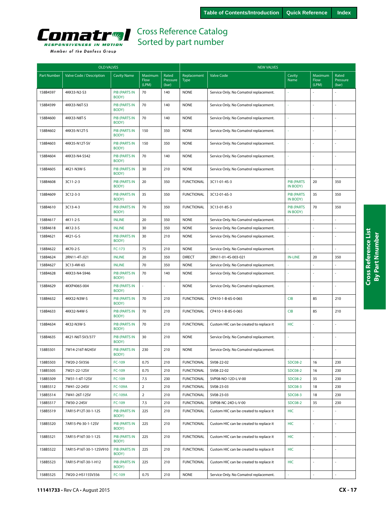<span id="page-16-0"></span>

|  | Member of the Danfoss Group |  |
|--|-----------------------------|--|
|  |                             |  |

| <b>OLD VALVES</b>  |                          |                               |                          |                            | <b>NEW VALVES</b>          |                                         |                               |                          |                            |  |
|--------------------|--------------------------|-------------------------------|--------------------------|----------------------------|----------------------------|-----------------------------------------|-------------------------------|--------------------------|----------------------------|--|
| <b>Part Number</b> | Valve Code / Description | <b>Cavity Name</b>            | Maximum<br>Flow<br>(LPM) | Rated<br>Pressure<br>(bar) | Replacement<br><b>Type</b> | <b>Valve Code</b>                       | Cavity<br>Name                | Maximum<br>Flow<br>(LPM) | Rated<br>Pressure<br>(bar) |  |
| 158B4597           | 4KK33-N2-S3              | <b>PIB (PARTS IN</b><br>BODY) | 70                       | 140                        | <b>NONE</b>                | Service Only. No Comatrol replacement.  |                               |                          |                            |  |
| 158B4599           | 4KK33-N6T-S3             | <b>PIB (PARTS IN</b><br>BODY) | 70                       | 140                        | <b>NONE</b>                | Service Only. No Comatrol replacement.  |                               |                          |                            |  |
| 158B4600           | 4KK33-N8T-S              | <b>PIB (PARTS IN</b><br>BODY) | 70                       | 140                        | <b>NONE</b>                | Service Only. No Comatrol replacement.  |                               |                          |                            |  |
| 158B4602           | 4KK35-N12T-S             | <b>PIB (PARTS IN</b><br>BODY) | 150                      | 350                        | <b>NONE</b>                | Service Only. No Comatrol replacement.  | ÷.                            |                          |                            |  |
| 158B4603           | 4KK35-N12T-SV            | <b>PIB (PARTS IN</b><br>BODY) | 150                      | 350                        | <b>NONE</b>                | Service Only. No Comatrol replacement.  |                               |                          |                            |  |
| 158B4604           | 4KK33-N4-S542            | <b>PIB (PARTS IN</b><br>BODY) | 70                       | 140                        | <b>NONE</b>                | Service Only. No Comatrol replacement.  | ä,                            |                          |                            |  |
| 158B4605           | 4K21-N3W-S               | <b>PIB (PARTS IN</b><br>BODY) | 30                       | 210                        | <b>NONE</b>                | Service Only. No Comatrol replacement.  | ×,                            |                          |                            |  |
| 158B4608           | 3C11-2-3                 | <b>PIB (PARTS IN</b><br>BODY) | 20                       | 350                        | <b>FUNCTIONAL</b>          | 3C11-01-4S-3                            | <b>PIB (PARTS</b><br>IN BODY) | 20                       | 350                        |  |
| 158B4609           | 3C12-3-3                 | <b>PIB (PARTS IN</b><br>BODY) | 35                       | 350                        | <b>FUNCTIONAL</b>          | 3C12-01-6S-3                            | <b>PIB (PARTS</b><br>IN BODY) | 35                       | 350                        |  |
| 158B4610           | 3C13-4-3                 | <b>PIB (PARTS IN</b><br>BODY) | 70                       | 350                        | <b>FUNCTIONAL</b>          | 3C13-01-8S-3                            | <b>PIB (PARTS</b><br>IN BODY) | 70                       | 350                        |  |
| 158B4617           | 4K11-2-S                 | <b>INLINE</b>                 | 20                       | 350                        | <b>NONE</b>                | Service Only. No Comatrol replacement.  |                               |                          |                            |  |
| 158B4618           | 4K12-3-S                 | <b>INLINE</b>                 | 30                       | 350                        | <b>NONE</b>                | Service Only. No Comatrol replacement.  | ä,                            | $\overline{a}$           | $\sim$                     |  |
| 158B4621           | 4K21-G-S                 | <b>PIB (PARTS IN</b><br>BODY) | 30                       | 210                        | <b>NONE</b>                | Service Only. No Comatrol replacement.  |                               |                          |                            |  |
| 158B4622           | 4K70-2-S                 | FC-173                        | 75                       | 210                        | <b>NONE</b>                | Service Only. No Comatrol replacement.  |                               |                          |                            |  |
| 158B4624           | 2RN11-4T-.021            | <b>INLINE</b>                 | 20                       | 350                        | <b>DIRECT</b>              | 2RN11-01-4S-003-021                     | <b>IN-LINE</b>                | 20                       | 350                        |  |
| 158B4627           | 3C13-4W-65               | <b>INLINE</b>                 | 70                       | 350                        | <b>NONE</b>                | Service Only. No Comatrol replacement.  |                               |                          |                            |  |
| 158B4628           | 4KK33-N4-S946            | <b>PIB (PARTS IN</b><br>BODY) | 70                       | 140                        | <b>NONE</b>                | Service Only. No Comatrol replacement.  | ä,                            |                          |                            |  |
| 158B4629           | 4KXP4065-004             | <b>PIB (PARTS IN</b><br>BODY) |                          |                            | <b>NONE</b>                | Service Only. No Comatrol replacement.  |                               |                          |                            |  |
| 158B4632           | 4KK32-N3W-S              | <b>PIB (PARTS IN</b><br>BODY) | 70                       | 210                        | <b>FUNCTIONAL</b>          | CP410-1-B-6S-0-065                      | <b>CIB</b>                    | 85                       | 210                        |  |
| 158B4633           | 4KK32-N4W-S              | <b>PIB (PARTS IN</b><br>BODY) | 70                       | 210                        | <b>FUNCTIONAL</b>          | CP410-1-B-8S-0-065                      | <b>CIB</b>                    | 85                       | 210                        |  |
| 158B4634           | 4K32-N3W-S               | <b>PIB (PARTS IN</b><br>BODY) | 70                       | 210                        | <b>FUNCTIONAL</b>          | Custom HIC can be created to replace it | <b>HIC</b>                    |                          |                            |  |
| 158B4635           | 4K21-N6T-SV3/377         | <b>PIB (PARTS IN</b><br>BODY) | 30                       | 210                        | <b>NONE</b>                | Service Only. No Comatrol replacement.  | ä,                            |                          | ÷.                         |  |
| 158B5501           | 7W14-216T-M24SV          | <b>PIB (PARTS IN</b><br>BODY) | 230                      | 210                        | <b>NONE</b>                | Service Only. No Comatrol replacement.  | à,                            |                          |                            |  |
| 158B5503           | 7W20-2-SV356             | FC-109                        | 0.75                     | 210                        | <b>FUNCTIONAL</b>          | SV08-22-02                              | <b>SDC08-2</b>                | 16                       | 230                        |  |
| 158B5505           | 7W21-22-12SV             | FC-109                        | 0.75                     | 210                        | <b>FUNCTIONAL</b>          | SV08-22-02                              | <b>SDC08-2</b>                | 16                       | 230                        |  |
| 158B5509           | 7W31-1-6T-12SV           | FC-109                        | 7.5                      | 230                        | <b>FUNCTIONAL</b>          | SVP08-NO-12D-L-V-00                     | <b>SDC08-2</b>                | 35                       | 230                        |  |
| 158B5512           | 7W41-22-24SV             | <b>FC-109A</b>                | $\overline{2}$           | 210                        | <b>FUNCTIONAL</b>          | SV08-23-03                              | <b>SDC08-3</b>                | 18                       | 230                        |  |
| 158B5514           | 7W41-26T-12SV            | <b>FC-109A</b>                | $\overline{2}$           | 210                        | <b>FUNCTIONAL</b>          | SV08-23-03                              | <b>SDC08-3</b>                | 18                       | 230                        |  |
| 158B5517           | 7W30-2-24SV              | FC-109                        | 7.5                      | 210                        | <b>FUNCTIONAL</b>          | SVP08-NC-24D-L-V-00                     | <b>SDC08-2</b>                | 35                       | 230                        |  |
| 158B5519           | 7AR15-P12T-30-1-12S      | <b>PIB (PARTS IN</b><br>BODY) | 225                      | 210                        | <b>FUNCTIONAL</b>          | Custom HIC can be created to replace it | HIC                           |                          |                            |  |
| 158B5520           | 7AR15-P6-30-1-12SV       | <b>PIB (PARTS IN</b><br>BODY) | 225                      | 210                        | <b>FUNCTIONAL</b>          | Custom HIC can be created to replace it | <b>HIC</b>                    | $\bar{z}$                |                            |  |
| 158B5521           | 7AR15-P16T-30-1-12S      | PIB (PARTS IN<br>BODY)        | 225                      | 210                        | <b>FUNCTIONAL</b>          | Custom HIC can be created to replace it | <b>HIC</b>                    |                          |                            |  |
| 158B5522           | 7AR15-P16T-30-1-12SV910  | <b>PIB (PARTS IN</b><br>BODY) | 225                      | 210                        | <b>FUNCTIONAL</b>          | Custom HIC can be created to replace it | <b>HIC</b>                    | $\overline{\phantom{a}}$ | $\sim$                     |  |
| 158B5523           | 7AR15-P16T-30-1-H12      | <b>PIB (PARTS IN</b><br>BODY) | 225                      | 210                        | <b>FUNCTIONAL</b>          | Custom HIC can be created to replace it | <b>HIC</b>                    |                          |                            |  |
| 158B5525           | 7W20-2-HS115SV356        | FC-109                        | 0.75                     | 210                        | <b>NONE</b>                | Service Only. No Comatrol replacement.  | ÷,                            | L.                       | $\overline{\phantom{a}}$   |  |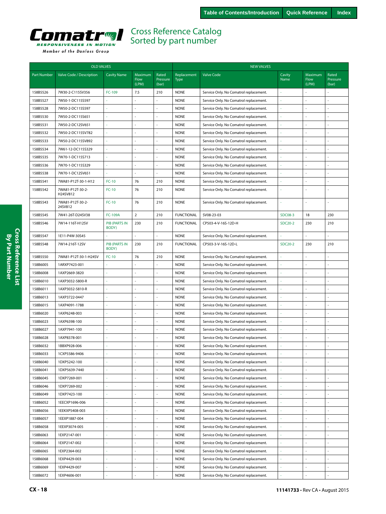

Member of the Danfoss Group

|                    | <b>OLD VALVES</b>            |                               |                          |                            |                            | <b>NEW VALVES</b>                      |                     |                          |                            |  |
|--------------------|------------------------------|-------------------------------|--------------------------|----------------------------|----------------------------|----------------------------------------|---------------------|--------------------------|----------------------------|--|
| <b>Part Number</b> | Valve Code / Description     | <b>Cavity Name</b>            | Maximum<br>Flow<br>(LPM) | Rated<br>Pressure<br>(bar) | Replacement<br><b>Type</b> | <b>Valve Code</b>                      | Cavity<br>Name      | Maximum<br>Flow<br>(LPM) | Rated<br>Pressure<br>(bar) |  |
| 158B5526           | 7W30-2-C115SV356             | FC-109                        | 7.5                      | 210                        | <b>NONE</b>                | Service Only. No Comatrol replacement. |                     |                          |                            |  |
| 158B5527           | 7W50-1-DC115S597             |                               | L.                       | ÷,                         | <b>NONE</b>                | Service Only. No Comatrol replacement. | ä,                  | ÷,                       |                            |  |
| 158B5528           | 7W50-2-DC115S597             |                               |                          | ÷,                         | <b>NONE</b>                | Service Only. No Comatrol replacement. |                     |                          |                            |  |
| 158B5530           | 7W50-2-DC115S651             |                               |                          |                            | <b>NONE</b>                | Service Only. No Comatrol replacement. |                     |                          |                            |  |
| 158B5531           | 7W50-2-DC12SV651             |                               |                          | ÷,                         | <b>NONE</b>                | Service Only. No Comatrol replacement. |                     |                          |                            |  |
| 158B5532           | 7W50-2-DC115SV782            |                               | ÷,                       | ÷,                         | <b>NONE</b>                | Service Only. No Comatrol replacement. |                     | ÷,                       |                            |  |
| 158B5533           | 7W50-2-DC115SV892            |                               | L,                       | ä,                         | <b>NONE</b>                | Service Only. No Comatrol replacement. |                     |                          |                            |  |
| 158B5534           | 7W61-12-DC115S329            |                               | L.                       | ÷.                         | <b>NONE</b>                | Service Only. No Comatrol replacement. |                     | ÷,                       |                            |  |
| 158B5535           | 7W70-1-DC115S713             |                               | ÷,                       | ÷,                         | <b>NONE</b>                | Service Only. No Comatrol replacement. |                     | ä,                       |                            |  |
| 158B5536           | 7W70-1-DC115S329             |                               |                          |                            | <b>NONE</b>                | Service Only. No Comatrol replacement. |                     |                          |                            |  |
| 158B5538           | 7W70-1-DC12SV651             |                               |                          | ä,                         | <b>NONE</b>                | Service Only. No Comatrol replacement. |                     |                          |                            |  |
| 158B5541           | 7WA81-P12T-30-1-H12          | $FC-10$                       | 76                       | 210                        | <b>NONE</b>                | Service Only. No Comatrol replacement. |                     | ÷,                       |                            |  |
| 158B5542           | 7WA81-P12T-30-2-<br>H24SV812 | $FC-10$                       | 76                       | 210                        | <b>NONE</b>                | Service Only. No Comatrol replacement. |                     |                          |                            |  |
| 158B5543           | 7WA81-P12T-30-2-<br>24SV812  | $FC-10$                       | 76                       | 210                        | <b>NONE</b>                | Service Only. No Comatrol replacement. |                     |                          |                            |  |
| 158B5545           | 7W41-26T-D24SV38             | <b>FC-109A</b>                | $\overline{2}$           | 210                        | <b>FUNCTIONAL</b>          | SV08-23-03                             | <b>SDC08-3</b>      | 18                       | 230                        |  |
| 158B5546           | 7W14-116T-H12SV              | <b>PIB (PARTS IN</b><br>BODY) | 230                      | 210                        | <b>FUNCTIONAL</b>          | CP503-4-V-16S-12D-H                    | SDC20-2             | 230                      | 210                        |  |
| 158B5547           | 1E11-P4W-30S45               |                               | ä,                       | $\blacksquare$             | <b>NONE</b>                | Service Only. No Comatrol replacement. |                     | ÷,                       | ÷,                         |  |
| 158B5548           | 7W14-216T-12SV               | <b>PIB (PARTS IN</b><br>BODY) | 230                      | 210                        | <b>FUNCTIONAL</b>          | CP503-3-V-16S-12D-L                    | SDC20-2             | 230                      | 210                        |  |
| 158B5550           | 7WA81-P12T-30-1-H24SV        | $FC-10$                       | 76                       | 210                        | <b>NONE</b>                | Service Only. No Comatrol replacement. |                     | L.                       | ÷,                         |  |
| 158B6005           | 1ARXP7423-001                |                               | ÷,                       | L.                         | <b>NONE</b>                | Service Only. No Comatrol replacement. |                     | ÷.                       | ÷.                         |  |
| 158B6008           | 1AXP2669-3820                |                               |                          | ä,                         | <b>NONE</b>                | Service Only. No Comatrol replacement. |                     |                          |                            |  |
| 158B6010           | 1AXP3032-5800-R              |                               | ÷,                       | ä,                         | <b>NONE</b>                | Service Only. No Comatrol replacement. |                     | L,                       |                            |  |
| 158B6011           | 1AXP3032-5810-R              |                               | L,                       | L.                         | <b>NONE</b>                | Service Only. No Comatrol replacement. |                     | ÷,                       |                            |  |
| 158B6013           | 1AXP3722-0447                |                               | J,                       | ł,                         | <b>NONE</b>                | Service Only. No Comatrol replacement. |                     |                          |                            |  |
| 158B6015           | 1AXP4091-1788                |                               | L,                       | ä,                         | <b>NONE</b>                | Service Only. No Comatrol replacement. |                     |                          |                            |  |
| 158B6020           | 1AXP6248-003                 |                               | L,                       | ÷,                         | <b>NONE</b>                | Service Only. No Comatrol replacement. |                     |                          |                            |  |
| 158B6023           | 1AXP6398-100                 |                               |                          | ä,                         | <b>NONE</b>                | Service Only. No Comatrol replacement. |                     |                          |                            |  |
| 158B6027           | 1AXP7941-100                 |                               | L,                       | ä,                         | <b>NONE</b>                | Service Only. No Comatrol replacement. |                     |                          |                            |  |
| 158B6028           | 1AXP8378-001                 |                               | ä,                       | ÷.                         | <b>NONE</b>                | Service Only. No Comatrol replacement. |                     |                          | $\overline{\phantom{a}}$   |  |
| 158B6032           | 1BBXP928-006                 |                               |                          |                            | <b>NONE</b>                | Service Only. No Comatrol replacement. |                     |                          |                            |  |
| 158B6033           | 1CXP5586-9406                |                               |                          |                            | <b>NONE</b>                | Service Only. No Comatrol replacement. |                     |                          |                            |  |
| 158B6040           | 1DXP5242-100                 | ä,                            | $\overline{a}$           | ä,                         | <b>NONE</b>                | Service Only. No Comatrol replacement. | ä,                  | L.                       | ä,                         |  |
| 158B6041           | 1DXP5639-7440                |                               |                          |                            | <b>NONE</b>                | Service Only. No Comatrol replacement. |                     |                          |                            |  |
| 158B6045           | 1DXP7269-001                 | $\sim$                        | J,                       | ä,                         | <b>NONE</b>                | Service Only. No Comatrol replacement. |                     |                          | $\sim$                     |  |
| 158B6046           | 1DXP7269-002                 |                               | J,                       | ÷,                         | <b>NONE</b>                | Service Only. No Comatrol replacement. |                     | L,                       | ÷.                         |  |
| 158B6049           | 1DXP7423-100                 | $\bar{a}$                     | ä,                       | ä,                         | <b>NONE</b>                | Service Only. No Comatrol replacement. |                     |                          | ä,                         |  |
| 158B6052           | 1EECXP1696-006               | $\omega$                      | ÷,                       | ä,                         | <b>NONE</b>                | Service Only. No Comatrol replacement. |                     | $\overline{\phantom{a}}$ | $\overline{\phantom{a}}$   |  |
| 158B6056           | 1EEKXP5408-003               | $\overline{\phantom{a}}$      | ÷,                       | $\bar{\phantom{a}}$        | <b>NONE</b>                | Service Only. No Comatrol replacement. | $\bar{\phantom{a}}$ | ÷,                       | $\omega$                   |  |
| 158B6057           | 1EEXP1887-004                |                               | $\blacksquare$           | $\blacksquare$             | <b>NONE</b>                | Service Only. No Comatrol replacement. |                     | ä,                       | $\blacksquare$             |  |
| 158B6058           | 1EEXP3074-005                | $\sim$                        | ä,                       | ä,                         | <b>NONE</b>                | Service Only. No Comatrol replacement. |                     |                          | $\overline{\phantom{a}}$   |  |
| 158B6063           | 1EXP2147-001                 |                               | L,                       | L,                         | <b>NONE</b>                | Service Only. No Comatrol replacement. |                     |                          | ÷                          |  |
| 158B6064           | 1EXP2147-002                 |                               | L,                       | ä,                         | <b>NONE</b>                | Service Only. No Comatrol replacement. |                     |                          |                            |  |
| 158B6065           | 1EXP2364-002                 |                               |                          | L,                         | <b>NONE</b>                | Service Only. No Comatrol replacement. |                     |                          |                            |  |
| 158B6068           | 1EXP4429-003                 |                               | L,                       | ÷,                         | <b>NONE</b>                | Service Only. No Comatrol replacement. |                     |                          | $\sim$                     |  |
| 158B6069           | 1EXP4429-007                 |                               |                          | ä,                         | <b>NONE</b>                | Service Only. No Comatrol replacement. |                     |                          |                            |  |
| 158B6072           | 1EXP4606-001                 |                               |                          |                            | <b>NONE</b>                | Service Only. No Comatrol replacement. |                     |                          |                            |  |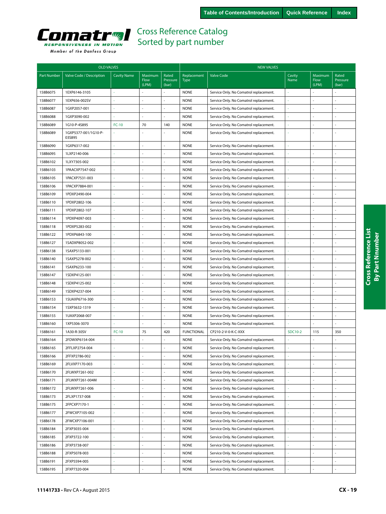<span id="page-18-0"></span>

| Member of the Danfoss Group |  |
|-----------------------------|--|

|             | <b>OLD VALVES</b>              |                    |                                 |                            |                            | <b>NEW VALVES</b>                      |                       |                          |                            |  |  |
|-------------|--------------------------------|--------------------|---------------------------------|----------------------------|----------------------------|----------------------------------------|-----------------------|--------------------------|----------------------------|--|--|
| Part Number | Valve Code / Description       | <b>Cavity Name</b> | <b>Maximum</b><br>Flow<br>(LPM) | Rated<br>Pressure<br>(bar) | Replacement<br><b>Type</b> | <b>Valve Code</b>                      | Cavity<br><b>Name</b> | Maximum<br>Flow<br>(LPM) | Rated<br>Pressure<br>(bar) |  |  |
| 158B6075    | 1EXP6146-3105                  |                    |                                 |                            | <b>NONE</b>                | Service Only. No Comatrol replacement. |                       |                          |                            |  |  |
| 158B6077    | 1EXP656-002SV                  |                    |                                 |                            | <b>NONE</b>                | Service Only. No Comatrol replacement. |                       |                          |                            |  |  |
| 158B6087    | 1GXP2057-001                   |                    | ä,                              | ä,                         | <b>NONE</b>                | Service Only. No Comatrol replacement. |                       | L.                       |                            |  |  |
| 158B6088    | 1GXP3090-002                   |                    |                                 |                            | <b>NONE</b>                | Service Only. No Comatrol replacement. |                       |                          |                            |  |  |
| 158B6089    | 1G10-P-4S895                   | $FC-10$            | 70                              | 140                        | <b>NONE</b>                | Service Only. No Comatrol replacement. | ä,                    | $\sim$                   |                            |  |  |
| 158B6089    | 1GXP5377-001/1G10-P-<br>035895 |                    |                                 |                            | <b>NONE</b>                | Service Only. No Comatrol replacement. | ä                     | $\sim$                   | ä,                         |  |  |
| 158B6090    | 1GXP6317-002                   |                    |                                 | ÷,                         | <b>NONE</b>                | Service Only. No Comatrol replacement. | ÷                     | $\overline{\phantom{a}}$ |                            |  |  |
| 158B6095    | 1LXP2140-006                   |                    |                                 |                            | <b>NONE</b>                | Service Only. No Comatrol replacement. |                       |                          |                            |  |  |
| 158B6102    | 1LXY7305-002                   |                    | $\overline{a}$                  |                            | <b>NONE</b>                | Service Only. No Comatrol replacement. | ä                     |                          | ä,                         |  |  |
| 158B6103    | 1PAACXP7547-002                |                    | $\sim$                          |                            | <b>NONE</b>                | Service Only. No Comatrol replacement. | ł,                    | $\sim$                   | ä,                         |  |  |
| 158B6105    | 1PACXP7531-003                 |                    |                                 |                            | <b>NONE</b>                | Service Only. No Comatrol replacement. |                       |                          |                            |  |  |
| 158B6106    | 1PACXP7884-001                 |                    |                                 |                            | <b>NONE</b>                | Service Only. No Comatrol replacement. |                       | $\sim$                   |                            |  |  |
| 158B6109    | 1PDXP2490-004                  |                    |                                 | ÷,                         | <b>NONE</b>                | Service Only. No Comatrol replacement. |                       | ÷,                       |                            |  |  |
| 158B6110    | 1PDXP2802-106                  |                    |                                 |                            | <b>NONE</b>                | Service Only. No Comatrol replacement. |                       | ÷,                       |                            |  |  |
| 158B6111    | 1PDXP2802-107                  | ä,                 |                                 |                            | <b>NONE</b>                | Service Only. No Comatrol replacement. |                       | $\sim$                   |                            |  |  |
| 158B6114    | 1PDXP4097-003                  |                    | $\sim$                          |                            | <b>NONE</b>                | Service Only. No Comatrol replacement. |                       | ÷,                       | ä,                         |  |  |
| 158B6118    | 1PDXP5283-002                  |                    |                                 |                            | <b>NONE</b>                | Service Only. No Comatrol replacement. |                       | $\sim$                   |                            |  |  |
| 158B6122    | 1PDXP6843-100                  |                    | $\overline{\phantom{a}}$        | ÷.                         | <b>NONE</b>                | Service Only. No Comatrol replacement. | ä                     | $\sim$                   |                            |  |  |
| 158B6127    | 1SADXP8052-002                 |                    |                                 | $\bar{a}$                  | <b>NONE</b>                | Service Only. No Comatrol replacement. | ä,                    | $\sim$                   |                            |  |  |
| 158B6138    | 1SAXP5133-001                  |                    |                                 | $\overline{a}$             | <b>NONE</b>                | Service Only. No Comatrol replacement. | ä,                    | $\sim$                   |                            |  |  |
| 158B6140    | 1SAXP5278-002                  |                    | $\sim$                          | $\overline{a}$             | <b>NONE</b>                | Service Only. No Comatrol replacement. | ä                     |                          |                            |  |  |
| 158B6141    | 1SAXP6233-100                  | ä,                 | $\sim$                          | $\overline{a}$             | <b>NONE</b>                | Service Only. No Comatrol replacement. | ä,                    | ÷,                       | $\overline{a}$             |  |  |
| 158B6147    | 1SDXP4125-001                  |                    |                                 |                            | <b>NONE</b>                | Service Only. No Comatrol replacement. |                       |                          |                            |  |  |
| 158B6148    | 1SDXP4125-002                  |                    |                                 |                            | <b>NONE</b>                | Service Only. No Comatrol replacement. |                       |                          |                            |  |  |
| 158B6149    | 1SDXP4237-004                  |                    |                                 |                            | <b>NONE</b>                | Service Only. No Comatrol replacement. |                       |                          |                            |  |  |
| 158B6153    | 1SUAXP6716-300                 | ä,                 |                                 |                            | <b>NONE</b>                | Service Only. No Comatrol replacement. | ä,                    | ÷,                       |                            |  |  |
| 158B6154    | 1SXP3632-1319                  | ä                  | $\sim$                          | $\overline{a}$             | <b>NONE</b>                | Service Only. No Comatrol replacement. | ä,                    | ÷,                       | $\overline{a}$             |  |  |
| 158B6155    | 1UAXP2068-007                  |                    |                                 |                            | <b>NONE</b>                | Service Only. No Comatrol replacement. |                       |                          |                            |  |  |
| 158B6160    | 1XP5306-3070                   |                    | ÷,                              |                            | <b>NONE</b>                | Service Only. No Comatrol replacement. |                       | J.                       |                            |  |  |
| 158B6161    | 1A30-R-30SV                    | $FC-10$            | 75                              | 420                        | <b>FUNCTIONAL</b>          | CP210-2-V-0-K-C-XXX                    | SDC10-2               | 115                      | 350                        |  |  |
| 158B6164    | 2FDWXP6154-004                 |                    |                                 |                            | <b>NONE</b>                | Service Only. No Comatrol replacement. |                       | ÷,                       |                            |  |  |
| 158B6165    | 2FFLXP2754-004                 |                    |                                 |                            | <b>NONE</b>                | Service Only. No Comatrol replacement. |                       |                          |                            |  |  |
| 158B6166    | 2FFXP2786-002                  |                    |                                 |                            | <b>NONE</b>                | Service Only. No Comatrol replacement. |                       |                          |                            |  |  |
| 158B6169    | 2FLVXP7170-003                 |                    |                                 |                            | <b>NONE</b>                | Service Only. No Comatrol replacement. |                       | J.                       |                            |  |  |
| 158B6170    | 2FLWXP7261-002                 | ä,                 | ä,                              |                            | <b>NONE</b>                | Service Only. No Comatrol replacement. | ä,                    | J.                       |                            |  |  |
| 158B6171    | 2FLWXP7261-004M                | í,                 | $\omega$                        | L.                         | <b>NONE</b>                | Service Only. No Comatrol replacement. | ä,                    | $\bar{\mathcal{L}}$      | ÷,                         |  |  |
| 158B6172    | 2FLWXP7261-006                 | $\sim$             | $\bar{a}$                       |                            | <b>NONE</b>                | Service Only. No Comatrol replacement. | ä,                    | $\overline{\phantom{a}}$ |                            |  |  |
| 158B6173    | 2FLXP1737-008                  | ä,                 | ÷,                              |                            | <b>NONE</b>                | Service Only. No Comatrol replacement. | ä,                    | $\overline{\phantom{a}}$ |                            |  |  |
| 158B6175    | 2FPCXP7170-1                   | ä,                 | $\overline{\phantom{a}}$        | L,                         | <b>NONE</b>                | Service Only. No Comatrol replacement. | ÷.                    | ÷,                       | $\ddot{\phantom{1}}$       |  |  |
| 158B6177    | 2FWCXP7105-002                 | ä,                 | ÷,                              |                            | <b>NONE</b>                | Service Only. No Comatrol replacement. | ä,                    | ÷,                       |                            |  |  |
| 158B6178    | 2FWCXP7106-001                 | ä,                 | $\sim$                          |                            | <b>NONE</b>                | Service Only. No Comatrol replacement. | ä,                    | ÷,                       |                            |  |  |
| 158B6184    | 2FXP3035-004                   | ä,                 | $\sim$                          | $\blacksquare$             | <b>NONE</b>                | Service Only. No Comatrol replacement. | ä,                    | $\omega$                 |                            |  |  |
| 158B6185    | 2FXP3722-100                   | ä,                 | $\overline{\phantom{a}}$        | L.                         | <b>NONE</b>                | Service Only. No Comatrol replacement. | ä,                    | $\overline{\phantom{a}}$ | $\blacksquare$             |  |  |
| 158B6186    | 2FXP3738-007                   |                    | $\sim$                          |                            | <b>NONE</b>                | Service Only. No Comatrol replacement. | ä                     | $\sim$                   |                            |  |  |
| 158B6188    | 2FXP5078-003                   | ä,                 | ÷                               | $\overline{a}$             | <b>NONE</b>                | Service Only. No Comatrol replacement. | ä,                    | L.                       | ÷.                         |  |  |
| 158B6191    | 2FXP5594-005                   |                    |                                 |                            | <b>NONE</b>                | Service Only. No Comatrol replacement. |                       |                          |                            |  |  |
| 158B6195    | 2FXP7320-004                   |                    |                                 |                            | <b>NONE</b>                | Service Only. No Comatrol replacement. |                       |                          |                            |  |  |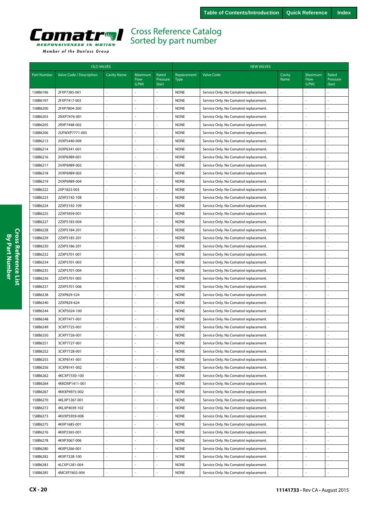<span id="page-19-0"></span>

|                    | <b>OLD VALVES</b>        |                    |                                 |                            | <b>NEW VALVES</b>          |                                        |                |                          |                            |  |  |
|--------------------|--------------------------|--------------------|---------------------------------|----------------------------|----------------------------|----------------------------------------|----------------|--------------------------|----------------------------|--|--|
| <b>Part Number</b> | Valve Code / Description | <b>Cavity Name</b> | Maximum<br><b>Flow</b><br>(LPM) | Rated<br>Pressure<br>(bar) | Replacement<br><b>Type</b> | <b>Valve Code</b>                      | Cavity<br>Name | Maximum<br>Flow<br>(LPM) | Rated<br>Pressure<br>(bar) |  |  |
| 158B6196           | 2FXP7385-001             |                    |                                 | ä,                         | <b>NONE</b>                | Service Only. No Comatrol replacement. |                |                          |                            |  |  |
| 158B6197           | 2FXP7417-003             |                    |                                 | ÷,                         | <b>NONE</b>                | Service Only. No Comatrol replacement. |                |                          | L,                         |  |  |
| 158B6200           | 2FXP7804-200             |                    |                                 |                            | <b>NONE</b>                | Service Only. No Comatrol replacement. |                |                          |                            |  |  |
| 158B6203           | 2NXP7476-001             |                    |                                 | ä,                         | <b>NONE</b>                | Service Only. No Comatrol replacement. | ä,             |                          | L,                         |  |  |
| 158B6205           | 2RXP7448-002             |                    |                                 | ä,                         | <b>NONE</b>                | Service Only. No Comatrol replacement. |                |                          | L.                         |  |  |
| 158B6206           | 2UFWXP7771-005           |                    |                                 |                            | <b>NONE</b>                | Service Only. No Comatrol replacement. |                |                          |                            |  |  |
| 158B6213           | 2VXP5440-009             |                    | ÷,                              | ÷,                         | <b>NONE</b>                | Service Only. No Comatrol replacement. | ä,             |                          | L,                         |  |  |
| 158B6214           | 2VXP6341-001             |                    |                                 | $\overline{\phantom{a}}$   | <b>NONE</b>                | Service Only. No Comatrol replacement. | ä,             |                          | ä,                         |  |  |
| 158B6216           | 2VXP6989-001             |                    |                                 | ä,                         | <b>NONE</b>                | Service Only. No Comatrol replacement. |                |                          |                            |  |  |
| 158B6217           | 2VXP6989-002             |                    |                                 | ä,                         | <b>NONE</b>                | Service Only. No Comatrol replacement. | ä,             |                          | $\overline{a}$             |  |  |
| 158B6218           | 2VXP6989-003             |                    |                                 | ä,                         | <b>NONE</b>                | Service Only. No Comatrol replacement. |                |                          | L,                         |  |  |
| 158B6219           | 2VXP6989-004             |                    |                                 |                            | <b>NONE</b>                | Service Only. No Comatrol replacement. |                |                          |                            |  |  |
| 158B6222           | 2XP1823-003              |                    |                                 | ä,                         | <b>NONE</b>                | Service Only. No Comatrol replacement. |                |                          |                            |  |  |
| 158B6223           | 2ZXP2192-108             |                    |                                 | $\overline{\phantom{a}}$   | <b>NONE</b>                | Service Only. No Comatrol replacement. |                |                          | ä,                         |  |  |
| 158B6224           | 2ZXP2192-109             |                    |                                 | ä,                         | <b>NONE</b>                | Service Only. No Comatrol replacement. |                |                          | $\overline{a}$             |  |  |
| 158B6225           | 2ZXP3959-001             |                    | L                               | ä,                         | <b>NONE</b>                | Service Only. No Comatrol replacement. | ä,             |                          | L                          |  |  |
| 158B6227           | 2ZXP5183-004             |                    | L                               | ä,                         | <b>NONE</b>                | Service Only. No Comatrol replacement. | L              |                          | J,                         |  |  |
| 158B6228           | 2ZXP5184-201             |                    |                                 | ä,                         | <b>NONE</b>                | Service Only. No Comatrol replacement. |                |                          | L                          |  |  |
| 158B6229           | 2ZXP5185-201             | $\sim$             | J,                              | ä,                         | <b>NONE</b>                | Service Only. No Comatrol replacement. | i,             |                          | L,                         |  |  |
| 158B6230           | 2ZXP5186-201             |                    | ÷,                              | $\blacksquare$             | <b>NONE</b>                | Service Only. No Comatrol replacement. | ä,             |                          | ä,                         |  |  |
| 158B6232           | 2ZXP5701-001             |                    |                                 | $\sim$                     | <b>NONE</b>                | Service Only. No Comatrol replacement. | ä,             |                          |                            |  |  |
| 158B6234           | 2ZXP5701-003             |                    |                                 | $\bar{a}$                  | <b>NONE</b>                | Service Only. No Comatrol replacement. | L,             |                          | L                          |  |  |
| 158B6235           | 2ZXP5701-004             |                    |                                 | ä,                         | <b>NONE</b>                | Service Only. No Comatrol replacement. |                |                          | J,                         |  |  |
| 158B6236           | 2ZXP5701-005             |                    |                                 |                            | <b>NONE</b>                | Service Only. No Comatrol replacement. |                |                          |                            |  |  |
| 158B6237           | 2ZXP5701-006             |                    |                                 | ä,                         | <b>NONE</b>                | Service Only. No Comatrol replacement. |                |                          | ä,                         |  |  |
| 158B6238           | 2ZXP829-524              |                    |                                 | ä,                         | <b>NONE</b>                | Service Only. No Comatrol replacement. |                |                          | L,                         |  |  |
| 158B6240           | 2ZXP829-624              |                    |                                 | ä,                         | <b>NONE</b>                | Service Only. No Comatrol replacement. |                |                          | $\overline{a}$             |  |  |
| 158B6244           | 3CXP5024-100             | ÷.                 | L                               | ÷,                         | <b>NONE</b>                | Service Only. No Comatrol replacement. | L,             |                          | L,                         |  |  |
| 158B6248           | 3CXP7471-001             |                    | ä,                              | ÷,                         | <b>NONE</b>                | Service Only. No Comatrol replacement. | ł,             |                          | L,                         |  |  |
| 158B6249           | 3CXP7725-001             |                    |                                 |                            | <b>NONE</b>                | Service Only. No Comatrol replacement. |                |                          |                            |  |  |
| 158B6250           | 3CXP7726-001             |                    | ł,                              | ä,                         | <b>NONE</b>                | Service Only. No Comatrol replacement. | ä,             |                          | l,                         |  |  |
| 158B6251           | 3CXP7727-001             |                    |                                 | $\blacksquare$             | <b>NONE</b>                | Service Only. No Comatrol replacement. | ä,             |                          | L.                         |  |  |
| 158B6252           | 3CXP7728-001             |                    |                                 |                            | <b>NONE</b>                | Service Only. No Comatrol replacement. |                |                          |                            |  |  |
| 158B6255           | 3CXP8141-001             |                    | L,                              | ÷,                         | <b>NONE</b>                | Service Only. No Comatrol replacement. |                |                          | L,                         |  |  |
| 158B6256           | 3CXP8141-002             |                    | L                               | ÷,                         | <b>NONE</b>                | Service Only. No Comatrol replacement. |                |                          | L,                         |  |  |
| 158B6262           | 4KCXP7330-100            |                    | L,                              | ä,                         | <b>NONE</b>                | Service Only. No Comatrol replacement. |                |                          | L,                         |  |  |
| 158B6264           | 4KKDXP1411-001           | ä,                 | ÷,                              | ä,                         | <b>NONE</b>                | Service Only. No Comatrol replacement. |                |                          | ÷,                         |  |  |
| 158B6267           | 4KKXP4975-002            |                    | L.                              | ä,                         | <b>NONE</b>                | Service Only. No Comatrol replacement. |                |                          | ä,                         |  |  |
| 158B6270           | 4KLXP1267-001            |                    |                                 |                            | <b>NONE</b>                | Service Only. No Comatrol replacement. |                |                          | ÷,                         |  |  |
| 158B6272           | 4KLXP4039-102            | $\sim$             | í,                              | ä,                         | <b>NONE</b>                | Service Only. No Comatrol replacement. |                |                          | L,                         |  |  |
| 158B6273           | 4KVXP5959-008            |                    | í,                              | ä,                         | <b>NONE</b>                | Service Only. No Comatrol replacement. |                |                          | L,                         |  |  |
| 158B6275           | 4KXP1685-001             |                    |                                 | ä,                         | <b>NONE</b>                | Service Only. No Comatrol replacement. |                |                          | L,                         |  |  |
| 158B6276           | 4KXP2365-001             | ÷                  | ÷,                              | ä,                         | <b>NONE</b>                | Service Only. No Comatrol replacement. | ä,             |                          | L,                         |  |  |
| 158B6278           | 4KXP3067-006             | ä,                 | L,                              | ÷,                         | <b>NONE</b>                | Service Only. No Comatrol replacement. | ä,             |                          | ÷,                         |  |  |
| 158B6280           | 4KXP5266-001             |                    |                                 | ä,                         | <b>NONE</b>                | Service Only. No Comatrol replacement. | ä,             |                          | $\overline{a}$             |  |  |
| 158B6282           | 4KXP7328-100             |                    |                                 | ä,                         | <b>NONE</b>                | Service Only. No Comatrol replacement. | ä,             |                          | ÷,                         |  |  |
| 158B6283           | 4LCXP1281-004            |                    |                                 | ä,                         | <b>NONE</b>                | Service Only. No Comatrol replacement. | ä,             |                          | J,                         |  |  |
| 158B6285           | 4MCXP7602-004            |                    |                                 |                            | <b>NONE</b>                | Service Only. No Comatrol replacement. |                |                          | L,                         |  |  |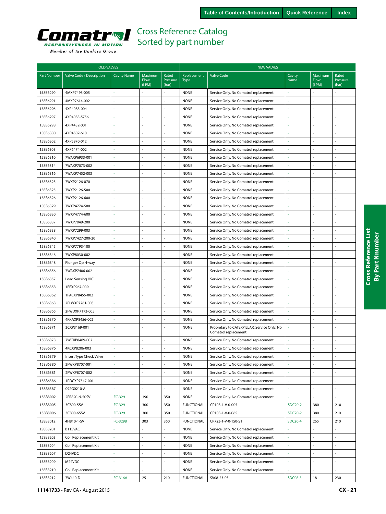

|  | Member of the Danfoss Group |  |
|--|-----------------------------|--|
|  |                             |  |

|                    | <b>OLD VALVES</b>               |                    |                          |                            | <b>NEW VALVES</b>          |                                                                      |                |                          |                            |  |
|--------------------|---------------------------------|--------------------|--------------------------|----------------------------|----------------------------|----------------------------------------------------------------------|----------------|--------------------------|----------------------------|--|
| <b>Part Number</b> | Valve Code / Description        | <b>Cavity Name</b> | Maximum<br>Flow<br>(LPM) | Rated<br>Pressure<br>(bar) | Replacement<br><b>Type</b> | <b>Valve Code</b>                                                    | Cavity<br>Name | Maximum<br>Flow<br>(LPM) | Rated<br>Pressure<br>(bar) |  |
| 158B6290           | 4MXP7493-005                    |                    |                          |                            | <b>NONE</b>                | Service Only. No Comatrol replacement.                               |                |                          |                            |  |
| 158B6291           | 4MXP7614-002                    |                    |                          | L.                         | <b>NONE</b>                | Service Only. No Comatrol replacement.                               | ä,             | ÷,                       |                            |  |
| 158B6296           | 4XP4038-004                     |                    |                          |                            | <b>NONE</b>                | Service Only. No Comatrol replacement.                               |                |                          |                            |  |
| 158B6297           | 4XP4038-5756                    |                    |                          |                            | <b>NONE</b>                | Service Only. No Comatrol replacement.                               |                | ÷.                       |                            |  |
| 158B6298           | 4XP4432-001                     |                    |                          |                            | <b>NONE</b>                | Service Only. No Comatrol replacement.                               | ł,             | $\sim$                   | ä,                         |  |
| 158B6300           | 4XP4502-610                     |                    |                          |                            | <b>NONE</b>                | Service Only. No Comatrol replacement.                               |                | ÷,                       |                            |  |
| 158B6302           | 4XP5970-012                     |                    |                          | $\overline{a}$             | <b>NONE</b>                | Service Only. No Comatrol replacement.                               | ä,             | $\sim$                   |                            |  |
| 158B6303           | 4XP6474-002                     |                    | ÷.                       | ä,                         | <b>NONE</b>                | Service Only. No Comatrol replacement.                               | ä,             | ÷,                       |                            |  |
| 158B6310           | 7WAXP6933-001                   |                    |                          | ÷.                         | <b>NONE</b>                | Service Only. No Comatrol replacement.                               |                |                          |                            |  |
| 158B6314           | 7WAXP7073-002                   |                    |                          | ä,                         | <b>NONE</b>                | Service Only. No Comatrol replacement.                               | ä,             | $\sim$                   |                            |  |
| 158B6316           | 7WAXP7452-003                   |                    |                          | L.                         | <b>NONE</b>                | Service Only. No Comatrol replacement.                               | ä,             | $\sim$                   | ä,                         |  |
| 158B6323           | 7WXP2126-070                    |                    |                          | ÷,                         | <b>NONE</b>                | Service Only. No Comatrol replacement.                               |                | ÷,                       |                            |  |
| 158B6325           | 7WXP2126-500                    |                    |                          |                            | <b>NONE</b>                | Service Only. No Comatrol replacement.                               |                |                          |                            |  |
| 158B6326           | 7WXP2126-600                    |                    |                          |                            | <b>NONE</b>                | Service Only. No Comatrol replacement.                               | ä,             |                          |                            |  |
| 158B6329           | 7WXP4774-500                    |                    |                          |                            | <b>NONE</b>                | Service Only. No Comatrol replacement.                               |                | $\sim$                   |                            |  |
| 158B6330           | 7WXP4774-600                    |                    |                          | L.                         | <b>NONE</b>                | Service Only. No Comatrol replacement.                               | ÷,             | $\sim$                   | ä,                         |  |
| 158B6337           | 7WXP7049-200                    | $\sim$             | ÷.                       | L,                         | <b>NONE</b>                | Service Only. No Comatrol replacement.                               | ł,             | ÷,                       | ä,                         |  |
| 158B6338           | 7WXP7299-003                    |                    |                          |                            | <b>NONE</b>                | Service Only. No Comatrol replacement.                               |                |                          |                            |  |
| 158B6340           | 7WXP7427-200-20                 |                    |                          |                            | <b>NONE</b>                | Service Only. No Comatrol replacement.                               | ÷              | $\sim$                   |                            |  |
| 158B6345           | 7WXP7793-100                    |                    | ÷,                       | ä,                         | <b>NONE</b>                | Service Only. No Comatrol replacement.                               | ä,             | ÷,                       | ä,                         |  |
| 158B6346           | 7WXP8030-002                    |                    |                          | ä,                         | <b>NONE</b>                | Service Only. No Comatrol replacement.                               |                |                          |                            |  |
| 158B6348           | Plunger Op. 4-way               |                    |                          | ÷                          | <b>NONE</b>                | Service Only. No Comatrol replacement.                               | ÷,             |                          |                            |  |
| 158B6356           | 7WAXP7406-002                   |                    |                          | ÷                          | <b>NONE</b>                | Service Only. No Comatrol replacement.                               | ł,             |                          | ä,                         |  |
| 158B6357           | Load Sensing HIC                |                    |                          |                            | <b>NONE</b>                | Service Only. No Comatrol replacement.                               |                |                          |                            |  |
| 158B6358           | 1EEXP967-009                    |                    |                          | L.                         | <b>NONE</b>                | Service Only. No Comatrol replacement.                               | ä,             | $\sim$                   | ÷,                         |  |
| 158B6362           | 1PACXP8455-002                  |                    | ÷.                       | ÷.                         | <b>NONE</b>                | Service Only. No Comatrol replacement.                               | ä,             | ÷,                       | ä,                         |  |
| 158B6363           | 2FLWXP7261-003                  |                    |                          |                            | <b>NONE</b>                | Service Only. No Comatrol replacement.                               |                | $\sim$                   |                            |  |
| 158B6365           | 2FWDXP7173-005                  |                    |                          | ä,                         | <b>NONE</b>                | Service Only. No Comatrol replacement.                               | ÷,             | ÷.                       | $\overline{a}$             |  |
| 158B6370           | 4KKAXP8456-002                  | $\sim$             | ÷,                       | ÷,                         | <b>NONE</b>                | Service Only. No Comatrol replacement.                               | ÷,             | J.                       | ä,                         |  |
| 158B6371           | 3CXP3169-001                    |                    |                          |                            | <b>NONE</b>                | Propretary to CATERPILLAR. Service Only. No<br>Comatrol replacement. |                | ÷,                       |                            |  |
| 158B6373           | 7WCXP8489-002                   |                    |                          |                            | <b>NONE</b>                | Service Only. No Comatrol replacement.                               |                | $\sim$                   |                            |  |
| 158B6376           | 4KCXP8206-003                   |                    |                          |                            | <b>NONE</b>                | Service Only. No Comatrol replacement.                               |                |                          |                            |  |
| 158B6379           | Insert Type Check Valve         |                    |                          |                            | <b>NONE</b>                | Service Only. No Comatrol replacement.                               |                |                          |                            |  |
| 158B6380           | 2FWXP8707-001                   | ä,                 |                          | L.                         | <b>NONE</b>                | Service Only. No Comatrol replacement.                               | ä,             | J.                       |                            |  |
| 158B6381           | 2FWXP8707-002                   | ä,                 | ä,                       | $\overline{a}$             | <b>NONE</b>                | Service Only. No Comatrol replacement.                               | $\omega$       | $\overline{\phantom{a}}$ | $\overline{a}$             |  |
| 158B6386           | 1PDCXP7547-001                  |                    |                          |                            | <b>NONE</b>                | Service Only. No Comatrol replacement.                               |                | ÷,                       |                            |  |
| 158B6387           | 092G0210-A                      |                    | L.                       |                            | <b>NONE</b>                | Service Only. No Comatrol replacement.                               | ÷,             | ÷,                       |                            |  |
| 158B8002           | 2FR820-N-50SV                   | FC-329             | 190                      | 350                        | <b>NONE</b>                | Service Only. No Comatrol replacement.                               |                | J.                       |                            |  |
| 158B8005           | 3C800-5SV                       | FC-329             | 300                      | 350                        | <b>FUNCTIONAL</b>          | CP103-1-V-0-005                                                      | <b>SDC20-2</b> | 380                      | 210                        |  |
| 158B8006           | 3C800-65SV                      | FC-329             | 300                      | 350                        | <b>FUNCTIONAL</b>          | CP103-1-V-0-065                                                      | SDC20-2        | 380                      | 210                        |  |
| 158B8012           | 4H810-1-SV                      | <b>FC-329B</b>     | 303                      | 350                        | <b>FUNCTIONAL</b>          | CP723-1-V-0-150-S1                                                   | <b>SDC20-4</b> | 265                      | 210                        |  |
| 158B8201           | B115VAC                         |                    | ÷,                       |                            | <b>NONE</b>                | Service Only. No Comatrol replacement.                               |                |                          |                            |  |
| 158B8203           | Coil Replacement Kit            | ä,                 | ä,                       | $\bar{\mathbb{Z}}$         | <b>NONE</b>                | Service Only. No Comatrol replacement.                               | ä,             | $\sim$                   | ÷.                         |  |
| 158B8204           | Coil Replacement Kit            | ä,                 | ÷,                       |                            | <b>NONE</b>                | Service Only. No Comatrol replacement.                               | i,             | ÷.                       | L,                         |  |
| 158B8207           | D <sub>24</sub> V <sub>DC</sub> |                    |                          |                            | <b>NONE</b>                | Service Only. No Comatrol replacement.                               |                |                          |                            |  |
| 158B8209           | M24VDC                          |                    |                          |                            | <b>NONE</b>                | Service Only. No Comatrol replacement.                               | ä,             |                          |                            |  |
| 158B8210           | Coil Replacement Kit            |                    |                          |                            | <b>NONE</b>                | Service Only. No Comatrol replacement.                               |                |                          |                            |  |
|                    | 7W440-D                         |                    |                          |                            |                            |                                                                      |                | 18                       | 230                        |  |
| 158B8212           |                                 | <b>FC-316A</b>     | 25                       | 210                        | <b>FUNCTIONAL</b>          | SV08-23-03                                                           | <b>SDC08-3</b> |                          |                            |  |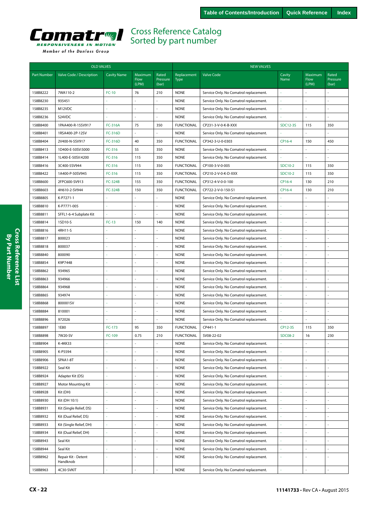<span id="page-21-0"></span>

|                    | <b>OLD VALVES</b>               |                    |                                 |                            |                            | <b>NEW VALVES</b>                      |                 |                                 |                            |  |  |  |
|--------------------|---------------------------------|--------------------|---------------------------------|----------------------------|----------------------------|----------------------------------------|-----------------|---------------------------------|----------------------------|--|--|--|
| <b>Part Number</b> | Valve Code / Description        | <b>Cavity Name</b> | Maximum<br><b>Flow</b><br>(LPM) | Rated<br>Pressure<br>(bar) | Replacement<br><b>Type</b> | <b>Valve Code</b>                      | Cavity<br>Name  | Maximum<br><b>Flow</b><br>(LPM) | Rated<br>Pressure<br>(bar) |  |  |  |
| 158B8222           | 7WA110-2                        | $FC-10$            | 76                              | 210                        | <b>NONE</b>                | Service Only. No Comatrol replacement. |                 |                                 |                            |  |  |  |
| 158B8230           | 935451                          |                    |                                 |                            | <b>NONE</b>                | Service Only. No Comatrol replacement. | ä,              |                                 | $\overline{a}$             |  |  |  |
| 158B8235           | M12VDC                          |                    |                                 | ÷,                         | <b>NONE</b>                | Service Only. No Comatrol replacement. |                 |                                 | $\overline{a}$             |  |  |  |
| 158B8236           | S24VDC                          |                    |                                 |                            | <b>NONE</b>                | Service Only. No Comatrol replacement. |                 |                                 |                            |  |  |  |
| 158B8400           | 1PAA400-R-15SV917               | <b>FC-316A</b>     | 75                              | 350                        | <b>FUNCTIONAL</b>          | CP231-3-V-0-K-B-XXX                    | <b>SDC12-3S</b> | 115                             | 350                        |  |  |  |
| 158B8401           | 1RSA400-2P-12SV                 | <b>FC-316D</b>     | ä,                              | ÷,                         | <b>NONE</b>                | Service Only. No Comatrol replacement. |                 |                                 | $\overline{a}$             |  |  |  |
| 158B8404           | 2V400-N-5SV917                  | <b>FC-316D</b>     | 40                              | 350                        | <b>FUNCTIONAL</b>          | CP342-3-U-0-0303                       | CP16-4          | 150                             | 450                        |  |  |  |
| 158B8413           | 1D400-E-50SV:5000               | FC-316             | 55                              | 350                        | <b>NONE</b>                | Service Only. No Comatrol replacement. |                 |                                 | L                          |  |  |  |
| 158B8414           | 1L400-E-50SV:4200               | FC-316             | 115                             | 350                        | <b>NONE</b>                | Service Only. No Comatrol replacement. |                 |                                 |                            |  |  |  |
| 158B8416           | 3C400-5SV944                    | FC-316             | 115                             | 350                        | <b>FUNCTIONAL</b>          | CP100-3-V-0-005                        | SDC10-2         | 115                             | 350                        |  |  |  |
| 158B8422           | 1A400-P-50SV945                 | FC-316             | 115                             | 350                        | <b>FUNCTIONAL</b>          | CP210-2-V-0-K-D-XXX                    | SDC10-2         | 115                             | 350                        |  |  |  |
| 158B8600           | 2FPC600-SV913                   | <b>FC-324B</b>     | 155                             | 350                        | <b>FUNCTIONAL</b>          | CP312-4-V-0-0-100                      | CP16-4          | 130                             | 210                        |  |  |  |
| 158B8603           | 4H610-2-SV944                   | <b>FC-324B</b>     | 150                             | 350                        | <b>FUNCTIONAL</b>          | CP722-2-V-0-150-S1                     | CP16-4          | 130                             | 210                        |  |  |  |
| 158B8805           | K-P7271-1                       |                    |                                 | ÷.                         | <b>NONE</b>                | Service Only. No Comatrol replacement. |                 |                                 |                            |  |  |  |
| 158B8810           | K-P7771-005                     |                    | ä,                              | ÷,                         | <b>NONE</b>                | Service Only. No Comatrol replacement. | ä,              |                                 | L                          |  |  |  |
| 158B8811           | SFFL1-6-4 Subplate Kit          |                    |                                 | ä,                         | <b>NONE</b>                | Service Only. No Comatrol replacement. |                 |                                 | L                          |  |  |  |
| 158B8814           | 1SD10-S                         | $FC-13$            | 150                             | 140                        | <b>NONE</b>                | Service Only. No Comatrol replacement. | í,              |                                 | L                          |  |  |  |
| 158B8816           | 4RH11-S                         |                    | ä,                              | ä,                         | <b>NONE</b>                | Service Only. No Comatrol replacement. | ä,              |                                 | L.                         |  |  |  |
| 158B8817           | 800023                          |                    |                                 | $\blacksquare$             | <b>NONE</b>                | Service Only. No Comatrol replacement. | ä,              |                                 | ÷,                         |  |  |  |
| 158B8818           | 800037                          |                    |                                 | ä,                         | <b>NONE</b>                | Service Only. No Comatrol replacement. | ä,              |                                 | $\overline{a}$             |  |  |  |
| 158B8840           | 800090                          |                    |                                 | ÷.                         | <b>NONE</b>                | Service Only. No Comatrol replacement. |                 |                                 |                            |  |  |  |
| 158B8854           | K9P7448                         |                    |                                 |                            | <b>NONE</b>                | Service Only. No Comatrol replacement. |                 |                                 |                            |  |  |  |
| 158B8862           | 934965                          |                    | L,                              | $\omega$                   | <b>NONE</b>                | Service Only. No Comatrol replacement. |                 |                                 | L.                         |  |  |  |
| 158B8863           | 934966                          |                    | L,                              | $\sim$                     | <b>NONE</b>                | Service Only. No Comatrol replacement. | ł,              | L.                              | $\overline{a}$             |  |  |  |
| 158B8864           | 934968                          |                    |                                 | ä,                         | <b>NONE</b>                | Service Only. No Comatrol replacement. |                 |                                 |                            |  |  |  |
| 158B8865           | 934974                          |                    | L                               | ä,                         | <b>NONE</b>                | Service Only. No Comatrol replacement. | ä,              |                                 | $\overline{a}$             |  |  |  |
| 158B8868           | 800001SV                        |                    | ä,                              | $\bar{a}$                  | <b>NONE</b>                | Service Only. No Comatrol replacement. | ÷,              |                                 | ÷,                         |  |  |  |
| 158B8884           | 810001                          |                    |                                 |                            | <b>NONE</b>                | Service Only. No Comatrol replacement. |                 |                                 |                            |  |  |  |
| 158B8896           | 972026                          |                    |                                 | ä,                         | <b>NONE</b>                | Service Only. No Comatrol replacement. |                 |                                 | L,                         |  |  |  |
| 158B8897           | 1E80                            | FC-173             | 95                              | 350                        | <b>FUNCTIONAL</b>          | CP441-1                                | CP12-3S         | 115                             | 350                        |  |  |  |
| 158B8898           | 7W20-SV                         | FC-109             | 0.75                            | 210                        | <b>FUNCTIONAL</b>          | SV08-22-02                             | <b>SDC08-2</b>  | 16                              | 230                        |  |  |  |
| 158B8904           | K-4KK33                         |                    | L                               | $\sim$                     | <b>NONE</b>                | Service Only. No Comatrol replacement. |                 |                                 | L,                         |  |  |  |
| 158B8905           | K-P5594                         |                    |                                 |                            | <b>NONE</b>                | Service Only. No Comatrol replacement. |                 |                                 |                            |  |  |  |
| 158B8906           | SPAA1-8T                        |                    |                                 | ÷,                         | <b>NONE</b>                | Service Only. No Comatrol replacement. |                 |                                 |                            |  |  |  |
| 158B8922           | Seal Kit                        |                    |                                 | ÷,                         | <b>NONE</b>                | Service Only. No Comatrol replacement. | ł,              |                                 |                            |  |  |  |
| 158B8924           | Adapter Kit (DS)                |                    |                                 | $\overline{\phantom{a}}$   | <b>NONE</b>                | Service Only. No Comatrol replacement. | ł,              |                                 | $\blacksquare$             |  |  |  |
| 158B8927           | Motor Mounting Kit              |                    |                                 |                            | <b>NONE</b>                | Service Only. No Comatrol replacement. |                 |                                 | L.                         |  |  |  |
| 158B8928           | Kit (DH)                        |                    |                                 | ä,                         | <b>NONE</b>                | Service Only. No Comatrol replacement. |                 |                                 | L,                         |  |  |  |
| 158B8930           | Kit (DH 10:1)                   |                    | L,                              | ÷,                         | <b>NONE</b>                | Service Only. No Comatrol replacement. |                 |                                 | L,                         |  |  |  |
| 158B8931           | Kit (Single Relief, DS)         |                    |                                 | ä,                         | <b>NONE</b>                | Service Only. No Comatrol replacement. |                 |                                 | L,                         |  |  |  |
| 158B8932           | Kit (Dual Relief, DS)           | ä,                 | L,                              | ÷,                         | <b>NONE</b>                | Service Only. No Comatrol replacement. | ś               |                                 | L                          |  |  |  |
| 158B8933           | Kit (Single Relief, DH)         | ä,                 | L,                              | ÷,                         | <b>NONE</b>                | Service Only. No Comatrol replacement. | ä,              |                                 | L,                         |  |  |  |
| 158B8934           | Kit (Dual Relief, DH)           |                    |                                 | ä,                         | <b>NONE</b>                | Service Only. No Comatrol replacement. |                 |                                 | $\overline{a}$             |  |  |  |
| 158B8943           | Seal Kit                        |                    |                                 | ÷,                         | <b>NONE</b>                | Service Only. No Comatrol replacement. | L               |                                 | L                          |  |  |  |
| 158B8944           | Seal Kit                        |                    |                                 | ÷,                         | <b>NONE</b>                | Service Only. No Comatrol replacement. | ł,              |                                 | L,                         |  |  |  |
| 158B8962           | Repair Kit - Detent<br>Handknob |                    |                                 |                            | <b>NONE</b>                | Service Only. No Comatrol replacement. |                 |                                 |                            |  |  |  |
| 158B8963           | 4C30-SVKIT                      |                    |                                 |                            | <b>NONE</b>                | Service Only. No Comatrol replacement. |                 |                                 |                            |  |  |  |

**CX - 22 11141733** • Rev CA • August 2015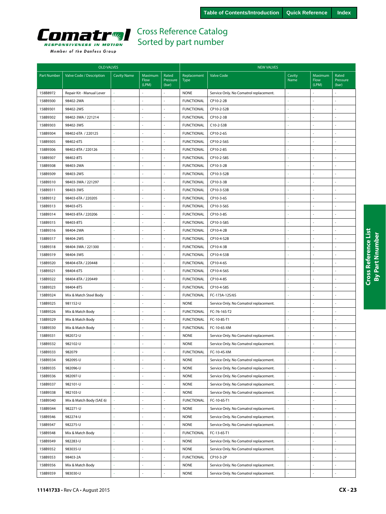<span id="page-22-0"></span>

|  | Member of the Danfoss Group |  |
|--|-----------------------------|--|
|  |                             |  |

|                    | <b>OLD VALVES</b>         |                    |                          |                            | <b>NEW VALVES</b>          |                                                                                  |                |                          |                            |  |
|--------------------|---------------------------|--------------------|--------------------------|----------------------------|----------------------------|----------------------------------------------------------------------------------|----------------|--------------------------|----------------------------|--|
| <b>Part Number</b> | Valve Code / Description  | <b>Cavity Name</b> | Maximum<br>Flow<br>(LPM) | Rated<br>Pressure<br>(bar) | Replacement<br><b>Type</b> | <b>Valve Code</b>                                                                | Cavity<br>Name | Maximum<br>Flow<br>(LPM) | Rated<br>Pressure<br>(bar) |  |
| 158B8972           | Repair Kit - Manual Lever |                    |                          |                            | <b>NONE</b>                | Service Only. No Comatrol replacement.                                           |                |                          |                            |  |
| 158B9300           | 98402-2WA                 |                    |                          |                            | <b>FUNCTIONAL</b>          | CP10-2-2B                                                                        |                |                          |                            |  |
| 158B9301           | 98402-2WS                 |                    |                          |                            | <b>FUNCTIONAL</b>          | CP10-2-S2B                                                                       |                |                          |                            |  |
| 158B9302           | 98402-3WA / 221214        |                    |                          |                            | <b>FUNCTIONAL</b>          | CP10-2-3B                                                                        |                |                          | ä,                         |  |
| 158B9303           | 98402-3WS                 |                    |                          |                            | <b>FUNCTIONAL</b>          | C10-2-S3B                                                                        |                |                          |                            |  |
| 158B9304           | 98402-6TA / 220125        |                    |                          |                            | <b>FUNCTIONAL</b>          | CP10-2-6S                                                                        |                |                          |                            |  |
| 158B9305           | 98402-6TS                 |                    |                          | ä,                         | <b>FUNCTIONAL</b>          | CP10-2-S6S                                                                       |                |                          | ä,                         |  |
| 158B9306           | 98402-8TA / 220126        |                    |                          |                            | <b>FUNCTIONAL</b>          | CP10-2-8S                                                                        |                |                          |                            |  |
| 158B9307           | 98402-8TS                 |                    |                          |                            | <b>FUNCTIONAL</b>          | CP10-2-S8S                                                                       |                |                          |                            |  |
| 158B9308           | 98403-2WA                 |                    |                          |                            | <b>FUNCTIONAL</b>          | CP10-3-2B                                                                        |                |                          |                            |  |
| 158B9309           | 98403-2WS                 |                    |                          | L.                         | <b>FUNCTIONAL</b>          | CP10-3-S2B                                                                       |                |                          | L,                         |  |
| 158B9310           | 98403-3WA / 221297        |                    |                          |                            | <b>FUNCTIONAL</b>          | CP10-3-3B                                                                        |                |                          |                            |  |
| 158B9311           | 98403-3WS                 |                    |                          |                            | <b>FUNCTIONAL</b>          | CP10-3-S3B                                                                       |                |                          |                            |  |
| 158B9312           | 98403-6TA / 220205        |                    |                          | L.                         | <b>FUNCTIONAL</b>          | CP10-3-6S                                                                        |                |                          | ÷,                         |  |
| 158B9313           | 98403-6TS                 |                    |                          |                            | <b>FUNCTIONAL</b>          | CP10-3-S6S                                                                       |                |                          |                            |  |
| 158B9314           | 98403-8TA / 220206        |                    |                          |                            | <b>FUNCTIONAL</b>          | CP10-3-8S                                                                        |                |                          |                            |  |
| 158B9315           | 98403-8TS                 |                    |                          |                            | <b>FUNCTIONAL</b>          | CP10-3-S8S                                                                       |                |                          | ÷,                         |  |
| 158B9316           | 98404-2WA                 |                    |                          |                            | <b>FUNCTIONAL</b>          | CP10-4-2B                                                                        |                |                          |                            |  |
| 158B9317           | 98404-2WS                 |                    |                          | ÷.                         | <b>FUNCTIONAL</b>          | CP10-4-S2B                                                                       |                |                          | ä,                         |  |
| 158B9318           | 98404-3WA / 221300        |                    |                          |                            | <b>FUNCTIONAL</b>          | CP10-4-3B                                                                        |                |                          |                            |  |
| 158B9319           | 98404-3WS                 |                    |                          |                            | <b>FUNCTIONAL</b>          | CP10-4-S3B                                                                       |                |                          |                            |  |
| 158B9320           | 98404-6TA / 220448        |                    |                          |                            | <b>FUNCTIONAL</b>          | CP10-4-6S                                                                        |                |                          | ÷,                         |  |
| 158B9321           | 98404-6TS                 |                    |                          |                            | <b>FUNCTIONAL</b>          | CP10-4-S6S                                                                       |                |                          | ä,                         |  |
| 158B9322           | 98404-8TA / 220449        |                    |                          |                            | <b>FUNCTIONAL</b>          | CP10-4-8S                                                                        |                |                          |                            |  |
| 158B9323           | 98404-8TS                 |                    | ä,                       | ÷                          | <b>FUNCTIONAL</b>          | CP10-4-S8S                                                                       |                |                          | ä,                         |  |
| 158B9324           | Mix & Match Steel Body    |                    |                          | L.                         | <b>FUNCTIONAL</b>          | FC-173A-12S/6S                                                                   |                |                          | ÷,                         |  |
| 158B9325           | 981152-U                  |                    |                          |                            | <b>NONE</b>                | Service Only. No Comatrol replacement.                                           |                |                          |                            |  |
| 158B9326           | Mix & Match Body          |                    |                          |                            | <b>FUNCTIONAL</b>          | FC-76-16S-T2                                                                     |                |                          |                            |  |
| 158B9329           | Mix & Match Body          |                    |                          | ÷.                         | <b>FUNCTIONAL</b>          | FC-10-8S-T1                                                                      |                |                          | L,                         |  |
| 158B9330           | Mix & Match Body          |                    |                          |                            | <b>FUNCTIONAL</b>          | FC-10-6S-XM                                                                      |                |                          |                            |  |
| 158B9331           | 982072-U                  |                    | $\overline{a}$           | ÷.                         | <b>NONE</b>                | Service Only. No Comatrol replacement.                                           | ä,             |                          | ä,                         |  |
| 158B9332           | 982102-U                  |                    |                          |                            | <b>NONE</b>                | Service Only. No Comatrol replacement.                                           | ä,             |                          | ÷,                         |  |
| 158B9333           | 982079                    |                    |                          |                            | <b>FUNCTIONAL</b>          | FC-10-4S-XM                                                                      |                |                          |                            |  |
| 158B9334           | 982095-U                  |                    |                          |                            | <b>NONE</b>                | Service Only. No Comatrol replacement.                                           |                |                          |                            |  |
| 158B9335           | 982096-U                  |                    |                          |                            | <b>NONE</b>                | Service Only. No Comatrol replacement.                                           |                |                          |                            |  |
| 158B9336           | 982097-U                  |                    |                          |                            | <b>NONE</b>                | Service Only. No Comatrol replacement.                                           |                |                          |                            |  |
| 158B9337           | 982101-U                  |                    |                          |                            | <b>NONE</b>                | Service Only. No Comatrol replacement.                                           |                |                          |                            |  |
| 158B9338           | 982103-U                  |                    |                          |                            | <b>NONE</b>                | Service Only. No Comatrol replacement.                                           |                |                          | ÷,                         |  |
| 158B9340           | Mix & Match Body (SAE 6)  |                    |                          |                            | <b>FUNCTIONAL</b>          | FC-10-6S-T1                                                                      |                |                          | ÷,                         |  |
| 158B9344           | 982271-U                  |                    | $\bar{a}$                | ä,                         | <b>NONE</b>                | Service Only. No Comatrol replacement.                                           |                | $\overline{\phantom{a}}$ | ÷,                         |  |
| 158B9346           | 982274-U                  |                    | $\blacksquare$           | ÷,                         | <b>NONE</b>                | Service Only. No Comatrol replacement.                                           |                |                          | ÷,                         |  |
| 158B9347           | 982275-U                  |                    |                          |                            | <b>NONE</b>                | Service Only. No Comatrol replacement.                                           |                |                          |                            |  |
| 158B9348           | Mix & Match Body          |                    | $\overline{a}$           | ä,                         | <b>FUNCTIONAL</b>          | FC-13-6S-T1                                                                      |                |                          |                            |  |
| 158B9349           | 982283-U                  |                    |                          | ÷.                         | <b>NONE</b>                |                                                                                  |                |                          |                            |  |
| 158B9352           | 983035-U                  |                    |                          |                            | <b>NONE</b>                | Service Only. No Comatrol replacement.<br>Service Only. No Comatrol replacement. |                |                          |                            |  |
|                    | 98403-2A                  |                    |                          | L.                         | <b>FUNCTIONAL</b>          | CP10-3-2P                                                                        |                |                          |                            |  |
| 158B9353           |                           |                    | L.                       | ä,                         |                            |                                                                                  |                | ÷,                       | J,                         |  |
| 158B9356           | Mix & Match Body          |                    |                          |                            | <b>NONE</b>                | Service Only. No Comatrol replacement.                                           |                |                          |                            |  |
| 158B9359           | 983030-U                  |                    |                          |                            | <b>NONE</b>                | Service Only. No Comatrol replacement.                                           |                |                          |                            |  |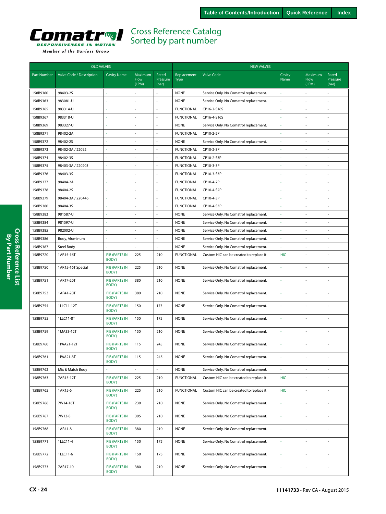<span id="page-23-0"></span>

|                    | <b>OLD VALVES</b>        |                               |                                 |                            | <b>NEW VALVES</b>          |                                         |                |                          |                            |  |
|--------------------|--------------------------|-------------------------------|---------------------------------|----------------------------|----------------------------|-----------------------------------------|----------------|--------------------------|----------------------------|--|
| <b>Part Number</b> | Valve Code / Description | <b>Cavity Name</b>            | Maximum<br><b>Flow</b><br>(LPM) | Rated<br>Pressure<br>(bar) | Replacement<br><b>Type</b> | <b>Valve Code</b>                       | Cavity<br>Name | Maximum<br>Flow<br>(LPM) | Rated<br>Pressure<br>(bar) |  |
| 158B9360           | 98403-2S                 |                               |                                 |                            | <b>NONE</b>                | Service Only. No Comatrol replacement.  |                |                          |                            |  |
| 158B9363           | 983081-U                 |                               |                                 |                            | <b>NONE</b>                | Service Only. No Comatrol replacement.  |                |                          |                            |  |
| 158B9365           | 983314-U                 |                               | J.                              |                            | <b>FUNCTIONAL</b>          | CP16-2-S16S                             |                |                          |                            |  |
| 158B9367           | 983318-U                 |                               |                                 |                            | <b>FUNCTIONAL</b>          | CP16-4-S16S                             |                |                          |                            |  |
| 158B9369           | 983327-U                 |                               | $\bar{a}$                       | $\blacksquare$             | <b>NONE</b>                | Service Only. No Comatrol replacement.  |                |                          |                            |  |
| 158B9371           | 98402-2A                 |                               | ä,                              | ÷.                         | <b>FUNCTIONAL</b>          | CP10-2-2P                               |                |                          | L.                         |  |
| 158B9372           | 98402-2S                 |                               | ÷,                              | L,                         | <b>NONE</b>                | Service Only. No Comatrol replacement.  | ä,             |                          | L,                         |  |
| 158B9373           | 98402-3A / 22092         |                               |                                 |                            | <b>FUNCTIONAL</b>          | CP10-2-3P                               |                | L.                       |                            |  |
| 158B9374           | 98402-35                 |                               | $\sim$                          |                            | <b>FUNCTIONAL</b>          | CP10-2-S3P                              |                |                          | ÷,                         |  |
| 158B9375           | 98403-3A / 220203        |                               | ÷,                              | ÷,                         | <b>FUNCTIONAL</b>          | CP10-3-3P                               | ä,             | ÷,                       | ÷,                         |  |
| 158B9376           | 98403-3S                 |                               | L.                              |                            | <b>FUNCTIONAL</b>          | CP10-3-S3P                              |                |                          | ä,                         |  |
| 158B9377           | 98404-2A                 |                               | ÷,                              | ÷.                         | <b>FUNCTIONAL</b>          | CP10-4-2P                               | ä,             | ÷,                       | ÷,                         |  |
| 158B9378           | 98404-2S                 |                               | ÷,                              | ÷,                         | <b>FUNCTIONAL</b>          | CP10-4-S2P                              |                | $\overline{a}$           | ÷,                         |  |
| 158B9379           | 98404-3A / 220446        |                               | ÷,                              |                            | <b>FUNCTIONAL</b>          | CP10-4-3P                               |                | ÷.                       |                            |  |
| 158B9380           | 98404-3S                 |                               | L.                              |                            | <b>FUNCTIONAL</b>          | CP10-4-S3P                              |                | ÷,                       | L,                         |  |
| 158B9383           | 981587-U                 |                               | ÷,                              | $\bar{a}$                  | <b>NONE</b>                | Service Only. No Comatrol replacement.  | ä,             |                          | ÷,                         |  |
| 158B9384           | 981597-U                 |                               |                                 | $\bar{a}$                  | <b>NONE</b>                | Service Only. No Comatrol replacement.  |                |                          |                            |  |
| 158B9385           | 982002-U                 |                               | ä,                              | $\bar{a}$                  | <b>NONE</b>                | Service Only. No Comatrol replacement.  |                | ÷.                       | J,                         |  |
| 158B9386           | Body, Aluminum           |                               |                                 | ÷,                         | <b>NONE</b>                | Service Only. No Comatrol replacement.  |                |                          | ÷,                         |  |
| 158B9387           | Steel Body               |                               |                                 |                            | <b>NONE</b>                | Service Only. No Comatrol replacement.  |                | $\sim$                   |                            |  |
| 158B9720           | 1AR15-16T                | <b>PIB (PARTS IN</b><br>BODY) | 225                             | 210                        | <b>FUNCTIONAL</b>          | Custom HIC can be created to replace it | HIC            | $\sim$                   |                            |  |
| 158B9750           | 1AR15-16T Special        | <b>PIB (PARTS IN</b><br>BODY) | 225                             | 210                        | <b>NONE</b>                | Service Only. No Comatrol replacement.  |                |                          |                            |  |
| 158B9751           | 1AR17-20T                | <b>PIB (PARTS IN</b><br>BODY) | 380                             | 210                        | <b>NONE</b>                | Service Only. No Comatrol replacement.  | ä,             | L.                       | L.                         |  |
| 158B9753           | 1AR41-20T                | <b>PIB (PARTS IN</b><br>BODY) | 380                             | 210                        | <b>NONE</b>                | Service Only. No Comatrol replacement.  | ä,             | L.                       | í,                         |  |
| 158B9754           | 1LLC11-12T               | <b>PIB (PARTS IN</b><br>BODY) | 150                             | 175                        | <b>NONE</b>                | Service Only. No Comatrol replacement.  |                | $\sim$                   |                            |  |
| 158B9755           | 1LLC11-8T                | <b>PIB (PARTS IN</b><br>BODY) | 150                             | 175                        | <b>NONE</b>                | Service Only. No Comatrol replacement.  | ä,             |                          |                            |  |
| 158B9759           | 1MA33-12T                | <b>PIB (PARTS IN</b><br>BODY) | 150                             | 210                        | <b>NONE</b>                | Service Only. No Comatrol replacement.  |                |                          |                            |  |
| 158B9760           | 1PAA21-12T               | <b>PIB (PARTS IN</b><br>BODY) | 115                             | 245                        | <b>NONE</b>                | Service Only. No Comatrol replacement.  |                |                          |                            |  |
| 158B9761           | 1PAA21-8T                | <b>PIB (PARTS IN</b><br>BODY) | 115                             | 245                        | <b>NONE</b>                | Service Only. No Comatrol replacement.  | ä,             | ÷,                       | $\bar{a}$                  |  |
| 158B9762           | Mix & Match Body         | ä,                            | ÷.                              | $\overline{\phantom{a}}$   | <b>NONE</b>                | Service Only. No Comatrol replacement.  | ä,             | ÷,                       | $\blacksquare$             |  |
| 158B9763           | 7AR15-12T                | <b>PIB (PARTS IN</b><br>BODY) | 225                             | 210                        | <b>FUNCTIONAL</b>          | Custom HIC can be created to replace it | <b>HIC</b>     | $\overline{\phantom{a}}$ | $\omega$                   |  |
| 158B9765           | 1AR15-6                  | PIB (PARTS IN<br>BODY)        | 225                             | 210                        | <b>FUNCTIONAL</b>          | Custom HIC can be created to replace it | <b>HIC</b>     | $\overline{\phantom{a}}$ | ä,                         |  |
| 158B9766           | 7W14-16T                 | PIB (PARTS IN<br>BODY)        | 230                             | 210                        | <b>NONE</b>                | Service Only. No Comatrol replacement.  |                | ÷,                       |                            |  |
| 158B9767           | 7W13-8                   | PIB (PARTS IN<br>BODY)        | 305                             | 210                        | <b>NONE</b>                | Service Only. No Comatrol replacement.  | ä,             | $\overline{\phantom{a}}$ | $\omega$                   |  |
| 158B9768           | 1AR41-8                  | <b>PIB (PARTS IN</b><br>BODY) | 380                             | 210                        | <b>NONE</b>                | Service Only. No Comatrol replacement.  | ä,             | $\bar{\mathbb{Z}}$       | ä,                         |  |
| 158B9771           | 1LLC11-4                 | <b>PIB (PARTS IN</b><br>BODY) | 150                             | 175                        | <b>NONE</b>                | Service Only. No Comatrol replacement.  | ä,             | $\mathbf{r}$             | $\sim$                     |  |
| 158B9772           | 1LLC11-6                 | <b>PIB (PARTS IN</b><br>BODY) | 150                             | 175                        | <b>NONE</b>                | Service Only. No Comatrol replacement.  | ä,             | $\overline{\phantom{a}}$ | ä,                         |  |
| 158B9773           | 7AR17-10                 | <b>PIB (PARTS IN</b><br>BODY) | 380                             | 210                        | <b>NONE</b>                | Service Only. No Comatrol replacement.  | ä,             | $\overline{\phantom{a}}$ | $\blacksquare$             |  |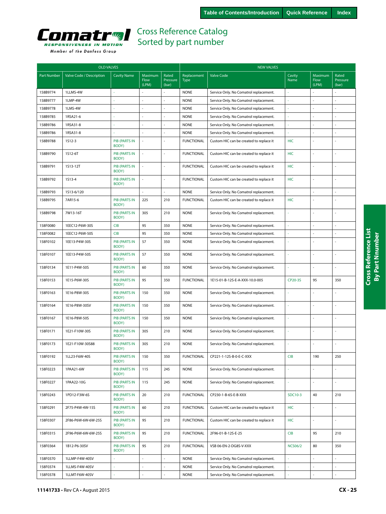<span id="page-24-0"></span>

|  | Member of the Danfoss Group |  |
|--|-----------------------------|--|
|  |                             |  |

|                    | <b>OLD VALVES</b>        |                               |                          | <b>NEW VALVES</b>          |                            |                                         |                |                          |                            |
|--------------------|--------------------------|-------------------------------|--------------------------|----------------------------|----------------------------|-----------------------------------------|----------------|--------------------------|----------------------------|
| <b>Part Number</b> | Valve Code / Description | <b>Cavity Name</b>            | Maximum<br>Flow<br>(LPM) | Rated<br>Pressure<br>(bar) | Replacement<br><b>Type</b> | <b>Valve Code</b>                       | Cavity<br>Name | Maximum<br>Flow<br>(LPM) | Rated<br>Pressure<br>(bar) |
| 158B9774           | 1LLMS-4W                 | ÷                             |                          | $\overline{a}$             | <b>NONE</b>                | Service Only. No Comatrol replacement.  | ä              |                          |                            |
| 158B9777           | 1LMP-4W                  |                               |                          |                            | <b>NONE</b>                | Service Only. No Comatrol replacement.  | ł,             |                          |                            |
| 158B9778           | 1LMS-4W                  |                               | $\sim$                   |                            | <b>NONE</b>                | Service Only. No Comatrol replacement.  | i,             |                          | ł,                         |
| 158B9785           | 1RSA21-6                 |                               | $\sim$                   | ÷,                         | <b>NONE</b>                | Service Only. No Comatrol replacement.  | ä,             |                          | ÷,                         |
| 158B9786           | 1RSA31-8                 |                               |                          |                            | <b>NONE</b>                | Service Only. No Comatrol replacement.  |                |                          |                            |
| 158B9786           | 1RSA31-8                 |                               | ÷.                       |                            | <b>NONE</b>                | Service Only. No Comatrol replacement.  | ä,             |                          | J,                         |
| 158B9788           | 1512-3                   | <b>PIB (PARTS IN</b><br>BODY) | ÷.                       |                            | <b>FUNCTIONAL</b>          | Custom HIC can be created to replace it | HIC            |                          |                            |
| 158B9790           | 1S12-6T                  | <b>PIB (PARTS IN</b><br>BODY) | $\bar{z}$                | ÷,                         | <b>FUNCTIONAL</b>          | Custom HIC can be created to replace it | <b>HIC</b>     | ä,                       | $\sim$                     |
| 158B9791           | 1S13-12T                 | <b>PIB (PARTS IN</b><br>BODY) | $\sim$                   | ÷.                         | <b>FUNCTIONAL</b>          | Custom HIC can be created to replace it | HIC            | ÷,                       | ÷,                         |
| 158B9792           | 1513-4                   | <b>PIB (PARTS IN</b><br>BODY) |                          |                            | <b>FUNCTIONAL</b>          | Custom HIC can be created to replace it | <b>HIC</b>     |                          |                            |
| 158B9793           | 1513-6/120               |                               |                          |                            | <b>NONE</b>                | Service Only. No Comatrol replacement.  | ä,             |                          |                            |
| 158B9795           | 7AR15-6                  | <b>PIB (PARTS IN</b><br>BODY) | 225                      | 210                        | <b>FUNCTIONAL</b>          | Custom HIC can be created to replace it | <b>HIC</b>     |                          | $\overline{a}$             |
| 158B9798           | 7W13-16T                 | <b>PIB (PARTS IN</b><br>BODY) | 305                      | 210                        | <b>NONE</b>                | Service Only. No Comatrol replacement.  | ä,             |                          | ÷,                         |
| 158F0080           | 1EEC12-P6W-30S           | <b>CIB</b>                    | 95                       | 350                        | <b>NONE</b>                | Service Only. No Comatrol replacement.  | ä,             | ä,                       | L.                         |
| 158F0082           | 1EEC12-P6W-50S           | <b>CIB</b>                    | 95                       | 350                        | <b>NONE</b>                | Service Only. No Comatrol replacement.  | ä,             |                          | L,                         |
| 158F0102           | 1EE13-P4W-30S            | <b>PIB (PARTS IN</b><br>BODY) | 57                       | 350                        | <b>NONE</b>                | Service Only. No Comatrol replacement.  |                |                          |                            |
| 158F0107           | 1EE13-P4W-50S            | <b>PIB (PARTS IN</b><br>BODY) | 57                       | 350                        | <b>NONE</b>                | Service Only. No Comatrol replacement.  | ä,             |                          | ÷,                         |
| 158F0134           | 1E11-P4W-50S             | <b>PIB (PARTS IN</b><br>BODY) | 60                       | 350                        | <b>NONE</b>                | Service Only. No Comatrol replacement.  | ä,             |                          | ä,                         |
| 158F0153           | 1E15-P6W-30S             | <b>PIB (PARTS IN</b><br>BODY) | 95                       | 350                        | <b>FUNCTIONAL</b>          | 1E15-01-B-12S-E-A-XXX-10.0-005          | CP20-3S        | 95                       | 350                        |
| 158F0163           | 1E16-P8W-30S             | <b>PIB (PARTS IN</b><br>BODY) | 150                      | 350                        | <b>NONE</b>                | Service Only. No Comatrol replacement.  | ä,             |                          |                            |
| 158F0164           | 1E16-P8W-30SV            | <b>PIB (PARTS IN</b><br>BODY) | 150                      | 350                        | <b>NONE</b>                | Service Only. No Comatrol replacement.  | ä,             |                          | ä,                         |
| 158F0167           | 1E16-P8W-50S             | <b>PIB (PARTS IN</b><br>BODY) | 150                      | 350                        | <b>NONE</b>                | Service Only. No Comatrol replacement.  | ä,             |                          | L.                         |
| 158F0171           | 1E21-F10W-30S            | <b>PIB (PARTS IN</b><br>BODY) | 305                      | 210                        | <b>NONE</b>                | Service Only. No Comatrol replacement.  | ä,             |                          | L,                         |
| 158F0173           | 1E21-F10W-30S88          | <b>PIB (PARTS IN</b><br>BODY) | 305                      | 210                        | <b>NONE</b>                | Service Only. No Comatrol replacement.  | ä,             |                          | ÷,                         |
| 158F0192           | 1LL23-F6W-40S            | PIB (PARTS IN<br>BODY)        | 150                      | 350                        | <b>FUNCTIONAL</b>          | CP221-1-12S-B-0-E-C-XXX                 | CIB            | 190                      | 250                        |
| 158F0223           | 1PAA21-6W                | <b>PIB (PARTS IN</b><br>BODY) | 115                      | 245                        | <b>NONE</b>                | Service Only. No Comatrol replacement.  |                |                          |                            |
| 158F0227           | 1PAA22-10G               | <b>PIB (PARTS IN</b><br>BODY) | 115                      | 245                        | <b>NONE</b>                | Service Only. No Comatrol replacement.  | ÷,             | $\bar{a}$                | ä,                         |
| 158F0243           | 1PD12-F3W-6S             | <b>PIB (PARTS IN</b><br>BODY) | 20                       | 210                        | <b>FUNCTIONAL</b>          | CP230-1-B-6S-E-B-XXX                    | SDC10-3        | 40                       | 210                        |
| 158F0291           | 2F75-P4W-4W-15S          | <b>PIB (PARTS IN</b><br>BODY) | 60                       | 210                        | <b>FUNCTIONAL</b>          | Custom HIC can be created to replace it | <b>HIC</b>     | ÷.                       | ÷,                         |
| 158F0307           | 2F86-P6W-6W-6W-25S       | PIB (PARTS IN<br>BODY)        | 95                       | 210                        | <b>FUNCTIONAL</b>          | Custom HIC can be created to replace it | <b>HIC</b>     |                          | L.                         |
| 158F0315           | 2F96-P6W-6W-6W-25S       | PIB (PARTS IN<br>BODY)        | 95                       | 210                        | <b>FUNCTIONAL</b>          | 2F96-01-B-12S-E-25                      | CIB            | 95                       | 210                        |
| 158F0364           | 1B12-P6-30SV             | PIB (PARTS IN<br>BODY)        | 95                       | 210                        | <b>FUNCTIONAL</b>          | VSB 06-EN-2-DG8S-V-XXX                  | <b>NCS06/2</b> | 80                       | 350                        |
| 158F0370           | 1LLMP-F4W-40SV           |                               | $\overline{\phantom{a}}$ |                            | <b>NONE</b>                | Service Only. No Comatrol replacement.  | ä,             | ä,                       | L                          |
| 158F0374           | 1LLMS-F4W-40SV           |                               |                          |                            | <b>NONE</b>                | Service Only. No Comatrol replacement.  |                |                          |                            |
| 158F0378           | 1LLMT-F6W-40SV           |                               |                          |                            | <b>NONE</b>                | Service Only. No Comatrol replacement.  |                |                          |                            |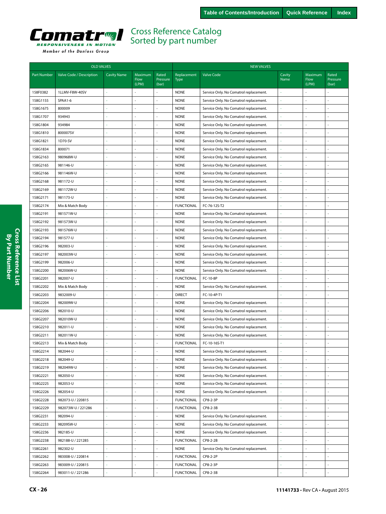<span id="page-25-0"></span>

|                    | <b>OLD VALVES</b>        |                          |                          |                            | <b>NEW VALVES</b>          |                                        |                          |                          |                            |  |
|--------------------|--------------------------|--------------------------|--------------------------|----------------------------|----------------------------|----------------------------------------|--------------------------|--------------------------|----------------------------|--|
| <b>Part Number</b> | Valve Code / Description | <b>Cavity Name</b>       | Maximum<br>Flow<br>(LPM) | Rated<br>Pressure<br>(bar) | Replacement<br><b>Type</b> | <b>Valve Code</b>                      | Cavity<br>Name           | Maximum<br>Flow<br>(LPM) | Rated<br>Pressure<br>(bar) |  |
| 158F0382           | 1LLMV-F8W-40SV           |                          |                          |                            | <b>NONE</b>                | Service Only. No Comatrol replacement. |                          |                          |                            |  |
| 158G1155           | SPAA1-6                  | ÷                        | ÷,                       | ÷                          | <b>NONE</b>                | Service Only. No Comatrol replacement. |                          | $\overline{a}$           | $\sim$                     |  |
| 158G1675           | 800009                   |                          | ÷,                       | ÷,                         | <b>NONE</b>                | Service Only. No Comatrol replacement. |                          | í,                       | $\sim$                     |  |
| 158G1707           | 934943                   |                          | ÷,                       | ä,                         | <b>NONE</b>                | Service Only. No Comatrol replacement. |                          |                          |                            |  |
| 158G1804           | 934984                   |                          | ÷,                       | $\sim$                     | <b>NONE</b>                | Service Only. No Comatrol replacement. |                          | ÷,                       |                            |  |
| 158G1810           | 800007SV                 |                          | ä,                       | $\overline{\phantom{a}}$   | <b>NONE</b>                | Service Only. No Comatrol replacement. | $\overline{\phantom{a}}$ | ä,                       | ÷,                         |  |
| 158G1821           | 1D70-SV                  |                          | L.                       | ÷,                         | <b>NONE</b>                | Service Only. No Comatrol replacement. |                          |                          | ä,                         |  |
| 158G1834           | 800071                   |                          | ÷,                       | ÷                          | <b>NONE</b>                | Service Only. No Comatrol replacement. |                          | ÷.                       | $\sim$                     |  |
| 158G2163           | 980968W-U                |                          | L,                       | ÷,                         | <b>NONE</b>                | Service Only. No Comatrol replacement. |                          |                          |                            |  |
| 158G2165           | 981146-U                 |                          | L,                       | ä,                         | <b>NONE</b>                | Service Only. No Comatrol replacement. |                          |                          |                            |  |
| 158G2166           | 981146W-U                |                          | ÷,                       | ÷                          | <b>NONE</b>                | Service Only. No Comatrol replacement. |                          |                          |                            |  |
| 158G2168           | 981172-U                 |                          | ÷,                       | ÷,                         | <b>NONE</b>                | Service Only. No Comatrol replacement. |                          | ä,                       | ÷,                         |  |
| 158G2169           | 981172W-U                |                          | L.                       | ÷,                         | <b>NONE</b>                | Service Only. No Comatrol replacement. |                          |                          | $\sim$                     |  |
| 158G2171           | 981173-U                 | ÷                        | ÷,                       | ÷                          | <b>NONE</b>                | Service Only. No Comatrol replacement. |                          | ä,                       | ÷.                         |  |
| 158G2174           | Mix & Match Body         | $\bar{a}$                | ÷,                       | ÷,                         | <b>FUNCTIONAL</b>          | FC-76-12S-T2                           |                          | í,                       | ÷.                         |  |
| 158G2191           | 981571W-U                |                          | J,                       |                            | <b>NONE</b>                | Service Only. No Comatrol replacement. |                          |                          |                            |  |
| 158G2192           | 981573W-U                |                          | $\bar{\phantom{a}}$      | $\sim$                     | <b>NONE</b>                | Service Only. No Comatrol replacement. |                          | ÷,                       |                            |  |
| 158G2193           | 981576W-U                |                          | ä,                       | $\blacksquare$             | <b>NONE</b>                | Service Only. No Comatrol replacement. | $\overline{\phantom{a}}$ | ä,                       | ÷,                         |  |
| 158G2194           | 981577-U                 |                          | ä,                       | ÷,                         | <b>NONE</b>                | Service Only. No Comatrol replacement. |                          |                          | ä,                         |  |
| 158G2196           | 982003-U                 |                          | ÷.                       | ÷.                         | <b>NONE</b>                | Service Only. No Comatrol replacement. |                          | L.                       | $\sim$                     |  |
| 158G2197           | 982003W-U                |                          | L,                       | ÷,                         | <b>NONE</b>                | Service Only. No Comatrol replacement. |                          | ÷,                       |                            |  |
| 158G2199           | 982006-U                 |                          | J,                       | ÷,                         | <b>NONE</b>                | Service Only. No Comatrol replacement. |                          |                          |                            |  |
| 158G2200           | 982006W-U                |                          | ÷,                       | ÷.                         | <b>NONE</b>                | Service Only. No Comatrol replacement. |                          |                          |                            |  |
| 158G2201           | 982007-U                 |                          | ÷,                       | ÷,                         | <b>FUNCTIONAL</b>          | FC-10-8P                               |                          | ä,                       | ÷,                         |  |
| 158G2202           | Mix & Match Body         |                          | ä,                       | ÷,                         | <b>NONE</b>                | Service Only. No Comatrol replacement. |                          |                          |                            |  |
| 158G2203           | 9832009-U                | ÷                        | ÷.                       | ÷.                         | <b>DIRECT</b>              | FC-10-4P-T1                            |                          | L,                       | ÷.                         |  |
| 158G2204           | 982009W-U                |                          | ÷,                       | ÷,                         | <b>NONE</b>                | Service Only. No Comatrol replacement. |                          | ä,                       | ÷.                         |  |
| 158G2206           | 982010-U                 |                          | ä,                       |                            | <b>NONE</b>                | Service Only. No Comatrol replacement. |                          | ä,                       |                            |  |
| 158G2207           | 982010W-U                | $\overline{\phantom{a}}$ | ä,                       | $\sim$                     | <b>NONE</b>                | Service Only. No Comatrol replacement. |                          | ÷,                       |                            |  |
| 158G2210           | 982011-U                 |                          | ÷,                       | $\blacksquare$             | <b>NONE</b>                | Service Only. No Comatrol replacement. | $\overline{\phantom{a}}$ | ä,                       | $\sim$                     |  |
| 158G2211           | 982011W-U                |                          | ä,                       | ÷,                         | <b>NONE</b>                | Service Only. No Comatrol replacement. |                          |                          | ä,                         |  |
| 158G2213           | Mix & Match Body         | ÷.                       | ÷,                       | $\sim$                     | <b>FUNCTIONAL</b>          | FC-10-16S-T1                           |                          | L.                       | ÷.                         |  |
| 158G2214           | 982044-U                 |                          |                          |                            | <b>NONE</b>                | Service Only. No Comatrol replacement. |                          |                          |                            |  |
| 158G2218           | 982049-U                 |                          | ä,                       | ÷,                         | <b>NONE</b>                | Service Only. No Comatrol replacement. |                          |                          |                            |  |
| 158G2219           | 982049W-U                | ä,                       | ÷,                       | $\bar{a}$                  | <b>NONE</b>                | Service Only. No Comatrol replacement. |                          |                          |                            |  |
| 158G2221           | 982050-U                 | $\sim$                   | ä,                       | ä,                         | <b>NONE</b>                | Service Only. No Comatrol replacement. |                          |                          |                            |  |
| 158G2225           | 982053-U                 |                          | ä,                       | ÷,                         | <b>NONE</b>                | Service Only. No Comatrol replacement. |                          |                          |                            |  |
| 158G2226           | 982054-U                 |                          | ÷.                       | $\sim$                     | <b>NONE</b>                | Service Only. No Comatrol replacement. |                          |                          |                            |  |
| 158G2228           | 982073-U / 220815        |                          | ä,                       | ÷,                         | <b>FUNCTIONAL</b>          | CP8-2-3P                               |                          | ÷,                       | $\sim$                     |  |
| 158G2229           | 982073W-U / 221286       |                          | ÷,                       | ÷,                         | <b>FUNCTIONAL</b>          | CP8-2-3B                               |                          |                          |                            |  |
| 158G2231           | 982094-U                 | ÷                        | ä,                       | $\overline{\phantom{a}}$   | <b>NONE</b>                | Service Only. No Comatrol replacement. |                          | ÷,                       |                            |  |
| 158G2233           | 98209SW-U                | ä,                       | $\overline{\phantom{a}}$ | $\overline{\phantom{a}}$   | <b>NONE</b>                | Service Only. No Comatrol replacement. | $\overline{\phantom{a}}$ | ÷,                       | ÷,                         |  |
| 158G2236           | 982185-U                 |                          | L.                       | ÷,                         | <b>NONE</b>                | Service Only. No Comatrol replacement. | $\sim$                   |                          | $\sim$                     |  |
| 158G2238           | 982188-U / 221285        | ÷                        | ÷,                       | ÷                          | <b>FUNCTIONAL</b>          | CP8-2-2B                               |                          |                          | $\overline{\phantom{a}}$   |  |
| 158G2261           | 982302-U                 |                          | ÷,                       | ÷,                         | <b>NONE</b>                | Service Only. No Comatrol replacement. | $\sim$                   |                          | $\overline{\phantom{a}}$   |  |
| 158G2262           | 983008-U / 220814        |                          |                          | ÷,                         | <b>FUNCTIONAL</b>          | CP8-2-2P                               |                          |                          |                            |  |
| 158G2263           | 983009-U / 220815        | ä,                       | ÷,                       | ÷,                         | <b>FUNCTIONAL</b>          | CP8-2-3P                               |                          |                          |                            |  |
| 158G2264           | 983011-U / 221286        |                          |                          |                            | <b>FUNCTIONAL</b>          | CP8-2-3B                               |                          |                          |                            |  |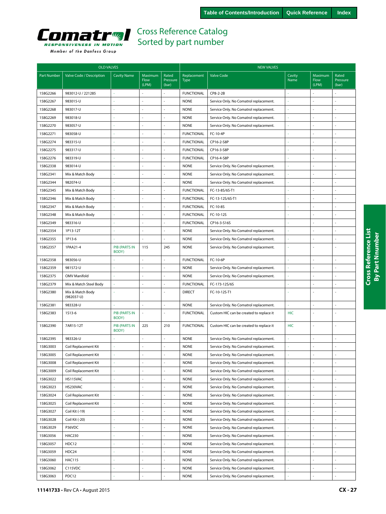<span id="page-26-0"></span>

| Member of the Danfoss Group |  |  |  |  |  |
|-----------------------------|--|--|--|--|--|
|-----------------------------|--|--|--|--|--|

|                    | <b>OLD VALVES</b>                |                               |                          |                            |                     | <b>NEW VALVES</b>                       |                          |                          |                            |  |
|--------------------|----------------------------------|-------------------------------|--------------------------|----------------------------|---------------------|-----------------------------------------|--------------------------|--------------------------|----------------------------|--|
| <b>Part Number</b> | Valve Code / Description         | <b>Cavity Name</b>            | Maximum<br>Flow<br>(LPM) | Rated<br>Pressure<br>(bar) | Replacement<br>Type | <b>Valve Code</b>                       | Cavity<br>Name           | Maximum<br>Flow<br>(LPM) | Rated<br>Pressure<br>(bar) |  |
| 158G2266           | 983012-U / 221285                |                               |                          |                            | <b>FUNCTIONAL</b>   | CP8-2-2B                                |                          |                          |                            |  |
| 158G2267           | 983015-U                         |                               |                          | ÷.                         | <b>NONE</b>         | Service Only. No Comatrol replacement.  |                          | ÷.                       |                            |  |
| 158G2268           | 983017-U                         |                               |                          |                            | <b>NONE</b>         | Service Only. No Comatrol replacement.  |                          |                          |                            |  |
| 158G2269           | 983018-U                         |                               |                          |                            | <b>NONE</b>         | Service Only. No Comatrol replacement.  |                          | $\sim$                   |                            |  |
| 158G2270           | 983057-U                         |                               |                          |                            | <b>NONE</b>         | Service Only. No Comatrol replacement.  |                          | ä,                       |                            |  |
| 158G2271           | 983058-U                         |                               |                          |                            | <b>FUNCTIONAL</b>   | FC-10-4P                                |                          | ÷,                       |                            |  |
| 158G2274           | 983315-U                         |                               |                          |                            | <b>FUNCTIONAL</b>   | CP16-2-S8P                              |                          | J.                       |                            |  |
| 158G2275           | 983317-U                         |                               | L.                       | ÷.                         | <b>FUNCTIONAL</b>   | CP16-3-S8P                              |                          | $\sim$                   |                            |  |
| 158G2276           | 983319-U                         |                               |                          | $\sim$                     | <b>FUNCTIONAL</b>   | CP16-4-S8P                              |                          | ÷,                       |                            |  |
| 158G2338           | 983014-U                         |                               |                          | $\overline{\phantom{a}}$   | <b>NONE</b>         | Service Only. No Comatrol replacement.  |                          | ÷,                       |                            |  |
| 158G2341           | Mix & Match Body                 |                               |                          | ÷.                         | <b>NONE</b>         | Service Only. No Comatrol replacement.  |                          | ÷,                       |                            |  |
| 158G2344           | 982074-U                         |                               |                          |                            | <b>NONE</b>         | Service Only. No Comatrol replacement.  |                          | ÷,                       |                            |  |
| 158G2345           | Mix & Match Body                 |                               |                          |                            | <b>FUNCTIONAL</b>   | FC-13-8S/6S-T1                          |                          | L.                       |                            |  |
| 158G2346           | Mix & Match Body                 |                               |                          |                            | <b>FUNCTIONAL</b>   | FC-13-12S/6S-T1                         |                          | ÷.                       |                            |  |
| 158G2347           | Mix & Match Body                 |                               |                          |                            | <b>FUNCTIONAL</b>   | FC-10-8S                                |                          | ÷,                       |                            |  |
| 158G2348           | Mix & Match Body                 |                               |                          |                            | <b>FUNCTIONAL</b>   | FC-10-12S                               |                          | ł,                       |                            |  |
| 158G2349           | 983316-U                         |                               | L.                       | ÷                          | <b>FUNCTIONAL</b>   | CP16-3-S16S                             |                          | ÷,                       |                            |  |
| 158G2354           | 1P13-12T                         |                               |                          |                            | <b>NONE</b>         | Service Only. No Comatrol replacement.  |                          | ł,                       |                            |  |
| 158G2355           | 1P13-6                           |                               |                          |                            | <b>NONE</b>         | Service Only. No Comatrol replacement.  |                          | ÷,                       |                            |  |
| 158G2357           | 1PAA21-4                         | <b>PIB (PARTS IN</b><br>BODY) | 115                      | 245                        | <b>NONE</b>         | Service Only. No Comatrol replacement.  | ÷.                       | L.                       |                            |  |
| 158G2358           | 983056-U                         |                               | ÷.                       | ä,                         | <b>FUNCTIONAL</b>   | FC-10-6P                                |                          | J.                       | ÷,                         |  |
| 158G2359           | 981572-U                         |                               |                          | $\bar{a}$                  | <b>NONE</b>         | Service Only. No Comatrol replacement.  |                          | ÷,                       |                            |  |
| 158G2375           | <b>OMV Manifold</b>              |                               |                          |                            | <b>NONE</b>         | Service Only. No Comatrol replacement.  |                          | ÷,                       |                            |  |
| 158G2379           | Mix & Match Steel Body           | à,                            |                          |                            | <b>FUNCTIONAL</b>   | FC-173-12S/6S                           |                          | ł,                       |                            |  |
| 158G2380           | Mix & Match Body<br>$(982037-U)$ |                               |                          |                            | <b>DIRECT</b>       | FC-10-12S-T1                            |                          |                          |                            |  |
| 158G2381           | 983328-U                         |                               |                          | ÷,                         | <b>NONE</b>         | Service Only. No Comatrol replacement.  |                          | J.                       |                            |  |
| 158G2383           | 1513-6                           | <b>PIB (PARTS IN</b><br>BODY) | $\sim$                   | ÷                          | <b>FUNCTIONAL</b>   | Custom HIC can be created to replace it | <b>HIC</b>               | ÷,                       |                            |  |
| 158G2390           | 7AR15-12T                        | <b>PIB (PARTS IN</b><br>BODY) | 225                      | 210                        | <b>FUNCTIONAL</b>   | Custom HIC can be created to replace it | <b>HIC</b>               | ÷,                       | ÷,                         |  |
| 158G2395           | 983326-U                         |                               | ÷.                       | ÷                          | <b>NONE</b>         | Service Only. No Comatrol replacement.  | $\sim$                   | ÷,                       | $\sim$                     |  |
| 158G3003           | Coil Replacement Kit             |                               |                          |                            | <b>NONE</b>         | Service Only. No Comatrol replacement.  |                          |                          |                            |  |
| 158G3005           | Coil Replacement Kit             |                               |                          |                            | NONE                | Service Only. No Comatrol replacement.  |                          |                          |                            |  |
| 158G3008           | Coil Replacement Kit             |                               | ä,                       | $\bar{a}$                  | <b>NONE</b>         | Service Only. No Comatrol replacement.  |                          | J.                       | $\sim$                     |  |
| 158G3009           | Coil Replacement Kit             | ×                             |                          | $\blacksquare$             | <b>NONE</b>         | Service Only. No Comatrol replacement.  |                          | ÷,                       |                            |  |
| 158G3022           | HS115VAC                         |                               | ÷.                       | ä,                         | <b>NONE</b>         | Service Only. No Comatrol replacement.  |                          | $\overline{\phantom{a}}$ |                            |  |
| 158G3023           | HS230VAC                         |                               | ä,                       | $\blacksquare$             | <b>NONE</b>         | Service Only. No Comatrol replacement.  | ÷                        | ÷,                       |                            |  |
| 158G3024           | Coil Replacement Kit             | $\sim$                        |                          | $\sim$                     | <b>NONE</b>         | Service Only. No Comatrol replacement.  |                          | ÷,                       |                            |  |
| 158G3025           | Coil Replacement Kit             |                               | L.                       | $\overline{\phantom{a}}$   | <b>NONE</b>         | Service Only. No Comatrol replacement.  |                          | L,                       |                            |  |
| 158G3027           | Coil Kit (-19)                   |                               | ÷.                       | ä,                         | <b>NONE</b>         | Service Only. No Comatrol replacement.  | ÷,                       | ÷,                       | $\sim$                     |  |
| 158G3028           | Coil Kit (-20)                   |                               |                          |                            | <b>NONE</b>         | Service Only. No Comatrol replacement.  | ÷,                       | J.                       |                            |  |
| 158G3029           | P36VDC                           |                               | L.                       | $\overline{\phantom{a}}$   | <b>NONE</b>         | Service Only. No Comatrol replacement.  |                          | ÷,                       |                            |  |
| 158G3056           | <b>HAC230</b>                    |                               | ÷.                       |                            | <b>NONE</b>         | Service Only. No Comatrol replacement.  |                          | ÷,                       | $\sim$                     |  |
| 158G3057           | HDC12                            |                               |                          |                            | <b>NONE</b>         | Service Only. No Comatrol replacement.  |                          | ÷,                       |                            |  |
| 158G3059           | HDC24                            |                               | ÷,                       |                            | <b>NONE</b>         | Service Only. No Comatrol replacement.  |                          | ÷,                       |                            |  |
| 158G3060           | <b>HAC115</b>                    |                               | ÷,                       |                            | <b>NONE</b>         | Service Only. No Comatrol replacement.  |                          | ÷,                       |                            |  |
| 158G3062           | C115VDC                          |                               |                          | ä,                         | <b>NONE</b>         | Service Only. No Comatrol replacement.  | $\overline{\phantom{a}}$ | $\overline{\phantom{a}}$ |                            |  |
| 158G3063           | PDC12                            |                               | $\overline{a}$           | ÷,                         | <b>NONE</b>         | Service Only. No Comatrol replacement.  | $\overline{\phantom{a}}$ | ÷,                       |                            |  |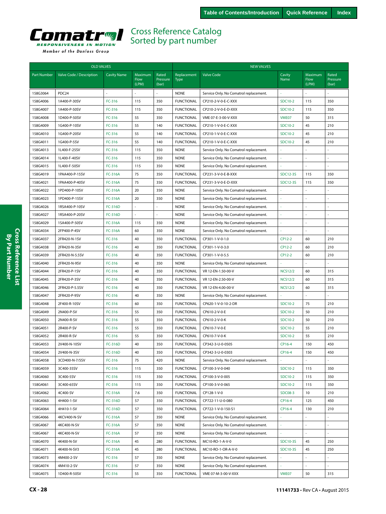<span id="page-27-0"></span>

| <b>OLD VALVES</b>    |                          |                    |                          |                            | <b>NEW VALVES</b>                      |                                        |                    |                          |                            |  |
|----------------------|--------------------------|--------------------|--------------------------|----------------------------|----------------------------------------|----------------------------------------|--------------------|--------------------------|----------------------------|--|
| <b>Part Number</b>   | Valve Code / Description | <b>Cavity Name</b> | Maximum<br>Flow<br>(LPM) | Rated<br>Pressure<br>(bar) | Replacement<br><b>Type</b>             | <b>Valve Code</b>                      | Cavity<br>Name     | Maximum<br>Flow<br>(LPM) | Rated<br>Pressure<br>(bar) |  |
| 158G3064             | PDC <sub>24</sub>        |                    |                          |                            | <b>NONE</b>                            | Service Only. No Comatrol replacement. |                    |                          |                            |  |
| 158G4006             | 1A400-P-30SV             | FC-316             | 115                      | 350                        | <b>FUNCTIONAL</b>                      | CP210-2-V-0-E-C-XXX                    | SDC10-2            | 115                      | 350                        |  |
| 158G4007             | 1A400-P-50SV             | FC-316             | 115                      | 350                        | <b>FUNCTIONAL</b>                      | CP210-2-V-0-E-D-XXX                    | SDC10-2            | 115                      | 350                        |  |
| 158G4008             | 1D400-P-50SV             | FC-316             | 55                       | 350                        | <b>FUNCTIONAL</b>                      | VME 07-E-3-00-V-XXX                    | VME07              | 50                       | 315                        |  |
| 158G4009             | 1G400-P-10SV             | FC-316             | 55                       | 140                        | <b>FUNCTIONAL</b>                      | CP210-1-V-0-E-C-XXX                    | SDC10-2            | 45                       | 210                        |  |
| 158G4010             | 1G400-P-20SV             | FC-316             | 55                       | 140                        | <b>FUNCTIONAL</b>                      | CP210-1-V-0-E-C-XXX                    | SDC10-2            | 45                       | 210                        |  |
| 158G4011             | 1G400-P-5SV              | FC-316             | 55                       | 140                        | <b>FUNCTIONAL</b>                      | CP210-1-V-0-E-C-XXX                    | SDC10-2            | 45                       | 210                        |  |
| 158G4013             | 1L400-F-25SV             | FC-316             | 115                      | 350                        | <b>NONE</b>                            | Service Only. No Comatrol replacement. |                    |                          | ÷,                         |  |
| 158G4014             | 1L400-F-40SV             | FC-316             | 115                      | 350                        | <b>NONE</b>                            | Service Only. No Comatrol replacement. |                    |                          |                            |  |
| 158G4015             | 1L400-F-50SV             | FC-316             | 115                      | 350                        | <b>NONE</b>                            | Service Only. No Comatrol replacement. |                    |                          |                            |  |
| 158G4019             | 1PAA400-P-15SV           | <b>FC-316A</b>     | 75                       | 350                        | <b>FUNCTIONAL</b>                      | CP231-3-V-0-E-B-XXX                    | <b>SDC12-3S</b>    | 115                      | 350                        |  |
| 158G4021             | 1PAA400-P-40SV           | <b>FC-316A</b>     | 75                       | 350                        | <b>FUNCTIONAL</b>                      | CP231-3-V-0-E-D-XXX                    | <b>SDC12-3S</b>    | 115                      | 350                        |  |
| 158G4022             | 1PD400-P-10SV            | <b>FC-316A</b>     | 20                       | 350                        | <b>NONE</b>                            | Service Only. No Comatrol replacement. |                    |                          |                            |  |
| 158G4023             | 1PD400-P-15SV            | <b>FC-316A</b>     | 20                       | 350                        | <b>NONE</b>                            | Service Only. No Comatrol replacement. |                    |                          | $\sim$                     |  |
| 158G4026             | 1RSA400-P-10SV           | <b>FC-316D</b>     |                          |                            | <b>NONE</b>                            | Service Only. No Comatrol replacement. |                    |                          | ÷,                         |  |
| 158G4027             | 1RSA400-P-20SV           | <b>FC-316D</b>     | $\sim$                   |                            | <b>NONE</b>                            | Service Only. No Comatrol replacement. |                    |                          |                            |  |
| 158G4029             | 1SA400-P-50SV            | <b>FC-316A</b>     | 115                      | 350                        | <b>NONE</b>                            | Service Only. No Comatrol replacement. |                    |                          |                            |  |
| 158G4034             | 2FP400-P-4SV             | <b>FC-316A</b>     | 60                       | 350                        | <b>NONE</b>                            | Service Only. No Comatrol replacement. |                    |                          | $\sim$                     |  |
| 158G4037             | 2FR420-N-1SV             | FC-316             | 40                       | 350                        | <b>FUNCTIONAL</b>                      | CP301-1-V-0-1.0                        | CP12-2             | 60                       | 210                        |  |
| 158G4038             | 2FR420-N-3SV             | FC-316             | 40                       | 350                        | <b>FUNCTIONAL</b>                      | CP301-1-V-0-3.0                        | CP12-2             | 60                       | 210                        |  |
| 158G4039             | 2FR420-N-5.5SV           | FC-316             | 40                       | 350                        | <b>FUNCTIONAL</b>                      | CP301-1-V-0-5.5                        | CP12-2             | 60                       | 210                        |  |
| 158G4040             | 2FR420-N-9SV             | FC-316             | 40                       | 350                        | <b>NONE</b>                            | Service Only. No Comatrol replacement. |                    |                          |                            |  |
| 158G4044             | 2FR420-P-1SV             | FC-316             | 40                       | 350                        | <b>FUNCTIONAL</b>                      | VR 12-EN-1.50-00-V                     | <b>NCS12/2</b>     | 60                       | 315                        |  |
| 158G4045             | 2FR420-P-3SV             | FC-316             | 40                       | 350                        | <b>FUNCTIONAL</b>                      | VR 12-EN-2.50-00-V                     | <b>NCS12/2</b>     | 60                       | 315                        |  |
| 158G4046             | 2FR420-P-5.5SV           | FC-316             | 40                       | 350                        | <b>FUNCTIONAL</b>                      | VR 12-EN-4.00-00-V                     | <b>NCS12/2</b>     | 60                       | 315                        |  |
| 158G4047             | 2FR420-P-9SV             | FC-316             | 40                       | 350                        | <b>NONE</b>                            | Service Only. No Comatrol replacement. |                    |                          | $\overline{a}$             |  |
| 158G4048             | 2F400-R-10SV             | FC-316             | 60                       | 350                        | <b>FUNCTIONAL</b>                      | CP620-1-V-0-10-2-DR                    | SDC10-2            | 75                       | 210                        |  |
| 158G4049             | 2N400-P-SV<br>2N400-R-SV | FC-316<br>FC-316   | 55<br>55                 | 350                        | <b>FUNCTIONAL</b><br><b>FUNCTIONAL</b> | CP610-2-V-0-E<br>CP610-2-V-0-K         | SDC10-2<br>SDC10-2 | 50<br>50                 | 210<br>210                 |  |
| 158G4050<br>158G4051 | 2R400-P-SV               | FC-316             | 55                       | 350<br>350                 | <b>FUNCTIONAL</b>                      | CP610-7-V-0-E                          | SDC10-2            | 55                       | 210                        |  |
| 158G4052             | 2R400-R-SV               | FC-316             | 55                       | 350                        | <b>FUNCTIONAL</b>                      | CP610-7-V-0-K                          | SDC10-2            | 55                       | 210                        |  |
| 158G4053             | 2V400-N-10SV             | FC-316D            | 40                       | 350                        | <b>FUNCTIONAL</b>                      | CP342-3-U-0-0505                       | CP16-4             | 150                      | 450                        |  |
| 158G4054             | 2V400-N-3SV              | FC-316D            | 40                       | 350                        | <b>FUNCTIONAL</b>                      | CP342-3-U-0-0303                       | CP16-4             | 150                      | 450                        |  |
| 158G4058             | 3CD400-N-7/5SV           | FC-316             | 75                       | 420                        | <b>NONE</b>                            | Service Only. No Comatrol replacement. |                    |                          |                            |  |
| 158G4059             | 3C400-35SV               | FC-316             | 115                      | 350                        | <b>FUNCTIONAL</b>                      | CP100-3-V-0-040                        | SDC10-2            | 115                      | 350                        |  |
| 158G4060             | 3C400-5SV                | FC-316             | 115                      | 350                        | <b>FUNCTIONAL</b>                      | CP100-3-V-0-005                        | SDC10-2            | 115                      | 350                        |  |
| 158G4061             | 3C400-65SV               | FC-316             | 115                      | 350                        | <b>FUNCTIONAL</b>                      | CP100-3-V-0-065                        | SDC10-2            | 115                      | 350                        |  |
| 158G4062             | 4C400-SV                 | <b>FC-316A</b>     | $7.6\,$                  | 350                        | <b>FUNCTIONAL</b>                      | CP128-1-V-0                            | <b>SDC08-3</b>     | 10                       | 210                        |  |
| 158G4063             | 4H400-1-SV               | FC-316D            | 57                       | 350                        | <b>FUNCTIONAL</b>                      | CP722-11-U-0-080                       | CP16-4             | 125                      | 450                        |  |
| 158G4064             | 4H410-1-SV               | FC-316D            | 57                       | 350                        | <b>FUNCTIONAL</b>                      | CP722-1-V-0-150-S1                     | CP16-4             | 130                      | 210                        |  |
| 158G4066             | 4KCV400-N-SV             | <b>FC-316A</b>     | 57                       | 350                        | <b>NONE</b>                            | Service Only. No Comatrol replacement. |                    |                          | $\overline{\phantom{a}}$   |  |
| 158G4067             | 4KC400-N-SV              | <b>FC-316A</b>     | 57                       | 350                        | <b>NONE</b>                            | Service Only. No Comatrol replacement. |                    |                          |                            |  |
| 158G4067             | 4KC400-N-SV              | <b>FC-316A</b>     | 57                       | 350                        | <b>NONE</b>                            | Service Only. No Comatrol replacement. |                    |                          | $\mathcal{L}$              |  |
| 158G4070             | 4K400-N-SV               | <b>FC-316A</b>     | 45                       | 280                        | <b>FUNCTIONAL</b>                      | MC10-RO-1-A-V-0                        | SDC10-3S           | 45                       | 250                        |  |
| 158G4071             | 4K400-N-SV3              | <b>FC-316A</b>     | 45                       | 280                        | <b>FUNCTIONAL</b>                      | MC10-RO-1-OR-A-V-0                     | SDC10-3S           | 45                       | 250                        |  |
| 158G4073             | 4M400-2-SV               | FC-316             | 57                       | 350                        | <b>NONE</b>                            | Service Only. No Comatrol replacement. |                    |                          |                            |  |
| 158G4074             | 4M410-2-SV               | FC-316             | 57                       | 350                        | <b>NONE</b>                            | Service Only. No Comatrol replacement. |                    |                          |                            |  |
| 158G4075             | 1D400-R-50SV             | FC-316             | 55                       | 350                        | <b>FUNCTIONAL</b>                      | VME 07-M-3-00-V-XXX                    | VME07              | 50                       | 315                        |  |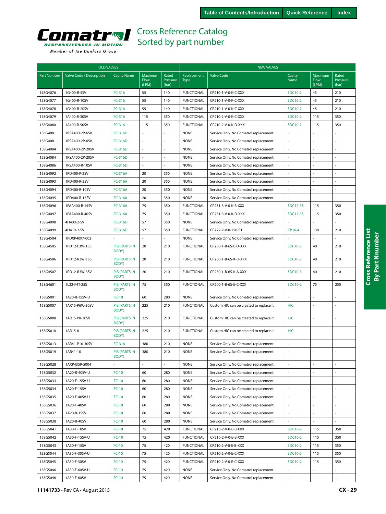<span id="page-28-0"></span>

| <b>OLD VALVES</b>    |                                |                                  | <b>NEW VALVES</b>        |                            |                                  |                                                               |                 |                          |                            |
|----------------------|--------------------------------|----------------------------------|--------------------------|----------------------------|----------------------------------|---------------------------------------------------------------|-----------------|--------------------------|----------------------------|
| <b>Part Number</b>   | Valve Code / Description       | <b>Cavity Name</b>               | Maximum<br>Flow<br>(LPM) | Rated<br>Pressure<br>(bar) | Replacement<br><b>Type</b>       | <b>Valve Code</b>                                             | Cavity<br>Name  | Maximum<br>Flow<br>(LPM) | Rated<br>Pressure<br>(bar) |
| 158G4076             | 1G400-R-5SV                    | FC-316                           | 55                       | 140                        | <b>FUNCTIONAL</b>                | CP210-1-V-0-K-C-XXX                                           | SDC10-2         | 45                       | 210                        |
| 158G4077             | 1G400-R-10SV                   | FC-316                           | 55                       | 140                        | <b>FUNCTIONAL</b>                | CP210-1-V-0-K-C-XXX                                           | <b>SDC10-2</b>  | 45                       | 210                        |
| 158G4078             | 1G400-R-20SV                   | $FC-316$                         | 55                       | 140                        | <b>FUNCTIONAL</b>                | CP210-1-V-0-K-C-XXX                                           | SDC10-2         | 45                       | 210                        |
| 158G4079             | 1A400-R-30SV                   | $FC-316$                         | 115                      | 350                        | <b>FUNCTIONAL</b>                | CP210-2-V-0-K-C-XXX                                           | SDC10-2         | 115                      | 350                        |
| 158G4080             | 1A400-R-50SV                   | FC-316                           | 115                      | 350                        | <b>FUNCTIONAL</b>                | CP210-2-V-0-K-D-XXX                                           | SDC10-2         | 115                      | 350                        |
| 158G4081             | 1RSA400-2P-6SV                 | <b>FC-316D</b>                   |                          |                            | <b>NONE</b>                      | Service Only. No Comatrol replacement.                        |                 |                          |                            |
| 158G4081             | 1RSA400-2P-6SV                 | FC-316D                          | ÷,                       | ÷.                         | <b>NONE</b>                      | Service Only. No Comatrol replacement.                        |                 |                          | $\overline{a}$             |
| 158G4084             | 1RSA400-2P-20SV                | <b>FC-316D</b>                   | ä,                       | ÷.                         | <b>NONE</b>                      | Service Only. No Comatrol replacement.                        |                 | ÷,                       |                            |
| 158G4084             | 1RSA400-2P-20SV                | <b>FC-316D</b>                   |                          |                            | <b>NONE</b>                      | Service Only. No Comatrol replacement.                        |                 |                          |                            |
| 158G4086             | 1RSA400-R-10SV                 | FC-316D                          | ÷                        | ÷.                         | <b>NONE</b>                      | Service Only. No Comatrol replacement.                        |                 | ÷.                       |                            |
| 158G4092             | 1PD400-P-2SV                   | <b>FC-316A</b>                   | 20                       | 350                        | <b>NONE</b>                      | Service Only. No Comatrol replacement.                        |                 | ÷.                       |                            |
| 158G4093             | 1PD400-R-2SV                   | <b>FC-316A</b>                   | 20                       | 350                        | <b>NONE</b>                      | Service Only. No Comatrol replacement.                        |                 |                          |                            |
| 158G4094             | 1PD400-R-10SV                  | <b>FC-316A</b>                   | 20                       | 350                        | <b>NONE</b>                      | Service Only. No Comatrol replacement.                        |                 |                          |                            |
| 158G4095             | 1PD400-R-15SV                  | <b>FC-316A</b>                   | 20                       | 350                        | <b>NONE</b>                      | Service Only. No Comatrol replacement.                        |                 |                          |                            |
|                      |                                |                                  | 75                       |                            | <b>FUNCTIONAL</b>                |                                                               | <b>SDC12-3S</b> | 115                      | 350                        |
| 158G4096             | 1PAA400-R-15SV                 | <b>FC-316A</b>                   | 75                       | 350<br>350                 | <b>FUNCTIONAL</b>                | CP231-3-V-0-K-B-XXX                                           | <b>SDC12-3S</b> | 115                      | 350                        |
| 158G4097<br>158G4098 | 1PAA400-R-40SV<br>4H400-2-SV   | <b>FC-316A</b><br><b>FC-316D</b> | 57                       | 350                        | <b>NONE</b>                      | CP231-3-V-0-K-D-XXX<br>Service Only. No Comatrol replacement. |                 |                          |                            |
|                      |                                |                                  |                          |                            |                                  |                                                               |                 |                          |                            |
| 158G4099             | 4H410-2-SV                     | FC-316D                          | 57                       | 350<br>$\overline{a}$      | <b>FUNCTIONAL</b><br><b>NONE</b> | CP722-2-V-0-150-S1                                            | CP16-4          | 130                      | 210                        |
| 158G4504             | 1PDXP4097-002<br>1PD12-F3W-15S |                                  |                          |                            |                                  | Service Only. No Comatrol replacement.                        | <b>SDC10-3</b>  |                          |                            |
| 158G4505             |                                | <b>PIB (PARTS IN</b><br>BODY)    | 20                       | 210                        | <b>FUNCTIONAL</b>                | CP230-1-B-6S-E-D-XXX                                          |                 | 40                       | 210                        |
| 158G4506             | 1PD12-R3W-15S                  | <b>PIB (PARTS IN</b><br>BODY)    | 20                       | 210                        | <b>FUNCTIONAL</b>                | CP230-1-B-6S-K-D-XXX                                          | SDC10-3         | 40                       | 210                        |
| 158G4507             | 1PD12-R3W-3SV                  | <b>PIB (PARTS IN</b><br>BODY)    | 20                       | 210                        | <b>FUNCTIONAL</b>                | CP230-1-B-6S-K-A-XXX                                          | SDC10-3         | 40                       | 210                        |
| 158G4601             | 1L22-F4T-25S                   | <b>PIB (PARTS IN</b><br>BODY)    | 75                       | 350                        | <b>FUNCTIONAL</b>                | CP200-1-B-6S-E-C-XXX                                          | SDC10-2         | 75                       | 250                        |
| 158G5001             | 1A20-R-15SV-U                  | $FC-10$                          | 60                       | 280                        | <b>NONE</b>                      | Service Only. No Comatrol replacement.                        |                 |                          |                            |
| 158G5007             | 1AR15-P6W-30SV                 | <b>PIB (PARTS IN</b><br>BODY)    | 225                      | 210                        | <b>FUNCTIONAL</b>                | Custom HIC can be created to replace it                       | <b>HIC</b>      |                          |                            |
| 158G5008             | 1AR15-P8-30SV                  | <b>PIB (PARTS IN</b><br>BODY)    | 225                      | 210                        | <b>FUNCTIONAL</b>                | Custom HIC can be created to replace it                       | <b>HIC</b>      | ÷,                       |                            |
| 158G5010             | 1AR15-8                        | <b>PIB (PARTS IN</b><br>BODY)    | 225                      | 210                        | <b>FUNCTIONAL</b>                | Custom HIC can be created to replace it                       | <b>HIC</b>      | ÷,                       |                            |
| 158G5013             | 1AR41-P10-30SV                 | FC-316                           | 380                      | 210                        | <b>NONE</b>                      | Service Only. No Comatrol replacement.                        |                 | ÷,                       |                            |
| 158G5019             | 1AR41-10                       | <b>PIB (PARTS IN</b><br>BODY)    | 380                      | 210                        | <b>NONE</b>                      | Service Only. No Comatrol replacement.                        |                 |                          |                            |
| 158G5028             | 1AXP4359-5004                  | ä,                               | L.                       | ÷,                         | <b>NONE</b>                      | Service Only. No Comatrol replacement.                        |                 |                          | ÷.                         |
| 158G5032             | 1A20-R-40SV-U                  | $FC-10$                          | 60                       | 280                        | <b>NONE</b>                      | Service Only. No Comatrol replacement.                        |                 | $\overline{\phantom{a}}$ | ä,                         |
| 158G5033             | 1A20-F-15SV-U                  | $FC-10$                          | 60                       | 280                        | <b>NONE</b>                      | Service Only. No Comatrol replacement.                        |                 |                          |                            |
| 158G5034             | 1A20-F-15SV                    | $FC-10$                          | 60                       | 280                        | <b>NONE</b>                      | Service Only. No Comatrol replacement.                        |                 | $\sim$                   | ÷                          |
| 158G5035             | 1A20-F-40SV-U                  | $FC-10$                          | 60                       | 280                        | <b>NONE</b>                      | Service Only. No Comatrol replacement.                        |                 |                          |                            |
| 158G5036             | 1A20-F-40SV                    | $FC-10$                          | 60                       | 280                        | <b>NONE</b>                      | Service Only. No Comatrol replacement.                        |                 |                          |                            |
| 158G5037             | 1A20-R-15SV                    | $FC-10$                          | 60                       | 280                        | <b>NONE</b>                      | Service Only. No Comatrol replacement.                        |                 |                          | ä,                         |
| 158G5038             | 1A20-R-40SV                    | $FC-10$                          | 60                       | 280                        | <b>NONE</b>                      | Service Only. No Comatrol replacement.                        |                 |                          |                            |
| 158G5041             | 1A30-F-10SV                    | $FC-10$                          | 75                       | 420                        | <b>FUNCTIONAL</b>                | CP210-2-V-0-E-B-XXX                                           | <b>SDC10-2</b>  | 115                      | 350                        |
| 158G5042             | 1A30-F-15SV-U                  | $FC-10$                          | 75                       | 420                        | <b>FUNCTIONAL</b>                | CP210-2-V-0-E-B-XXX                                           | SDC10-2         | 115                      | 350                        |
| 158G5043             | 1A30-F-15SV                    | $FC-10$                          | 75                       | 420                        | <b>FUNCTIONAL</b>                | CP210-2-V-0-E-B-XXX                                           | SDC10-2         | 115                      | 350                        |
| 158G5044             | 1A30-F-30SV-U                  | $FC-10$                          | 75                       | 420                        | <b>FUNCTIONAL</b>                | CP210-2-V-0-E-C-XXX                                           | SDC10-2         | 115                      | 350                        |
| 158G5045             | 1A30-F-30SV                    | $FC-10$                          | 75                       | 420                        | <b>FUNCTIONAL</b>                | CP210-2-V-0-E-C-XXX                                           | SDC10-2         | 115                      | 350                        |
| 158G5046             | 1A30-F-60SV-U                  | $FC-10$                          | 75                       | 420                        | <b>NONE</b>                      | Service Only. No Comatrol replacement.                        |                 |                          | ä,                         |
| 158G5048             | 1A30-F-60SV                    | $FC-10$                          | 75                       | 420                        | <b>NONE</b>                      | Service Only. No Comatrol replacement.                        |                 |                          | ä,                         |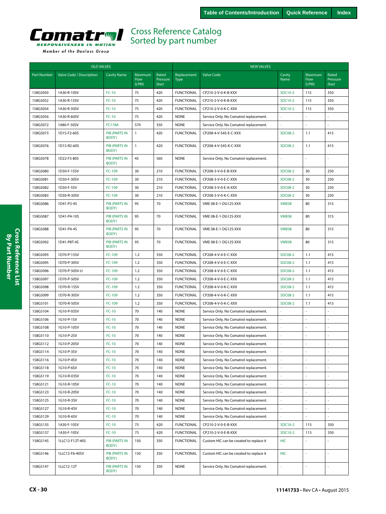<span id="page-29-0"></span>

|                    | <b>OLD VALVES</b>        |                               |                          |                            | <b>NEW VALVES</b>          |                                         |                |                          |                            |  |
|--------------------|--------------------------|-------------------------------|--------------------------|----------------------------|----------------------------|-----------------------------------------|----------------|--------------------------|----------------------------|--|
| <b>Part Number</b> | Valve Code / Description | <b>Cavity Name</b>            | Maximum<br>Flow<br>(LPM) | Rated<br>Pressure<br>(bar) | Replacement<br><b>Type</b> | <b>Valve Code</b>                       | Cavity<br>Name | Maximum<br>Flow<br>(LPM) | Rated<br>Pressure<br>(bar) |  |
| 158G5050           | 1A30-R-10SV              | $FC-10$                       | 75                       | 420                        | <b>FUNCTIONAL</b>          | CP210-2-V-0-K-B-XXX                     | SDC10-2        | 115                      | 350                        |  |
| 158G5052           | 1A30-R-15SV              | $FC-10$                       | 75                       | 420                        | <b>FUNCTIONAL</b>          | CP210-2-V-0-K-B-XXX                     | SDC10-2        | 115                      | 350                        |  |
| 158G5054           | 1A30-R-30SV              | $FC-10$                       | 75                       | 420                        | <b>FUNCTIONAL</b>          | CP210-2-V-0-K-C-XXX                     | SDC10-2        | 115                      | 350                        |  |
| 158G5056           | 1A30-R-60SV              | $FC-10$                       | 75                       | 420                        | <b>NONE</b>                | Service Only. No Comatrol replacement.  |                |                          |                            |  |
| 158G5072           | 1A80-F-50SV              | <b>FC178A</b>                 | 570                      | 350                        | <b>NONE</b>                | Service Only. No Comatrol replacement.  |                |                          | ÷,                         |  |
| 158G5073           | 1D15-F2-60S              | <b>PIB (PARTS IN</b><br>BODY) | $\mathbf{1}$             | 420                        | <b>FUNCTIONAL</b>          | CP208-4-V-S4S-E-C-XXX                   | <b>SDC08-2</b> | 1.1                      | 415                        |  |
| 158G5076           | 1D15-R2-60S              | <b>PIB (PARTS IN</b><br>BODY) | $\mathbf{1}$             | 420                        | <b>FUNCTIONAL</b>          | CP208-4-V-S4S-K-C-XXX                   | <b>SDC08-2</b> | 1.1                      | 415                        |  |
| 158G5078           | 1D22-F3-80S              | <b>PIB (PARTS IN</b><br>BODY) | 45                       | 560                        | <b>NONE</b>                | Service Only. No Comatrol replacement.  |                |                          |                            |  |
| 158G5080           | 1D30-F-15SV              | FC-109                        | 30                       | 210                        | <b>FUNCTIONAL</b>          | CP208-3-V-0-E-B-XXX                     | <b>SDC08-2</b> | 30                       | 250                        |  |
| 158G5081           | 1D30-F-30SV              | FC-109                        | 30                       | 210                        | <b>FUNCTIONAL</b>          | CP208-3-V-0-E-C-XXX                     | <b>SDC08-2</b> | 30                       | 250                        |  |
| 158G5082           | 1D30-F-5SV               | FC-109                        | 30                       | 210                        | <b>FUNCTIONAL</b>          | CP208-3-V-0-E-A-XXX                     | <b>SDC08-2</b> | 30                       | 250                        |  |
| 158G5083           | 1D30-R-30SV              | FC-109                        | 30                       | 210                        | <b>FUNCTIONAL</b>          | CP208-3-V-0-K-C-XXX                     | <b>SDC08-2</b> | 30                       | 250                        |  |
| 158G5086           | 1D41-P3-4S               | <b>PIB (PARTS IN</b><br>BODY) | 95                       | 70                         | <b>FUNCTIONAL</b>          | VME 08-E-1-DG12S-XXX                    | VME08          | 80                       | 315                        |  |
| 158G5087           | 1D41-P4-10S              | <b>PIB (PARTS IN</b><br>BODY) | 95                       | 70                         | <b>FUNCTIONAL</b>          | VME 08-E-1-DG12S-XXX                    | VME08          | 80                       | 315                        |  |
| 158G5088           | 1D41-P4-4S               | <b>PIB (PARTS IN</b><br>BODY) | 95                       | 70                         | <b>FUNCTIONAL</b>          | VME 08-E-1-DG12S-XXX                    | VME08          | 80                       | 315                        |  |
| 158G5092           | 1D41-P8T-4S              | <b>PIB (PARTS IN</b><br>BODY) | 95                       | 70                         | <b>FUNCTIONAL</b>          | VME 08-E-1-DG12S-XXX                    | VME08          | 80                       | 315                        |  |
| 158G5093           | 1D70-P-15SV              | FC-109                        | 1.2                      | 350                        | <b>FUNCTIONAL</b>          | CP208-4-V-0-E-C-XXX                     | <b>SDC08-2</b> | 1.1                      | 415                        |  |
| 158G5095           | 1D70-P-30SV              | FC-109                        | 1.2                      | 350                        | <b>FUNCTIONAL</b>          | CP208-4-V-0-E-C-XXX                     | <b>SDC08-2</b> | 1.1                      | 415                        |  |
| 158G5096           | 1D70-P-50SV-U            | FC-109                        | 1.2                      | 350                        | <b>FUNCTIONAL</b>          | CP208-4-V-0-E-C-XXX                     | <b>SDC08-2</b> | 1.1                      | 415                        |  |
| 158G5097           | 1D70-P-50SV              | FC-109                        | 1.2                      | 350                        | <b>FUNCTIONAL</b>          | CP208-4-V-0-E-C-XXX                     | <b>SDC08-2</b> | 1.1                      | 415                        |  |
| 158G5098           | 1D70-R-15SV              | FC-109                        | 1.2                      | 350                        | <b>FUNCTIONAL</b>          | CP208-4-V-0-K-C-XXX                     | <b>SDC08-2</b> | 1.1                      | 415                        |  |
| 158G5099           | 1D70-R-30SV              | FC-109                        | 1.2                      | 350                        | <b>FUNCTIONAL</b>          | CP208-4-V-0-K-C-XXX                     | <b>SDC08-2</b> | 1.1                      | 415                        |  |
| 158G5101           | 1D70-R-50SV              | FC-109                        | 1.2                      | 350                        | <b>FUNCTIONAL</b>          | CP208-4-V-0-K-C-XXX                     | <b>SDC08-2</b> | 1.1                      | 415                        |  |
| 158G5104           | 1G10-P-03SV              | $FC-10$                       | 70                       | 140                        | <b>NONE</b>                | Service Only. No Comatrol replacement.  |                |                          | ÷,                         |  |
| 158G5106           | 1G10-P-1SV               | $FC-10$                       | 70                       | 140                        | <b>NONE</b>                | Service Only. No Comatrol replacement.  |                |                          | $\overline{\phantom{a}}$   |  |
| 158G5108           | 1G10-P-10SV              | <b>FC-10</b>                  | 70                       | 140                        | <b>NONE</b>                | Service Only. No Comatrol replacement.  |                |                          | $\sim$                     |  |
| 158G5110           | 1G10-P-2SV               | $FC-10$                       | 70                       | 140                        | <b>NONE</b>                | Service Only. No Comatrol replacement.  |                |                          | ÷.                         |  |
| 158G5112           | 1G10-P-20SV              | $FC-10$                       | 70                       | 140                        | <b>NONE</b>                | Service Only. No Comatrol replacement.  | ÷.             | ÷.                       | $\sim$                     |  |
| 158G5114           | 1G10-P-3SV               | $FC-10$                       | 70                       | 140                        | <b>NONE</b>                | Service Only. No Comatrol replacement.  |                |                          |                            |  |
| 158G5116           | 1G10-P-4SV               | $FC-10$                       | 70                       | 140                        | <b>NONE</b>                | Service Only. No Comatrol replacement.  |                |                          |                            |  |
| 158G5118           | 1G10-P-6SV               | $FC-10$                       | 70                       | 140                        | <b>NONE</b>                | Service Only. No Comatrol replacement.  |                |                          |                            |  |
| 158G5119           | 1G10-R-03SV              | $FC-10$                       | 70                       | 140                        | <b>NONE</b>                | Service Only. No Comatrol replacement.  |                |                          |                            |  |
| 158G5121           | 1G10-R-10SV              | $FC-10$                       | 70                       | 140                        | <b>NONE</b>                | Service Only. No Comatrol replacement.  |                |                          | ÷,                         |  |
| 158G5123           | 1G10-R-20SV              | $FC-10$                       | 70                       | 140                        | <b>NONE</b>                | Service Only. No Comatrol replacement.  | ÷              |                          | ÷,                         |  |
| 158G5125           | 1G10-R-3SV               | $FC-10$                       | 70                       | 140                        | <b>NONE</b>                | Service Only. No Comatrol replacement.  |                |                          | ÷,                         |  |
| 158G5127           | 1G10-R-4SV               | $FC-10$                       | 70                       | 140                        | <b>NONE</b>                | Service Only. No Comatrol replacement.  | ÷,             |                          | $\overline{\phantom{a}}$   |  |
| 158G5129           | 1G10-R-6SV               | $FC-10$                       | 70                       | 140                        | <b>NONE</b>                | Service Only. No Comatrol replacement.  | $\omega$       |                          | $\overline{\phantom{a}}$   |  |
| 158G5135           | 1A30-F-10SV              | $FC-10$                       | 75                       | 420                        | <b>FUNCTIONAL</b>          | CP210-2-V-0-E-B-XXX                     | SDC10-2        | 115                      | 350                        |  |
| 158G5137           | 1A30-F-10SV              | $FC-10$                       | 75                       | 420                        | <b>FUNCTIONAL</b>          | CP210-2-V-0-E-B-XXX                     | SDC10-2        | 115                      | 350                        |  |
| 158G5145           | 1LLC12-F12T-40S          | <b>PIB (PARTS IN</b><br>BODY) | 150                      | 350                        | <b>FUNCTIONAL</b>          | Custom HIC can be created to replace it | HIC            |                          | ÷,                         |  |
| 158G5146           | 1LLC12-F6-40SV           | <b>PIB (PARTS IN</b><br>BODY) | 150                      | 350                        | <b>FUNCTIONAL</b>          | Custom HIC can be created to replace it | <b>HIC</b>     |                          |                            |  |
| 158G5147           | 1LLC12-12T               | PIB (PARTS IN<br>BODY)        | 150                      | 350                        | <b>NONE</b>                | Service Only. No Comatrol replacement.  | ä,             |                          | $\bar{\phantom{a}}$        |  |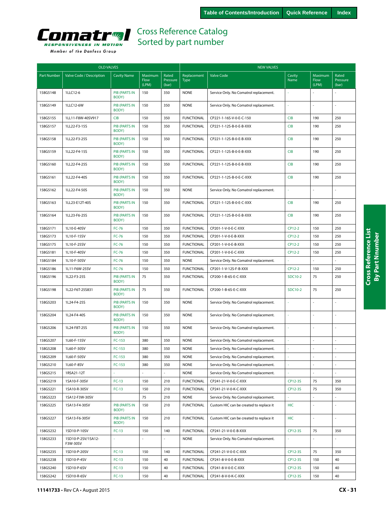<span id="page-30-0"></span>

|                    | <b>OLD VALVES</b>              |                               |                          |                            | <b>NEW VALVES</b>   |                                         |                |                          |                            |  |
|--------------------|--------------------------------|-------------------------------|--------------------------|----------------------------|---------------------|-----------------------------------------|----------------|--------------------------|----------------------------|--|
| <b>Part Number</b> | Valve Code / Description       | <b>Cavity Name</b>            | Maximum<br>Flow<br>(LPM) | Rated<br>Pressure<br>(bar) | Replacement<br>Type | <b>Valve Code</b>                       | Cavity<br>Name | Maximum<br>Flow<br>(LPM) | Rated<br>Pressure<br>(bar) |  |
| 158G5148           | 1LLC12-6                       | <b>PIB (PARTS IN</b><br>BODY) | 150                      | 350                        | <b>NONE</b>         | Service Only. No Comatrol replacement.  |                |                          |                            |  |
| 158G5149           | 1LLC12-6W                      | <b>PIB (PARTS IN</b><br>BODY) | 150                      | 350                        | <b>NONE</b>         | Service Only. No Comatrol replacement.  | ä,             |                          |                            |  |
| 158G5155           | 1LL11-F8W-40SV917              | <b>CIB</b>                    | 150                      | 350                        | <b>FUNCTIONAL</b>   | CP221-1-16S-V-0-E-C-150                 | <b>CIB</b>     | 190                      | 250                        |  |
| 158G5157           | 1LL22-F3-15S                   | <b>PIB (PARTS IN</b><br>BODY) | 150                      | 350                        | <b>FUNCTIONAL</b>   | CP221-1-12S-B-0-E-B-XXX                 | <b>CIB</b>     | 190                      | 250                        |  |
| 158G5158           | 1LL22-F3-25S                   | <b>PIB (PARTS IN</b><br>BODY) | 150                      | 350                        | <b>FUNCTIONAL</b>   | CP221-1-12S-B-0-E-B-XXX                 | <b>CIB</b>     | 190                      | 250                        |  |
| 158G5159           | 1LL22-F4-15S                   | <b>PIB (PARTS IN</b><br>BODY) | 150                      | 350                        | <b>FUNCTIONAL</b>   | CP221-1-12S-B-0-E-B-XXX                 | <b>CIB</b>     | 190                      | 250                        |  |
| 158G5160           | 1LL22-F4-25S                   | <b>PIB (PARTS IN</b><br>BODY) | 150                      | 350                        | <b>FUNCTIONAL</b>   | CP221-1-12S-B-0-E-B-XXX                 | <b>CIB</b>     | 190                      | 250                        |  |
| 158G5161           | 1LL22-F4-40S                   | <b>PIB (PARTS IN</b><br>BODY) | 150                      | 350                        | <b>FUNCTIONAL</b>   | CP221-1-12S-B-0-E-C-XXX                 | <b>CIB</b>     | 190                      | 250                        |  |
| 158G5162           | 1LL22-F4-50S                   | <b>PIB (PARTS IN</b><br>BODY) | 150                      | 350                        | <b>NONE</b>         | Service Only. No Comatrol replacement.  | ä,             |                          |                            |  |
| 158G5163           | 1LL23-E12T-40S                 | <b>PIB (PARTS IN</b><br>BODY) | 150                      | 350                        | <b>FUNCTIONAL</b>   | CP221-1-12S-B-0-E-C-XXX                 | <b>CIB</b>     | 190                      | 250                        |  |
| 158G5164           | 1LL23-F6-25S                   | <b>PIB (PARTS IN</b><br>BODY) | 150                      | 350                        | <b>FUNCTIONAL</b>   | CP221-1-12S-B-0-E-B-XXX                 | <b>CIB</b>     | 190                      | 250                        |  |
| 158G5171           | 1L10-E-40SV                    | <b>FC-76</b>                  | 150                      | 350                        | <b>FUNCTIONAL</b>   | CP201-1-V-0-E-C-XXX                     | CP12-2         | 150                      | 250                        |  |
| 158G5173           | 1L10-F-15SV                    | <b>FC-76</b>                  | 150                      | 350                        | <b>FUNCTIONAL</b>   | CP201-1-V-0-E-B-XXX                     | CP12-2         | 150                      | 250                        |  |
| 158G5175           | 1L10-F-25SV                    | $FC-76$                       | 150                      | 350                        | <b>FUNCTIONAL</b>   | CP201-1-V-0-E-B-XXX                     | CP12-2         | 150                      | 250                        |  |
| 158G5181           | 1L10-F-40SV                    | $FC-76$                       | 150                      | 350                        | <b>FUNCTIONAL</b>   | CP201-1-V-0-E-C-XXX                     | CP12-2         | 150                      | 250                        |  |
| 158G5184           | 1L10-F-50SV                    | $FC-76$                       | 150                      | 350                        | <b>NONE</b>         | Service Only. No Comatrol replacement.  |                |                          |                            |  |
| 158G5186           | 1L11-F6W-25SV                  | $FC-76$                       | 150                      | 350                        | <b>FUNCTIONAL</b>   | CP201-1-V-12S-F-B-XXX                   | CP12-2         | 150                      | 250                        |  |
| 158G5196           | 1L22-F3-25S                    | <b>PIB (PARTS IN</b><br>BODY) | 75                       | 350                        | <b>FUNCTIONAL</b>   | CP200-1-B-6S-E-C-XXX                    | SDC10-2        | 75                       | 250                        |  |
| 158G5198           | 1L22-F6T-25S831                | <b>PIB (PARTS IN</b><br>BODY) | 75                       | 350                        | <b>FUNCTIONAL</b>   | CP200-1-B-6S-E-C-XXX                    | SDC10-2        | 75                       | 250                        |  |
| 158G5203           | 1L24-F4-25S                    | <b>PIB (PARTS IN</b><br>BODY) | 150                      | 350                        | <b>NONE</b>         | Service Only. No Comatrol replacement.  |                |                          |                            |  |
| 158G5204           | 1L24-F4-40S                    | <b>PIB (PARTS IN</b><br>BODY) | 150                      | 350                        | <b>NONE</b>         | Service Only. No Comatrol replacement.  | ä,             |                          |                            |  |
| 158G5206           | 1L24-F8T-25S                   | <b>PIB (PARTS IN</b><br>BODY) | 150                      | 350                        | <b>NONE</b>         | Service Only. No Comatrol replacement.  | J.             |                          |                            |  |
| 158G5207           | 1L60-F-15SV                    | $FC-153$                      | 380                      | 350                        | <b>NONE</b>         | Service Only. No Comatrol replacement.  | J.             |                          |                            |  |
| 158G5208           | 1L60-F-30SV                    | $FC-153$                      | 380                      | 350                        | <b>NONE</b>         | Service Only. No Comatrol replacement.  | ä,             |                          |                            |  |
| 158G5209           | 1L60-F-50SV                    | $FC-153$                      | 380                      | 350                        | <b>NONE</b>         | Service Only. No Comatrol replacement.  |                |                          |                            |  |
| 158G5210           | 1L60-F-8SV                     | $FC-153$                      | 380                      | 350                        | <b>NONE</b>         | Service Only. No Comatrol replacement.  | ÷,             |                          |                            |  |
| 158G5215           | 1RSA21-12T                     | ä,                            | $\blacksquare$           | $\blacksquare$             | <b>NONE</b>         | Service Only. No Comatrol replacement.  | $\omega$       | $\bar{\phantom{a}}$      | $\blacksquare$             |  |
| 158G5219           | 1SA10-F-30SV                   | $FC-13$                       | 150                      | 210                        | <b>FUNCTIONAL</b>   | CP241-21-V-0-E-C-XXX                    | CP12-3S        | 75                       | 350                        |  |
| 158G5221           | 1SA10-R-30SV                   | $FC-13$                       | 150                      | 210                        | <b>FUNCTIONAL</b>   | CP241-21-V-0-K-C-XXX                    | CP12-3S        | 75                       | 350                        |  |
| 158G5223           | 1SA12-F3W-30SV                 |                               | 75                       | 210                        | <b>NONE</b>         | Service Only. No Comatrol replacement.  |                |                          | ä,                         |  |
| 158G5225           | 1SA13-F4-30SV                  | <b>PIB (PARTS IN</b><br>BODY) | 150                      | 210                        | <b>FUNCTIONAL</b>   | Custom HIC can be created to replace it | HIC            |                          |                            |  |
| 158G5227           | 1SA13-F6-30SV                  | PIB (PARTS IN<br>BODY)        | 150                      | 210                        | <b>FUNCTIONAL</b>   | Custom HIC can be created to replace it | HIC            |                          |                            |  |
| 158G5232           | 1SD10-P-10SV                   | $FC-13$                       | 150                      | 140                        | <b>FUNCTIONAL</b>   | CP241-21-V-0-E-B-XXX                    | CP12-3S        | 75                       | 350                        |  |
| 158G5233           | 1SD10-P-2SV/1SA12-<br>F3W-30SV | ÷,                            | $\omega$                 | ä,                         | <b>NONE</b>         | Service Only. No Comatrol replacement.  | ÷,             |                          | ä,                         |  |
| 158G5235           | 1SD10-P-20SV                   | $FC-13$                       | 150                      | 140                        | <b>FUNCTIONAL</b>   | CP241-21-V-0-E-C-XXX                    | CP12-3S        | 75                       | 350                        |  |
| 158G5238           | 1SD10-P-4SV                    | $FC-13$                       | 150                      | 40                         | <b>FUNCTIONAL</b>   | CP241-8-V-0-E-B-XXX                     | CP12-3S        | 150                      | 40                         |  |
| 158G5240           | 1SD10-P-6SV                    | $FC-13$                       | 150                      | 40                         | <b>FUNCTIONAL</b>   | CP241-8-V-0-E-C-XXX                     | CP12-3S        | 150                      | 40                         |  |
| 158G5242           | 1SD10-R-6SV                    | $FC-13$                       | 150                      | 40                         | <b>FUNCTIONAL</b>   | CP241-8-V-0-K-C-XXX                     | CP12-3S        | 150                      | 40                         |  |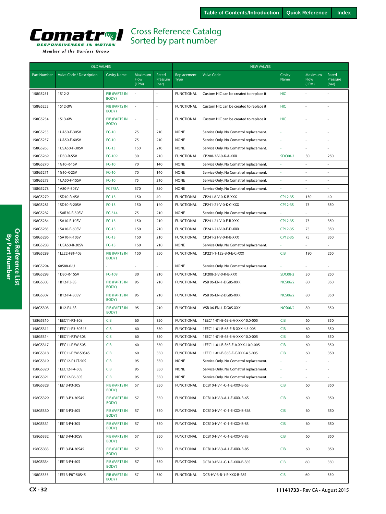<span id="page-31-0"></span>

|                    | <b>OLD VALVES</b>        |                               |                                 |                            |                            | <b>NEW VALVES</b>                       |                |                          |                            |
|--------------------|--------------------------|-------------------------------|---------------------------------|----------------------------|----------------------------|-----------------------------------------|----------------|--------------------------|----------------------------|
| <b>Part Number</b> | Valve Code / Description | <b>Cavity Name</b>            | Maximum<br><b>Flow</b><br>(LPM) | Rated<br>Pressure<br>(bar) | Replacement<br><b>Type</b> | <b>Valve Code</b>                       | Cavity<br>Name | Maximum<br>Flow<br>(LPM) | Rated<br>Pressure<br>(bar) |
| 158G5251           | 1512-2                   | <b>PIB (PARTS IN</b><br>BODY) |                                 |                            | <b>FUNCTIONAL</b>          | Custom HIC can be created to replace it | HIC            |                          |                            |
| 158G5252           | 1S12-3W                  | <b>PIB (PARTS IN</b><br>BODY) | ä,                              |                            | <b>FUNCTIONAL</b>          | Custom HIC can be created to replace it | HIC            | ÷,                       |                            |
| 158G5254           | 1S13-6W                  | <b>PIB (PARTS IN</b><br>BODY) | $\sim$                          |                            | <b>FUNCTIONAL</b>          | Custom HIC can be created to replace it | HIC            | ÷,                       |                            |
| 158G5255           | 1UA50-F-30SV             | $FC-10$                       | 75                              | 210                        | <b>NONE</b>                | Service Only. No Comatrol replacement.  | ä,             | ÷,                       | ÷,                         |
| 158G5257           | 1UA50-F-60SV             | $FC-10$                       | 75                              | 210                        | <b>NONE</b>                | Service Only. No Comatrol replacement.  |                | ÷.                       | ÷,                         |
| 158G5265           | 1USA50-F-30SV            | $FC-13$                       | 150                             | 210                        | <b>NONE</b>                | Service Only. No Comatrol replacement.  |                |                          |                            |
| 158G5269           | 1D30-R-5SV               | FC-109                        | 30                              | 210                        | <b>FUNCTIONAL</b>          | CP208-3-V-0-K-A-XXX                     | <b>SDC08-2</b> | 30                       | 250                        |
| 158G5270           | 1G10-R-1SV               | $FC-10$                       | 70                              | 140                        | <b>NONE</b>                | Service Only. No Comatrol replacement.  |                |                          | ÷,                         |
| 158G5271           | 1G10-R-2SV               | $FC-10$                       | 70                              | 140                        | <b>NONE</b>                | Service Only. No Comatrol replacement.  |                |                          |                            |
| 158G5273           | 1UA50-F-15SV             | $FC-10$                       | 75                              | 210                        | <b>NONE</b>                | Service Only. No Comatrol replacement.  |                |                          |                            |
| 158G5278           | 1A80-F-30SV              | <b>FC178A</b>                 | 570                             | 350                        | <b>NONE</b>                | Service Only. No Comatrol replacement.  |                |                          |                            |
| 158G5279           | 1SD10-R-4SV              | $FC-13$                       | 150                             | 40                         | <b>FUNCTIONAL</b>          | CP241-8-V-0-K-B-XXX                     | CP12-3S        | 150                      | 40                         |
| 158G5281           | 1SD10-R-20SV             | $FC-13$                       | 150                             | 140                        | <b>FUNCTIONAL</b>          | CP241-21-V-0-K-C-XXX                    | CP12-3S        | 75                       | 350                        |
| 158G5282           | 1SAR30-F-30SV            | FC-314                        | 75                              | 210                        | <b>NONE</b>                | Service Only. No Comatrol replacement.  |                |                          |                            |
| 158G5284           | 1SA10-F-10SV             | $FC-13$                       | 150                             | 210                        | <b>FUNCTIONAL</b>          | CP241-21-V-0-E-B-XXX                    | CP12-3S        | 75                       | 350                        |
| 158G5285           | 1SA10-F-60SV             | $FC-13$                       | 150                             | 210                        | <b>FUNCTIONAL</b>          | CP241-21-V-0-E-D-XXX                    | CP12-3S        | 75                       | 350                        |
| 158G5286           | 1SA10-R-10SV             | $FC-13$                       | 150                             | 210                        | <b>FUNCTIONAL</b>          | CP241-21-V-0-K-B-XXX                    | CP12-3S        | 75                       | 350                        |
| 158G5288           | 1USA50-R-30SV            | $FC-13$                       | 150                             | 210                        | <b>NONE</b>                | Service Only. No Comatrol replacement.  |                |                          |                            |
| 158G5289           | 1LL22-F8T-40S            | <b>PIB (PARTS IN</b><br>BODY) | 150                             | 350                        | <b>FUNCTIONAL</b>          | CP221-1-12S-B-0-E-C-XXX                 | <b>CIB</b>     | 190                      | 250                        |
| 158G5294           | 60588-0-U                |                               | ÷.                              | $\sim$                     | <b>NONE</b>                | Service Only. No Comatrol replacement.  |                | L.                       | L.                         |
| 158G5298           | 1D30-R-15SV              | FC-109                        | 30                              | 210                        | <b>FUNCTIONAL</b>          | CP208-3-V-0-K-B-XXX                     | <b>SDC08-2</b> | 30                       | 250                        |
| 158G5305           | 1B12-P3-8S               | <b>PIB (PARTS IN</b><br>BODY) | 95                              | 210                        | <b>FUNCTIONAL</b>          | VSB 06-EN-1-DG8S-XXX                    | <b>NCS06/2</b> | 80                       | 350                        |
| 158G5307           | 1B12-P4-30SV             | <b>PIB (PARTS IN</b><br>BODY) | 95                              | 210                        | <b>FUNCTIONAL</b>          | VSB 06-EN-2-DG8S-XXX                    | <b>NCS06/2</b> | 80                       | 350                        |
| 158G5308           | 1B12-P4-8S               | <b>PIB (PARTS IN</b><br>BODY) | 95                              | 210                        | <b>FUNCTIONAL</b>          | VSB 06-EN-1-DG8S-XXX                    | <b>NCS06/2</b> | 80                       | 350                        |
| 158G5310           | 1EEC11-P3-30S            | <b>CIB</b>                    | 60                              | 350                        | <b>FUNCTIONAL</b>          | 1EEC11-01-B-6S-E-A-XXX-10.0-005         | <b>CIB</b>     | 60                       | 350                        |
| 158G5311           | 1EEC11-P3-30S45          | <b>CIB</b>                    | 60                              | 350                        | <b>FUNCTIONAL</b>          | 1EEC11-01-B-6S-E-B-XXX-4.5-005          | <b>CIB</b>     | 60                       | 350                        |
| 158G5314           | 1EEC11-P3W-30S           | <b>CIB</b>                    | 60                              | 350                        | <b>FUNCTIONAL</b>          | 1EEC11-01-B-6S-E-A-XXX-10.0-005         | <b>CIB</b>     | 60                       | 350                        |
| 158G5317           | 1EEC11-P3W-50S           | <b>CIB</b>                    | 60                              | 350                        | <b>FUNCTIONAL</b>          | 1EEC11-01-B-S6S-E-A-XXX-10.0-005        | <b>CIB</b>     | 60                       | 350                        |
| 158G5318           | 1EEC11-P3W-50S45         | <b>CIB</b>                    | 60                              | 350                        | <b>FUNCTIONAL</b>          | 1EEC11-01-B-S6S-E-C-XXX-4.5-005         | <b>CIB</b>     | 60                       | 350                        |
| 158G5319           | 1EEC12-P12T-50S          | <b>CIB</b>                    | 95                              | 350                        | <b>NONE</b>                | Service Only. No Comatrol replacement.  |                |                          |                            |
| 158G5320           | 1EEC12-P4-50S            | <b>CIB</b>                    | 95                              | 350                        | <b>NONE</b>                | Service Only. No Comatrol replacement.  | ä,             | ÷,                       | ÷,                         |
| 158G5321           | 1EEC12-P6-30S            | <b>CIB</b>                    | 95                              | 350                        | <b>NONE</b>                | Service Only. No Comatrol replacement.  | ä,             | $\bar{z}$                | ä,                         |
| 158G5328           | 1EE13-P3-30S             | PIB (PARTS IN<br>BODY)        | 57                              | 350                        | <b>FUNCTIONAL</b>          | DCB10-HV-1-C-1-E-XXX-B-6S               | CIB            | 60                       | 350                        |
| 158G5329           | 1EE13-P3-30S45           | <b>PIB (PARTS IN</b><br>BODY) | 57                              | 350                        | <b>FUNCTIONAL</b>          | DCB10-HV-3-A-1-E-XXX-B-6S               | <b>CIB</b>     | 60                       | 350                        |
| 158G5330           | 1EE13-P3-50S             | <b>PIB (PARTS IN</b><br>BODY) | 57                              | 350                        | <b>FUNCTIONAL</b>          | DCB10-HV-1-C-1-E-XXX-B-S6S              | <b>CIB</b>     | 60                       | 350                        |
| 158G5331           | 1EE13-P4-30S             | <b>PIB (PARTS IN</b><br>BODY) | 57                              | 350                        | <b>FUNCTIONAL</b>          | DCB10-HV-1-C-1-E-XXX-B-8S               | <b>CIB</b>     | 60                       | 350                        |
| 158G5332           | 1EE13-P4-30SV            | <b>PIB (PARTS IN</b><br>BODY) | 57                              | 350                        | <b>FUNCTIONAL</b>          | DCB10-HV-1-C-1-E-XXX-V-8S               | <b>CIB</b>     | 60                       | 350                        |
| 158G5333           | 1EE13-P4-30S45           | <b>PIB (PARTS IN</b><br>BODY) | 57                              | 350                        | <b>FUNCTIONAL</b>          | DCB10-HV-3-A-1-E-XXX-B-8S               | <b>CIB</b>     | 60                       | 350                        |
| 158G5334           | 1EE13-P4-50S             | <b>PIB (PARTS IN</b><br>BODY) | 57                              | 350                        | <b>FUNCTIONAL</b>          | DCB10-HV-1-C-1-E-XXX-B-S8S              | CIB            | 60                       | 350                        |
| 158G5335           | 1EE13-P8T-50S45          | <b>PIB (PARTS IN</b><br>BODY) | 57                              | 350                        | <b>FUNCTIONAL</b>          | DCB-HV-3-B-1-E-XXX-B-S8S                | CIB            | 60                       | 350                        |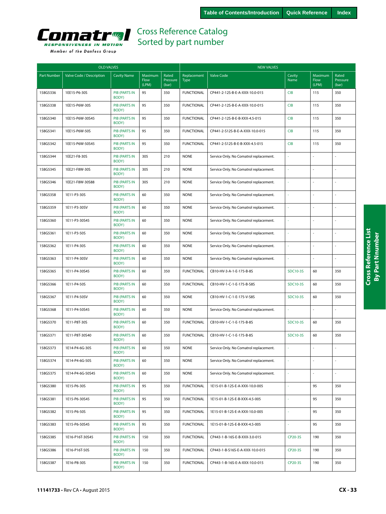<span id="page-32-0"></span>

|  | Member of the Danfoss Group |  |
|--|-----------------------------|--|
|  |                             |  |

| <b>OLD VALVES</b>  |                          |                               |                                 | <b>NEW VALVES</b>          |                            |                                        |                 |                          |                            |
|--------------------|--------------------------|-------------------------------|---------------------------------|----------------------------|----------------------------|----------------------------------------|-----------------|--------------------------|----------------------------|
| <b>Part Number</b> | Valve Code / Description | <b>Cavity Name</b>            | <b>Maximum</b><br>Flow<br>(LPM) | Rated<br>Pressure<br>(bar) | Replacement<br><b>Type</b> | <b>Valve Code</b>                      | Cavity<br>Name  | Maximum<br>Flow<br>(LPM) | Rated<br>Pressure<br>(bar) |
| 158G5336           | 1EE15-P6-30S             | <b>PIB (PARTS IN</b><br>BODY) | 95                              | 350                        | <b>FUNCTIONAL</b>          | CP441-2-12S-B-E-A-XXX-10.0-015         | <b>CIB</b>      | 115                      | 350                        |
| 158G5338           | 1EE15-P6W-30S            | <b>PIB (PARTS IN</b><br>BODY) | 95                              | 350                        | <b>FUNCTIONAL</b>          | CP441-2-12S-B-E-A-XXX-10.0-015         | <b>CIB</b>      | 115                      | 350                        |
| 158G5340           | 1EE15-P6W-30S45          | <b>PIB (PARTS IN</b><br>BODY) | 95                              | 350                        | <b>FUNCTIONAL</b>          | CP441-2-12S-B-E-B-XXX-4.5-015          | <b>CIB</b>      | 115                      | 350                        |
| 158G5341           | 1EE15-P6W-50S            | <b>PIB (PARTS IN</b><br>BODY) | 95                              | 350                        | <b>FUNCTIONAL</b>          | CP441-2-S12S-B-E-A-XXX-10.0-015        | <b>CIB</b>      | 115                      | 350                        |
| 158G5342           | 1EE15-P6W-50S45          | <b>PIB (PARTS IN</b><br>BODY) | 95                              | 350                        | <b>FUNCTIONAL</b>          | CP441-2-S12S-B-E-B-XXX-4.5-015         | <b>CIB</b>      | 115                      | 350                        |
| 158G5344           | 1EE21-F8-30S             | <b>PIB (PARTS IN</b><br>BODY) | 305                             | 210                        | <b>NONE</b>                | Service Only. No Comatrol replacement. | ä,              | $\sim$                   |                            |
| 158G5345           | 1EE21-F8W-30S            | <b>PIB (PARTS IN</b><br>BODY) | 305                             | 210                        | <b>NONE</b>                | Service Only. No Comatrol replacement. | i,              | $\overline{a}$           | ä,                         |
| 158G5346           | 1EE21-F8W-30S88          | <b>PIB (PARTS IN</b><br>BODY) | 305                             | 210                        | <b>NONE</b>                | Service Only. No Comatrol replacement. |                 |                          |                            |
| 158G5358           | 1E11-P3-30S              | <b>PIB (PARTS IN</b><br>BODY) | 60                              | 350                        | <b>NONE</b>                | Service Only. No Comatrol replacement. | ł,              | $\sim$                   | ÷,                         |
| 158G5359           | 1E11-P3-30SV             | <b>PIB (PARTS IN</b><br>BODY) | 60                              | 350                        | <b>NONE</b>                | Service Only. No Comatrol replacement. | ä,              |                          |                            |
| 158G5360           | 1E11-P3-30S45            | <b>PIB (PARTS IN</b><br>BODY) | 60                              | 350                        | <b>NONE</b>                | Service Only. No Comatrol replacement. |                 | $\sim$                   |                            |
| 158G5361           | 1E11-P3-50S              | <b>PIB (PARTS IN</b><br>BODY) | 60                              | 350                        | <b>NONE</b>                | Service Only. No Comatrol replacement. |                 |                          |                            |
| 158G5362           | 1E11-P4-30S              | <b>PIB (PARTS IN</b><br>BODY) | 60                              | 350                        | <b>NONE</b>                | Service Only. No Comatrol replacement. | i,              | $\sim$                   |                            |
| 158G5363           | 1E11-P4-30SV             | <b>PIB (PARTS IN</b><br>BODY) | 60                              | 350                        | <b>NONE</b>                | Service Only. No Comatrol replacement. | i,              | $\overline{a}$           | ÷,                         |
| 158G5365           | 1E11-P4-30S45            | <b>PIB (PARTS IN</b><br>BODY) | 60                              | 350                        | <b>FUNCTIONAL</b>          | CB10-HV-3-A-1-E-175-B-8S               | SDC10-3S        | 60                       | 350                        |
| 158G5366           | 1E11-P4-50S              | <b>PIB (PARTS IN</b><br>BODY) | 60                              | 350                        | <b>FUNCTIONAL</b>          | CB10-HV-1-C-1-E-175-B-S8S              | <b>SDC10-3S</b> | 60                       | 350                        |
| 158G5367           | 1E11-P4-50SV             | <b>PIB (PARTS IN</b><br>BODY) | 60                              | 350                        | <b>NONE</b>                | CB10-HV-1-C-1-E-175-V-S8S              | <b>SDC10-3S</b> | 60                       | 350                        |
| 158G5368           | 1E11-P4-50S45            | <b>PIB (PARTS IN</b><br>BODY) | 60                              | 350                        | <b>NONE</b>                | Service Only. No Comatrol replacement. | ä,              | L.                       | ä,                         |
| 158G5370           | 1E11-P8T-30S             | <b>PIB (PARTS IN</b><br>BODY) | 60                              | 350                        | <b>FUNCTIONAL</b>          | CB10-HV-1-C-1-E-175-B-8S               | <b>SDC10-3S</b> | 60                       | 350                        |
| 158G5371           | 1E11-P8T-30S40           | PIB (PARTS IN<br>BODY)        | 60                              | 350                        | <b>FUNCTIONAL</b>          | CB10-HV-1-C-1-E-175-B-8S               | SDC10-3S        | 60                       | 350                        |
| 158G5373           | 1E14-P4-6G-30S           | <b>PIB (PARTS IN</b><br>BODY) | 60                              | 350                        | <b>NONE</b>                | Service Only. No Comatrol replacement. | ä,              |                          |                            |
| 158G5374           | 1E14-P4-6G-50S           | PIB (PARTS IN<br>BODY)        | 60                              | 350                        | <b>NONE</b>                | Service Only. No Comatrol replacement. |                 |                          |                            |
| 158G5375           | 1E14-P4-6G-50S45         | PIB (PARTS IN<br>BODY)        | 60                              | 350                        | <b>NONE</b>                | Service Only. No Comatrol replacement. | ä,              | L.                       | ä,                         |
| 158G5380           | 1E15-P6-30S              | PIB (PARTS IN<br>BODY)        | 95                              | 350                        | <b>FUNCTIONAL</b>          | 1E15-01-B-12S-E-A-XXX-10.0-005         | ä,              | 95                       | 350                        |
| 158G5381           | 1E15-P6-30S45            | PIB (PARTS IN<br>BODY)        | 95                              | 350                        | <b>FUNCTIONAL</b>          | 1E15-01-B-12S-E-B-XXX-4.5-005          | ä,              | 95                       | 350                        |
| 158G5382           | 1E15-P6-50S              | PIB (PARTS IN<br>BODY)        | 95                              | 350                        | <b>FUNCTIONAL</b>          | 1E15-01-B-12S-E-A-XXX-10.0-005         |                 | 95                       | 350                        |
| 158G5383           | 1E15-P6-50S45            | <b>PIB (PARTS IN</b><br>BODY) | 95                              | 350                        | <b>FUNCTIONAL</b>          | 1E15-01-B-12S-E-B-XXX-4.5-005          | ä,              | 95                       | 350                        |
| 158G5385           | 1E16-P16T-30S45          | PIB (PARTS IN<br>BODY)        | 150                             | 350                        | <b>FUNCTIONAL</b>          | CP443-1-B-16S-E-B-XXX-3.0-015          | CP20-3S         | 190                      | 350                        |
| 158G5386           | 1E16-P16T-50S            | <b>PIB (PARTS IN</b><br>BODY) | 150                             | 350                        | <b>FUNCTIONAL</b>          | CP443-1-B-S16S-E-A-XXX-10.0-015        | CP20-3S         | 190                      | 350                        |
| 158G5387           | 1E16-P8-30S              | PIB (PARTS IN<br>BODY)        | 150                             | 350                        | <b>FUNCTIONAL</b>          | CP443-1-B-16S-E-A-XXX-10.0-015         | CP20-3S         | 190                      | 350                        |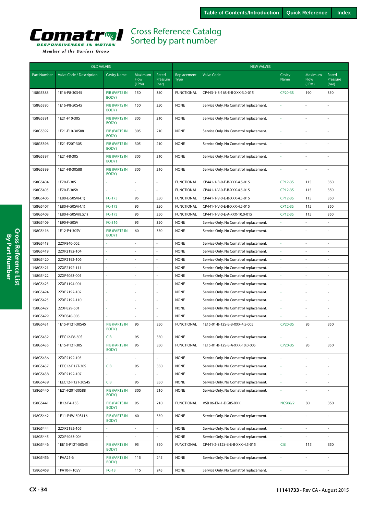<span id="page-33-0"></span>

| Member of the Danfoss Group |  |  |
|-----------------------------|--|--|

|                    | <b>OLD VALVES</b>        |                               |                                 |                            |                            | <b>NEW VALVES</b>                      |                     |                          |                            |  |  |
|--------------------|--------------------------|-------------------------------|---------------------------------|----------------------------|----------------------------|----------------------------------------|---------------------|--------------------------|----------------------------|--|--|
| <b>Part Number</b> | Valve Code / Description | <b>Cavity Name</b>            | Maximum<br><b>Flow</b><br>(LPM) | Rated<br>Pressure<br>(bar) | Replacement<br><b>Type</b> | <b>Valve Code</b>                      | Cavity<br>Name      | Maximum<br>Flow<br>(LPM) | Rated<br>Pressure<br>(bar) |  |  |
| 158G5388           | 1E16-P8-30S45            | <b>PIB (PARTS IN</b><br>BODY) | 150                             | 350                        | <b>FUNCTIONAL</b>          | CP443-1-B-16S-E-B-XXX-3.0-015          | CP20-3S             | 190                      | 350                        |  |  |
| 158G5390           | 1E16-P8-50S45            | <b>PIB (PARTS IN</b><br>BODY) | 150                             | 350                        | <b>NONE</b>                | Service Only. No Comatrol replacement. |                     |                          |                            |  |  |
| 158G5391           | 1E21-F10-30S             | <b>PIB (PARTS IN</b><br>BODY) | 305                             | 210                        | <b>NONE</b>                | Service Only. No Comatrol replacement. |                     |                          |                            |  |  |
| 158G5392           | 1E21-F10-30S88           | <b>PIB (PARTS IN</b><br>BODY) | 305                             | 210                        | <b>NONE</b>                | Service Only. No Comatrol replacement. |                     |                          |                            |  |  |
| 158G5396           | 1E21-F20T-30S            | <b>PIB (PARTS IN</b><br>BODY) | 305                             | 210                        | <b>NONE</b>                | Service Only. No Comatrol replacement. | à,                  |                          |                            |  |  |
| 158G5397           | 1E21-F8-30S              | <b>PIB (PARTS IN</b><br>BODY) | 305                             | 210                        | <b>NONE</b>                | Service Only. No Comatrol replacement. | à,                  | ÷.                       | $\sim$                     |  |  |
| 158G5399           | 1E21-F8-30S88            | <b>PIB (PARTS IN</b><br>BODY) | 305                             | 210                        | <b>NONE</b>                | Service Only. No Comatrol replacement. |                     |                          |                            |  |  |
| 158G5404           | 1E70-F-30S               |                               |                                 | ÷,                         | <b>FUNCTIONAL</b>          | CP441-1-B-0-E-B-XXX-4.5-015            | CP12-3S             | 115                      | 350                        |  |  |
| 158G5405           | 1E70-F-30SV              |                               |                                 |                            | <b>FUNCTIONAL</b>          | CP441-1-V-0-E-B-XXX-4.5-015            | CP12-3S             | 115                      | 350                        |  |  |
| 158G5406           | 1E80-E-50SV(4:1)         | FC-173                        | 95                              | 350                        | <b>FUNCTIONAL</b>          | CP441-1-V-0-E-B-XXX-4.5-015            | CP12-3S             | 115                      | 350                        |  |  |
| 158G5407           | 1E80-F-50SV(4:1)         | FC-173                        | 95                              | 350                        | <b>FUNCTIONAL</b>          | CP441-1-V-0-E-B-XXX-4.5-015            | CP12-3S             | 115                      | 350                        |  |  |
| 158G5408           | 1E80-F-50SV(8.5:1)       | FC-173                        | 95                              | 350                        | <b>FUNCTIONAL</b>          | CP441-1-V-0-E-A-XXX-10.0-015           | CP12-3S             | 115                      | 350                        |  |  |
| 158G5409           | 1E90-F-50SV              | FC-316                        | 95                              | 350                        | <b>NONE</b>                | Service Only. No Comatrol replacement. |                     | ÷                        | ÷,                         |  |  |
| 158G5416           | 1E12-P4-30SV             | <b>PIB (PARTS IN</b><br>BODY) | 60                              | 350                        | <b>NONE</b>                | Service Only. No Comatrol replacement. |                     |                          |                            |  |  |
| 158G5418           | 2ZXP840-002              | ×,                            | ÷,                              | ÷,                         | <b>NONE</b>                | Service Only. No Comatrol replacement. |                     | $\overline{a}$           |                            |  |  |
| 158G5419           | 2ZXP2192-104             | ÷.                            | ÷,                              | ÷.                         | <b>NONE</b>                | Service Only. No Comatrol replacement. |                     |                          |                            |  |  |
| 158G5420           | 2ZXP2192-106             |                               |                                 |                            | <b>NONE</b>                | Service Only. No Comatrol replacement. |                     |                          |                            |  |  |
| 158G5421           | 2ZXP2192-111             | ÷,                            | ÷,                              | ÷,                         | <b>NONE</b>                | Service Only. No Comatrol replacement. |                     |                          |                            |  |  |
| 158G5422           | 2ZXP4063-001             | ÷.                            | ÷,                              | $\overline{a}$             | <b>NONE</b>                | Service Only. No Comatrol replacement. | ÷,                  | ÷,                       | ÷                          |  |  |
| 158G5423           | 2ZXP1194-001             | $\sim$                        |                                 |                            | <b>NONE</b>                | Service Only. No Comatrol replacement. |                     |                          |                            |  |  |
| 158G5424           | 2ZXP2192-102             | ×,                            | ÷.                              | $\sim$                     | <b>NONE</b>                | Service Only. No Comatrol replacement. |                     |                          |                            |  |  |
| 158G5425           | 2ZXP2192-110             | ÷,                            |                                 | $\sim$                     | <b>NONE</b>                | Service Only. No Comatrol replacement. |                     |                          |                            |  |  |
| 158G5427           | 2ZXP829-601              |                               |                                 |                            | <b>NONE</b>                | Service Only. No Comatrol replacement. |                     |                          |                            |  |  |
| 158G5429           | 2ZXP840-003              |                               |                                 |                            | <b>NONE</b>                | Service Only. No Comatrol replacement. |                     |                          |                            |  |  |
| 158G5431           | 1E15-P12T-30S45          | <b>PIB (PARTS IN</b><br>BODY) | 95                              | 350                        | <b>FUNCTIONAL</b>          | 1E15-01-B-12S-E-B-XXX-4.5-005          | CP20-3S             | 95                       | 350                        |  |  |
| 158G5432           | 1EEC12-P6-50S            | <b>CIB</b>                    | 95                              | 350                        | <b>NONE</b>                | Service Only. No Comatrol replacement. |                     |                          |                            |  |  |
| 158G5435           | 1E15-P12T-30S            | <b>PIB (PARTS IN</b><br>BODY) | 95                              | 350                        | <b>FUNCTIONAL</b>          | 1E15-01-B-12S-E-A-XXX-10.0-005         | CP20-3S             | 95                       | 350                        |  |  |
| 158G5436           | 2ZXP2192-103             | ×,                            |                                 | ÷,                         | <b>NONE</b>                | Service Only. No Comatrol replacement. |                     |                          |                            |  |  |
| 158G5437           | 1EEC12-P12T-30S          | <b>CIB</b>                    | 95                              | 350                        | <b>NONE</b>                | Service Only. No Comatrol replacement. | ä,                  |                          | ÷.                         |  |  |
| 158G5438           | 2ZXP2192-107             |                               |                                 |                            | <b>NONE</b>                | Service Only. No Comatrol replacement. |                     |                          |                            |  |  |
| 158G5439           | 1EEC12-P12T-30S45        | <b>CIB</b>                    | 95                              | 350                        | <b>NONE</b>                | Service Only. No Comatrol replacement. | ×,                  |                          | $\sim$                     |  |  |
| 158G5440           | 1E21-F20T-30S88          | PIB (PARTS IN<br>BODY)        | 305                             | 210                        | <b>NONE</b>                | Service Only. No Comatrol replacement. |                     |                          | $\bar{a}$                  |  |  |
| 158G5441           | 1B12-P4-15S              | <b>PIB (PARTS IN</b><br>BODY) | 95                              | 210                        | <b>FUNCTIONAL</b>          | VSB 06-EN-1-DG8S-XXX                   | <b>NCS06/2</b>      | 80                       | 350                        |  |  |
| 158G5442           | 1E11-P4W-50S116          | <b>PIB (PARTS IN</b><br>BODY) | 60                              | 350                        | <b>NONE</b>                | Service Only. No Comatrol replacement. | $\bar{\phantom{a}}$ | ä,                       | $\overline{\phantom{a}}$   |  |  |
| 158G5444           | 2ZXP2192-105             | J.                            | ÷,                              | ä,                         | <b>NONE</b>                | Service Only. No Comatrol replacement. | ä,                  | ä,                       | $\omega$                   |  |  |
| 158G5445           | 2ZXP4063-004             | ä,                            | $\omega$                        | $\sim$                     | <b>NONE</b>                | Service Only. No Comatrol replacement. | ä,                  | $\mathbf{r}$             | $\omega$                   |  |  |
| 158G5446           | 1EE15-P12T-50S45         | <b>PIB (PARTS IN</b><br>BODY) | 95                              | 350                        | <b>FUNCTIONAL</b>          | CP441-2-S12S-B-E-B-XXX-4.5-015         | <b>CIB</b>          | 115                      | 350                        |  |  |
| 158G5456           | 1PAA21-6                 | <b>PIB (PARTS IN</b><br>BODY) | 115                             | 245                        | <b>NONE</b>                | Service Only. No Comatrol replacement. |                     |                          |                            |  |  |
| 158G5458           | 1PA10-F-10SV             | $FC-13$                       | 115                             | 245                        | <b>NONE</b>                | Service Only. No Comatrol replacement. | ÷.                  | ÷,                       | $\overline{\phantom{a}}$   |  |  |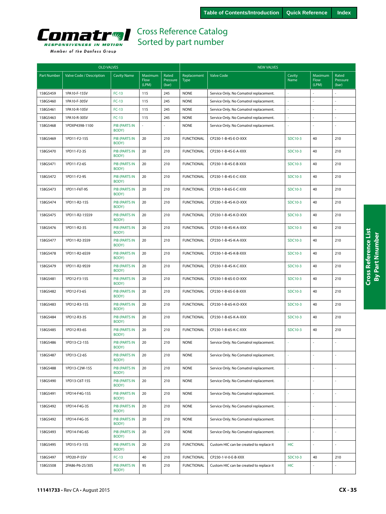<span id="page-34-0"></span>

|  | Member of the Danfoss Group |  |
|--|-----------------------------|--|
|  |                             |  |

| <b>OLD VALVES</b>  |                          |                               |                          |                            | <b>NEW VALVES</b>          |                                         |                |                          |                            |  |
|--------------------|--------------------------|-------------------------------|--------------------------|----------------------------|----------------------------|-----------------------------------------|----------------|--------------------------|----------------------------|--|
| <b>Part Number</b> | Valve Code / Description | <b>Cavity Name</b>            | Maximum<br>Flow<br>(LPM) | Rated<br>Pressure<br>(bar) | Replacement<br><b>Type</b> | Valve Code                              | Cavity<br>Name | Maximum<br>Flow<br>(LPM) | Rated<br>Pressure<br>(bar) |  |
| 158G5459           | 1PA10-F-15SV             | $FC-13$                       | 115                      | 245                        | <b>NONE</b>                | Service Only. No Comatrol replacement.  |                |                          |                            |  |
| 158G5460           | 1PA10-F-30SV             | $FC-13$                       | 115                      | 245                        | <b>NONE</b>                | Service Only. No Comatrol replacement.  |                |                          |                            |  |
| 158G5461           | 1PA10-R-10SV             | $FC-13$                       | 115                      | 245                        | <b>NONE</b>                | Service Only. No Comatrol replacement.  |                |                          |                            |  |
| 158G5463           | 1PA10-R-30SV             | $FC-13$                       | 115                      | 245                        | <b>NONE</b>                | Service Only. No Comatrol replacement.  |                |                          |                            |  |
| 158G5468           | 1PDXP4398-1100           | <b>PIB (PARTS IN</b><br>BODY) | $\omega$                 |                            | <b>NONE</b>                | Service Only. No Comatrol replacement.  | à,             |                          |                            |  |
| 158G5469           | 1PD11-F2-15S             | <b>PIB (PARTS IN</b><br>BODY) | 20                       | 210                        | <b>FUNCTIONAL</b>          | CP230-1-B-4S-E-D-XXX                    | SDC10-3        | 40                       | 210                        |  |
| 158G5470           | 1PD11-F2-3S              | <b>PIB (PARTS IN</b><br>BODY) | 20                       | 210                        | <b>FUNCTIONAL</b>          | CP230-1-B-4S-E-A-XXX                    | SDC10-3        | 40                       | 210                        |  |
| 158G5471           | 1PD11-F2-6S              | <b>PIB (PARTS IN</b><br>BODY) | 20                       | 210                        | <b>FUNCTIONAL</b>          | CP230-1-B-4S-E-B-XXX                    | SDC10-3        | 40                       | 210                        |  |
| 158G5472           | 1PD11-F2-9S              | <b>PIB (PARTS IN</b><br>BODY) | 20                       | 210                        | <b>FUNCTIONAL</b>          | CP230-1-B-4S-E-C-XXX                    | SDC10-3        | 40                       | 210                        |  |
| 158G5473           | 1PD11-F6T-9S             | <b>PIB (PARTS IN</b><br>BODY) | 20                       | 210                        | <b>FUNCTIONAL</b>          | CP230-1-B-6S-E-C-XXX                    | SDC10-3        | 40                       | 210                        |  |
| 158G5474           | 1PD11-R2-15S             | PIB (PARTS IN<br>BODY)        | 20                       | 210                        | <b>FUNCTIONAL</b>          | CP230-1-B-4S-K-D-XXX                    | SDC10-3        | 40                       | 210                        |  |
| 158G5475           | 1PD11-R2-15S59           | <b>PIB (PARTS IN</b><br>BODY) | 20                       | 210                        | <b>FUNCTIONAL</b>          | CP230-1-B-4S-K-D-XXX                    | SDC10-3        | 40                       | 210                        |  |
| 158G5476           | 1PD11-R2-3S              | <b>PIB (PARTS IN</b><br>BODY) | 20                       | 210                        | <b>FUNCTIONAL</b>          | CP230-1-B-4S-K-A-XXX                    | SDC10-3        | 40                       | 210                        |  |
| 158G5477           | 1PD11-R2-3S59            | <b>PIB (PARTS IN</b><br>BODY) | 20                       | 210                        | <b>FUNCTIONAL</b>          | CP230-1-B-4S-K-A-XXX                    | SDC10-3        | 40                       | 210                        |  |
| 158G5478           | 1PD11-R2-6S59            | <b>PIB (PARTS IN</b><br>BODY) | 20                       | 210                        | <b>FUNCTIONAL</b>          | CP230-1-B-4S-K-B-XXX                    | SDC10-3        | 40                       | 210                        |  |
| 158G5479           | 1PD11-R2-9S59            | <b>PIB (PARTS IN</b><br>BODY) | 20                       | 210                        | <b>FUNCTIONAL</b>          | CP230-1-B-4S-K-C-XXX                    | SDC10-3        | 40                       | 210                        |  |
| 158G5481           | 1PD12-F3-15S             | PIB (PARTS IN<br>BODY)        | 20                       | 210                        | <b>FUNCTIONAL</b>          | CP230-1-B-6S-E-D-XXX                    | SDC10-3        | 40                       | 210                        |  |
| 158G5482           | 1PD12-F3-6S              | <b>PIB (PARTS IN</b><br>BODY) | 20                       | 210                        | <b>FUNCTIONAL</b>          | CP230-1-B-6S-E-B-XXX                    | SDC10-3        | 40                       | 210                        |  |
| 158G5483           | 1PD12-R3-15S             | <b>PIB (PARTS IN</b><br>BODY) | 20                       | 210                        | <b>FUNCTIONAL</b>          | CP230-1-B-6S-K-D-XXX                    | SDC10-3        | 40                       | 210                        |  |
| 158G5484           | 1PD12-R3-3S              | <b>PIB (PARTS IN</b><br>BODY) | 20                       | 210                        | <b>FUNCTIONAL</b>          | CP230-1-B-6S-K-A-XXX                    | SDC10-3        | 40                       | 210                        |  |
| 158G5485           | 1PD12-R3-6S              | <b>PIB (PARTS IN</b><br>BODY) | 20                       | 210                        | <b>FUNCTIONAL</b>          | CP230-1-B-6S-K-C-XXX                    | SDC10-3        | 40                       | 210                        |  |
| 158G5486           | 1PD13-C2-15S             | <b>PIB (PARTS IN</b><br>BODY) | 20                       | 210                        | <b>NONE</b>                | Service Only. No Comatrol replacement.  |                |                          |                            |  |
| 158G5487           | 1PD13-C2-6S              | PIB (PARTS IN<br>BODY)        | 20                       | 210                        | <b>NONE</b>                | Service Only. No Comatrol replacement.  |                |                          |                            |  |
| 158G5488           | 1PD13-C2W-15S            | <b>PIB (PARTS IN</b><br>BODY) | 20                       | 210                        | <b>NONE</b>                | Service Only. No Comatrol replacement.  | ä,             | $\sim$                   |                            |  |
| 158G5490           | 1PD13-C6T-15S            | <b>PIB (PARTS IN</b><br>BODY) | 20                       | 210                        | <b>NONE</b>                | Service Only. No Comatrol replacement.  |                |                          |                            |  |
| 158G5491           | 1PD14-F4G-15S            | PIB (PARTS IN<br>BODY)        | 20                       | 210                        | <b>NONE</b>                | Service Only. No Comatrol replacement.  | ä,             | $\sim$                   | L.                         |  |
| 158G5492           | 1PD14-F4G-3S             | PIB (PARTS IN<br>BODY)        | 20                       | 210                        | <b>NONE</b>                | Service Only. No Comatrol replacement.  | ä,             |                          |                            |  |
| 158G5492           | 1PD14-F4G-3S             | <b>PIB (PARTS IN</b><br>BODY) | 20                       | 210                        | <b>NONE</b>                | Service Only. No Comatrol replacement.  | ÷.             |                          |                            |  |
| 158G5493           | 1PD14-F4G-6S             | PIB (PARTS IN<br>BODY)        | 20                       | 210                        | <b>NONE</b>                | Service Only. No Comatrol replacement.  | ä,             |                          | ä,                         |  |
| 158G5495           | 1PD15-F3-15S             | PIB (PARTS IN<br>BODY)        | 20                       | 210                        | <b>FUNCTIONAL</b>          | Custom HIC can be created to replace it | <b>HIC</b>     | ä,                       | ä,                         |  |
| 158G5497           | 1PD20-P-5SV              | $FC-13$                       | 40                       | 210                        | <b>FUNCTIONAL</b>          | CP230-1-V-0-E-B-XXX                     | SDC10-3        | 40                       | 210                        |  |
| 158G5508           | 2FA86-P6-25/30S          | PIB (PARTS IN<br>BODY)        | 95                       | 210                        | <b>FUNCTIONAL</b>          | Custom HIC can be created to replace it | <b>HIC</b>     |                          |                            |  |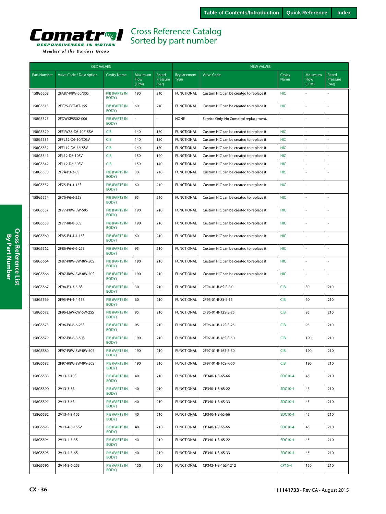<span id="page-35-0"></span>

| Member of the Danfoss Group |  |  |  |
|-----------------------------|--|--|--|
|-----------------------------|--|--|--|

| <b>OLD VALVES</b>  |                          |                               |                                 |                            | <b>NEW VALVES</b>          |                                         |                |                          |                            |  |
|--------------------|--------------------------|-------------------------------|---------------------------------|----------------------------|----------------------------|-----------------------------------------|----------------|--------------------------|----------------------------|--|
| <b>Part Number</b> | Valve Code / Description | <b>Cavity Name</b>            | Maximum<br><b>Flow</b><br>(LPM) | Rated<br>Pressure<br>(bar) | Replacement<br><b>Type</b> | Valve Code                              | Cavity<br>Name | Maximum<br>Flow<br>(LPM) | Rated<br>Pressure<br>(bar) |  |
| 158G5509           | 2FA87-P8W-50/30S         | <b>PIB (PARTS IN</b><br>BODY) | 190                             | 210                        | <b>FUNCTIONAL</b>          | Custom HIC can be created to replace it | HIC            |                          |                            |  |
| 158G5513           | 2FC75-P8T-8T-15S         | <b>PIB (PARTS IN</b><br>BODY) | 60                              | 210                        | <b>FUNCTIONAL</b>          | Custom HIC can be created to replace it | <b>HIC</b>     |                          |                            |  |
| 158G5523           | 2FDWXP5502-006           | <b>PIB (PARTS IN</b><br>BODY) |                                 |                            | <b>NONE</b>                | Service Only. No Comatrol replacement.  |                |                          |                            |  |
| 158G5529           | 2FFLW86-D6-10/15SV       | <b>CIB</b>                    | 140                             | 150                        | <b>FUNCTIONAL</b>          | Custom HIC can be created to replace it | <b>HIC</b>     | $\overline{\phantom{a}}$ | $\overline{a}$             |  |
| 158G5531           | 2FFL12-D6-10/30SV        | <b>CIB</b>                    | 140                             | 150                        | <b>FUNCTIONAL</b>          | Custom HIC can be created to replace it | HIC            |                          |                            |  |
| 158G5532           | 2FFL12-D6-5/15SV         | <b>CIB</b>                    | 140                             | 150                        | <b>FUNCTIONAL</b>          | Custom HIC can be created to replace it | HIC            | $\sim$                   | $\overline{a}$             |  |
| 158G5541           | 2FL12-D6-10SV            | <b>CIB</b>                    | 150                             | 140                        | <b>FUNCTIONAL</b>          | Custom HIC can be created to replace it | HIC            | ÷,                       | $\overline{a}$             |  |
| 158G5542           | 2FL12-D6-30SV            | <b>CIB</b>                    | 150                             | 140                        | <b>FUNCTIONAL</b>          | Custom HIC can be created to replace it | HIC            | $\bar{z}$                | ÷                          |  |
| 158G5550           | 2F74-P3-3-8S             | PIB (PARTS IN<br>BODY)        | 30                              | 210                        | <b>FUNCTIONAL</b>          | Custom HIC can be created to replace it | HIC            |                          |                            |  |
| 158G5552           | 2F75-P4-4-15S            | PIB (PARTS IN<br>BODY)        | 60                              | 210                        | <b>FUNCTIONAL</b>          | Custom HIC can be created to replace it | <b>HIC</b>     |                          | $\overline{a}$             |  |
| 158G5554           | 2F76-P6-6-25S            | PIB (PARTS IN<br>BODY)        | 95                              | 210                        | <b>FUNCTIONAL</b>          | Custom HIC can be created to replace it | <b>HIC</b>     | $\overline{\phantom{a}}$ | $\overline{a}$             |  |
| 158G5557           | 2F77-P8W-8W-50S          | <b>PIB (PARTS IN</b><br>BODY) | 190                             | 210                        | <b>FUNCTIONAL</b>          | Custom HIC can be created to replace it | HIC            | ÷,                       | $\overline{a}$             |  |
| 158G5558           | 2F77-R8-8-50S            | <b>PIB (PARTS IN</b><br>BODY) | 190                             | 210                        | <b>FUNCTIONAL</b>          | Custom HIC can be created to replace it | <b>HIC</b>     |                          |                            |  |
| 158G5560           | 2F85-P4-4-4-15S          | PIB (PARTS IN<br>BODY)        | 60                              | 210                        | <b>FUNCTIONAL</b>          | Custom HIC can be created to replace it | <b>HIC</b>     | ÷,                       |                            |  |
| 158G5562           | 2F86-P6-6-6-25S          | PIB (PARTS IN<br>BODY)        | 95                              | 210                        | <b>FUNCTIONAL</b>          | Custom HIC can be created to replace it | HIC            | ÷,                       |                            |  |
| 158G5564           | 2F87-P8W-8W-8W-50S       | PIB (PARTS IN<br>BODY)        | 190                             | 210                        | <b>FUNCTIONAL</b>          | Custom HIC can be created to replace it | HIC            | ÷,                       |                            |  |
| 158G5566           | 2F87-R8W-8W-8W-50S       | PIB (PARTS IN<br>BODY)        | 190                             | 210                        | <b>FUNCTIONAL</b>          | Custom HIC can be created to replace it | <b>HIC</b>     |                          |                            |  |
| 158G5567           | 2F94-P3-3-3-8S           | PIB (PARTS IN<br>BODY)        | 30                              | 210                        | <b>FUNCTIONAL</b>          | 2F94-01-B-6S-E-8.0                      | <b>CIB</b>     | 30                       | 210                        |  |
| 158G5569           | 2F95-P4-4-4-15S          | <b>PIB (PARTS IN</b><br>BODY) | 60                              | 210                        | <b>FUNCTIONAL</b>          | 2F95-01-B-8S-E-15                       | <b>CIB</b>     | 60                       | 210                        |  |
| 158G5572           | 2F96-L6W-6W-6W-25S       | <b>PIB (PARTS IN</b><br>BODY) | 95                              | 210                        | <b>FUNCTIONAL</b>          | 2F96-01-B-12S-E-25                      | <b>CIB</b>     | 95                       | 210                        |  |
| 158G5573           | 2F96-P6-6-6-25S          | PIB (PARTS IN<br>BODY)        | 95                              | 210                        | <b>FUNCTIONAL</b>          | 2F96-01-B-12S-E-25                      | <b>CIB</b>     | 95                       | 210                        |  |
| 158G5579           | 2F97-P8-8-8-50S          | <b>PIB (PARTS IN</b><br>BODY) | 190                             | 210                        | <b>FUNCTIONAL</b>          | 2F97-01-B-16S-E-50                      | <b>CIB</b>     | 190                      | 210                        |  |
| 158G5580           | 2F97-P8W-8W-8W-50S       | PIB (PARTS IN<br>BODY)        | 190                             | 210                        | <b>FUNCTIONAL</b>          | 2F97-01-B-16S-E-50                      | <b>CIB</b>     | 190                      | 210                        |  |
| 158G5582           | 2F97-R8W-8W-8W-50S       | PIB (PARTS IN<br>BODY)        | 190                             | 210                        | <b>FUNCTIONAL</b>          | 2F97-01-B-16S-K-50                      | <b>CIB</b>     | 190                      | 210                        |  |
| 158G5588           | 2V13-3-10S               | PIB (PARTS IN<br>BODY)        | 40                              | 210                        | <b>FUNCTIONAL</b>          | CP340-1-B-6S-66                         | SDC10-4        | 45                       | 210                        |  |
| 158G5590           | 2V13-3-3S                | PIB (PARTS IN<br>BODY)        | 40                              | 210                        | <b>FUNCTIONAL</b>          | CP340-1-B-6S-22                         | SDC10-4        | 45                       | 210                        |  |
| 158G5591           | 2V13-3-6S                | <b>PIB (PARTS IN</b><br>BODY) | 40                              | 210                        | <b>FUNCTIONAL</b>          | CP340-1-B-6S-33                         | SDC10-4        | 45                       | 210                        |  |
| 158G5592           | 2V13-4-3-10S             | PIB (PARTS IN<br>BODY)        | 40                              | 210                        | <b>FUNCTIONAL</b>          | CP340-1-B-6S-66                         | SDC10-4        | 45                       | 210                        |  |
| 158G5593           | 2V13-4-3-15SV            | PIB (PARTS IN<br>BODY)        | 40                              | 210                        | <b>FUNCTIONAL</b>          | CP340-1-V-6S-66                         | SDC10-4        | 45                       | 210                        |  |
| 158G5594           | 2V13-4-3-3S              | PIB (PARTS IN<br>BODY)        | 40                              | 210                        | <b>FUNCTIONAL</b>          | CP340-1-B-6S-22                         | SDC10-4        | 45                       | 210                        |  |
| 158G5595           | 2V13-4-3-6S              | PIB (PARTS IN<br>BODY)        | 40                              | 210                        | <b>FUNCTIONAL</b>          | CP340-1-B-6S-33                         | SDC10-4        | 45                       | 210                        |  |
| 158G5596           | 2V14-8-6-25S             | PIB (PARTS IN<br>BODY)        | 150                             | 210                        | <b>FUNCTIONAL</b>          | CP342-1-B-16S-1212                      | CP16-4         | 150                      | 210                        |  |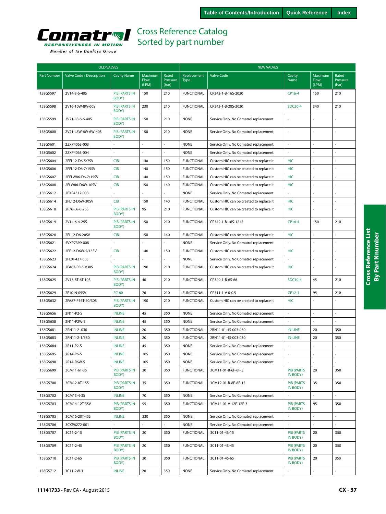

|                    | <b>OLD VALVES</b>        |                               |                          |                            | <b>NEW VALVES</b>          |                                         |                               |                          |                            |  |
|--------------------|--------------------------|-------------------------------|--------------------------|----------------------------|----------------------------|-----------------------------------------|-------------------------------|--------------------------|----------------------------|--|
| <b>Part Number</b> | Valve Code / Description | <b>Cavity Name</b>            | Maximum<br>Flow<br>(LPM) | Rated<br>Pressure<br>(bar) | Replacement<br><b>Type</b> | <b>Valve Code</b>                       | Cavity<br>Name                | Maximum<br>Flow<br>(LPM) | Rated<br>Pressure<br>(bar) |  |
| 158G5597           | 2V14-8-6-40S             | <b>PIB (PARTS IN</b><br>BODY) | 150                      | 210                        | <b>FUNCTIONAL</b>          | CP342-1-B-16S-2020                      | CP16-4                        | 150                      | 210                        |  |
| 158G5598           | 2V16-10W-8W-60S          | <b>PIB (PARTS IN</b><br>BODY) | 230                      | 210                        | <b>FUNCTIONAL</b>          | CP343-1-B-20S-3030                      | <b>SDC20-4</b>                | 340                      | 210                        |  |
| 158G5599           | 2V21-L8-6-6-40S          | <b>PIB (PARTS IN</b><br>BODY) | 150                      | 210                        | <b>NONE</b>                | Service Only. No Comatrol replacement.  |                               |                          | ÷.                         |  |
| 158G5600           | 2V21-L8W-6W-6W-40S       | <b>PIB (PARTS IN</b><br>BODY) | 150                      | 210                        | <b>NONE</b>                | Service Only. No Comatrol replacement.  |                               |                          |                            |  |
| 158G5601           | 2ZXP4063-003             |                               |                          |                            | <b>NONE</b>                | Service Only. No Comatrol replacement.  |                               |                          |                            |  |
| 158G5602           | 2ZXP4063-004             |                               |                          |                            | <b>NONE</b>                | Service Only. No Comatrol replacement.  |                               |                          |                            |  |
| 158G5604           | 2FFL12-D6-5/7SV          | <b>CIB</b>                    | 140                      | 150                        | <b>FUNCTIONAL</b>          | Custom HIC can be created to replace it | <b>HIC</b>                    |                          |                            |  |
| 158G5606           | 2FFL12-D6-7/15SV         | <b>CIB</b>                    | 140                      | 150                        | <b>FUNCTIONAL</b>          | Custom HIC can be created to replace it | <b>HIC</b>                    |                          | ÷,                         |  |
| 158G5607           | 2FFLW86-D6-7/15SV        | <b>CIB</b>                    | 140                      | 150                        | <b>FUNCTIONAL</b>          | Custom HIC can be created to replace it | <b>HIC</b>                    |                          | $\overline{a}$             |  |
| 158G5608           | 2FLW86-D6W-10SV          | <b>CIB</b>                    | 150                      | 140                        | <b>FUNCTIONAL</b>          | Custom HIC can be created to replace it | <b>HIC</b>                    |                          |                            |  |
| 158G5612           | 2FXP4312-003             |                               | ä,                       |                            | <b>NONE</b>                | Service Only. No Comatrol replacement.  |                               |                          |                            |  |
| 158G5614           | 2FL12-D6W-30SV           | <b>CIB</b>                    | 150                      | 140                        | <b>FUNCTIONAL</b>          | Custom HIC can be created to replace it | <b>HIC</b>                    |                          | $\sim$                     |  |
| 158G5618           | 2F76-L6-6-25S            | <b>PIB (PARTS IN</b><br>BODY) | 95                       | 210                        | <b>FUNCTIONAL</b>          | Custom HIC can be created to replace it | <b>HIC</b>                    |                          |                            |  |
| 158G5619           | 2V14-6-4-25S             | <b>PIB (PARTS IN</b><br>BODY) | 150                      | 210                        | <b>FUNCTIONAL</b>          | CP342-1-B-16S-1212                      | CP16-4                        | 150                      | 210                        |  |
| 158G5620           | 2FL12-D6-20SV            | <b>CIB</b>                    | 150                      | 140                        | <b>FUNCTIONAL</b>          | Custom HIC can be created to replace it | <b>HIC</b>                    |                          | ÷,                         |  |
| 158G5621           | 4VXP7399-008             |                               |                          |                            | <b>NONE</b>                | Service Only. No Comatrol replacement.  |                               |                          | $\sim$                     |  |
| 158G5622           | 2FF12-D6W-5/15SV         | <b>CIB</b>                    | 140                      | 150                        | <b>FUNCTIONAL</b>          | Custom HIC can be created to replace it | <b>HIC</b>                    |                          | $\sim$                     |  |
| 158G5623           | 2FLXP437-005             |                               |                          |                            | <b>NONE</b>                | Service Only. No Comatrol replacement.  |                               |                          |                            |  |
| 158G5624           | 2FA87-P8-50/30S          | PIB (PARTS IN<br>BODY)        | 190                      | 210                        | <b>FUNCTIONAL</b>          | Custom HIC can be created to replace it | <b>HIC</b>                    |                          | $\sim$                     |  |
| 158G5625           | 2V13-8T-6T-10S           | <b>PIB (PARTS IN</b><br>BODY) | 40                       | 210                        | <b>FUNCTIONAL</b>          | CP340-1-B-6S-66                         | SDC10-4                       | 45                       | 210                        |  |
| 158G5629           | 2F10-N-05SV              | $FC-60$                       | 76                       | 210                        | <b>FUNCTIONAL</b>          | CP311-1-V-0-0.5                         | CP12-3                        | 95                       | 210                        |  |
| 158G5632           | 2FA87-P16T-50/30S        | <b>PIB (PARTS IN</b><br>BODY) | 190                      | 210                        | <b>FUNCTIONAL</b>          | Custom HIC can be created to replace it | <b>HIC</b>                    |                          |                            |  |
| 158G5656           | 2N11-P2-S                | <b>INLINE</b>                 | 45                       | 350                        | <b>NONE</b>                | Service Only. No Comatrol replacement.  |                               |                          | $\sim$                     |  |
| 158G5658           | 2N11-P2W-S               | <b>INLINE</b>                 | 45                       | 350                        | <b>NONE</b>                | Service Only. No Comatrol replacement.  |                               |                          | $\mathcal{L}$              |  |
| 158G5681           | 2RN11-2-.030             | <b>INLINE</b>                 | 20                       | 350                        | <b>FUNCTIONAL</b>          | 2RN11-01-4S-003-030                     | <b>IN-LINE</b>                | 20                       | 350                        |  |
| 158G5683           | 2RN11-2-1/550            | <b>INLINE</b>                 | 20                       | 350                        | <b>FUNCTIONAL</b>          | 2RN11-01-4S-003-030                     | <b>IN-LINE</b>                | 20                       | 350                        |  |
| 158G5684           | 2R11-P2-S                | <b>INLINE</b>                 | 45                       | 350                        | <b>NONE</b>                | Service Only. No Comatrol replacement.  |                               |                          |                            |  |
| 158G5695           | 2R14-P6-S                | <b>INLINE</b>                 | 105                      | 350                        | <b>NONE</b>                | Service Only. No Comatrol replacement.  |                               |                          |                            |  |
| 158G5698           | 2R14-R6W-S               | <b>INLINE</b>                 | 105                      | 350                        | <b>NONE</b>                | Service Only. No Comatrol replacement.  |                               |                          | $\overline{a}$             |  |
| 158G5699           | 3CM11-6T-3S              | <b>PIB (PARTS IN</b><br>BODY) | 20                       | 350                        | <b>FUNCTIONAL</b>          | 3CM11-01-B-6F-6F-3                      | <b>PIB (PARTS</b><br>IN BODY) | 20                       | 350                        |  |
| 158G5700           | 3CM12-8T-15S             | PIB (PARTS IN<br>BODY)        | 35                       | 350                        | <b>FUNCTIONAL</b>          | 3CM12-01-B-8F-8F-15                     | <b>PIB (PARTS</b><br>IN BODY) | 35                       | 350                        |  |
| 158G5702           | 3CM13-4-3S               | <b>INLINE</b>                 | 70                       | 350                        | <b>NONE</b>                | Service Only. No Comatrol replacement.  |                               |                          | $\overline{\phantom{a}}$   |  |
| 158G5703           | 3CM14-12T-3SV            | <b>PIB (PARTS IN</b><br>BODY) | 95                       | 350                        | <b>FUNCTIONAL</b>          | 3CM14-01-V-12F-12F-3                    | <b>PIB (PARTS</b><br>IN BODY) | 95                       | 350                        |  |
| 158G5705           | 3CM16-20T-45S            | <b>INLINE</b>                 | 230                      | 350                        | <b>NONE</b>                | Service Only. No Comatrol replacement.  |                               | L.                       | $\Box$                     |  |
| 158G5706           | 3CXP6272-001             |                               |                          |                            | <b>NONE</b>                | Service Only. No Comatrol replacement.  |                               |                          | $\sim$                     |  |
| 158G5707           | 3C11-2-15                | PIB (PARTS IN<br>BODY)        | 20                       | 350                        | <b>FUNCTIONAL</b>          | 3C11-01-4S-15                           | <b>PIB (PARTS</b><br>IN BODY) | 20                       | 350                        |  |
| 158G5709           | 3C11-2-45                | PIB (PARTS IN<br>BODY)        | 20                       | 350                        | <b>FUNCTIONAL</b>          | 3C11-01-4S-45                           | <b>PIB (PARTS</b><br>IN BODY) | 20                       | 350                        |  |
| 158G5710           | 3C11-2-65                | PIB (PARTS IN<br>BODY)        | 20                       | 350                        | <b>FUNCTIONAL</b>          | 3C11-01-4S-65                           | <b>PIB (PARTS</b><br>IN BODY) | 20                       | 350                        |  |
| 158G5712           | 3C11-2W-3                | <b>INLINE</b>                 | 20                       | 350                        | <b>NONE</b>                | Service Only. No Comatrol replacement.  |                               | ä,                       | $\overline{\phantom{a}}$   |  |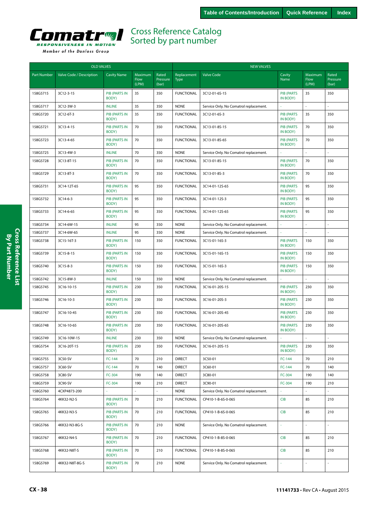<span id="page-37-0"></span>

| Member of the Danfoss Group |  |  |
|-----------------------------|--|--|
|                             |  |  |

| Rated<br>Replacement<br>Cavity<br>Maximum<br>Rated<br><b>Part Number</b><br>Valve Code / Description<br><b>Cavity Name</b><br>Maximum<br><b>Valve Code</b><br>Flow<br>Pressure<br>Name<br>Flow<br>Pressure<br><b>Type</b><br>(LPM)<br>(LPM)<br>(bar)<br>(bar)<br>158G5715<br><b>PIB (PARTS IN</b><br>35<br><b>FUNCTIONAL</b><br><b>PIB (PARTS</b><br>35<br>350<br>3C12-3-15<br>350<br>3C12-01-6S-15<br>IN BODY)<br>BODY)<br><b>INLINE</b><br>35<br>350<br><b>NONE</b><br>158G5717<br>3C12-3W-3<br>Service Only. No Comatrol replacement.<br><b>PIB (PARTS IN</b><br>35<br><b>FUNCTIONAL</b><br><b>PIB (PARTS</b><br>35<br>158G5720<br>3C12-6T-3<br>350<br>3C12-01-6S-3<br>350<br>BODY)<br>IN BODY)<br>70<br>70<br>158G5721<br>3C13-4-15<br><b>PIB (PARTS IN</b><br>350<br><b>FUNCTIONAL</b><br>3C13-01-8S-15<br><b>PIB (PARTS</b><br>350<br>IN BODY)<br>BODY)<br>158G5723<br><b>PIB (PARTS IN</b><br><b>PIB (PARTS</b><br>70<br>350<br>3C13-4-65<br>70<br>350<br><b>FUNCTIONAL</b><br>3C13-01-8S-65<br>BODY)<br>IN BODY)<br>70<br><b>NONE</b><br>158G5725<br>3C13-4W-3<br><b>INLINE</b><br>350<br>Service Only. No Comatrol replacement.<br>$\sim$<br><b>PIB (PARTS IN</b><br>70<br><b>FUNCTIONAL</b><br><b>PIB (PARTS</b><br>70<br>158G5728<br>350<br>3C13-01-8S-15<br>350<br>3C13-8T-15<br>IN BODY)<br>BODY)<br>70<br>70<br>158G5729<br>3C13-8T-3<br><b>PIB (PARTS IN</b><br>350<br><b>FUNCTIONAL</b><br>3C13-01-8S-3<br><b>PIB (PARTS</b><br>350<br>BODY)<br>IN BODY)<br><b>PIB (PARTS</b><br>95<br>158G5731<br>3C14-12T-65<br><b>PIB (PARTS IN</b><br>95<br>350<br><b>FUNCTIONAL</b><br>3C14-01-12S-65<br>350<br>BODY)<br>IN BODY)<br>158G5732<br>3C14-6-3<br><b>PIB (PARTS IN</b><br>95<br>350<br><b>FUNCTIONAL</b><br>3C14-01-12S-3<br><b>PIB (PARTS</b><br>95<br>350<br>BODY)<br>IN BODY)<br><b>PIB (PARTS IN</b><br>95<br><b>FUNCTIONAL</b><br>3C14-01-12S-65<br>95<br>350<br>158G5733<br>3C14-6-65<br>350<br><b>PIB (PARTS</b><br>BODY)<br>IN BODY)<br>95<br>350<br><b>NONE</b><br>158G5734<br>3C14-6W-15<br><b>INLINE</b><br>Service Only. No Comatrol replacement.<br>158G5737<br><b>INLINE</b><br>95<br>350<br><b>NONE</b><br>3C14-6W-65<br>Service Only. No Comatrol replacement.<br>158G5738<br>3C15-16T-3<br><b>PIB (PARTS IN</b><br>150<br>350<br><b>FUNCTIONAL</b><br>3C15-01-16S-3<br><b>PIB (PARTS</b><br>150<br>350<br>BODY)<br>IN BODY)<br>PIB (PARTS IN<br><b>FUNCTIONAL</b><br>150<br>158G5739<br>3C15-8-15<br>150<br>350<br>3C15-01-16S-15<br><b>PIB (PARTS</b><br>350<br>BODY)<br>IN BODY)<br><b>PIB (PARTS IN</b><br><b>FUNCTIONAL</b><br>3C15-01-16S-3<br><b>PIB (PARTS</b><br>350<br>158G5740<br>3C15-8-3<br>150<br>350<br>150<br>BODY)<br>IN BODY)<br>350<br><b>NONE</b><br>158G5742<br>3C15-8W-3<br><b>INLINE</b><br>150<br>Service Only. No Comatrol replacement.<br><b>PIB (PARTS IN</b><br><b>PIB (PARTS</b><br>350<br>158G5745<br>3C16-10-15<br>230<br>350<br><b>FUNCTIONAL</b><br>3C16-01-20S-15<br>230<br>BODY)<br>IN BODY)<br><b>FUNCTIONAL</b><br>158G5746<br>3C16-10-3<br><b>PIB (PARTS IN</b><br>230<br>350<br>3C16-01-20S-3<br><b>PIB (PARTS</b><br>230<br>350<br>BODY)<br>IN BODY)<br>230<br>158G5747<br>3C16-10-45<br><b>PIB (PARTS IN</b><br>230<br>350<br><b>FUNCTIONAL</b><br>3C16-01-20S-45<br><b>PIB (PARTS</b><br>350<br>BODY)<br>IN BODY)<br><b>PIB (PARTS IN</b><br>350<br><b>FUNCTIONAL</b><br>3C16-01-20S-65<br>158G5748<br>3C16-10-65<br>230<br><b>PIB (PARTS</b><br>230<br>350<br>BODY)<br>IN BODY)<br>158G5749<br>3C16-10W-15<br><b>INLINE</b><br>230<br>350<br><b>NONE</b><br>Service Only. No Comatrol replacement.<br>158G5754<br><b>PIB (PARTS IN</b><br><b>FUNCTIONAL</b><br><b>PIB (PARTS</b><br>3C16-20T-15<br>230<br>350<br>3C16-01-20S-15<br>230<br>350<br>BODY)<br>IN BODY)<br>70<br>70<br>210<br>158G5755<br>3C50-SV<br>FC-144<br>210<br><b>DIRECT</b><br>3C50-01<br>FC-144<br>70<br>140<br>70<br>158G5757<br>3C60-SV<br>FC-144<br><b>DIRECT</b><br>3C60-01<br>FC-144<br>140<br>FC-304<br>190<br>140<br><b>DIRECT</b><br>190<br>140<br>158G5758<br>3C80-SV<br>3C80-01<br>FC-304<br>FC-304<br><b>DIRECT</b><br>FC-304<br>158G5759<br>3C90-SV<br>190<br>210<br>3C90-01<br>190<br>210<br>158G5760<br>4CXP4873-200<br>÷,<br><b>NONE</b><br>Service Only. No Comatrol replacement.<br>158G5764<br><b>PIB (PARTS IN</b><br>70<br>210<br><b>FUNCTIONAL</b><br>CIB<br>85<br>210<br>4KK32-N2-S<br>CP410-1-B-6S-0-065<br>BODY)<br><b>PIB (PARTS IN</b><br>70<br><b>FUNCTIONAL</b><br>CP410-1-B-6S-0-065<br><b>CIB</b><br>85<br>210<br>158G5765<br>4KK32-N3-S<br>210<br>BODY)<br>PIB (PARTS IN<br>70<br>210<br><b>NONE</b><br>L.<br>158G5766<br>4KK32-N3-8G-S<br>Service Only. No Comatrol replacement.<br>ä,<br>$\omega$<br>BODY)<br>PIB (PARTS IN<br><b>FUNCTIONAL</b><br><b>CIB</b><br>158G5767<br>4KK32-N4-S<br>70<br>210<br>CP410-1-B-8S-0-065<br>85<br>210<br>BODY)<br>PIB (PARTS IN<br>70<br>210<br><b>FUNCTIONAL</b><br><b>CIB</b><br>85<br>210<br>158G5768<br>4KK32-N8T-S<br>CP410-1-B-8S-0-065<br>BODY)<br>PIB (PARTS IN<br>70<br><b>NONE</b><br>158G5769<br>4KK32-N8T-8G-S<br>210<br>Service Only. No Comatrol replacement.<br>ä,<br>$\omega$<br>$\sim$<br>BODY) | <b>OLD VALVES</b> |  |  |  |  | <b>NEW VALVES</b> |  |  |  |  |  |
|-------------------------------------------------------------------------------------------------------------------------------------------------------------------------------------------------------------------------------------------------------------------------------------------------------------------------------------------------------------------------------------------------------------------------------------------------------------------------------------------------------------------------------------------------------------------------------------------------------------------------------------------------------------------------------------------------------------------------------------------------------------------------------------------------------------------------------------------------------------------------------------------------------------------------------------------------------------------------------------------------------------------------------------------------------------------------------------------------------------------------------------------------------------------------------------------------------------------------------------------------------------------------------------------------------------------------------------------------------------------------------------------------------------------------------------------------------------------------------------------------------------------------------------------------------------------------------------------------------------------------------------------------------------------------------------------------------------------------------------------------------------------------------------------------------------------------------------------------------------------------------------------------------------------------------------------------------------------------------------------------------------------------------------------------------------------------------------------------------------------------------------------------------------------------------------------------------------------------------------------------------------------------------------------------------------------------------------------------------------------------------------------------------------------------------------------------------------------------------------------------------------------------------------------------------------------------------------------------------------------------------------------------------------------------------------------------------------------------------------------------------------------------------------------------------------------------------------------------------------------------------------------------------------------------------------------------------------------------------------------------------------------------------------------------------------------------------------------------------------------------------------------------------------------------------------------------------------------------------------------------------------------------------------------------------------------------------------------------------------------------------------------------------------------------------------------------------------------------------------------------------------------------------------------------------------------------------------------------------------------------------------------------------------------------------------------------------------------------------------------------------------------------------------------------------------------------------------------------------------------------------------------------------------------------------------------------------------------------------------------------------------------------------------------------------------------------------------------------------------------------------------------------------------------------------------------------------------------------------------------------------------------------------------------------------------------------------------------------------------------------------------------------------------------------------------------------------------------------------------------------------------------------------------------------------------------------------------------------------------------------------------------------------------------------------------------------------------------------------------------------------------------------------------------------------------------------------------------------------------------------------------------------------------------------------------------------------------------------------------------------------------------------------------------------------------------------------------------------------------------------------------|-------------------|--|--|--|--|-------------------|--|--|--|--|--|
|                                                                                                                                                                                                                                                                                                                                                                                                                                                                                                                                                                                                                                                                                                                                                                                                                                                                                                                                                                                                                                                                                                                                                                                                                                                                                                                                                                                                                                                                                                                                                                                                                                                                                                                                                                                                                                                                                                                                                                                                                                                                                                                                                                                                                                                                                                                                                                                                                                                                                                                                                                                                                                                                                                                                                                                                                                                                                                                                                                                                                                                                                                                                                                                                                                                                                                                                                                                                                                                                                                                                                                                                                                                                                                                                                                                                                                                                                                                                                                                                                                                                                                                                                                                                                                                                                                                                                                                                                                                                                                                                                                                                                                                                                                                                                                                                                                                                                                                                                                                                                                                                                                                                     |                   |  |  |  |  |                   |  |  |  |  |  |
|                                                                                                                                                                                                                                                                                                                                                                                                                                                                                                                                                                                                                                                                                                                                                                                                                                                                                                                                                                                                                                                                                                                                                                                                                                                                                                                                                                                                                                                                                                                                                                                                                                                                                                                                                                                                                                                                                                                                                                                                                                                                                                                                                                                                                                                                                                                                                                                                                                                                                                                                                                                                                                                                                                                                                                                                                                                                                                                                                                                                                                                                                                                                                                                                                                                                                                                                                                                                                                                                                                                                                                                                                                                                                                                                                                                                                                                                                                                                                                                                                                                                                                                                                                                                                                                                                                                                                                                                                                                                                                                                                                                                                                                                                                                                                                                                                                                                                                                                                                                                                                                                                                                                     |                   |  |  |  |  |                   |  |  |  |  |  |
|                                                                                                                                                                                                                                                                                                                                                                                                                                                                                                                                                                                                                                                                                                                                                                                                                                                                                                                                                                                                                                                                                                                                                                                                                                                                                                                                                                                                                                                                                                                                                                                                                                                                                                                                                                                                                                                                                                                                                                                                                                                                                                                                                                                                                                                                                                                                                                                                                                                                                                                                                                                                                                                                                                                                                                                                                                                                                                                                                                                                                                                                                                                                                                                                                                                                                                                                                                                                                                                                                                                                                                                                                                                                                                                                                                                                                                                                                                                                                                                                                                                                                                                                                                                                                                                                                                                                                                                                                                                                                                                                                                                                                                                                                                                                                                                                                                                                                                                                                                                                                                                                                                                                     |                   |  |  |  |  |                   |  |  |  |  |  |
|                                                                                                                                                                                                                                                                                                                                                                                                                                                                                                                                                                                                                                                                                                                                                                                                                                                                                                                                                                                                                                                                                                                                                                                                                                                                                                                                                                                                                                                                                                                                                                                                                                                                                                                                                                                                                                                                                                                                                                                                                                                                                                                                                                                                                                                                                                                                                                                                                                                                                                                                                                                                                                                                                                                                                                                                                                                                                                                                                                                                                                                                                                                                                                                                                                                                                                                                                                                                                                                                                                                                                                                                                                                                                                                                                                                                                                                                                                                                                                                                                                                                                                                                                                                                                                                                                                                                                                                                                                                                                                                                                                                                                                                                                                                                                                                                                                                                                                                                                                                                                                                                                                                                     |                   |  |  |  |  |                   |  |  |  |  |  |
|                                                                                                                                                                                                                                                                                                                                                                                                                                                                                                                                                                                                                                                                                                                                                                                                                                                                                                                                                                                                                                                                                                                                                                                                                                                                                                                                                                                                                                                                                                                                                                                                                                                                                                                                                                                                                                                                                                                                                                                                                                                                                                                                                                                                                                                                                                                                                                                                                                                                                                                                                                                                                                                                                                                                                                                                                                                                                                                                                                                                                                                                                                                                                                                                                                                                                                                                                                                                                                                                                                                                                                                                                                                                                                                                                                                                                                                                                                                                                                                                                                                                                                                                                                                                                                                                                                                                                                                                                                                                                                                                                                                                                                                                                                                                                                                                                                                                                                                                                                                                                                                                                                                                     |                   |  |  |  |  |                   |  |  |  |  |  |
|                                                                                                                                                                                                                                                                                                                                                                                                                                                                                                                                                                                                                                                                                                                                                                                                                                                                                                                                                                                                                                                                                                                                                                                                                                                                                                                                                                                                                                                                                                                                                                                                                                                                                                                                                                                                                                                                                                                                                                                                                                                                                                                                                                                                                                                                                                                                                                                                                                                                                                                                                                                                                                                                                                                                                                                                                                                                                                                                                                                                                                                                                                                                                                                                                                                                                                                                                                                                                                                                                                                                                                                                                                                                                                                                                                                                                                                                                                                                                                                                                                                                                                                                                                                                                                                                                                                                                                                                                                                                                                                                                                                                                                                                                                                                                                                                                                                                                                                                                                                                                                                                                                                                     |                   |  |  |  |  |                   |  |  |  |  |  |
|                                                                                                                                                                                                                                                                                                                                                                                                                                                                                                                                                                                                                                                                                                                                                                                                                                                                                                                                                                                                                                                                                                                                                                                                                                                                                                                                                                                                                                                                                                                                                                                                                                                                                                                                                                                                                                                                                                                                                                                                                                                                                                                                                                                                                                                                                                                                                                                                                                                                                                                                                                                                                                                                                                                                                                                                                                                                                                                                                                                                                                                                                                                                                                                                                                                                                                                                                                                                                                                                                                                                                                                                                                                                                                                                                                                                                                                                                                                                                                                                                                                                                                                                                                                                                                                                                                                                                                                                                                                                                                                                                                                                                                                                                                                                                                                                                                                                                                                                                                                                                                                                                                                                     |                   |  |  |  |  |                   |  |  |  |  |  |
|                                                                                                                                                                                                                                                                                                                                                                                                                                                                                                                                                                                                                                                                                                                                                                                                                                                                                                                                                                                                                                                                                                                                                                                                                                                                                                                                                                                                                                                                                                                                                                                                                                                                                                                                                                                                                                                                                                                                                                                                                                                                                                                                                                                                                                                                                                                                                                                                                                                                                                                                                                                                                                                                                                                                                                                                                                                                                                                                                                                                                                                                                                                                                                                                                                                                                                                                                                                                                                                                                                                                                                                                                                                                                                                                                                                                                                                                                                                                                                                                                                                                                                                                                                                                                                                                                                                                                                                                                                                                                                                                                                                                                                                                                                                                                                                                                                                                                                                                                                                                                                                                                                                                     |                   |  |  |  |  |                   |  |  |  |  |  |
|                                                                                                                                                                                                                                                                                                                                                                                                                                                                                                                                                                                                                                                                                                                                                                                                                                                                                                                                                                                                                                                                                                                                                                                                                                                                                                                                                                                                                                                                                                                                                                                                                                                                                                                                                                                                                                                                                                                                                                                                                                                                                                                                                                                                                                                                                                                                                                                                                                                                                                                                                                                                                                                                                                                                                                                                                                                                                                                                                                                                                                                                                                                                                                                                                                                                                                                                                                                                                                                                                                                                                                                                                                                                                                                                                                                                                                                                                                                                                                                                                                                                                                                                                                                                                                                                                                                                                                                                                                                                                                                                                                                                                                                                                                                                                                                                                                                                                                                                                                                                                                                                                                                                     |                   |  |  |  |  |                   |  |  |  |  |  |
|                                                                                                                                                                                                                                                                                                                                                                                                                                                                                                                                                                                                                                                                                                                                                                                                                                                                                                                                                                                                                                                                                                                                                                                                                                                                                                                                                                                                                                                                                                                                                                                                                                                                                                                                                                                                                                                                                                                                                                                                                                                                                                                                                                                                                                                                                                                                                                                                                                                                                                                                                                                                                                                                                                                                                                                                                                                                                                                                                                                                                                                                                                                                                                                                                                                                                                                                                                                                                                                                                                                                                                                                                                                                                                                                                                                                                                                                                                                                                                                                                                                                                                                                                                                                                                                                                                                                                                                                                                                                                                                                                                                                                                                                                                                                                                                                                                                                                                                                                                                                                                                                                                                                     |                   |  |  |  |  |                   |  |  |  |  |  |
|                                                                                                                                                                                                                                                                                                                                                                                                                                                                                                                                                                                                                                                                                                                                                                                                                                                                                                                                                                                                                                                                                                                                                                                                                                                                                                                                                                                                                                                                                                                                                                                                                                                                                                                                                                                                                                                                                                                                                                                                                                                                                                                                                                                                                                                                                                                                                                                                                                                                                                                                                                                                                                                                                                                                                                                                                                                                                                                                                                                                                                                                                                                                                                                                                                                                                                                                                                                                                                                                                                                                                                                                                                                                                                                                                                                                                                                                                                                                                                                                                                                                                                                                                                                                                                                                                                                                                                                                                                                                                                                                                                                                                                                                                                                                                                                                                                                                                                                                                                                                                                                                                                                                     |                   |  |  |  |  |                   |  |  |  |  |  |
|                                                                                                                                                                                                                                                                                                                                                                                                                                                                                                                                                                                                                                                                                                                                                                                                                                                                                                                                                                                                                                                                                                                                                                                                                                                                                                                                                                                                                                                                                                                                                                                                                                                                                                                                                                                                                                                                                                                                                                                                                                                                                                                                                                                                                                                                                                                                                                                                                                                                                                                                                                                                                                                                                                                                                                                                                                                                                                                                                                                                                                                                                                                                                                                                                                                                                                                                                                                                                                                                                                                                                                                                                                                                                                                                                                                                                                                                                                                                                                                                                                                                                                                                                                                                                                                                                                                                                                                                                                                                                                                                                                                                                                                                                                                                                                                                                                                                                                                                                                                                                                                                                                                                     |                   |  |  |  |  |                   |  |  |  |  |  |
|                                                                                                                                                                                                                                                                                                                                                                                                                                                                                                                                                                                                                                                                                                                                                                                                                                                                                                                                                                                                                                                                                                                                                                                                                                                                                                                                                                                                                                                                                                                                                                                                                                                                                                                                                                                                                                                                                                                                                                                                                                                                                                                                                                                                                                                                                                                                                                                                                                                                                                                                                                                                                                                                                                                                                                                                                                                                                                                                                                                                                                                                                                                                                                                                                                                                                                                                                                                                                                                                                                                                                                                                                                                                                                                                                                                                                                                                                                                                                                                                                                                                                                                                                                                                                                                                                                                                                                                                                                                                                                                                                                                                                                                                                                                                                                                                                                                                                                                                                                                                                                                                                                                                     |                   |  |  |  |  |                   |  |  |  |  |  |
|                                                                                                                                                                                                                                                                                                                                                                                                                                                                                                                                                                                                                                                                                                                                                                                                                                                                                                                                                                                                                                                                                                                                                                                                                                                                                                                                                                                                                                                                                                                                                                                                                                                                                                                                                                                                                                                                                                                                                                                                                                                                                                                                                                                                                                                                                                                                                                                                                                                                                                                                                                                                                                                                                                                                                                                                                                                                                                                                                                                                                                                                                                                                                                                                                                                                                                                                                                                                                                                                                                                                                                                                                                                                                                                                                                                                                                                                                                                                                                                                                                                                                                                                                                                                                                                                                                                                                                                                                                                                                                                                                                                                                                                                                                                                                                                                                                                                                                                                                                                                                                                                                                                                     |                   |  |  |  |  |                   |  |  |  |  |  |
|                                                                                                                                                                                                                                                                                                                                                                                                                                                                                                                                                                                                                                                                                                                                                                                                                                                                                                                                                                                                                                                                                                                                                                                                                                                                                                                                                                                                                                                                                                                                                                                                                                                                                                                                                                                                                                                                                                                                                                                                                                                                                                                                                                                                                                                                                                                                                                                                                                                                                                                                                                                                                                                                                                                                                                                                                                                                                                                                                                                                                                                                                                                                                                                                                                                                                                                                                                                                                                                                                                                                                                                                                                                                                                                                                                                                                                                                                                                                                                                                                                                                                                                                                                                                                                                                                                                                                                                                                                                                                                                                                                                                                                                                                                                                                                                                                                                                                                                                                                                                                                                                                                                                     |                   |  |  |  |  |                   |  |  |  |  |  |
|                                                                                                                                                                                                                                                                                                                                                                                                                                                                                                                                                                                                                                                                                                                                                                                                                                                                                                                                                                                                                                                                                                                                                                                                                                                                                                                                                                                                                                                                                                                                                                                                                                                                                                                                                                                                                                                                                                                                                                                                                                                                                                                                                                                                                                                                                                                                                                                                                                                                                                                                                                                                                                                                                                                                                                                                                                                                                                                                                                                                                                                                                                                                                                                                                                                                                                                                                                                                                                                                                                                                                                                                                                                                                                                                                                                                                                                                                                                                                                                                                                                                                                                                                                                                                                                                                                                                                                                                                                                                                                                                                                                                                                                                                                                                                                                                                                                                                                                                                                                                                                                                                                                                     |                   |  |  |  |  |                   |  |  |  |  |  |
|                                                                                                                                                                                                                                                                                                                                                                                                                                                                                                                                                                                                                                                                                                                                                                                                                                                                                                                                                                                                                                                                                                                                                                                                                                                                                                                                                                                                                                                                                                                                                                                                                                                                                                                                                                                                                                                                                                                                                                                                                                                                                                                                                                                                                                                                                                                                                                                                                                                                                                                                                                                                                                                                                                                                                                                                                                                                                                                                                                                                                                                                                                                                                                                                                                                                                                                                                                                                                                                                                                                                                                                                                                                                                                                                                                                                                                                                                                                                                                                                                                                                                                                                                                                                                                                                                                                                                                                                                                                                                                                                                                                                                                                                                                                                                                                                                                                                                                                                                                                                                                                                                                                                     |                   |  |  |  |  |                   |  |  |  |  |  |
|                                                                                                                                                                                                                                                                                                                                                                                                                                                                                                                                                                                                                                                                                                                                                                                                                                                                                                                                                                                                                                                                                                                                                                                                                                                                                                                                                                                                                                                                                                                                                                                                                                                                                                                                                                                                                                                                                                                                                                                                                                                                                                                                                                                                                                                                                                                                                                                                                                                                                                                                                                                                                                                                                                                                                                                                                                                                                                                                                                                                                                                                                                                                                                                                                                                                                                                                                                                                                                                                                                                                                                                                                                                                                                                                                                                                                                                                                                                                                                                                                                                                                                                                                                                                                                                                                                                                                                                                                                                                                                                                                                                                                                                                                                                                                                                                                                                                                                                                                                                                                                                                                                                                     |                   |  |  |  |  |                   |  |  |  |  |  |
|                                                                                                                                                                                                                                                                                                                                                                                                                                                                                                                                                                                                                                                                                                                                                                                                                                                                                                                                                                                                                                                                                                                                                                                                                                                                                                                                                                                                                                                                                                                                                                                                                                                                                                                                                                                                                                                                                                                                                                                                                                                                                                                                                                                                                                                                                                                                                                                                                                                                                                                                                                                                                                                                                                                                                                                                                                                                                                                                                                                                                                                                                                                                                                                                                                                                                                                                                                                                                                                                                                                                                                                                                                                                                                                                                                                                                                                                                                                                                                                                                                                                                                                                                                                                                                                                                                                                                                                                                                                                                                                                                                                                                                                                                                                                                                                                                                                                                                                                                                                                                                                                                                                                     |                   |  |  |  |  |                   |  |  |  |  |  |
|                                                                                                                                                                                                                                                                                                                                                                                                                                                                                                                                                                                                                                                                                                                                                                                                                                                                                                                                                                                                                                                                                                                                                                                                                                                                                                                                                                                                                                                                                                                                                                                                                                                                                                                                                                                                                                                                                                                                                                                                                                                                                                                                                                                                                                                                                                                                                                                                                                                                                                                                                                                                                                                                                                                                                                                                                                                                                                                                                                                                                                                                                                                                                                                                                                                                                                                                                                                                                                                                                                                                                                                                                                                                                                                                                                                                                                                                                                                                                                                                                                                                                                                                                                                                                                                                                                                                                                                                                                                                                                                                                                                                                                                                                                                                                                                                                                                                                                                                                                                                                                                                                                                                     |                   |  |  |  |  |                   |  |  |  |  |  |
|                                                                                                                                                                                                                                                                                                                                                                                                                                                                                                                                                                                                                                                                                                                                                                                                                                                                                                                                                                                                                                                                                                                                                                                                                                                                                                                                                                                                                                                                                                                                                                                                                                                                                                                                                                                                                                                                                                                                                                                                                                                                                                                                                                                                                                                                                                                                                                                                                                                                                                                                                                                                                                                                                                                                                                                                                                                                                                                                                                                                                                                                                                                                                                                                                                                                                                                                                                                                                                                                                                                                                                                                                                                                                                                                                                                                                                                                                                                                                                                                                                                                                                                                                                                                                                                                                                                                                                                                                                                                                                                                                                                                                                                                                                                                                                                                                                                                                                                                                                                                                                                                                                                                     |                   |  |  |  |  |                   |  |  |  |  |  |
|                                                                                                                                                                                                                                                                                                                                                                                                                                                                                                                                                                                                                                                                                                                                                                                                                                                                                                                                                                                                                                                                                                                                                                                                                                                                                                                                                                                                                                                                                                                                                                                                                                                                                                                                                                                                                                                                                                                                                                                                                                                                                                                                                                                                                                                                                                                                                                                                                                                                                                                                                                                                                                                                                                                                                                                                                                                                                                                                                                                                                                                                                                                                                                                                                                                                                                                                                                                                                                                                                                                                                                                                                                                                                                                                                                                                                                                                                                                                                                                                                                                                                                                                                                                                                                                                                                                                                                                                                                                                                                                                                                                                                                                                                                                                                                                                                                                                                                                                                                                                                                                                                                                                     |                   |  |  |  |  |                   |  |  |  |  |  |
|                                                                                                                                                                                                                                                                                                                                                                                                                                                                                                                                                                                                                                                                                                                                                                                                                                                                                                                                                                                                                                                                                                                                                                                                                                                                                                                                                                                                                                                                                                                                                                                                                                                                                                                                                                                                                                                                                                                                                                                                                                                                                                                                                                                                                                                                                                                                                                                                                                                                                                                                                                                                                                                                                                                                                                                                                                                                                                                                                                                                                                                                                                                                                                                                                                                                                                                                                                                                                                                                                                                                                                                                                                                                                                                                                                                                                                                                                                                                                                                                                                                                                                                                                                                                                                                                                                                                                                                                                                                                                                                                                                                                                                                                                                                                                                                                                                                                                                                                                                                                                                                                                                                                     |                   |  |  |  |  |                   |  |  |  |  |  |
|                                                                                                                                                                                                                                                                                                                                                                                                                                                                                                                                                                                                                                                                                                                                                                                                                                                                                                                                                                                                                                                                                                                                                                                                                                                                                                                                                                                                                                                                                                                                                                                                                                                                                                                                                                                                                                                                                                                                                                                                                                                                                                                                                                                                                                                                                                                                                                                                                                                                                                                                                                                                                                                                                                                                                                                                                                                                                                                                                                                                                                                                                                                                                                                                                                                                                                                                                                                                                                                                                                                                                                                                                                                                                                                                                                                                                                                                                                                                                                                                                                                                                                                                                                                                                                                                                                                                                                                                                                                                                                                                                                                                                                                                                                                                                                                                                                                                                                                                                                                                                                                                                                                                     |                   |  |  |  |  |                   |  |  |  |  |  |
|                                                                                                                                                                                                                                                                                                                                                                                                                                                                                                                                                                                                                                                                                                                                                                                                                                                                                                                                                                                                                                                                                                                                                                                                                                                                                                                                                                                                                                                                                                                                                                                                                                                                                                                                                                                                                                                                                                                                                                                                                                                                                                                                                                                                                                                                                                                                                                                                                                                                                                                                                                                                                                                                                                                                                                                                                                                                                                                                                                                                                                                                                                                                                                                                                                                                                                                                                                                                                                                                                                                                                                                                                                                                                                                                                                                                                                                                                                                                                                                                                                                                                                                                                                                                                                                                                                                                                                                                                                                                                                                                                                                                                                                                                                                                                                                                                                                                                                                                                                                                                                                                                                                                     |                   |  |  |  |  |                   |  |  |  |  |  |
|                                                                                                                                                                                                                                                                                                                                                                                                                                                                                                                                                                                                                                                                                                                                                                                                                                                                                                                                                                                                                                                                                                                                                                                                                                                                                                                                                                                                                                                                                                                                                                                                                                                                                                                                                                                                                                                                                                                                                                                                                                                                                                                                                                                                                                                                                                                                                                                                                                                                                                                                                                                                                                                                                                                                                                                                                                                                                                                                                                                                                                                                                                                                                                                                                                                                                                                                                                                                                                                                                                                                                                                                                                                                                                                                                                                                                                                                                                                                                                                                                                                                                                                                                                                                                                                                                                                                                                                                                                                                                                                                                                                                                                                                                                                                                                                                                                                                                                                                                                                                                                                                                                                                     |                   |  |  |  |  |                   |  |  |  |  |  |
|                                                                                                                                                                                                                                                                                                                                                                                                                                                                                                                                                                                                                                                                                                                                                                                                                                                                                                                                                                                                                                                                                                                                                                                                                                                                                                                                                                                                                                                                                                                                                                                                                                                                                                                                                                                                                                                                                                                                                                                                                                                                                                                                                                                                                                                                                                                                                                                                                                                                                                                                                                                                                                                                                                                                                                                                                                                                                                                                                                                                                                                                                                                                                                                                                                                                                                                                                                                                                                                                                                                                                                                                                                                                                                                                                                                                                                                                                                                                                                                                                                                                                                                                                                                                                                                                                                                                                                                                                                                                                                                                                                                                                                                                                                                                                                                                                                                                                                                                                                                                                                                                                                                                     |                   |  |  |  |  |                   |  |  |  |  |  |
|                                                                                                                                                                                                                                                                                                                                                                                                                                                                                                                                                                                                                                                                                                                                                                                                                                                                                                                                                                                                                                                                                                                                                                                                                                                                                                                                                                                                                                                                                                                                                                                                                                                                                                                                                                                                                                                                                                                                                                                                                                                                                                                                                                                                                                                                                                                                                                                                                                                                                                                                                                                                                                                                                                                                                                                                                                                                                                                                                                                                                                                                                                                                                                                                                                                                                                                                                                                                                                                                                                                                                                                                                                                                                                                                                                                                                                                                                                                                                                                                                                                                                                                                                                                                                                                                                                                                                                                                                                                                                                                                                                                                                                                                                                                                                                                                                                                                                                                                                                                                                                                                                                                                     |                   |  |  |  |  |                   |  |  |  |  |  |
|                                                                                                                                                                                                                                                                                                                                                                                                                                                                                                                                                                                                                                                                                                                                                                                                                                                                                                                                                                                                                                                                                                                                                                                                                                                                                                                                                                                                                                                                                                                                                                                                                                                                                                                                                                                                                                                                                                                                                                                                                                                                                                                                                                                                                                                                                                                                                                                                                                                                                                                                                                                                                                                                                                                                                                                                                                                                                                                                                                                                                                                                                                                                                                                                                                                                                                                                                                                                                                                                                                                                                                                                                                                                                                                                                                                                                                                                                                                                                                                                                                                                                                                                                                                                                                                                                                                                                                                                                                                                                                                                                                                                                                                                                                                                                                                                                                                                                                                                                                                                                                                                                                                                     |                   |  |  |  |  |                   |  |  |  |  |  |
|                                                                                                                                                                                                                                                                                                                                                                                                                                                                                                                                                                                                                                                                                                                                                                                                                                                                                                                                                                                                                                                                                                                                                                                                                                                                                                                                                                                                                                                                                                                                                                                                                                                                                                                                                                                                                                                                                                                                                                                                                                                                                                                                                                                                                                                                                                                                                                                                                                                                                                                                                                                                                                                                                                                                                                                                                                                                                                                                                                                                                                                                                                                                                                                                                                                                                                                                                                                                                                                                                                                                                                                                                                                                                                                                                                                                                                                                                                                                                                                                                                                                                                                                                                                                                                                                                                                                                                                                                                                                                                                                                                                                                                                                                                                                                                                                                                                                                                                                                                                                                                                                                                                                     |                   |  |  |  |  |                   |  |  |  |  |  |
|                                                                                                                                                                                                                                                                                                                                                                                                                                                                                                                                                                                                                                                                                                                                                                                                                                                                                                                                                                                                                                                                                                                                                                                                                                                                                                                                                                                                                                                                                                                                                                                                                                                                                                                                                                                                                                                                                                                                                                                                                                                                                                                                                                                                                                                                                                                                                                                                                                                                                                                                                                                                                                                                                                                                                                                                                                                                                                                                                                                                                                                                                                                                                                                                                                                                                                                                                                                                                                                                                                                                                                                                                                                                                                                                                                                                                                                                                                                                                                                                                                                                                                                                                                                                                                                                                                                                                                                                                                                                                                                                                                                                                                                                                                                                                                                                                                                                                                                                                                                                                                                                                                                                     |                   |  |  |  |  |                   |  |  |  |  |  |
|                                                                                                                                                                                                                                                                                                                                                                                                                                                                                                                                                                                                                                                                                                                                                                                                                                                                                                                                                                                                                                                                                                                                                                                                                                                                                                                                                                                                                                                                                                                                                                                                                                                                                                                                                                                                                                                                                                                                                                                                                                                                                                                                                                                                                                                                                                                                                                                                                                                                                                                                                                                                                                                                                                                                                                                                                                                                                                                                                                                                                                                                                                                                                                                                                                                                                                                                                                                                                                                                                                                                                                                                                                                                                                                                                                                                                                                                                                                                                                                                                                                                                                                                                                                                                                                                                                                                                                                                                                                                                                                                                                                                                                                                                                                                                                                                                                                                                                                                                                                                                                                                                                                                     |                   |  |  |  |  |                   |  |  |  |  |  |
|                                                                                                                                                                                                                                                                                                                                                                                                                                                                                                                                                                                                                                                                                                                                                                                                                                                                                                                                                                                                                                                                                                                                                                                                                                                                                                                                                                                                                                                                                                                                                                                                                                                                                                                                                                                                                                                                                                                                                                                                                                                                                                                                                                                                                                                                                                                                                                                                                                                                                                                                                                                                                                                                                                                                                                                                                                                                                                                                                                                                                                                                                                                                                                                                                                                                                                                                                                                                                                                                                                                                                                                                                                                                                                                                                                                                                                                                                                                                                                                                                                                                                                                                                                                                                                                                                                                                                                                                                                                                                                                                                                                                                                                                                                                                                                                                                                                                                                                                                                                                                                                                                                                                     |                   |  |  |  |  |                   |  |  |  |  |  |
|                                                                                                                                                                                                                                                                                                                                                                                                                                                                                                                                                                                                                                                                                                                                                                                                                                                                                                                                                                                                                                                                                                                                                                                                                                                                                                                                                                                                                                                                                                                                                                                                                                                                                                                                                                                                                                                                                                                                                                                                                                                                                                                                                                                                                                                                                                                                                                                                                                                                                                                                                                                                                                                                                                                                                                                                                                                                                                                                                                                                                                                                                                                                                                                                                                                                                                                                                                                                                                                                                                                                                                                                                                                                                                                                                                                                                                                                                                                                                                                                                                                                                                                                                                                                                                                                                                                                                                                                                                                                                                                                                                                                                                                                                                                                                                                                                                                                                                                                                                                                                                                                                                                                     |                   |  |  |  |  |                   |  |  |  |  |  |
|                                                                                                                                                                                                                                                                                                                                                                                                                                                                                                                                                                                                                                                                                                                                                                                                                                                                                                                                                                                                                                                                                                                                                                                                                                                                                                                                                                                                                                                                                                                                                                                                                                                                                                                                                                                                                                                                                                                                                                                                                                                                                                                                                                                                                                                                                                                                                                                                                                                                                                                                                                                                                                                                                                                                                                                                                                                                                                                                                                                                                                                                                                                                                                                                                                                                                                                                                                                                                                                                                                                                                                                                                                                                                                                                                                                                                                                                                                                                                                                                                                                                                                                                                                                                                                                                                                                                                                                                                                                                                                                                                                                                                                                                                                                                                                                                                                                                                                                                                                                                                                                                                                                                     |                   |  |  |  |  |                   |  |  |  |  |  |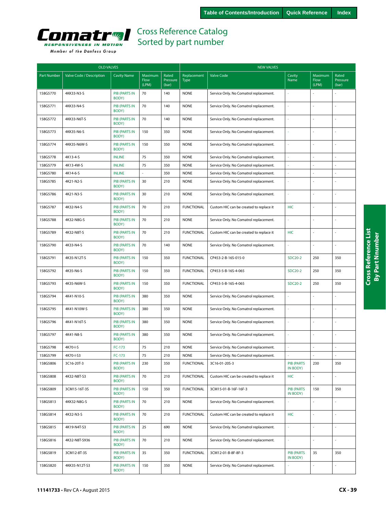<span id="page-38-0"></span>

|                    | <b>OLD VALVES</b>        |                               |                          |                            | <b>NEW VALVES</b>          |                                         |                               |                          |                            |  |
|--------------------|--------------------------|-------------------------------|--------------------------|----------------------------|----------------------------|-----------------------------------------|-------------------------------|--------------------------|----------------------------|--|
| <b>Part Number</b> | Valve Code / Description | <b>Cavity Name</b>            | Maximum<br>Flow<br>(LPM) | Rated<br>Pressure<br>(bar) | Replacement<br><b>Type</b> | <b>Valve Code</b>                       | Cavity<br>Name                | Maximum<br>Flow<br>(LPM) | Rated<br>Pressure<br>(bar) |  |
| 158G5770           | 4KK33-N3-S               | <b>PIB (PARTS IN</b><br>BODY) | 70                       | 140                        | <b>NONE</b>                | Service Only. No Comatrol replacement.  |                               |                          |                            |  |
| 158G5771           | 4KK33-N4-S               | <b>PIB (PARTS IN</b><br>BODY) | 70                       | 140                        | <b>NONE</b>                | Service Only. No Comatrol replacement.  | ÷,                            | $\overline{a}$           |                            |  |
| 158G5772           | 4KK33-N6T-S              | PIB (PARTS IN<br>BODY)        | 70                       | 140                        | <b>NONE</b>                | Service Only. No Comatrol replacement.  |                               |                          |                            |  |
| 158G5773           | 4KK35-N6-S               | <b>PIB (PARTS IN</b><br>BODY) | 150                      | 350                        | <b>NONE</b>                | Service Only. No Comatrol replacement.  | à,                            | ÷,                       | ÷,                         |  |
| 158G5774           | 4KK35-N6W-S              | <b>PIB (PARTS IN</b><br>BODY) | 150                      | 350                        | <b>NONE</b>                | Service Only. No Comatrol replacement.  |                               | ÷,                       |                            |  |
| 158G5778           | 4K13-4-S                 | <b>INLINE</b>                 | 75                       | 350                        | <b>NONE</b>                | Service Only. No Comatrol replacement.  |                               |                          |                            |  |
| 158G5779           | 4K13-4W-S                | <b>INLINE</b>                 | 75                       | 350                        | <b>NONE</b>                | Service Only. No Comatrol replacement.  | ä,                            | L.                       |                            |  |
| 158G5780           | 4K14-6-S                 | <b>INLINE</b>                 |                          | 350                        | <b>NONE</b>                | Service Only. No Comatrol replacement.  |                               | L.                       | ÷.                         |  |
| 158G5785           | 4K21-N2-S                | <b>PIB (PARTS IN</b><br>BODY) | 30                       | 210                        | <b>NONE</b>                | Service Only. No Comatrol replacement.  |                               |                          |                            |  |
| 158G5786           | 4K21-N3-S                | <b>PIB (PARTS IN</b><br>BODY) | 30                       | 210                        | <b>NONE</b>                | Service Only. No Comatrol replacement.  | ä,                            |                          |                            |  |
| 158G5787           | 4K32-N4-S                | <b>PIB (PARTS IN</b><br>BODY) | 70                       | 210                        | <b>FUNCTIONAL</b>          | Custom HIC can be created to replace it | <b>HIC</b>                    | L.                       |                            |  |
| 158G5788           | 4K32-N8G-S               | <b>PIB (PARTS IN</b><br>BODY) | 70                       | 210                        | <b>NONE</b>                | Service Only. No Comatrol replacement.  |                               | L.                       |                            |  |
| 158G5789           | 4K32-N8T-S               | <b>PIB (PARTS IN</b><br>BODY) | 70                       | 210                        | <b>FUNCTIONAL</b>          | Custom HIC can be created to replace it | <b>HIC</b>                    | $\overline{a}$           | $\sim$                     |  |
| 158G5790           | 4K33-N4-S                | <b>PIB (PARTS IN</b><br>BODY) | 70                       | 140                        | <b>NONE</b>                | Service Only. No Comatrol replacement.  | à,                            | ÷,                       | ÷,                         |  |
| 158G5791           | 4K35-N12T-S              | <b>PIB (PARTS IN</b><br>BODY) | 150                      | 350                        | <b>FUNCTIONAL</b>          | CP453-2-B-16S-015-0                     | <b>SDC20-2</b>                | 250                      | 350                        |  |
| 158G5792           | 4K35-N6-S                | <b>PIB (PARTS IN</b><br>BODY) | 150                      | 350                        | <b>FUNCTIONAL</b>          | CP453-5-B-16S-4-065                     | <b>SDC20-2</b>                | 250                      | 350                        |  |
| 158G5793           | 4K35-N6W-S               | <b>PIB (PARTS IN</b><br>BODY) | 150                      | 350                        | <b>FUNCTIONAL</b>          | CP453-5-B-16S-4-065                     | <b>SDC20-2</b>                | 250                      | 350                        |  |
| 158G5794           | 4K41-N10-S               | <b>PIB (PARTS IN</b><br>BODY) | 380                      | 350                        | <b>NONE</b>                | Service Only. No Comatrol replacement.  | à,                            | L.                       |                            |  |
| 158G5795           | 4K41-N10W-S              | <b>PIB (PARTS IN</b><br>BODY) | 380                      | 350                        | <b>NONE</b>                | Service Only. No Comatrol replacement.  |                               |                          |                            |  |
| 158G5796           | 4K41-N16T-S              | <b>PIB (PARTS IN</b><br>BODY) | 380                      | 350                        | <b>NONE</b>                | Service Only. No Comatrol replacement.  | ä,                            | L.                       |                            |  |
| 158G5797           | 4K41-N8-S                | <b>PIB (PARTS IN</b><br>BODY) | 380                      | 350                        | <b>NONE</b>                | Service Only. No Comatrol replacement.  | à,                            | ÷,                       |                            |  |
| 158G5798           | 4K70-I-S                 | FC-173                        | 75                       | 210                        | <b>NONE</b>                | Service Only. No Comatrol replacement.  | $\bar{a}$                     | ÷,                       |                            |  |
| 158G5799           | 4K70-I-S3                | $FC-173$                      | 75                       | 210                        | <b>NONE</b>                | Service Only. No Comatrol replacement.  |                               |                          | $\overline{\phantom{a}}$   |  |
| 158G5806           | 3C16-20T-3               | <b>PIB (PARTS IN</b><br>BODY) | 230                      | 350                        | <b>FUNCTIONAL</b>          | 3C16-01-20S-3                           | <b>PIB (PARTS</b><br>IN BODY) | 230                      | 350                        |  |
| 158G5808           | 4K32-N8T-S3              | <b>PIB (PARTS IN</b><br>BODY) | 70                       | 210                        | <b>FUNCTIONAL</b>          | Custom HIC can be created to replace it | <b>HIC</b>                    | $\overline{\phantom{a}}$ | $\bar{\mathbb{Z}}$         |  |
| 158G5809           | 3CM15-16T-3S             | <b>PIB (PARTS IN</b><br>BODY) | 150                      | 350                        | <b>FUNCTIONAL</b>          | 3CM15-01-B-16F-16F-3                    | <b>PIB (PARTS</b><br>IN BODY) | 150                      | 350                        |  |
| 158G5813           | 4KK32-N8G-S              | <b>PIB (PARTS IN</b><br>BODY) | 70                       | 210                        | <b>NONE</b>                | Service Only. No Comatrol replacement.  |                               |                          |                            |  |
| 158G5814           | 4K32-N3-S                | <b>PIB (PARTS IN</b><br>BODY) | 70                       | 210                        | <b>FUNCTIONAL</b>          | Custom HIC can be created to replace it | HIC                           | ÷,                       |                            |  |
| 158G5815           | 4K19-N4T-S3              | <b>PIB (PARTS IN</b><br>BODY) | 25                       | 690                        | <b>NONE</b>                | Service Only. No Comatrol replacement.  | $\overline{\phantom{a}}$      | ä,                       |                            |  |
| 158G5816           | 4K32-N8T-S936            | <b>PIB (PARTS IN</b><br>BODY) | 70                       | 210                        | <b>NONE</b>                | Service Only. No Comatrol replacement.  | $\omega$                      | $\overline{\phantom{a}}$ |                            |  |
| 158G5819           | 3CM12-8T-3S              | <b>PIB (PARTS IN</b><br>BODY) | 35                       | 350                        | <b>FUNCTIONAL</b>          | 3CM12-01-B-8F-8F-3                      | <b>PIB (PARTS</b><br>IN BODY) | 35                       | 350                        |  |

150 350 NONE Service Only. No Comatrol replacement.

PIB (PARTS IN<br>BODY)

158G5820 4KK35-N12T-S3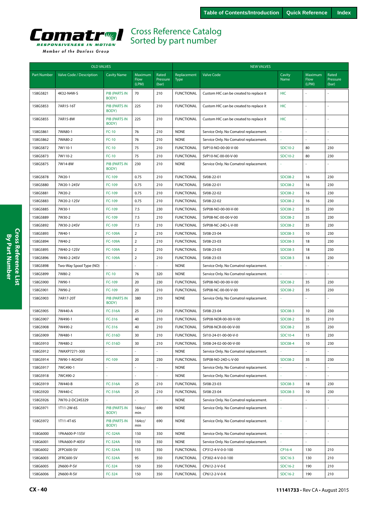<span id="page-39-0"></span>

| Member of the Danfoss Group |  |  |
|-----------------------------|--|--|
|                             |  |  |

|                    | <b>OLD VALVES</b>        |                               |                                 |                            |                            | <b>NEW VALVES</b>                       |                |                          |                            |  |  |
|--------------------|--------------------------|-------------------------------|---------------------------------|----------------------------|----------------------------|-----------------------------------------|----------------|--------------------------|----------------------------|--|--|
| <b>Part Number</b> | Valve Code / Description | <b>Cavity Name</b>            | Maximum<br><b>Flow</b><br>(LPM) | Rated<br>Pressure<br>(bar) | Replacement<br><b>Type</b> | <b>Valve Code</b>                       | Cavity<br>Name | Maximum<br>Flow<br>(LPM) | Rated<br>Pressure<br>(bar) |  |  |
| 158G5821           | 4K32-N4W-S               | <b>PIB (PARTS IN</b><br>BODY) | 70                              | 210                        | <b>FUNCTIONAL</b>          | Custom HIC can be created to replace it | <b>HIC</b>     |                          |                            |  |  |
| 158G5853           | 7AR15-16T                | <b>PIB (PARTS IN</b><br>BODY) | 225                             | 210                        | <b>FUNCTIONAL</b>          | Custom HIC can be created to replace it | HIC            |                          |                            |  |  |
| 158G5855           | 7AR15-8W                 | <b>PIB (PARTS IN</b><br>BODY) | 225                             | 210                        | <b>FUNCTIONAL</b>          | Custom HIC can be created to replace it | <b>HIC</b>     |                          |                            |  |  |
| 158G5861           | 7WA80-1                  | $FC-10$                       | 76                              | 210                        | <b>NONE</b>                | Service Only. No Comatrol replacement.  |                |                          |                            |  |  |
| 158G5862           | 7WA80-2                  | $FC-10$                       | 76                              | 210                        | <b>NONE</b>                | Service Only. No Comatrol replacement.  | ä,             |                          |                            |  |  |
| 158G5872           | 7W110-1                  | $FC-10$                       | 75                              | 210                        | <b>FUNCTIONAL</b>          | SVP10-NO-00-00-V-00                     | SDC10-2        | 80                       | 230                        |  |  |
| 158G5873           | 7W110-2                  | $FC-10$                       | 75                              | 210                        | <b>FUNCTIONAL</b>          | SVP10-NC-00-00-V-00                     | <b>SDC10-2</b> | 80                       | 230                        |  |  |
| 158G5875           | 7W14-8W                  | <b>PIB (PARTS IN</b><br>BODY) | 230                             | 210                        | <b>NONE</b>                | Service Only. No Comatrol replacement.  |                |                          |                            |  |  |
| 158G5878           | 7W20-1                   | FC-109                        | 0.75                            | 210                        | <b>FUNCTIONAL</b>          | SV08-22-01                              | <b>SDC08-2</b> | 16                       | 230                        |  |  |
| 158G5880           | 7W20-1-24SV              | FC-109                        | 0.75                            | 210                        | <b>FUNCTIONAL</b>          | SV08-22-01                              | <b>SDC08-2</b> | 16                       | 230                        |  |  |
| 158G5881           | 7W20-2                   | FC-109                        | 0.75                            | 210                        | <b>FUNCTIONAL</b>          | SV08-22-02                              | <b>SDC08-2</b> | 16                       | 230                        |  |  |
| 158G5883           | 7W20-2-12SV              | FC-109                        | 0.75                            | 210                        | <b>FUNCTIONAL</b>          | SV08-22-02                              | <b>SDC08-2</b> | 16                       | 230                        |  |  |
| 158G5885           | 7W30-1                   | FC-109                        | 7.5                             | 230                        | <b>FUNCTIONAL</b>          | SVP08-NO-00-00-V-00                     | <b>SDC08-2</b> | 35                       | 230                        |  |  |
| 158G5889           | 7W30-2                   | FC-109                        | 7.5                             | 210                        | <b>FUNCTIONAL</b>          | SVP08-NC-00-00-V-00                     | <b>SDC08-2</b> | 35                       | 230                        |  |  |
| 158G5892           | 7W30-2-24SV              | FC-109                        | 7.5                             | 210                        | <b>FUNCTIONAL</b>          | SVP08-NC-24D-L-V-00                     | <b>SDC08-2</b> | 35                       | 230                        |  |  |
| 158G5893           | 7W40-1                   | <b>FC-109A</b>                | $\overline{2}$                  | 210                        | <b>FUNCTIONAL</b>          | SV08-23-04                              | <b>SDC08-3</b> | 10                       | 230                        |  |  |
| 158G5894           | 7W40-2                   | <b>FC-109A</b>                | $\overline{2}$                  | 210                        | <b>FUNCTIONAL</b>          | SV08-23-03                              | <b>SDC08-3</b> | 18                       | 230                        |  |  |
| 158G5895           | 7W40-2-12SV              | <b>FC-109A</b>                | $\overline{2}$                  | 210                        | <b>FUNCTIONAL</b>          | SV08-23-03                              | <b>SDC08-3</b> | 18                       | 230                        |  |  |
| 158G5896           | 7W40-2-24SV              | <b>FC-109A</b>                | $\overline{2}$                  | 210                        | <b>FUNCTIONAL</b>          | SV08-23-03                              | <b>SDC08-3</b> | 18                       | 230                        |  |  |
| 158G5898           | Two-Way Spool Type (NO)  |                               |                                 |                            | <b>NONE</b>                | Service Only. No Comatrol replacement.  |                |                          |                            |  |  |
| 158G5899           | 7W80-2                   | $FC-10$                       | 76                              | 320                        | <b>NONE</b>                | Service Only. No Comatrol replacement.  |                |                          |                            |  |  |
| 158G5900           | 7W90-1                   | FC-109                        | 20                              | 230                        | <b>FUNCTIONAL</b>          | SVP08-NO-00-00-V-00                     | <b>SDC08-2</b> | 35                       | 230                        |  |  |
| 158G5901           | 7W90-2                   | FC-109                        | 20                              | 210                        | <b>FUNCTIONAL</b>          | SVP08-NC-00-00-V-00                     | <b>SDC08-2</b> | 35                       | 230                        |  |  |
| 158G5903           | 7AR17-20T                | <b>PIB (PARTS IN</b><br>BODY) | 380                             | 210                        | <b>NONE</b>                | Service Only. No Comatrol replacement.  |                |                          |                            |  |  |
| 158G5905           | 7W440-A                  | <b>FC-316A</b>                | 25                              | 210                        | <b>FUNCTIONAL</b>          | SV08-23-04                              | <b>SDC08-3</b> | 10                       | 230                        |  |  |
| 158G5907           | 7W490-1                  | FC-316                        | 40                              | 210                        | <b>FUNCTIONAL</b>          | SVP08-NOR-00-00-V-00                    | <b>SDC08-2</b> | 35                       | 210                        |  |  |
| 158G5908           | 7W490-2                  | FC-316                        | 40                              | 210                        | <b>FUNCTIONAL</b>          | SVP08-NCR-00-00-V-00                    | <b>SDC08-2</b> | 35                       | 230                        |  |  |
| 158G5909           | 7W480-1                  | FC-316D                       | 30                              | 210                        | <b>FUNCTIONAL</b>          | SV10-24-01-00-00-V-0                    | SDC10-4        | 15                       | 230                        |  |  |
| 158G5910           | 7W480-2                  | <b>FC-316D</b>                | 30                              | 210                        | <b>FUNCTIONAL</b>          | SV08-24-02-00-00-V-00                   | <b>SDC08-4</b> | 10                       | 230                        |  |  |
| 158G5912           | 7WAXP7271-300            |                               |                                 |                            | <b>NONE</b>                | Service Only. No Comatrol replacement.  |                |                          |                            |  |  |
| 158G5914           | 7W90-1-M24SV             | FC-109                        | 20                              | 230                        | <b>FUNCTIONAL</b>          | SVP08-NO-24D-L-V-00                     | <b>SDC08-2</b> | 35                       | 230                        |  |  |
| 158G5917           | 7WC490-1                 |                               |                                 |                            | <b>NONE</b>                | Service Only. No Comatrol replacement.  |                |                          |                            |  |  |
| 158G5918           | 7WC490-2                 |                               |                                 |                            | <b>NONE</b>                | Service Only. No Comatrol replacement.  |                |                          |                            |  |  |
| 158G5919           | 7W440-B                  | FC-316A                       | 25                              | 210                        | <b>FUNCTIONAL</b>          | SV08-23-03                              | <b>SDC08-3</b> | 18                       | 230                        |  |  |
| 158G5920           | 7W440-C                  | <b>FC-316A</b>                | 25                              | 210                        | <b>FUNCTIONAL</b>          | SV08-23-04                              | <b>SDC08-3</b> | 10                       | 230                        |  |  |
| 158G5926           | 7W70-2-DC24S329          | ä,                            |                                 | ÷,                         | <b>NONE</b>                | Service Only. No Comatrol replacement.  | ä,             |                          | ä,                         |  |  |
| 158G5971           | 1T11-2W-6S               | <b>PIB (PARTS IN</b><br>BODY) | 164cc/<br>min                   | 690                        | <b>NONE</b>                | Service Only. No Comatrol replacement.  | ä,             |                          | L.                         |  |  |
| 158G5972           | 1T11-4T-6S               | <b>PIB (PARTS IN</b><br>BODY) | 164cc/<br>min                   | 690                        | <b>NONE</b>                | Service Only. No Comatrol replacement.  | ä,             |                          | L.                         |  |  |
| 158G6000           | 1PAA600-P-15SV           | <b>FC-324A</b>                | 150                             | 350                        | <b>NONE</b>                | Service Only. No Comatrol replacement.  |                |                          |                            |  |  |
| 158G6001           | 1PAA600-P-40SV           | <b>FC-324A</b>                | 150                             | 350                        | <b>NONE</b>                | Service Only. No Comatrol replacement.  |                |                          |                            |  |  |
| 158G6002           | 2FPC600-SV               | <b>FC-324A</b>                | 155                             | 350                        | <b>FUNCTIONAL</b>          | CP312-4-V-0-0-100                       | CP16-4         | 130                      | 210                        |  |  |
| 158G6003           | 2FRC600-SV               | <b>FC-324A</b>                | 95                              | 350                        | <b>FUNCTIONAL</b>          | CP302-4-V-0-0-100                       | SDC16-3        | 130                      | 210                        |  |  |
| 158G6005           | 2N600-P-SV               | FC-324                        | 150                             | 350                        | <b>FUNCTIONAL</b>          | CP612-2-V-0-E                           | SDC16-2        | 190                      | 210                        |  |  |
| 158G6006           | 2N600-R-SV               | FC-324                        | 150                             | 350                        | <b>FUNCTIONAL</b>          | CP612-2-V-0-K                           | SDC16-2        | 190                      | 210                        |  |  |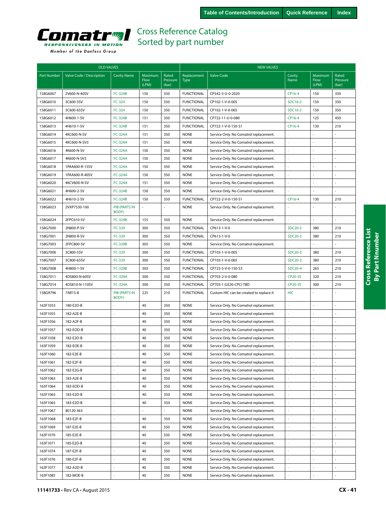<span id="page-40-0"></span>

|  |  |  | Member of the Danfoss Group |  |
|--|--|--|-----------------------------|--|
|--|--|--|-----------------------------|--|

|                    | <b>OLD VALVES</b>        |                               |                                 |                            | <b>NEW VALVES</b>          |                                         |                |                          |                            |  |
|--------------------|--------------------------|-------------------------------|---------------------------------|----------------------------|----------------------------|-----------------------------------------|----------------|--------------------------|----------------------------|--|
| <b>Part Number</b> | Valve Code / Description | <b>Cavity Name</b>            | Maximum<br><b>Flow</b><br>(LPM) | Rated<br>Pressure<br>(bar) | Replacement<br><b>Type</b> | <b>Valve Code</b>                       | Cavity<br>Name | Maximum<br>Flow<br>(LPM) | Rated<br>Pressure<br>(bar) |  |
| 158G6007           | 2V600-N-40SV             | FC-324B                       | 150                             | 350                        | <b>FUNCTIONAL</b>          | CP342-3-U-0-2020                        | CP16-4         | 150                      | 350                        |  |
| 158G6010           | 3C600-5SV                | FC-324                        | 150                             | 350                        | <b>FUNCTIONAL</b>          | CP102-1-V-0-005                         | SDC16-2        | 150                      | 350                        |  |
| 158G6011           | 3C600-65SV               | FC-324                        | 150                             | 350                        | <b>FUNCTIONAL</b>          | CP102-1-V-0-065                         | SDC16-2        | 150                      | 350                        |  |
| 158G6012           | 4H600-1-SV               | <b>FC-324B</b>                | 151                             | 350                        | <b>FUNCTIONAL</b>          | CP722-11-U-0-080                        | CP16-4         | 125                      | 450                        |  |
| 158G6013           | 4H610-1-SV               | FC-324B                       | 151                             | 350                        | <b>FUNCTIONAL</b>          | CP722-1-V-0-150-S1                      | CP16-4         | 130                      | 210                        |  |
| 158G6014           | 4KC600-N-SV              | <b>FC-324A</b>                | 151                             | 350                        | <b>NONE</b>                | Service Only. No Comatrol replacement.  |                |                          |                            |  |
| 158G6015           | 4KC600-N-SV3             | <b>FC-324A</b>                | 151                             | 350                        | <b>NONE</b>                | Service Only. No Comatrol replacement.  | ÷.             |                          |                            |  |
| 158G6016           | 4K600-N-SV               | <b>FC-324A</b>                | 150                             | 350                        | <b>NONE</b>                | Service Only. No Comatrol replacement.  |                |                          |                            |  |
| 158G6017           | 4K600-N-SV3              | <b>FC-324A</b>                | 150                             | 350                        | <b>NONE</b>                | Service Only. No Comatrol replacement.  | ä,             |                          |                            |  |
| 158G6018           | 1PAA600-R-15SV           | <b>FC-324A</b>                | 150                             | 350                        | <b>NONE</b>                | Service Only. No Comatrol replacement.  | ä,             |                          |                            |  |
| 158G6019           | 1PAA600-R-40SV           | <b>FC-324A</b>                | 150                             | 350                        | <b>NONE</b>                | Service Only. No Comatrol replacement.  | $\sim$         |                          |                            |  |
| 158G6020           | 4KCV600-N-SV             | <b>FC-324A</b>                | 151                             | 350                        | <b>NONE</b>                | Service Only. No Comatrol replacement.  |                |                          |                            |  |
| 158G6021           | 4H600-2-SV               | FC-324B                       | 150                             | 350                        | <b>NONE</b>                | Service Only. No Comatrol replacement.  |                |                          |                            |  |
| 158G6022           | 4H610-2-SV               | <b>FC-324B</b>                | 150                             | 350                        | <b>FUNCTIONAL</b>          | CP722-2-V-0-150-S1                      | CP16-4         | 130                      | 210                        |  |
| 158G6023           | 2VXP7530-100             | <b>PIB (PARTS IN</b><br>BODY) |                                 |                            | <b>NONE</b>                | Service Only. No Comatrol replacement.  |                |                          |                            |  |
| 158G6024           | 2FPC610-SV               | <b>FC-324B</b>                | 155                             | 350                        | <b>NONE</b>                | Service Only. No Comatrol replacement.  |                |                          |                            |  |
| 158G7000           | 2N800-P-SV               | FC-329                        | 300                             | 350                        | <b>FUNCTIONAL</b>          | CP613-1-V-0                             | SDC20-2        | 380                      | 210                        |  |
| 158G7001           | 2N800-R-SV               | FC-329                        | 300                             | 350                        | <b>FUNCTIONAL</b>          | CP613-1-V-0                             | SDC20-2        | 380                      | 210                        |  |
| 158G7003           | 2FPC800-SV               | <b>FC-329B</b>                | 305                             | 350                        | <b>NONE</b>                | Service Only. No Comatrol replacement.  |                |                          |                            |  |
| 158G7006           | 3C800-5SV                | FC-329                        | 300                             | 350                        | <b>FUNCTIONAL</b>          | CP103-1-V-0-005                         | SDC20-2        | 380                      | 210                        |  |
| 158G7007           | 3C800-65SV               | FC-329                        | 300                             | 350                        | <b>FUNCTIONAL</b>          | CP103-1-V-0-065                         | SDC20-2        | 380                      | 210                        |  |
| 158G7008           | 4H800-1-SV               | <b>FC-329B</b>                | 303                             | 350                        | <b>FUNCTIONAL</b>          | CP723-5-V-0-150-S3                      | SDC20-4        | 265                      | 210                        |  |
| 158G7011           | 4DS800-N-60SV            | <b>FC-329A</b>                | 300                             | 350                        | <b>FUNCTIONAL</b>          | CP703-2-V-0-080                         | CP20-3S        | 320                      | 210                        |  |
| 158G7014           | 4DS810-N-110SV           | <b>FC-324A</b>                | 300                             | 350                        | <b>FUNCTIONAL</b>          | CP703-1 (LE20-CPC) TBD                  | CP20-3S        | 300                      | 210                        |  |
| 158G9796           | 7AR15-8                  | <b>PIB (PARTS IN</b><br>BODY) | 225                             | 210                        | <b>FUNCTIONAL</b>          | Custom HIC can be created to replace it | <b>HIC</b>     |                          |                            |  |
| 163F1053           | 180-E2D-B                |                               | 40                              | 350                        | <b>NONE</b>                | Service Only. No Comatrol replacement.  | ÷,             | L.                       |                            |  |
| 163F1055           | 182-A2E-B                |                               | 40                              | 350                        | <b>NONE</b>                | Service Only. No Comatrol replacement.  | ÷              |                          |                            |  |
| 163F1056           | 182-A2F-B                |                               | 40                              | 350                        | <b>NONE</b>                | Service Only. No Comatrol replacement.  | ÷,             |                          |                            |  |
| 163F1057           | 182-EOD-B                |                               | 40                              | 350                        | <b>NONE</b>                | Service Only. No Comatrol replacement.  | ÷              |                          |                            |  |
| 163F1058           | 182-E2D-B                |                               | 40                              | 350                        | <b>NONE</b>                | Service Only. No Comatrol replacement.  | ÷,             |                          |                            |  |
| 163F1059           | 182-EOE-B                |                               | 40                              | 350                        | <b>NONE</b>                | Service Only. No Comatrol replacement.  |                |                          |                            |  |
| 163F1060           | 182-E2E-B                |                               | 40                              | 350                        | <b>NONE</b>                | Service Only. No Comatrol replacement.  |                |                          |                            |  |
| 163F1061           | 182-E2F-B                | ä                             | 40                              | 350                        | <b>NONE</b>                | Service Only. No Comatrol replacement.  | ÷              | ÷,                       | ÷,                         |  |
| 163F1062           | 182-E2G-B                | ä,                            | 40                              | 350                        | <b>NONE</b>                | Service Only. No Comatrol replacement.  | ÷,             |                          |                            |  |
| 163F1063           | 183-A2E-B                |                               | 40                              | 350                        | <b>NONE</b>                | Service Only. No Comatrol replacement.  | J.             |                          |                            |  |
| 163F1064           | 183-EOD-B                |                               | 40                              | 350                        | <b>NONE</b>                | Service Only. No Comatrol replacement.  |                |                          |                            |  |
| 163F1065           | 183-E2D-B                | ÷                             | 40                              | 350                        | <b>NONE</b>                | Service Only. No Comatrol replacement.  | ÷              |                          |                            |  |
| 163F1065           | 183-E2D-B                | ä,                            | 40                              | 350                        | <b>NONE</b>                | Service Only. No Comatrol replacement.  | ×,             |                          |                            |  |
| 163F1067           | 80120-363                | ÷                             |                                 |                            | <b>NONE</b>                | Service Only. No Comatrol replacement.  | ÷              |                          | $\sim$                     |  |
| 163F1068           | 183-E2F-B                | ä,                            | 40                              | 350                        | <b>NONE</b>                | Service Only. No Comatrol replacement.  | ÷,             | ä,                       |                            |  |
| 163F1069           | 187-E2E-B                | ä,                            | 40                              | 350                        | <b>NONE</b>                | Service Only. No Comatrol replacement.  | $\omega$       | $\overline{a}$           | ÷,                         |  |
| 163F1070           | 185-E2E-B                | ä,                            | 40                              | 350                        | <b>NONE</b>                | Service Only. No Comatrol replacement.  | ä,             | ÷.                       | ÷,                         |  |
| 163F1071           | 185-E2D-B                |                               | 40                              | 350                        | <b>NONE</b>                | Service Only. No Comatrol replacement.  |                |                          |                            |  |
| 163F1074           | 187-E2F-B                |                               | 40                              | 350                        | <b>NONE</b>                | Service Only. No Comatrol replacement.  | ÷.             |                          | ÷,                         |  |
| 163F1076           | 180-E2F-B                |                               | 40                              | 350                        | <b>NONE</b>                | Service Only. No Comatrol replacement.  |                |                          |                            |  |
| 163F1077           | 182-A2D-B                |                               | 40                              | 350                        | <b>NONE</b>                | Service Only. No Comatrol replacement.  | J.             |                          |                            |  |
| 163F1085           | 182-MOE-B                |                               | 40                              | 350                        | <b>NONE</b>                | Service Only. No Comatrol replacement.  | J.             | $\overline{a}$           | $\overline{a}$             |  |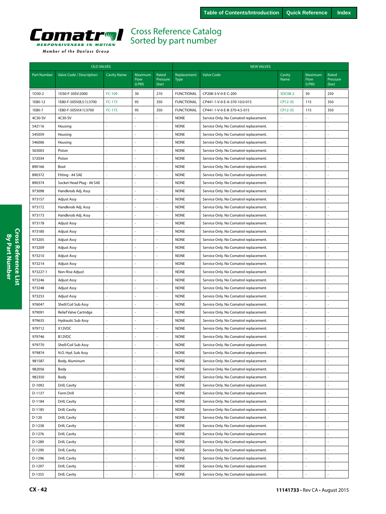<span id="page-41-0"></span>

|                    | <b>OLD VALVES</b>             |                    |                                 |                            | <b>NEW VALVES</b>          |                                        |                |                          |                            |  |  |
|--------------------|-------------------------------|--------------------|---------------------------------|----------------------------|----------------------------|----------------------------------------|----------------|--------------------------|----------------------------|--|--|
| <b>Part Number</b> | Valve Code / Description      | <b>Cavity Name</b> | Maximum<br><b>Flow</b><br>(LPM) | Rated<br>Pressure<br>(bar) | Replacement<br><b>Type</b> | <b>Valve Code</b>                      | Cavity<br>Name | Maximum<br>Flow<br>(LPM) | Rated<br>Pressure<br>(bar) |  |  |
| 1D30-2             | 1D30-F-30SV:2000              | FC-109             | 30                              | 210                        | <b>FUNCTIONAL</b>          | CP208-3-V-0-E-C-200                    | <b>SDC08-2</b> | 30                       | 250                        |  |  |
| 1E80-12            | 1E80-F-50SV(8.5:1):3700       | FC-173             | 95                              | 350                        | <b>FUNCTIONAL</b>          | CP441-1-V-0-E-A-370-10.0-015           | CP12-3S        | 115                      | 350                        |  |  |
| 1E80-7             | 1E80-F-50SV(4:1):3700         | FC-173             | 95                              | 350                        | <b>FUNCTIONAL</b>          | CP441-1-V-0-E-B-370-4.5-015            | CP12-3S        | 115                      | 350                        |  |  |
| 4C30-SV            | 4C30-SV                       |                    |                                 | ÷,                         | <b>NONE</b>                | Service Only. No Comatrol replacement. |                |                          |                            |  |  |
| 542116             | Housing                       |                    |                                 | J,                         | <b>NONE</b>                | Service Only. No Comatrol replacement. |                |                          |                            |  |  |
| 545059             | Housing                       |                    |                                 | ÷,                         | <b>NONE</b>                | Service Only. No Comatrol replacement. |                |                          |                            |  |  |
| 546006             | Housing                       |                    | ÷,                              | ÷,                         | <b>NONE</b>                | Service Only. No Comatrol replacement. |                | $\sim$                   | ÷                          |  |  |
| 563003             | Piston                        |                    |                                 | ÷,                         | <b>NONE</b>                | Service Only. No Comatrol replacement. |                |                          |                            |  |  |
| 572034             | Piston                        |                    |                                 | ÷,                         | <b>NONE</b>                | Service Only. No Comatrol replacement. |                | ÷,                       |                            |  |  |
| 890166             | Boot                          |                    | ÷,                              | ÷,                         | <b>NONE</b>                | Service Only. No Comatrol replacement. |                | ÷.                       |                            |  |  |
| 890372             | Fitting - #4 SAE              |                    |                                 |                            | <b>NONE</b>                | Service Only. No Comatrol replacement. |                |                          |                            |  |  |
| 890374             | Socket Head Plug - #6 SAE     |                    |                                 | ä,                         | <b>NONE</b>                | Service Only. No Comatrol replacement. |                |                          |                            |  |  |
| 973098             | Handknob Adj. Assy            |                    | ÷,                              | ÷,                         | <b>NONE</b>                | Service Only. No Comatrol replacement. |                | ÷.                       |                            |  |  |
| 973157             | Adjust Assy                   |                    |                                 | $\overline{\phantom{a}}$   | <b>NONE</b>                | Service Only. No Comatrol replacement. |                |                          |                            |  |  |
| 973172             | Handknob Adj. Assy            |                    |                                 | ÷,                         | <b>NONE</b>                | Service Only. No Comatrol replacement. |                |                          |                            |  |  |
| 973173             | Handknob Adj. Assy            |                    |                                 | ÷,                         | <b>NONE</b>                | Service Only. No Comatrol replacement. |                |                          |                            |  |  |
| 973178             | Adjust Assy                   |                    |                                 |                            | <b>NONE</b>                | Service Only. No Comatrol replacement. |                |                          |                            |  |  |
| 973180             | Adjust Assy                   |                    | ÷,                              | ÷.                         | <b>NONE</b>                | Service Only. No Comatrol replacement. |                |                          |                            |  |  |
| 973205             | Adjust Assy                   |                    | L.                              | ÷.                         | <b>NONE</b>                | Service Only. No Comatrol replacement. |                | ÷,                       | $\overline{\phantom{a}}$   |  |  |
| 973209             | Adjust Assy                   |                    |                                 | ÷,                         | <b>NONE</b>                | Service Only. No Comatrol replacement. |                |                          |                            |  |  |
| 973210             | Adjust Assy                   |                    | $\overline{\phantom{a}}$        | ä,                         | <b>NONE</b>                | Service Only. No Comatrol replacement. |                |                          |                            |  |  |
| 973214             | Adjust Assy                   | ä,                 | ÷,                              | ÷,                         | <b>NONE</b>                | Service Only. No Comatrol replacement. |                | ÷,                       |                            |  |  |
| 973227-1           | Non-Rise Adjust               |                    |                                 |                            | <b>NONE</b>                | Service Only. No Comatrol replacement. |                |                          |                            |  |  |
| 973246             | <b>Adjust Assy</b>            |                    | ÷,                              | ä,                         | <b>NONE</b>                | Service Only. No Comatrol replacement. |                |                          |                            |  |  |
| 973248             | Adjust Assy                   |                    | $\sim$                          | ä,                         | <b>NONE</b>                | Service Only. No Comatrol replacement. |                | $\sim$                   |                            |  |  |
| 973253             | Adjust Assy                   |                    | $\sim$                          | $\blacksquare$             | <b>NONE</b>                | Service Only. No Comatrol replacement. |                | ä,                       |                            |  |  |
| 976047             | Shell/Coil Sub Assy           |                    |                                 | ä,                         | <b>NONE</b>                | Service Only. No Comatrol replacement. |                |                          |                            |  |  |
| 979091             | <b>Relief Valve Cartridge</b> |                    |                                 | ÷,                         | <b>NONE</b>                | Service Only. No Comatrol replacement. |                |                          |                            |  |  |
| 979635             | Hydraulic Sub Assy            |                    |                                 |                            | <b>NONE</b>                | Service Only. No Comatrol replacement. |                |                          |                            |  |  |
| 979712             | X12VDC                        |                    | ä,                              | ä,                         | <b>NONE</b>                | Service Only. No Comatrol replacement. |                |                          | ÷.                         |  |  |
| 979746             | B12VDC                        |                    | L.                              | L.                         | <b>NONE</b>                | Service Only. No Comatrol replacement. |                | ÷,                       | ÷.                         |  |  |
| 979770             | Shell/Coil Sub Assy           |                    |                                 |                            | <b>NONE</b>                | Service Only. No Comatrol replacement. |                |                          |                            |  |  |
| 979874             | N.O. Hyd. Sub Assy            |                    |                                 |                            | NONE                       | Service Only. No Comatrol replacement. |                |                          |                            |  |  |
| 981587             | Body, Aluminum                | ä,                 | ł,                              | L.                         | <b>NONE</b>                | Service Only. No Comatrol replacement. |                |                          |                            |  |  |
| 982056             | Body                          | ä,                 | ł,                              | L,                         | <b>NONE</b>                | Service Only. No Comatrol replacement. |                |                          |                            |  |  |
| 982350             | Body                          | ä,                 | ÷,                              | $\blacksquare$             | <b>NONE</b>                | Service Only. No Comatrol replacement. |                | $\bar{\phantom{a}}$      | ÷,                         |  |  |
| D-1092             | Drill, Cavity                 | ä,                 | $\Box$                          | ä,                         | <b>NONE</b>                | Service Only. No Comatrol replacement. | ä,             | $\overline{\phantom{a}}$ | $\sim$                     |  |  |
| D-1137             | Form Drill                    |                    | $\overline{\phantom{a}}$        | $\overline{\phantom{a}}$   | <b>NONE</b>                | Service Only. No Comatrol replacement. | ä,             | $\blacksquare$           | $\overline{\phantom{a}}$   |  |  |
| D-1184             | Drill, Cavity                 | $\sim$             | ÷,                              | ä,                         | <b>NONE</b>                | Service Only. No Comatrol replacement. |                | ä,                       | $\sim$                     |  |  |
| D-1185             | Drill, Cavity                 |                    | ÷,                              | ÷,                         | <b>NONE</b>                | Service Only. No Comatrol replacement. |                | $\bar{a}$                | ÷.                         |  |  |
| D-120              | Drill, Cavity                 |                    | J.                              | L,                         | <b>NONE</b>                | Service Only. No Comatrol replacement. |                | ÷,                       |                            |  |  |
| D-1238             | Drill, Cavity                 | ä,                 | $\sim$                          | ÷,                         | <b>NONE</b>                | Service Only. No Comatrol replacement. |                |                          | $\bar{a}$                  |  |  |
| D-1276             | Drill, Cavity                 |                    | ä,                              | ÷,                         | <b>NONE</b>                | Service Only. No Comatrol replacement. |                | $\bar{\phantom{a}}$      |                            |  |  |
| D-1289             | Drill, Cavity                 |                    | L.                              | ä,                         | <b>NONE</b>                | Service Only. No Comatrol replacement. |                | $\overline{\phantom{a}}$ |                            |  |  |
| D-1290             | Drill, Cavity                 | ä,                 | ä,                              | ä,                         | <b>NONE</b>                | Service Only. No Comatrol replacement. |                |                          |                            |  |  |
| D-1296             | Drill, Cavity                 | ä,                 | ÷,                              | L,                         | <b>NONE</b>                | Service Only. No Comatrol replacement. |                | ä,                       |                            |  |  |
| D-1297             | Drill, Cavity                 |                    | L,                              | ä,                         | <b>NONE</b>                | Service Only. No Comatrol replacement. |                |                          |                            |  |  |
| D-1355             | Drill, Cavity                 |                    | ÷,                              | ÷,                         | <b>NONE</b>                | Service Only. No Comatrol replacement. |                |                          |                            |  |  |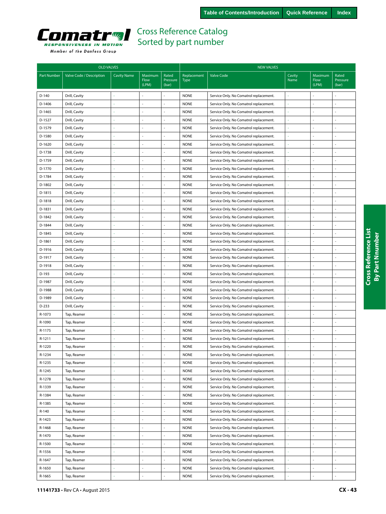<span id="page-42-0"></span>

|  | Member of the Danfoss Group |  |
|--|-----------------------------|--|
|  |                             |  |

|             | <b>OLD VALVES</b>        |                    |                          |                            | <b>NEW VALVES</b>          |                                        |                |                          |                            |  |  |
|-------------|--------------------------|--------------------|--------------------------|----------------------------|----------------------------|----------------------------------------|----------------|--------------------------|----------------------------|--|--|
| Part Number | Valve Code / Description | <b>Cavity Name</b> | Maximum<br>Flow<br>(LPM) | Rated<br>Pressure<br>(bar) | Replacement<br><b>Type</b> | <b>Valve Code</b>                      | Cavity<br>Name | Maximum<br>Flow<br>(LPM) | Rated<br>Pressure<br>(bar) |  |  |
| $D-140$     | Drill, Cavity            |                    |                          |                            | <b>NONE</b>                | Service Only. No Comatrol replacement. |                |                          |                            |  |  |
| D-1406      | Drill, Cavity            |                    | ÷,                       | $\overline{a}$             | <b>NONE</b>                | Service Only. No Comatrol replacement. | ä,             |                          | ÷,                         |  |  |
| D-1465      | Drill, Cavity            |                    |                          | L,                         | <b>NONE</b>                | Service Only. No Comatrol replacement. | ä              |                          | $\sim$                     |  |  |
| D-1527      | Drill, Cavity            |                    |                          |                            | <b>NONE</b>                | Service Only. No Comatrol replacement. | í,             |                          |                            |  |  |
| D-1579      | Drill, Cavity            |                    | ÷.                       | $\overline{a}$             | <b>NONE</b>                | Service Only. No Comatrol replacement. | ä,             | ä,                       | ÷,                         |  |  |
| D-1580      | Drill, Cavity            |                    |                          |                            | <b>NONE</b>                | Service Only. No Comatrol replacement. | ł,             |                          | ä,                         |  |  |
| D-1620      | Drill, Cavity            |                    |                          |                            | <b>NONE</b>                | Service Only. No Comatrol replacement. |                |                          |                            |  |  |
| D-1738      | Drill, Cavity            |                    | ÷,                       | L,                         | <b>NONE</b>                | Service Only. No Comatrol replacement. | L,             | ÷.                       | ÷,                         |  |  |
| D-1759      | Drill, Cavity            |                    | ä,                       |                            | <b>NONE</b>                | Service Only. No Comatrol replacement. | í,             | $\overline{a}$           | $\sim$                     |  |  |
| D-1770      | Drill, Cavity            |                    |                          |                            | <b>NONE</b>                | Service Only. No Comatrol replacement. | ä              |                          |                            |  |  |
| D-1784      | Drill, Cavity            |                    | ÷,                       | L,                         | <b>NONE</b>                | Service Only. No Comatrol replacement. | ä,             |                          | ä,                         |  |  |
| D-1802      | Drill, Cavity            |                    | $\sim$                   | ÷,                         | <b>NONE</b>                | Service Only. No Comatrol replacement. | ä,             |                          | $\sim$                     |  |  |
| D-1815      | Drill, Cavity            |                    |                          | ÷,                         | <b>NONE</b>                | Service Only. No Comatrol replacement. |                |                          |                            |  |  |
| D-1818      | Drill, Cavity            |                    | ÷,                       | L.                         | <b>NONE</b>                | Service Only. No Comatrol replacement. | ä,             |                          | ÷,                         |  |  |
| D-1831      | Drill, Cavity            |                    |                          | ÷.                         | <b>NONE</b>                | Service Only. No Comatrol replacement. | ä,             |                          | ÷,                         |  |  |
| D-1842      | Drill, Cavity            |                    |                          |                            | <b>NONE</b>                | Service Only. No Comatrol replacement. |                |                          |                            |  |  |
| D-1844      | Drill, Cavity            |                    |                          | L,                         | <b>NONE</b>                | Service Only. No Comatrol replacement. | í,             | ÷.                       | ÷,                         |  |  |
| D-1845      | Drill, Cavity            |                    | ä,                       | L.                         | <b>NONE</b>                | Service Only. No Comatrol replacement. | ä              | ÷.                       | ÷,                         |  |  |
| D-1861      | Drill, Cavity            |                    |                          |                            | <b>NONE</b>                | Service Only. No Comatrol replacement. |                |                          |                            |  |  |
| D-1916      | Drill, Cavity            |                    | ÷,                       | ä,                         | <b>NONE</b>                | Service Only. No Comatrol replacement. | í,             | $\sim$                   | ÷,                         |  |  |
| D-1917      | Drill, Cavity            |                    | ÷,                       | ä,                         | <b>NONE</b>                | Service Only. No Comatrol replacement. | í,             | ÷,                       | ÷,                         |  |  |
| D-1918      | Drill, Cavity            |                    |                          |                            | <b>NONE</b>                | Service Only. No Comatrol replacement. |                |                          |                            |  |  |
| D-193       | Drill, Cavity            |                    |                          |                            | <b>NONE</b>                | Service Only. No Comatrol replacement. | í,             |                          | ÷,                         |  |  |
| D-1987      | Drill, Cavity            |                    | ä,                       | ä,                         | <b>NONE</b>                | Service Only. No Comatrol replacement. | ä,             |                          | ÷,                         |  |  |
| D-1988      | Drill, Cavity            |                    |                          | ä,                         | <b>NONE</b>                | Service Only. No Comatrol replacement. |                |                          |                            |  |  |
| D-1989      | Drill, Cavity            |                    | ÷,                       | ä,                         | <b>NONE</b>                | Service Only. No Comatrol replacement. | ä,             | $\sim$                   | ÷,                         |  |  |
| D-233       | Drill, Cavity            |                    |                          | ÷,                         | <b>NONE</b>                | Service Only. No Comatrol replacement. | í,             |                          | ÷,                         |  |  |
| R-1073      | Tap, Reamer              |                    |                          |                            | <b>NONE</b>                | Service Only. No Comatrol replacement. |                |                          | ÷,                         |  |  |
| R-1090      | Tap, Reamer              |                    |                          |                            | <b>NONE</b>                | Service Only. No Comatrol replacement. | ÷              |                          | $\sim$                     |  |  |
| R-1175      | Tap, Reamer              |                    | ä,                       | ä,                         | <b>NONE</b>                | Service Only. No Comatrol replacement. | ä,             | $\bar{a}$                | ÷,                         |  |  |
| R-1211      | Tap, Reamer              |                    |                          |                            | <b>NONE</b>                | Service Only. No Comatrol replacement. | ä,             |                          | ÷,                         |  |  |
| R-1220      | Tap, Reamer              |                    |                          |                            | <b>NONE</b>                | Service Only. No Comatrol replacement. |                |                          |                            |  |  |
| R-1234      | Tap, Reamer              |                    |                          |                            | <b>NONE</b>                | Service Only. No Comatrol replacement. |                |                          |                            |  |  |
| R-1235      | Tap, Reamer              |                    |                          | ä,                         | <b>NONE</b>                | Service Only. No Comatrol replacement. |                | $\bar{a}$                | $\overline{\phantom{a}}$   |  |  |
| R-1245      | Tap, Reamer              |                    | $\mathbb{Z}^2$           | $\blacksquare$             | <b>NONE</b>                | Service Only. No Comatrol replacement. | ÷,             | $\blacksquare$           | $\blacksquare$             |  |  |
| R-1278      | Tap, Reamer              | ÷                  | $\overline{\phantom{a}}$ | ÷.                         | <b>NONE</b>                | Service Only. No Comatrol replacement. | ä,             | $\blacksquare$           | $\overline{\phantom{a}}$   |  |  |
| R-1339      | Tap, Reamer              |                    | ä,                       | ä,                         | <b>NONE</b>                | Service Only. No Comatrol replacement. | ä,             | $\sim$                   | ä,                         |  |  |
| R-1384      | Tap, Reamer              |                    | ÷.                       | ÷.                         | <b>NONE</b>                | Service Only. No Comatrol replacement. | ä,             | ÷                        | ÷,                         |  |  |
| R-1385      | Tap, Reamer              |                    | ÷,                       | ÷,                         | <b>NONE</b>                | Service Only. No Comatrol replacement. | ä,             | ÷,                       | ÷,                         |  |  |
| R-140       | Tap, Reamer              |                    |                          | ä,                         | <b>NONE</b>                | Service Only. No Comatrol replacement. | ä,             | ä,                       | ÷,                         |  |  |
| R-1423      | Tap, Reamer              |                    | ÷,                       | ä,                         | <b>NONE</b>                | Service Only. No Comatrol replacement. | ä,             | $\overline{a}$           | ÷,                         |  |  |
| R-1468      | Tap, Reamer              |                    | ä,                       | L.                         | <b>NONE</b>                | Service Only. No Comatrol replacement. | ÷              |                          | ä,                         |  |  |
| R-1470      | Tap, Reamer              |                    | ÷,                       |                            | <b>NONE</b>                | Service Only. No Comatrol replacement. |                |                          |                            |  |  |
| R-1500      | Tap, Reamer              |                    | ÷,                       | L.                         | <b>NONE</b>                | Service Only. No Comatrol replacement. | ä              | $\overline{a}$           | ÷.                         |  |  |
| R-1556      | Tap, Reamer              |                    | ä,                       | ÷,                         | <b>NONE</b>                | Service Only. No Comatrol replacement. | ł,             | ä,                       | ÷,                         |  |  |
| R-1647      | Tap, Reamer              |                    |                          |                            | <b>NONE</b>                | Service Only. No Comatrol replacement. | ä,             | ä,                       | ä,                         |  |  |
| R-1650      | Tap, Reamer              |                    | $\omega$                 | ÷,                         | <b>NONE</b>                | Service Only. No Comatrol replacement. | ś              | ä,                       | $\overline{\phantom{a}}$   |  |  |
| R-1665      | Tap, Reamer              |                    | ä,                       | ÷,                         | <b>NONE</b>                | Service Only. No Comatrol replacement. | ÷              |                          | $\overline{a}$             |  |  |
|             |                          |                    |                          |                            |                            |                                        |                |                          |                            |  |  |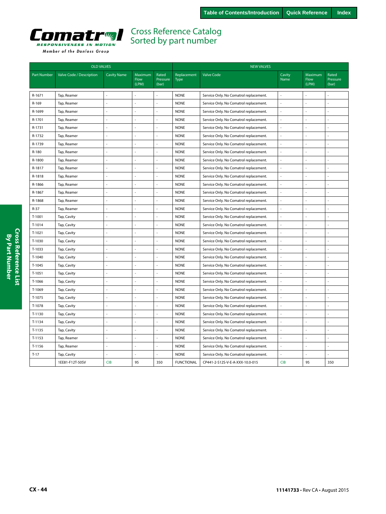<span id="page-43-0"></span>

|                    | <b>OLD VALVES</b>        |                    |                                 |                            |                            | <b>NEW VALVES</b>                      |                |                          |                            |
|--------------------|--------------------------|--------------------|---------------------------------|----------------------------|----------------------------|----------------------------------------|----------------|--------------------------|----------------------------|
| <b>Part Number</b> | Valve Code / Description | <b>Cavity Name</b> | Maximum<br><b>Flow</b><br>(LPM) | Rated<br>Pressure<br>(bar) | Replacement<br><b>Type</b> | <b>Valve Code</b>                      | Cavity<br>Name | Maximum<br>Flow<br>(LPM) | Rated<br>Pressure<br>(bar) |
| R-1671             | Tap, Reamer              |                    |                                 |                            | <b>NONE</b>                | Service Only. No Comatrol replacement. |                |                          |                            |
| R-169              | Tap, Reamer              |                    | L.                              |                            | <b>NONE</b>                | Service Only. No Comatrol replacement. |                |                          |                            |
| R-1699             | Tap, Reamer              |                    | i,                              |                            | <b>NONE</b>                | Service Only. No Comatrol replacement. |                |                          |                            |
| R-1701             | Tap, Reamer              |                    | ÷,                              |                            | <b>NONE</b>                | Service Only. No Comatrol replacement. |                |                          |                            |
| R-1731             | Tap, Reamer              |                    | ÷,                              |                            | <b>NONE</b>                | Service Only. No Comatrol replacement. |                |                          |                            |
| R-1732             | Tap, Reamer              |                    | $\overline{a}$                  |                            | <b>NONE</b>                | Service Only. No Comatrol replacement. | $\overline{a}$ |                          |                            |
| R-1739             | Tap, Reamer              | ÷,                 | L.                              |                            | <b>NONE</b>                | Service Only. No Comatrol replacement. | L.             |                          |                            |
| R-180              | Tap, Reamer              | ÷,                 | Ĭ.                              |                            | <b>NONE</b>                | Service Only. No Comatrol replacement. | ÷,             |                          |                            |
| R-1800             | Tap, Reamer              | $\overline{a}$     |                                 |                            | <b>NONE</b>                | Service Only. No Comatrol replacement. |                |                          |                            |
| R-1817             | Tap, Reamer              | ÷,                 | ÷,                              |                            | <b>NONE</b>                | Service Only. No Comatrol replacement. | $\sim$         |                          |                            |
| R-1818             | Tap, Reamer              |                    |                                 |                            | <b>NONE</b>                | Service Only. No Comatrol replacement. |                |                          |                            |
| R-1866             | Tap, Reamer              |                    | ÷,                              |                            | <b>NONE</b>                | Service Only. No Comatrol replacement. |                |                          |                            |
| R-1867             | Tap, Reamer              |                    | ÷,                              |                            | <b>NONE</b>                | Service Only. No Comatrol replacement. |                |                          |                            |
| R-1868             | Tap, Reamer              |                    | ÷,                              |                            | <b>NONE</b>                | Service Only. No Comatrol replacement. | ÷,             |                          |                            |
| R-37               | Tap, Reamer              | L.                 | L.                              |                            | <b>NONE</b>                | Service Only. No Comatrol replacement. | ÷,             |                          |                            |
| T-1001             | Tap, Cavity              | L,                 | ÷,                              |                            | <b>NONE</b>                | Service Only. No Comatrol replacement. | L.             |                          |                            |
| T-1014             | Tap, Cavity              | ä,                 | ÷.                              |                            | <b>NONE</b>                | Service Only. No Comatrol replacement. | ÷,             |                          |                            |
| T-1021             | Tap, Cavity              | L.                 | ÷,                              |                            | <b>NONE</b>                | Service Only. No Comatrol replacement. | ÷,             |                          |                            |
| T-1030             | Tap, Cavity              | $\overline{a}$     | ÷.                              |                            | <b>NONE</b>                | Service Only. No Comatrol replacement. | ÷,             |                          |                            |
| T-1033             | Tap, Cavity              | L.                 | ÷,                              |                            | <b>NONE</b>                | Service Only. No Comatrol replacement. | ÷,             |                          |                            |
| T-1040             | Tap, Cavity              | $\overline{a}$     | ÷.                              |                            | <b>NONE</b>                | Service Only. No Comatrol replacement. | ÷,             | $\overline{\phantom{a}}$ |                            |
| T-1045             | Tap, Cavity              |                    | ÷,                              |                            | <b>NONE</b>                | Service Only. No Comatrol replacement. |                |                          |                            |
| T-1051             | Tap, Cavity              |                    | ÷,                              |                            | <b>NONE</b>                | Service Only. No Comatrol replacement. |                |                          |                            |
| T-1066             | Tap, Cavity              | ÷,                 | ÷,                              |                            | <b>NONE</b>                | Service Only. No Comatrol replacement. | ÷,             |                          |                            |
| T-1069             | Tap, Cavity              |                    | ÷,                              |                            | <b>NONE</b>                | Service Only. No Comatrol replacement. |                |                          |                            |
| T-1075             | Tap, Cavity              |                    | ÷,                              |                            | <b>NONE</b>                | Service Only. No Comatrol replacement. | L.             |                          |                            |
| T-1078             | Tap, Cavity              | $\sim$             | ÷,                              |                            | <b>NONE</b>                | Service Only. No Comatrol replacement. | L.             |                          |                            |
| T-1130             | Tap, Cavity              | $\sim$             | ÷,                              |                            | <b>NONE</b>                | Service Only. No Comatrol replacement. | ÷,             |                          |                            |
| T-1134             | Tap, Cavity              | $\sim$             | ÷.                              |                            | <b>NONE</b>                | Service Only. No Comatrol replacement. | L.             |                          |                            |
| T-1135             | Tap, Cavity              | $\sim$             | ÷,                              |                            | <b>NONE</b>                | Service Only. No Comatrol replacement. | L.             |                          |                            |
| T-1153             | Tap, Reamer              | $\sim$             | ÷.                              |                            | <b>NONE</b>                | Service Only. No Comatrol replacement. | J.             |                          |                            |
| T-1156             | Tap, Reamer              | ÷,                 | ÷.                              |                            | <b>NONE</b>                | Service Only. No Comatrol replacement. | ÷,             |                          |                            |
| $T-17$             | Tap, Cavity              | $\sim$             | ÷,                              |                            | <b>NONE</b>                | Service Only. No Comatrol replacement. | L.             |                          |                            |
|                    | 1EE81-F12T-50SV          | <b>CIB</b>         | 95                              | 350                        | <b>FUNCTIONAL</b>          | CP441-2-S12S-V-E-A-XXX-10.0-015        | <b>CIB</b>     | 95                       | 350                        |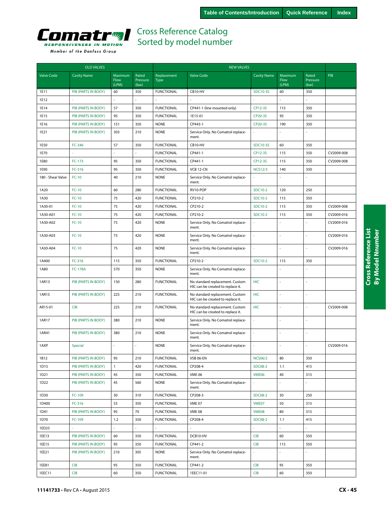

|  |  |  | Member of the Danfoss Group |  |  |
|--|--|--|-----------------------------|--|--|
|--|--|--|-----------------------------|--|--|

|                   | <b>OLD VALVES</b>   |                          |                            |                            |                                                                      |                    |                          |                            |            |
|-------------------|---------------------|--------------------------|----------------------------|----------------------------|----------------------------------------------------------------------|--------------------|--------------------------|----------------------------|------------|
| <b>Valve Code</b> | <b>Cavity Name</b>  | Maximum<br>Flow<br>(LPM) | Rated<br>Pressure<br>(bar) | Replacement<br><b>Type</b> | <b>Valve Code</b>                                                    | <b>Cavity Name</b> | Maximum<br>Flow<br>(LPM) | Rated<br>Pressure<br>(bar) | PIB        |
| 1E11              | PIB (PARTS IN BODY) | 60                       | 350                        | <b>FUNCTIONAL</b>          | CB10-HV                                                              | SDC10-3S           | 60                       | 350                        |            |
| 1E12              |                     |                          |                            |                            |                                                                      |                    |                          |                            |            |
| 1E14              | PIB (PARTS IN BODY) | 57                       | 350                        | <b>FUNCTIONAL</b>          | CP441-1 (line mounted only)                                          | CP12-3S            | 115                      | 350                        |            |
| 1E15              | PIB (PARTS IN BODY) | 95                       | 350                        | <b>FUNCTIONAL</b>          | 1E15-01                                                              | CP20-3S            | 95                       | 350                        |            |
| 1E16              | PIB (PARTS IN BODY) | 151                      | 350                        | <b>NONE</b>                | CP443-1                                                              | CP20-3S            | 190                      | 350                        |            |
| 1E21              | PIB (PARTS IN BODY) | 303                      | 210                        | <b>NONE</b>                | Service Only. No Comatrol replace-<br>ment.                          |                    |                          |                            |            |
| 1E50              | FC-346              | 57                       | 350                        | <b>FUNCTIONAL</b>          | CB10-HV                                                              | SDC10-3S           | 60                       | 350                        |            |
| 1E70              |                     |                          |                            | <b>FUNCTIONAL</b>          | CP441-1                                                              | CP12-3S            | 115                      | 350                        | CV2009-008 |
| 1E80              | FC-173              | 95                       | 350                        | <b>FUNCTIONAL</b>          | CP441-1                                                              | CP12-3S            | 115                      | 350                        | CV2009-008 |
| 1E90              | FC-316              | 95                       | 350                        | <b>FUNCTIONAL</b>          | <b>VCB 12-CN</b>                                                     | <b>NCS12/3</b>     | 140                      | 350                        |            |
| 180 - Shear Valve | $FC-10$             | 40                       | 210                        | <b>NONE</b>                | Service Only. No Comatrol replace-<br>ment.                          |                    |                          |                            |            |
| 1A20              | $FC-10$             | 60                       | 280                        | <b>FUNCTIONAL</b>          | RV10-POP                                                             | <b>SDC10-2</b>     | 120                      | 250                        |            |
| 1A30              | $FC-10$             | 75                       | 420                        | <b>FUNCTIONAL</b>          | CP210-2                                                              | <b>SDC10-2</b>     | 115                      | 350                        |            |
| 1A30-01           | $FC-10$             | 75                       | 420                        | <b>FUNCTIONAL</b>          | CP210-2                                                              | SDC10-2            | 115                      | 350                        | CV2009-008 |
| 1A30-A01          | $FC-10$             | 75                       | 420                        | <b>FUNCTIONAL</b>          | CP210-2                                                              | <b>SDC10-2</b>     | 115                      | 350                        | CV2009-016 |
| 1A30-A02          | $FC-10$             | 75                       | 420                        | <b>NONE</b>                | Service Only. No Comatrol replace-<br>ment.                          |                    |                          |                            | CV2009-016 |
| 1A30-A03          | $FC-10$             | 75                       | 420                        | <b>NONE</b>                | Service Only. No Comatrol replace-<br>ment.                          |                    |                          | ÷,                         | CV2009-016 |
| 1A30-A04          | $FC-10$             | 75                       | 420                        | <b>NONE</b>                | Service Only. No Comatrol replace-<br>ment.                          |                    |                          |                            | CV2009-016 |
| 1A400             | FC-316              | 115                      | 350                        | <b>FUNCTIONAL</b>          | CP210-2                                                              | <b>SDC10-2</b>     | 115                      | 350                        |            |
| 1A80              | <b>FC-178A</b>      | 570                      | 350                        | <b>NONE</b>                | Service Only. No Comatrol replace-<br>ment.                          |                    |                          |                            |            |
| 1AR13             | PIB (PARTS IN BODY) | 150                      | 280                        | <b>FUNCTIONAL</b>          | No standard replacement. Custom<br>HIC can be created to replace it. | <b>HIC</b>         |                          |                            |            |
| 1AR15             | PIB (PARTS IN BODY) | 225                      | 210                        | <b>FUNCTIONAL</b>          | No standard replacement. Custom<br>HIC can be created to replace it. | <b>HIC</b>         | ÷,                       |                            |            |
| AR15-01           | <b>CIB</b>          | 225                      | 210                        | <b>FUNCTIONAL</b>          | No standard replacement. Custom<br>HIC can be created to replace it. | <b>HIC</b>         |                          |                            | CV2009-008 |
| 1AR17             | PIB (PARTS IN BODY) | 380                      | 210                        | <b>NONE</b>                | Service Only. No Comatrol replace-<br>ment.                          | ÷.                 | ÷.                       | L.                         |            |
| 1AR41             | PIB (PARTS IN BODY) | 380                      | 210                        | <b>NONE</b>                | Service Only. No Comatrol replace-<br>ment.                          | $\sim$             |                          | ÷.                         |            |
| 1AXP              | Special             |                          |                            | <b>NONE</b>                | Service Only. No Comatrol replace-<br>ment.                          |                    |                          |                            | CV2009-016 |
| 1B12              | PIB (PARTS IN BODY) | 95                       | 210                        | <b>FUNCTIONAL</b>          | VSB 06-EN                                                            | <b>NCS06/2</b>     | 80                       | 350                        |            |
| 1D15              | PIB (PARTS IN BODY) | $\mathbf{1}$             | 420                        | <b>FUNCTIONAL</b>          | CP208-4                                                              | <b>SDC08-2</b>     | 1.1                      | 415                        |            |
| 1D21              | PIB (PARTS IN BODY) | 45                       | 350                        | <b>FUNCTIONAL</b>          | <b>VME 06</b>                                                        | <b>VME06</b>       | 40                       | 315                        |            |
| 1D22              | PIB (PARTS IN BODY) | 45                       | 560                        | <b>NONE</b>                | Service Only. No Comatrol replace-<br>ment.                          |                    |                          |                            |            |
| 1D30              | FC-109              | 30                       | 310                        | <b>FUNCTIONAL</b>          | CP208-3                                                              | <b>SDC08-2</b>     | 30                       | 250                        |            |
| 1D400             | FC-316              | 53                       | 350                        | <b>FUNCTIONAL</b>          | <b>VME 07</b>                                                        | VME07              | 50                       | 315                        |            |
| 1D41              | PIB (PARTS IN BODY) | 95                       | 70                         | <b>FUNCTIONAL</b>          | <b>VME 08</b>                                                        | VME08              | 80                       | 315                        |            |
| 1D70              | FC-109              | 1.2                      | 350                        | <b>FUNCTIONAL</b>          | CP208-4                                                              | <b>SDC08-2</b>     | 1.1                      | 415                        |            |
| 1ED25             |                     | $\overline{a}$           |                            |                            |                                                                      |                    |                          | ä,                         |            |
| 1EE13             | PIB (PARTS IN BODY) | 60                       | 350                        | <b>FUNCTIONAL</b>          | DCB10-HV                                                             | <b>CIB</b>         | 60                       | 350                        |            |
| 1EE15             | PIB (PARTS IN BODY) | 95                       | 350                        | <b>FUNCTIONAL</b>          | CP441-2                                                              | CIB                | 115                      | 350                        |            |
| 1EE21             | PIB (PARTS IN BODY) | 210                      | 305                        | <b>NONE</b>                | Service Only. No Comatrol replace-<br>ment.                          |                    |                          | L.                         |            |
| 1EE81             | CIB                 | 95                       | 350                        | <b>FUNCTIONAL</b>          | CP441-2                                                              | <b>CIB</b>         | 95                       | 350                        |            |
| 1EEC11            | <b>CIB</b>          | 60                       | 350                        | <b>FUNCTIONAL</b>          | 1EEC11-01                                                            | CIB                | 60                       | 350                        |            |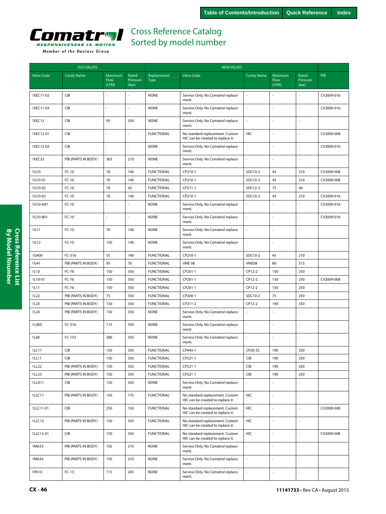

|                   | <b>OLD VALVES</b>                                               |                          |                            | <b>NEW VALVES</b>          |                                                                      |                    |                          |                            |            |  |  |
|-------------------|-----------------------------------------------------------------|--------------------------|----------------------------|----------------------------|----------------------------------------------------------------------|--------------------|--------------------------|----------------------------|------------|--|--|
| <b>Valve Code</b> | <b>Cavity Name</b>                                              | Maximum<br>Flow<br>(LPM) | Rated<br>Pressure<br>(bar) | Replacement<br><b>Type</b> | <b>Valve Code</b>                                                    | <b>Cavity Name</b> | Maximum<br>Flow<br>(LPM) | Rated<br>Pressure<br>(bar) | PIB        |  |  |
| 1EEC11-02         | CIB                                                             |                          |                            | <b>NONE</b>                | Service Only. No Comatrol replace-<br>ment.                          |                    |                          |                            | CV2009-016 |  |  |
| 1EEC11-03         | CIB                                                             |                          |                            | <b>NONE</b>                | Service Only. No Comatrol replace-<br>ment.                          | $\overline{a}$     |                          |                            | CV2009-016 |  |  |
| 1EEC12            | CIB                                                             | 95                       | 350                        | <b>NONE</b>                | Service Only. No Comatrol replace-<br>ment.                          | ä,                 |                          |                            |            |  |  |
| 1EEC12-01         | CIB                                                             |                          |                            | <b>FUNCTIONAL</b>          | No standard replacement. Custom<br>HIC can be created to replace it. | HIC                | ÷,                       |                            | CV2009-008 |  |  |
| 1EEC12-02         | CIB                                                             |                          |                            | <b>NONE</b>                | Service Only. No Comatrol replace-<br>ment.                          | ÷,                 |                          |                            | CV2009-016 |  |  |
| 1EEC32            | PIB (PARTS IN BODY)                                             | 303                      | 210                        | <b>NONE</b>                | Service Only. No Comatrol replace-<br>ment.                          | ÷,                 |                          |                            |            |  |  |
| 1G10              | $FC-10$                                                         | 70                       | 140                        | <b>FUNCTIONAL</b>          | CP210-1                                                              | SDC10-2            | 45                       | 210                        | CV2009-008 |  |  |
| 1G10-01           | $FC-10$                                                         | 70                       | 140                        | <b>FUNCTIONAL</b>          | CP210-1                                                              | SDC10-2            | 45                       | 210                        | CV2009-008 |  |  |
| 1G10-02           | FC-10                                                           | 76                       | 42                         | <b>FUNCTIONAL</b>          | CP211-1                                                              | SDC12-2            | 75                       | 40                         |            |  |  |
| 1G10-03           | $FC-10$                                                         | 76                       | 140                        | <b>FUNCTIONAL</b>          | CP210-1                                                              | SDC10-2            | 45                       | 210                        | CV2009-016 |  |  |
| 1G10-A01          | FC-10                                                           |                          |                            | <b>NONE</b>                | Service Only. No Comatrol replace-<br>ment.                          |                    |                          |                            | CV2009-016 |  |  |
| 1G10-B01          | $FC-10$                                                         |                          |                            | <b>NONE</b>                | Service Only. No Comatrol replace-<br>ment.                          | L.                 | ÷.                       | ÷,                         | CV2009-016 |  |  |
| 1G11              | $FC-10$                                                         | 70                       | 140                        | <b>NONE</b>                | Service Only. No Comatrol replace-<br>ment.                          |                    | ÷,                       |                            |            |  |  |
| 1G12              | $FC-10$                                                         | 150                      | 140                        | <b>NONE</b>                | Service Only. No Comatrol replace-<br>ment.                          |                    |                          |                            |            |  |  |
| 1G400             | FC-316                                                          | 55                       | 140                        | <b>FUNCTIONAL</b>          | CP210-1                                                              | SDC10-2            | 45                       | 210                        |            |  |  |
| 1G41              | PIB (PARTS IN BODY)                                             | 95                       | 70                         | <b>FUNCTIONAL</b>          | <b>VME 08</b>                                                        | VME08              | 80                       | 315                        |            |  |  |
| 1L10              | FC-76                                                           | 150                      | 350                        | <b>FUNCTIONAL</b>          | CP201-1                                                              | CP12-2             | 150                      | 250                        |            |  |  |
| 1L10-01           | FC-76                                                           | 150                      | 350                        | <b>FUNCTIONAL</b>          | CP201-1                                                              | CP12-2             | 150                      | 250                        | CV2009-008 |  |  |
| 1L11              | FC-76                                                           | 150                      | 350                        | <b>FUNCTIONAL</b>          | CP201-1                                                              | CP12-2             | 150                      | 250                        |            |  |  |
| 1L22              | PIB (PARTS IN BODY)                                             | 75                       | 350                        | <b>FUNCTIONAL</b>          | CP200-1                                                              | SDC10-2            | 75                       | 250                        |            |  |  |
| 1L23              | PIB (PARTS IN BODY)                                             | 150                      | 350                        | <b>FUNCTIONAL</b>          | CP211-2                                                              | CP12-2             | 190                      | 350                        |            |  |  |
| 1L24              | PIB (PARTS IN BODY)                                             | 150                      | 350                        | <b>NONE</b>                | Service Only. No Comatrol replace-<br>ment.                          |                    |                          |                            |            |  |  |
| 1L400             | FC-316                                                          | 115                      | 350                        | <b>NONE</b>                | Service Only. No Comatrol replace-<br>ment.                          | ÷,                 | ÷,                       |                            |            |  |  |
| 1L60              | FC-153                                                          | 380                      | 350                        | <b>NONE</b>                | Service Only. No Comatrol replace-<br>ment.                          | ÷,                 |                          |                            |            |  |  |
| 1LC11             | $\ensuremath{\mathsf{C}}\xspace\ensuremath{\mathsf{IB}}\xspace$ | 150                      | 350                        | <b>FUNCTIONAL</b>          | CP443-1                                                              | CP20-3S            | 190                      | 350                        |            |  |  |
| 1LL11             | CIB                                                             | 150                      | 350                        | <b>FUNCTIONAL</b>          | CP221-1                                                              | CIB                | 190                      | 250                        |            |  |  |
| 1LL22             | PIB (PARTS IN BODY)                                             | 150                      | 350                        | <b>FUNCTIONAL</b>          | CP221-1                                                              | CIB                | 190                      | 250                        |            |  |  |
| 1LL23             | PIB (PARTS IN BODY)                                             | 150                      | 350                        | <b>FUNCTIONAL</b>          | CP221-1                                                              | CIB                | 190                      | 250                        |            |  |  |
| 1LLA11            | <b>CIB</b>                                                      | 150                      | 350                        | <b>NONE</b>                | Service Only. No Comatrol replace-<br>ment.                          | ÷.                 | ÷,                       | ÷,                         |            |  |  |
| 1LLC11            | PIB (PARTS IN BODY)                                             | 150                      | 175                        | <b>FUNCTIONAL</b>          | No standard replacement. Custom<br>HIC can be created to replace it. | HIC                | ÷,                       | ä,                         |            |  |  |
| 1LLC11-01         | CIB                                                             | 250                      | 150                        | <b>FUNCTIONAL</b>          | No standard replacement. Custom<br>HIC can be created to replace it. | HIC                | L.                       | $\overline{a}$             | CV2009-008 |  |  |
| 1LLC12            | PIB (PARTS IN BODY)                                             | 150                      | 350                        | <b>FUNCTIONAL</b>          | No standard replacement. Custom<br>HIC can be created to replace it. | HIC                | L.                       |                            |            |  |  |
| 1LLC12-01         | CIB                                                             | 150                      | 350                        | <b>FUNCTIONAL</b>          | No standard replacement. Custom<br>HIC can be created to replace it. | HIC                | $\overline{\phantom{a}}$ | L.                         | CV2009-008 |  |  |
| 1MA33             | PIB (PARTS IN BODY)                                             | 150                      | 210                        | <b>NONE</b>                | Service Only. No Comatrol replace-<br>ment.                          | ä,                 | L.                       | ÷,                         |            |  |  |
| 1MA34             | PIB (PARTS IN BODY)                                             | 150                      | 210                        | <b>NONE</b>                | Service Only. No Comatrol replace-<br>ment.                          |                    | ÷,                       |                            |            |  |  |
| 1PA10             | $FC-13$                                                         | 115                      | 245                        | <b>NONE</b>                | Service Only. No Comatrol replace-<br>ment.                          | ÷.                 | ÷,                       | ä,                         |            |  |  |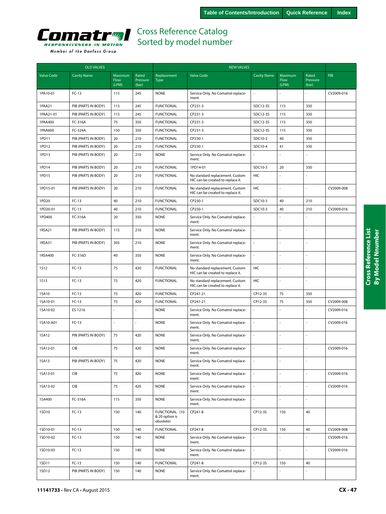

|                   | <b>OLD VALVES</b>   |                          |                            |                                               | <b>NEW VALVES</b>                                                    |                          |                          |                            |            |  |  |
|-------------------|---------------------|--------------------------|----------------------------|-----------------------------------------------|----------------------------------------------------------------------|--------------------------|--------------------------|----------------------------|------------|--|--|
| <b>Valve Code</b> | <b>Cavity Name</b>  | Maximum<br>Flow<br>(LPM) | Rated<br>Pressure<br>(bar) | Replacement<br><b>Type</b>                    | <b>Valve Code</b>                                                    | <b>Cavity Name</b>       | Maximum<br>Flow<br>(LPM) | Rated<br>Pressure<br>(bar) | PIB        |  |  |
| 1PA10-01          | $FC-13$             | 115                      | 245                        | <b>NONE</b>                                   | Service Only. No Comatrol replace-<br>ment.                          | $\bar{z}$                | ÷,                       |                            | CV2009-016 |  |  |
| 1PAA21            | PIB (PARTS IN BODY) | 115                      | 245                        | <b>FUNCTIONAL</b>                             | CP231-3                                                              | SDC12-3S                 | 115                      | 350                        |            |  |  |
| 1PAA21-01         | PIB (PARTS IN BODY) | 115                      | 245                        | <b>FUNCTIONAL</b>                             | CP231-3                                                              | SDC12-3S                 | 115                      | 350                        |            |  |  |
| 1PAA400           | FC-316A             | 75                       | 350                        | <b>FUNCTIONAL</b>                             | CP231-3                                                              | SDC12-3S                 | 115                      | 350                        |            |  |  |
| 1PAA600           | FC-324A             | 150                      | 350                        | <b>FUNCTIONAL</b>                             | CP231-3                                                              | SDC12-3S                 | 115                      | 350                        |            |  |  |
| 1PD11             | PIB (PARTS IN BODY) | 20                       | 210                        | <b>FUNCTIONAL</b>                             | CP230-1                                                              | SDC10-3                  | 40                       | 350                        |            |  |  |
| 1PD12             | PIB (PARTS IN BODY) | 20                       | 210                        | <b>FUNCTIONAL</b>                             | CP230-1                                                              | SDC10-4                  | 41                       | 350                        |            |  |  |
| 1PD13             | PIB (PARTS IN BODY) | 20                       | 210                        | <b>NONE</b>                                   | Service Only. No Comatrol replace-<br>ment.                          |                          |                          |                            |            |  |  |
| 1PD14             | PIB (PARTS IN BODY) | 20                       | 210                        | <b>FUNCTIONAL</b>                             | 1PD14-01                                                             | SDC10-3                  | 20                       | 350                        |            |  |  |
| 1PD15             | PIB (PARTS IN BODY) | 20                       | 210                        | <b>FUNCTIONAL</b>                             | No standard replacement. Custom<br>HIC can be created to replace it. | HIC                      | L.                       |                            |            |  |  |
| 1PD15-01          | PIB (PARTS IN BODY) | 20                       | 210                        | <b>FUNCTIONAL</b>                             | No standard replacement. Custom<br>HIC can be created to replace it. | HIC                      | $\sim$                   |                            | CV2009-008 |  |  |
| 1PD20             | $FC-13$             | 40                       | 210                        | <b>FUNCTIONAL</b>                             | CP230-1                                                              | SDC10-3                  | 40                       | 210                        |            |  |  |
| 1PD20-01          | $FC-13$             | 40                       | 210                        | <b>FUNCTIONAL</b>                             | CP230-1                                                              | SDC10-3                  | 40                       | 210                        | CV2009-016 |  |  |
| 1PD400            | FC-316A             | 20                       | 350                        | <b>NONE</b>                                   | Service Only. No Comatrol replace-<br>ment.                          | ÷,                       | L,                       |                            |            |  |  |
| 1RSA21            | PIB (PARTS IN BODY) | 115                      | 210                        | <b>NONE</b>                                   | Service Only. No Comatrol replace-<br>ment.                          | $\overline{\phantom{a}}$ | ÷,                       |                            |            |  |  |
| 1RSA31            | PIB (PARTS IN BODY) | 305                      | 210                        | <b>NONE</b>                                   | Service Only. No Comatrol replace-<br>ment.                          | $\overline{a}$           | L.                       |                            |            |  |  |
| 1RSA400           | FC-316D             | 40                       | 350                        | <b>NONE</b>                                   | Service Only. No Comatrol replace-<br>ment.                          | ÷,                       | í,                       |                            |            |  |  |
| 1512              | $FC-13$             | 75                       | 420                        | <b>FUNCTIONAL</b>                             | No standard replacement. Custom<br>HIC can be created to replace it. | HIC                      | ä,                       |                            |            |  |  |
| 1513              | $FC-13$             | 75                       | 420                        | <b>FUNCTIONAL</b>                             | No standard replacement. Custom<br>HIC can be created to replace it. | HIC                      | ł,                       |                            |            |  |  |
| 1SA10             | $FC-13$             | 75                       | 420                        | <b>FUNCTIONAL</b>                             | CP241-21                                                             | CP12-3S                  | 75                       | 350                        |            |  |  |
| 1SA10-01          | $FC-13$             | 75                       | 420                        | <b>FUNCTIONAL</b>                             | CP241-21                                                             | CP12-3S                  | 75                       | 350                        | CV2009-008 |  |  |
| 1SA10-02          | ES-1216             | ÷,                       |                            | <b>NONE</b>                                   | Service Only. No Comatrol replace-<br>ment.                          | ÷,                       | ä,                       |                            | CV2009-016 |  |  |
| 1SA10-A01         | $FC-13$             |                          |                            | <b>NONE</b>                                   | Service Only. No Comatrol replace-<br>ment.                          | $\omega$                 | ÷,                       |                            | CV2009-016 |  |  |
| 1SA12             | PIB (PARTS IN BODY) | 75                       | 420                        | <b>NONE</b>                                   | Service Only. No Comatrol replace-<br>ment.                          | ÷,                       |                          |                            |            |  |  |
| 1SA12-01          | <b>CIB</b>          | 75                       | 420                        | <b>NONE</b>                                   | Service Only. No Comatrol replace-<br>ment.                          |                          |                          |                            | CV2009-016 |  |  |
| 1SA13             | PIB (PARTS IN BODY) | 75                       | 420                        | <b>NONE</b>                                   | Service Only. No Comatrol replace-<br>ment.                          | $\overline{\phantom{a}}$ | l,                       |                            |            |  |  |
| 1SA13-01          | CIB                 | 75                       | 420                        | <b>NONE</b>                                   | Service Only. No Comatrol replace-<br>ment.                          | $\overline{\phantom{a}}$ | L.                       |                            | CV2009-016 |  |  |
| 1SA13-02          | CIB                 | 75                       | 420                        | <b>NONE</b>                                   | Service Only. No Comatrol replace-<br>ment.                          | $\overline{\phantom{a}}$ | L.                       | $\overline{a}$             | CV2009-016 |  |  |
| 1SA400            | FC-316A             | 115                      | 350                        | <b>NONE</b>                                   | Service Only. No Comatrol replace-<br>ment.                          | $\overline{a}$           | ÷,                       |                            |            |  |  |
| 1SD10             | $FC-13$             | 150                      | 140                        | FUNCTIONAL (10<br>& 20 option is<br>obsolete) | CP241-8                                                              | CP12-3S                  | 150                      | 40                         |            |  |  |
| 1SD10-01          | $FC-13$             | 150                      | 140                        | <b>FUNCTIONAL</b>                             | CP241-8                                                              | CP12-3S                  | 150                      | 40                         | CV2009-008 |  |  |
| 1SD10-02          | $FC-13$             | 150                      | 140                        | <b>NONE</b>                                   | Service Only. No Comatrol replace-<br>ment.                          |                          |                          |                            | CV2009-016 |  |  |
| 1SD10-03          | $FC-13$             | 150                      | 140                        | <b>NONE</b>                                   | Service Only. No Comatrol replace-<br>ment.                          | ÷,                       | ÷,                       | $\overline{a}$             | CV2009-016 |  |  |
| 1SD11             | $FC-13$             | 150                      | 140                        | <b>FUNCTIONAL</b>                             | CP241-8                                                              | CP12-3S                  | 150                      | 40                         |            |  |  |
| 1SD12             | PIB (PARTS IN BODY) | 150                      | 140                        | <b>NONE</b>                                   | Service Only. No Comatrol replace-<br>ment.                          |                          |                          |                            |            |  |  |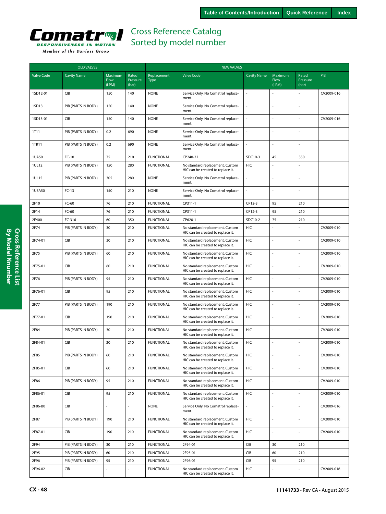

|                   | <b>OLD VALVES</b>   |                          |                            | <b>NEW VALVES</b>          |                                                                      |                          |                          |                            |            |  |  |
|-------------------|---------------------|--------------------------|----------------------------|----------------------------|----------------------------------------------------------------------|--------------------------|--------------------------|----------------------------|------------|--|--|
| <b>Valve Code</b> | <b>Cavity Name</b>  | Maximum<br>Flow<br>(LPM) | Rated<br>Pressure<br>(bar) | Replacement<br><b>Type</b> | <b>Valve Code</b>                                                    | <b>Cavity Name</b>       | Maximum<br>Flow<br>(LPM) | Rated<br>Pressure<br>(bar) | PIB        |  |  |
| 1SD12-01          | CIB                 | 150                      | 140                        | <b>NONE</b>                | Service Only. No Comatrol replace-<br>ment.                          | ÷,                       |                          |                            | CV2009-016 |  |  |
| 1SD13             | PIB (PARTS IN BODY) | 150                      | 140                        | <b>NONE</b>                | Service Only. No Comatrol replace-<br>ment.                          | $\bar{z}$                | L,                       |                            |            |  |  |
| 1SD13-01          | <b>CIB</b>          | 150                      | 140                        | <b>NONE</b>                | Service Only. No Comatrol replace-<br>ment.                          | ÷,                       |                          |                            | CV2009-016 |  |  |
| 1T11              | PIB (PARTS IN BODY) | 0.2                      | 690                        | <b>NONE</b>                | Service Only. No Comatrol replace-<br>ment.                          | $\overline{\phantom{a}}$ | L,                       |                            |            |  |  |
| 1TR11             | PIB (PARTS IN BODY) | 0.2                      | 690                        | <b>NONE</b>                | Service Only. No Comatrol replace-<br>ment.                          | $\overline{\phantom{a}}$ |                          |                            |            |  |  |
| 1UA50             | $FC-10$             | 75                       | 210                        | <b>FUNCTIONAL</b>          | CP240-22                                                             | SDC10-3                  | 45                       | 350                        |            |  |  |
| 1UL12             | PIB (PARTS IN BODY) | 150                      | 280                        | <b>FUNCTIONAL</b>          | No standard replacement. Custom<br>HIC can be created to replace it. | <b>HIC</b>               |                          |                            |            |  |  |
| 1UL15             | PIB (PARTS IN BODY) | 305                      | 280                        | <b>NONE</b>                | Service Only. No Comatrol replace-<br>ment.                          | $\bar{z}$                | L,                       |                            |            |  |  |
| 1USA50            | $FC-13$             | 150                      | 210                        | <b>NONE</b>                | Service Only. No Comatrol replace-<br>ment.                          | $\overline{\phantom{a}}$ |                          |                            |            |  |  |
| 2F10              | FC-60               | 76                       | 210                        | <b>FUNCTIONAL</b>          | CP311-1                                                              | CP12-3                   | 95                       | 210                        |            |  |  |
| 2F14              | FC-60               | 76                       | 210                        | <b>FUNCTIONAL</b>          | CP311-1                                                              | CP12-3                   | 95                       | 210                        |            |  |  |
| 2F400             | $FC-316$            | 60                       | 350                        | <b>FUNCTIONAL</b>          | CP620-1                                                              | SDC10-2                  | 75                       | 210                        |            |  |  |
| 2F74              | PIB (PARTS IN BODY) | 30                       | 210                        | <b>FUNCTIONAL</b>          | No standard replacement. Custom<br>HIC can be created to replace it. | HIC                      |                          |                            | CV2009-010 |  |  |
| 2F74-01           | <b>CIB</b>          | 30                       | 210                        | <b>FUNCTIONAL</b>          | No standard replacement. Custom<br>HIC can be created to replace it. | HIC                      | L.                       |                            | CV2009-010 |  |  |
| 2F75              | PIB (PARTS IN BODY) | 60                       | 210                        | <b>FUNCTIONAL</b>          | No standard replacement. Custom<br>HIC can be created to replace it. | HIC                      | ÷,                       |                            | CV2009-010 |  |  |
| 2F75-01           | <b>CIB</b>          | 60                       | 210                        | <b>FUNCTIONAL</b>          | No standard replacement. Custom<br>HIC can be created to replace it. | <b>HIC</b>               |                          |                            | CV2009-010 |  |  |
| 2F76              | PIB (PARTS IN BODY) | 95                       | 210                        | <b>FUNCTIONAL</b>          | No standard replacement. Custom<br>HIC can be created to replace it. | HIC                      |                          |                            | CV2009-010 |  |  |
| 2F76-01           | CIB                 | 95                       | 210                        | <b>FUNCTIONAL</b>          | No standard replacement. Custom<br>HIC can be created to replace it. | HIC                      |                          |                            | CV2009-010 |  |  |
| 2F77              | PIB (PARTS IN BODY) | 190                      | 210                        | <b>FUNCTIONAL</b>          | No standard replacement. Custom<br>HIC can be created to replace it. | HIC                      | L,                       |                            | CV2009-010 |  |  |
| 2F77-01           | CIB                 | 190                      | 210                        | <b>FUNCTIONAL</b>          | No standard replacement. Custom<br>HIC can be created to replace it. | HIC                      | L,                       |                            | CV2009-010 |  |  |
| 2F84              | PIB (PARTS IN BODY) | 30                       | 210                        | <b>FUNCTIONAL</b>          | No standard replacement. Custom<br>HIC can be created to replace it. | HIC                      | ÷,                       |                            | CV2009-010 |  |  |
| 2F84-01           | CIB                 | 30                       | 210                        | <b>FUNCTIONAL</b>          | No standard replacement. Custom<br>HIC can be created to replace it. | HIC                      | í,                       |                            | CV2009-010 |  |  |
| 2F85              | PIB (PARTS IN BODY) | 60                       | 210                        | <b>FUNCTIONAL</b>          | No standard replacement. Custom<br>HIC can be created to replace it. | HIC                      |                          |                            | CV2009-010 |  |  |
| 2F85-01           | <b>CIB</b>          | 60                       | 210                        | <b>FUNCTIONAL</b>          | No standard replacement. Custom<br>HIC can be created to replace it. | HIC                      | L,                       |                            | CV2009-010 |  |  |
| 2F86              | PIB (PARTS IN BODY) | 95                       | 210                        | <b>FUNCTIONAL</b>          | No standard replacement. Custom<br>HIC can be created to replace it. | HIC                      |                          | ÷,                         | CV2009-010 |  |  |
| 2F86-01           | CIB                 | 95                       | 210                        | <b>FUNCTIONAL</b>          | No standard replacement. Custom<br>HIC can be created to replace it. | HIC                      | L.                       | $\sim$                     | CV2009-010 |  |  |
| 2F86-B0           | <b>CIB</b>          |                          |                            | <b>NONE</b>                | Service Only. No Comatrol replace-<br>ment.                          |                          |                          |                            | CV2009-016 |  |  |
| 2F87              | PIB (PARTS IN BODY) | 190                      | 210                        | <b>FUNCTIONAL</b>          | No standard replacement. Custom<br>HIC can be created to replace it. | HIC                      | ÷,                       | L.                         | CV2009-010 |  |  |
| 2F87-01           | CIB                 | 190                      | 210                        | <b>FUNCTIONAL</b>          | No standard replacement. Custom<br>HIC can be created to replace it. | HIC                      | L                        | $\overline{a}$             | CV2009-010 |  |  |
| 2F94              | PIB (PARTS IN BODY) | 30                       | 210                        | <b>FUNCTIONAL</b>          | 2F94-01                                                              | CIB                      | 30                       | 210                        |            |  |  |
| 2F95              | PIB (PARTS IN BODY) | 60                       | 210                        | <b>FUNCTIONAL</b>          | 2F95-01                                                              | CIB                      | 60                       | 210                        |            |  |  |
| 2F96              | PIB (PARTS IN BODY) | 95                       | 210                        | <b>FUNCTIONAL</b>          | 2F96-01                                                              | CIB                      | 95                       | 210                        |            |  |  |
| 2F96-02           | CIB                 |                          |                            | <b>FUNCTIONAL</b>          | No standard replacement. Custom<br>HIC can be created to replace it. | HIC                      |                          |                            | CV2009-016 |  |  |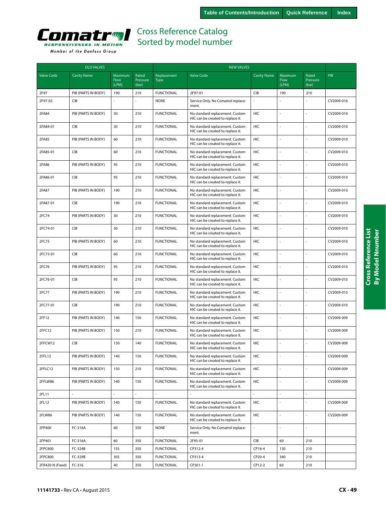

|                   | <b>OLD VALVES</b>   |                          |                            |                            | <b>NEW VALVES</b>                                                    |                    |                          |                            |            |  |
|-------------------|---------------------|--------------------------|----------------------------|----------------------------|----------------------------------------------------------------------|--------------------|--------------------------|----------------------------|------------|--|
| <b>Valve Code</b> | <b>Cavity Name</b>  | Maximum<br>Flow<br>(LPM) | Rated<br>Pressure<br>(bar) | Replacement<br><b>Type</b> | <b>Valve Code</b>                                                    | <b>Cavity Name</b> | Maximum<br>Flow<br>(LPM) | Rated<br>Pressure<br>(bar) | PIB        |  |
| 2F97              | PIB (PARTS IN BODY) | 190                      | 210                        | <b>FUNCTIONAL</b>          | 2F97-01                                                              | CIB                | 190                      | 210                        |            |  |
| 2F97-02           | <b>CIB</b>          | ä,                       | L                          | <b>NONE</b>                | Service Only. No Comatrol replace-<br>ment.                          |                    |                          |                            | CV2009-016 |  |
| 2FA84             | PIB (PARTS IN BODY) | 30                       | 210                        | <b>FUNCTIONAL</b>          | No standard replacement. Custom<br>HIC can be created to replace it. | HIC                | ł,                       |                            | CV2009-010 |  |
| 2FA84-01          | <b>CIB</b>          | 30                       | 210                        | <b>FUNCTIONAL</b>          | No standard replacement. Custom<br>HIC can be created to replace it. | <b>HIC</b>         | Ļ                        |                            | CV2009-010 |  |
| 2FA85             | PIB (PARTS IN BODY) | 60                       | 210                        | <b>FUNCTIONAL</b>          | No standard replacement. Custom<br>HIC can be created to replace it. | HIC                | L,                       |                            | CV2009-010 |  |
| 2FA85-01          | <b>CIB</b>          | 60                       | 210                        | <b>FUNCTIONAL</b>          | No standard replacement. Custom<br>HIC can be created to replace it. | HIC                | ä,                       |                            | CV2009-010 |  |
| 2FA86             | PIB (PARTS IN BODY) | 95                       | 210                        | <b>FUNCTIONAL</b>          | No standard replacement. Custom<br>HIC can be created to replace it. | HIC                | ł,                       |                            | CV2009-010 |  |
| 2FA86-01          | CIB                 | 95                       | 210                        | <b>FUNCTIONAL</b>          | No standard replacement. Custom<br>HIC can be created to replace it. | HIC                | ł,                       | ÷,                         | CV2009-010 |  |
| 2FA87             | PIB (PARTS IN BODY) | 190                      | 210                        | <b>FUNCTIONAL</b>          | No standard replacement. Custom<br>HIC can be created to replace it. | HIC                | í,                       |                            | CV2009-010 |  |
| 2FA87-01          | <b>CIB</b>          | 190                      | 210                        | <b>FUNCTIONAL</b>          | No standard replacement. Custom<br>HIC can be created to replace it. | <b>HIC</b>         | ł,                       |                            | CV2009-010 |  |
| 2FC74             | PIB (PARTS IN BODY) | 30                       | 210                        | <b>FUNCTIONAL</b>          | No standard replacement. Custom<br>HIC can be created to replace it. | HIC                | L,                       |                            | CV2009-010 |  |
| 2FC74-01          | <b>CIB</b>          | 30                       | 210                        | <b>FUNCTIONAL</b>          | No standard replacement. Custom<br>HIC can be created to replace it. | HIC                | L,                       |                            | CV2009-010 |  |
| 2FC75             | PIB (PARTS IN BODY) | 60                       | 210                        | <b>FUNCTIONAL</b>          | No standard replacement. Custom<br>HIC can be created to replace it. | HIC                | Ļ                        |                            | CV2009-010 |  |
| 2FC75-01          | CIB                 | 60                       | 210                        | <b>FUNCTIONAL</b>          | No standard replacement. Custom<br>HIC can be created to replace it. | HIC                | ä,                       |                            | CV2009-010 |  |
| 2FC76             | PIB (PARTS IN BODY) | 95                       | 210                        | <b>FUNCTIONAL</b>          | No standard replacement. Custom<br>HIC can be created to replace it. | HIC                | l,                       |                            | CV2009-010 |  |
| 2FC76-01          | <b>CIB</b>          | 95                       | 210                        | <b>FUNCTIONAL</b>          | No standard replacement. Custom<br>HIC can be created to replace it. | HIC                | J,                       |                            | CV2009-010 |  |
| 2FC77             | PIB (PARTS IN BODY) | 190                      | 210                        | <b>FUNCTIONAL</b>          | No standard replacement. Custom<br>HIC can be created to replace it. | <b>HIC</b>         | í,                       |                            | CV2009-010 |  |
| 2FC77-01          | <b>CIB</b>          | 190                      | 210                        | <b>FUNCTIONAL</b>          | No standard replacement. Custom<br>HIC can be created to replace it. | HIC                | J,                       |                            | CV2009-010 |  |
| 2FF12             | PIB (PARTS IN BODY) | 140                      | 150                        | <b>FUNCTIONAL</b>          | No standard replacement. Custom<br>HIC can be created to replace it. | HIC                | L,                       |                            | CV2009-009 |  |
| 2FFC12            | PIB (PARTS IN BODY) | 150                      | 210                        | <b>FUNCTIONAL</b>          | No standard replacement. Custom<br>HIC can be created to replace it. | HIC                | L                        |                            | CV2009-009 |  |
| 2FFCW12           | CIB                 | 150                      | 140                        | <b>FUNCTIONAL</b>          | No standard replacement. Custom<br>HIC can be created to replace it. | HIC                | í,                       |                            | CV2009-009 |  |
| 2FFL12            | PIB (PARTS IN BODY) | 140                      | 150                        | <b>FUNCTIONAL</b>          | No standard replacement. Custom<br>HIC can be created to replace it. | HIC                |                          |                            | CV2009-009 |  |
| 2FFLC12           | PIB (PARTS IN BODY) | 150                      | 210                        | <b>FUNCTIONAL</b>          | No standard replacement. Custom<br>HIC can be created to replace it. | HIC                |                          |                            | CV2009-009 |  |
| 2FFLW86           | PIB (PARTS IN BODY) | 140                      | 150                        | <b>FUNCTIONAL</b>          | No standard replacement. Custom<br>HIC can be created to replace it. | HIC                | J,                       |                            | CV2009-009 |  |
| 2FL11             |                     | L,                       | L                          | $\omega$                   |                                                                      | $\blacksquare$     |                          |                            |            |  |
| 2FL12             | PIB (PARTS IN BODY) | 140                      | 150                        | <b>FUNCTIONAL</b>          | No standard replacement. Custom<br>HIC can be created to replace it. | HIC                | $\overline{a}$           |                            | CV2009-009 |  |
| 2FLW86            | PIB (PARTS IN BODY) | 140                      | 150                        | <b>FUNCTIONAL</b>          | No standard replacement. Custom<br>HIC can be created to replace it. | HIC                | L,                       |                            | CV2009-009 |  |
| 2FP400            | FC-316A             | 60                       | 350                        | <b>NONE</b>                | Service Only. No Comatrol replace-<br>ment.                          | ä,                 |                          |                            |            |  |
| 2FP401            | FC-316A             | 60                       | 350                        | <b>FUNCTIONAL</b>          | 2F95-01                                                              | CIB                | 60                       | 210                        |            |  |
| 2FPC600           | FC-324B             | 155                      | 350                        | <b>FUNCTIONAL</b>          | CP312-4                                                              | CP16-4             | 130                      | 210                        |            |  |
| 2FPC800           | FC-329B             | 305                      | 350                        | <b>FUNCTIONAL</b>          | CP313-4                                                              | CP20-4             | 340                      | 210                        |            |  |
| 2FR420-N (Fixed)  | FC-316              | 40                       | 350                        | <b>FUNCTIONAL</b>          | CP301-1                                                              | CP12-2             | 60                       | 210                        |            |  |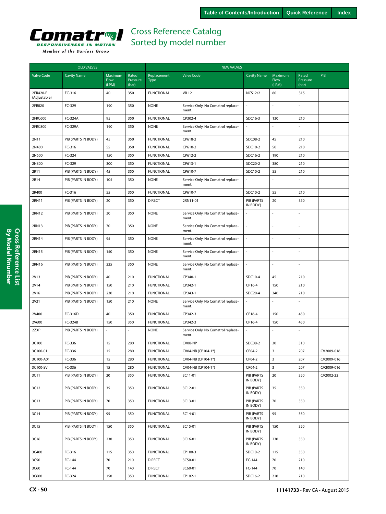

|                          | <b>OLD VALVES</b>   |                          |                            |                            | <b>NEW VALVES</b>                           |                        |                          |                            |            |
|--------------------------|---------------------|--------------------------|----------------------------|----------------------------|---------------------------------------------|------------------------|--------------------------|----------------------------|------------|
| <b>Valve Code</b>        | <b>Cavity Name</b>  | Maximum<br>Flow<br>(LPM) | Rated<br>Pressure<br>(bar) | Replacement<br><b>Type</b> | <b>Valve Code</b>                           | <b>Cavity Name</b>     | Maximum<br>Flow<br>(LPM) | Rated<br>Pressure<br>(bar) | PIB        |
| 2FR420-P<br>(Adjustable) | FC-316              | 40                       | 350                        | <b>FUNCTIONAL</b>          | <b>VR12</b>                                 | <b>NCS12/2</b>         | 60                       | 315                        |            |
| 2FR820                   | FC-329              | 190                      | 350                        | <b>NONE</b>                | Service Only. No Comatrol replace-<br>ment. | ÷,                     | ä,                       |                            |            |
| 2FRC600                  | FC-324A             | 95                       | 350                        | <b>FUNCTIONAL</b>          | CP302-4                                     | SDC16-3                | 130                      | 210                        |            |
| 2FRC800                  | FC-329A             | 190                      | 350                        | <b>NONE</b>                | Service Only. No Comatrol replace-<br>ment. |                        |                          |                            |            |
| 2N11                     | PIB (PARTS IN BODY) | 45                       | 350                        | <b>FUNCTIONAL</b>          | CP618-2                                     | SDC08-2                | 45                       | 210                        |            |
| 2N400                    | FC-316              | 55                       | 350                        | <b>FUNCTIONAL</b>          | CP610-2                                     | SDC10-2                | 50                       | 210                        |            |
| 2N600                    | FC-324              | 150                      | 350                        | <b>FUNCTIONAL</b>          | CP612-2                                     | SDC16-2                | 190                      | 210                        |            |
| 2N800                    | FC-329              | 300                      | 350                        | <b>FUNCTIONAL</b>          | CP613-1                                     | SDC20-2                | 380                      | 210                        |            |
| 2R11                     | PIB (PARTS IN BODY) | 45                       | 350                        | <b>FUNCTIONAL</b>          | CP610-7                                     | SDC10-2                | 55                       | 210                        |            |
| 2R14                     | PIB (PARTS IN BODY) | 105                      | 350                        | <b>NONE</b>                | Service Only. No Comatrol replace-<br>ment. |                        |                          |                            |            |
| 2R400                    | FC-316              | 55                       | 350                        | <b>FUNCTIONAL</b>          | CP610-7                                     | SDC10-2                | 55                       | 210                        |            |
| 2RN11                    | PIB (PARTS IN BODY) | 20                       | 350                        | <b>DIRECT</b>              | 2RN11-01                                    | PIB (PARTS<br>IN BODY) | 20                       | 350                        |            |
| 2RN12                    | PIB (PARTS IN BODY) | 30                       | 350                        | <b>NONE</b>                | Service Only. No Comatrol replace-<br>ment. |                        |                          |                            |            |
| 2RN13                    | PIB (PARTS IN BODY) | 70                       | 350                        | <b>NONE</b>                | Service Only. No Comatrol replace-<br>ment. | ÷,                     | ä,                       |                            |            |
| 2RN14                    | PIB (PARTS IN BODY) | 95                       | 350                        | <b>NONE</b>                | Service Only. No Comatrol replace-<br>ment. | ÷,                     |                          |                            |            |
| 2RN15                    | PIB (PARTS IN BODY) | 150                      | 350                        | <b>NONE</b>                | Service Only. No Comatrol replace-<br>ment. | ÷,                     |                          |                            |            |
| 2RN16                    | PIB (PARTS IN BODY) | 225                      | 350                        | <b>NONE</b>                | Service Only. No Comatrol replace-<br>ment. |                        |                          |                            |            |
| 2V13                     | PIB (PARTS IN BODY) | 40                       | 210                        | <b>FUNCTIONAL</b>          | CP340-1                                     | SDC10-4                | 45                       | 210                        |            |
| 2V14                     | PIB (PARTS IN BODY) | 150                      | 210                        | <b>FUNCTIONAL</b>          | CP342-1                                     | CP16-4                 | 150                      | 210                        |            |
| 2V16                     | PIB (PARTS IN BODY) | 230                      | 210                        | <b>FUNCTIONAL</b>          | CP343-1                                     | SDC20-4                | 340                      | 210                        |            |
| 2V21                     | PIB (PARTS IN BODY) | 150                      | 210                        | <b>NONE</b>                | Service Only. No Comatrol replace-<br>ment. |                        |                          |                            |            |
| 2V400                    | FC-316D             | 40                       | 350                        | <b>FUNCTIONAL</b>          | CP342-3                                     | CP16-4                 | 150                      | 450                        |            |
| 2V600                    | FC-324B             | 150                      | 350                        | <b>FUNCTIONAL</b>          | CP342-3                                     | CP16-4                 | 150                      | 450                        |            |
| 2ZXP                     | PIB (PARTS IN BODY) |                          |                            | <b>NONE</b>                | Service Only. No Comatrol replace-<br>ment. |                        |                          |                            |            |
| 3C100                    | FC-336              | 15                       | 280                        | <b>FUNCTIONAL</b>          | CV08-NP                                     | SDC08-2                | 30                       | 310                        |            |
| 3C100-01                 | FC-336              | 15                       | 280                        | <b>FUNCTIONAL</b>          | CV04-NB (CP104-1*)                          | CP04-2                 | $\overline{3}$           | 207                        | CV2009-016 |
| 3C100-A01                | FC-336              | 15                       | 280                        | <b>FUNCTIONAL</b>          | CV04-NB (CP104-1*)                          | CP04-2                 | $\mathbf{3}$             | 207                        | CV2009-016 |
| 3C100-SV                 | FC-336              | 15                       | 280                        | <b>FUNCTIONAL</b>          | CV04-NB (CP104-1*)                          | CP04-2                 | 3                        | 207                        | CV2009-016 |
| 3C11                     | PIB (PARTS IN BODY) | 20                       | 350                        | <b>FUNCTIONAL</b>          | 3C11-01                                     | PIB (PARTS<br>IN BODY) | 20                       | 350                        | CV2002-22  |
| 3C12                     | PIB (PARTS IN BODY) | 35                       | 350                        | <b>FUNCTIONAL</b>          | 3C12-01                                     | PIB (PARTS<br>IN BODY) | 35                       | 350                        |            |
| 3C13                     | PIB (PARTS IN BODY) | 70                       | 350                        | <b>FUNCTIONAL</b>          | 3C13-01                                     | PIB (PARTS<br>IN BODY) | 70                       | 350                        |            |
| 3C14                     | PIB (PARTS IN BODY) | 95                       | 350                        | <b>FUNCTIONAL</b>          | 3C14-01                                     | PIB (PARTS<br>IN BODY) | 95                       | 350                        |            |
| 3C15                     | PIB (PARTS IN BODY) | 150                      | 350                        | <b>FUNCTIONAL</b>          | 3C15-01                                     | PIB (PARTS<br>IN BODY) | 150                      | 350                        |            |
| 3C16                     | PIB (PARTS IN BODY) | 230                      | 350                        | <b>FUNCTIONAL</b>          | 3C16-01                                     | PIB (PARTS<br>IN BODY) | 230                      | 350                        |            |
| 3C400                    | FC-316              | 115                      | 350                        | <b>FUNCTIONAL</b>          | CP100-3                                     | SDC10-2                | 115                      | 350                        |            |
| 3C50                     | FC-144              | 70                       | 210                        | <b>DIRECT</b>              | 3C50-01                                     | FC-144                 | 70                       | 210                        |            |
| 3C60                     | FC-144              | 70                       | 140                        | <b>DIRECT</b>              | 3C60-01                                     | FC-144                 | 70                       | 140                        |            |
| 3C600                    | FC-324              | 150                      | 350                        | <b>FUNCTIONAL</b>          | CP102-1                                     | SDC16-2                | 210                      | 210                        |            |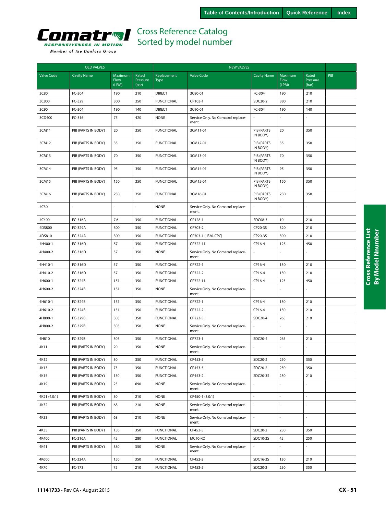

| <b>OLD VALVES</b> |                     |                 |                   | <b>NEW VALVES</b>          |                                             |                          |                 |                          |            |
|-------------------|---------------------|-----------------|-------------------|----------------------------|---------------------------------------------|--------------------------|-----------------|--------------------------|------------|
| <b>Valve Code</b> | <b>Cavity Name</b>  | Maximum<br>Flow | Rated<br>Pressure | Replacement<br><b>Type</b> | <b>Valve Code</b>                           | <b>Cavity Name</b>       | Maximum<br>Flow | Rated<br>Pressure        | <b>PIB</b> |
|                   |                     | (LPM)           | (bar)             |                            |                                             |                          | (LPM)           | (bar)                    |            |
| 3C80              | FC-304              | 190             | 210               | <b>DIRECT</b>              | 3C80-01                                     | FC-304                   | 190             | 210                      |            |
| 3C800             | FC-329              | 300             | 350               | <b>FUNCTIONAL</b>          | CP103-1                                     | SDC20-2                  | 380             | 210                      |            |
| 3C90              | FC-304              | 190             | 140               | <b>DIRECT</b>              | 3C90-01                                     | FC-304                   | 190             | 140                      |            |
| 3CD400            | FC-316              | 75              | 420               | <b>NONE</b>                | Service Only. No Comatrol replace-<br>ment. |                          |                 |                          |            |
| 3CM11             | PIB (PARTS IN BODY) | 20              | 350               | <b>FUNCTIONAL</b>          | 3CM11-01                                    | PIB (PARTS<br>IN BODY)   | 20              | 350                      |            |
| 3CM12             | PIB (PARTS IN BODY) | 35              | 350               | <b>FUNCTIONAL</b>          | 3CM12-01                                    | PIB (PARTS<br>IN BODY)   | 35              | 350                      |            |
| 3CM13             | PIB (PARTS IN BODY) | 70              | 350               | <b>FUNCTIONAL</b>          | 3CM13-01                                    | PIB (PARTS<br>IN BODY)   | 70              | 350                      |            |
| 3CM14             | PIB (PARTS IN BODY) | 95              | 350               | <b>FUNCTIONAL</b>          | 3CM14-01                                    | PIB (PARTS<br>IN BODY)   | 95              | 350                      |            |
| 3CM15             | PIB (PARTS IN BODY) | 150             | 350               | <b>FUNCTIONAL</b>          | 3CM15-01                                    | PIB (PARTS<br>IN BODY)   | 150             | 350                      |            |
| 3CM16             | PIB (PARTS IN BODY) | 230             | 350               | <b>FUNCTIONAL</b>          | 3CM16-01                                    | PIB (PARTS<br>IN BODY)   | 230             | 350                      |            |
| 4C30              |                     |                 |                   | <b>NONE</b>                | Service Only. No Comatrol replace-<br>ment. |                          |                 |                          |            |
| 4C400             | FC-316A             | 7.6             | 350               | <b>FUNCTIONAL</b>          | CP128-1                                     | SDC08-3                  | 10              | 210                      |            |
| 4DS800            | FC-329A             | 300             | 350               | <b>FUNCTIONAL</b>          | CP703-2                                     | CP20-3S                  | 320             | 210                      |            |
| 4DS810            | FC-324A             | 300             | 350               | <b>FUNCTIONAL</b>          | CP703-1 (LE20-CPC)                          | CP20-3S                  | 300             | 210                      |            |
| 4H400-1           | FC-316D             | 57              | 350               | <b>FUNCTIONAL</b>          | CP722-11                                    | CP16-4                   | 125             | 450                      |            |
| 4H400-2           | FC-316D             | 57              | 350               | <b>NONE</b>                | Service Only. No Comatrol replace-<br>ment. |                          |                 |                          |            |
| 4H410-1           | FC-316D             | 57              | 350               | <b>FUNCTIONAL</b>          | CP722-1                                     | CP16-4                   | 130             | 210                      |            |
| 4H410-2           | FC-316D             | 57              | 350               | <b>FUNCTIONAL</b>          | CP722-2                                     | CP16-4                   | 130             | 210                      |            |
| 4H600-1           | FC-324B             | 151             | 350               | <b>FUNCTIONAL</b>          | CP722-11                                    | CP16-4                   | 125             | 450                      |            |
| 4H600-2           | FC-324B             | 151             | 350               | <b>NONE</b>                | Service Only. No Comatrol replace-<br>ment. |                          |                 |                          |            |
| 4H610-1           | FC-324B             | 151             | 350               | <b>FUNCTIONAL</b>          | CP722-1                                     | CP16-4                   | 130             | 210                      |            |
| 4H610-2           | FC-324B             | 151             | 350               | <b>FUNCTIONAL</b>          | CP722-2                                     | CP16-4                   | 130             | 210                      |            |
| 4H800-1           | FC-329B             | 303             | 350               | <b>FUNCTIONAL</b>          | CP723-5                                     | SDC20-4                  | 265             | 210                      |            |
| 4H800-2           | FC-329B             | 303             | 350               | <b>NONE</b>                | Service Only. No Comatrol replace-<br>ment. |                          |                 |                          |            |
| 4H810             | FC-329B             | 303             | 350               | <b>FUNCTIONAL</b>          | CP723-1                                     | SDC20-4                  | 265             | 210                      |            |
| 4K11              | PIB (PARTS IN BODY) | 20              | 350               | <b>NONE</b>                | Service Only. No Comatrol replace-<br>ment. |                          |                 |                          |            |
| 4K12              | PIB (PARTS IN BODY) | 30              | 350               | <b>FUNCTIONAL</b>          | CP453-5                                     | SDC20-2                  | 250             | 350                      |            |
| 4K13              | PIB (PARTS IN BODY) | 75              | 350               | <b>FUNCTIONAL</b>          | CP453-5                                     | SDC20-2                  | 250             | 350                      |            |
| 4K15              | PIB (PARTS IN BODY) | 150             | 350               | <b>FUNCTIONAL</b>          | CP453-2                                     | SDC20-3S                 | 230             | 210                      |            |
| 4K19              | PIB (PARTS IN BODY) | 23              | 690               | <b>NONE</b>                | Service Only. No Comatrol replace-<br>ment. |                          |                 |                          |            |
| 4K21 (4.0:1)      | PIB (PARTS IN BODY) | 30              | 210               | <b>NONE</b>                | CP450-1 (3.0:1)                             | ÷.                       | $\overline{a}$  | $\overline{\phantom{a}}$ |            |
| 4K32              | PIB (PARTS IN BODY) | 68              | 210               | <b>NONE</b>                | Service Only. No Comatrol replace-<br>ment. | $\overline{\phantom{a}}$ | ä,              | $\sim$                   |            |
| 4K33              | PIB (PARTS IN BODY) | 68              | 210               | <b>NONE</b>                | Service Only. No Comatrol replace-<br>ment. | $\bar{z}$                | ÷,              | $\sim$                   |            |
| 4K35              | PIB (PARTS IN BODY) | 150             | 350               | <b>FUNCTIONAL</b>          | CP453-5                                     | SDC20-2                  | 250             | 350                      |            |
| 4K400             | FC-316A             | 45              | 280               | <b>FUNCTIONAL</b>          | MC10-RO                                     | SDC10-3S                 | 45              | 250                      |            |
| 4K41              | PIB (PARTS IN BODY) | 380             | 350               | <b>NONE</b>                | Service Only. No Comatrol replace-<br>ment. |                          |                 |                          |            |
| 4K600             | FC-324A             | 150             | 350               | <b>FUNCTIONAL</b>          | CP452-2                                     | SDC16-3S                 | 130             | 210                      |            |
| 4K70              | FC-173              | 75              | 210               | <b>FUNCTIONAL</b>          | CP453-5                                     | SDC20-2                  | 250             | 350                      |            |
|                   |                     |                 |                   |                            |                                             |                          |                 |                          |            |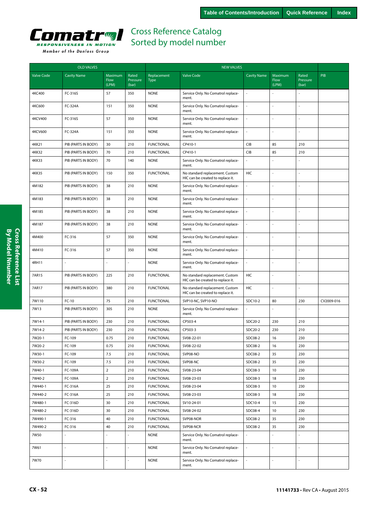

| <b>OLD VALVES</b> |                     |                          |                            | <b>NEW VALVES</b>          |                                                                      |                          |                                 |                            |            |
|-------------------|---------------------|--------------------------|----------------------------|----------------------------|----------------------------------------------------------------------|--------------------------|---------------------------------|----------------------------|------------|
| <b>Valve Code</b> | <b>Cavity Name</b>  | Maximum<br>Flow<br>(LPM) | Rated<br>Pressure<br>(bar) | Replacement<br><b>Type</b> | <b>Valve Code</b>                                                    | <b>Cavity Name</b>       | Maximum<br><b>Flow</b><br>(LPM) | Rated<br>Pressure<br>(bar) | PIB        |
| 4KC400            | FC-316S             | 57                       | 350                        | <b>NONE</b>                | Service Only. No Comatrol replace-<br>ment.                          | $\sim$                   |                                 |                            |            |
| 4KC600            | FC-324A             | 151                      | 350                        | <b>NONE</b>                | Service Only. No Comatrol replace-<br>ment.                          | L.                       | ä,                              |                            |            |
| <b>4KCV400</b>    | FC-316S             | 57                       | 350                        | <b>NONE</b>                | Service Only. No Comatrol replace-<br>ment.                          | ä,                       | ä,                              |                            |            |
| <b>4KCV600</b>    | FC-324A             | 151                      | 350                        | <b>NONE</b>                | Service Only. No Comatrol replace-<br>ment.                          | ä,                       |                                 |                            |            |
| 4KK21             | PIB (PARTS IN BODY) | 30                       | 210                        | <b>FUNCTIONAL</b>          | CP410-1                                                              | <b>CIB</b>               | 85                              | 210                        |            |
| <b>4KK32</b>      | PIB (PARTS IN BODY) | 70                       | 210                        | <b>FUNCTIONAL</b>          | CP410-1                                                              | <b>CIB</b>               | 85                              | 210                        |            |
| <b>4KK33</b>      | PIB (PARTS IN BODY) | 70                       | 140                        | <b>NONE</b>                | Service Only. No Comatrol replace-<br>ment.                          | $\overline{\phantom{a}}$ | L                               |                            |            |
| <b>4KK35</b>      | PIB (PARTS IN BODY) | 150                      | 350                        | <b>FUNCTIONAL</b>          | No standard replacement. Custom<br>HIC can be created to replace it. | HIC                      | L                               |                            |            |
| 4M182             | PIB (PARTS IN BODY) | 38                       | 210                        | <b>NONE</b>                | Service Only. No Comatrol replace-<br>ment.                          | ä,                       |                                 |                            |            |
| 4M183             | PIB (PARTS IN BODY) | 38                       | 210                        | <b>NONE</b>                | Service Only. No Comatrol replace-<br>ment.                          | ÷,                       |                                 |                            |            |
| 4M185             | PIB (PARTS IN BODY) | 38                       | 210                        | <b>NONE</b>                | Service Only. No Comatrol replace-<br>ment.                          | $\bar{a}$                | L,                              |                            |            |
| 4M187             | PIB (PARTS IN BODY) | 38                       | 210                        | <b>NONE</b>                | Service Only. No Comatrol replace-<br>ment.                          | $\bar{a}$                |                                 |                            |            |
| 4M400             | FC-316              | 57                       | 350                        | <b>NONE</b>                | Service Only. No Comatrol replace-<br>ment.                          | $\overline{a}$           | ä,                              |                            |            |
| 4M410             | FC-316              | 57                       | 350                        | <b>NONE</b>                | Service Only. No Comatrol replace-<br>ment.                          | L.                       | ä,                              |                            |            |
| 4RH11             | ä,                  |                          | $\overline{a}$             | <b>NONE</b>                | Service Only. No Comatrol replace-<br>ment.                          | ÷,                       | ÷,                              |                            |            |
| 7AR15             | PIB (PARTS IN BODY) | 225                      | 210                        | <b>FUNCTIONAL</b>          | No standard replacement. Custom<br>HIC can be created to replace it. | HIC                      | J,                              |                            |            |
| 7AR17             | PIB (PARTS IN BODY) | 380                      | 210                        | <b>FUNCTIONAL</b>          | No standard replacement. Custom<br>HIC can be created to replace it. | HIC                      | L                               |                            |            |
| 7W110             | $FC-10$             | 75                       | 210                        | <b>FUNCTIONAL</b>          | SVP10-NC, SVP10-NO                                                   | SDC10-2                  | 80                              | 230                        | CV2009-016 |
| 7W13              | PIB (PARTS IN BODY) | 305                      | 210                        | <b>NONE</b>                | Service Only. No Comatrol replace-<br>ment.                          | ÷,                       | L.                              |                            |            |
| 7W14-1            | PIB (PARTS IN BODY) | 230                      | 210                        | <b>FUNCTIONAL</b>          | CP503-4                                                              | SDC20-2                  | 230                             | 210                        |            |
| 7W14-2            | PIB (PARTS IN BODY) | 230                      | 210                        | <b>FUNCTIONAL</b>          | CP503-3                                                              | SDC20-2                  | 230                             | 210                        |            |
| 7W20-1            | FC-109              | 0.75                     | 210                        | <b>FUNCTIONAL</b>          | SV08-22-01                                                           | SDC08-2                  | 16                              | 230                        |            |
| 7W20-2            | FC-109              | 0.75                     | 210                        | <b>FUNCTIONAL</b>          | SV08-22-02                                                           | SDC08-2                  | 16                              | 230                        |            |
| 7W30-1            | FC-109              | 7.5                      | 210                        | <b>FUNCTIONAL</b>          | SVP08-NO                                                             | SDC08-2                  | 35                              | 230                        |            |
| 7W30-2            | FC-109              | 7.5                      | 210                        | <b>FUNCTIONAL</b>          | SVP08-NC                                                             | SDC08-2                  | 35                              | 230                        |            |
| 7W40-1            | FC-109A             | $\overline{2}$           | 210                        | <b>FUNCTIONAL</b>          | SV08-23-04                                                           | SDC08-3                  | 10                              | 230                        |            |
| 7W40-2            | FC-109A             | $\overline{2}$           | 210                        | <b>FUNCTIONAL</b>          | SV08-23-03                                                           | SDC08-3                  | 18                              | 230                        |            |
| 7W440-1           | FC-316A             | 25                       | 210                        | <b>FUNCTIONAL</b>          | SV08-23-04                                                           | SDC08-3                  | $10$                            | 230                        |            |
| 7W440-2           | FC-316A             | 25                       | 210                        | <b>FUNCTIONAL</b>          | SV08-23-03                                                           | SDC08-3                  | 18                              | 230                        |            |
| 7W480-1           | FC-316D             | 30                       | 210                        | <b>FUNCTIONAL</b>          | SV10-24-01                                                           | SDC10-4                  | 15                              | 230                        |            |
| 7W480-2           | FC-316D             | 30                       | 210                        | <b>FUNCTIONAL</b>          | SV08-24-02                                                           | SDC08-4                  | $10$                            | 230                        |            |
| 7W490-1           | FC-316              | 40                       | 210                        | <b>FUNCTIONAL</b>          | SVP08-NOR                                                            | SDC08-2                  | 35                              | 230                        |            |
| 7W490-2           | FC-316              | 40                       | 210                        | <b>FUNCTIONAL</b>          | SVP08-NCR                                                            | SDC08-2                  | 35                              | 230                        |            |
| 7W50              | ä,                  |                          |                            | <b>NONE</b>                | Service Only. No Comatrol replace-<br>ment.                          | ÷,                       | L,                              |                            |            |
| 7W61              | ÷.                  |                          | $\overline{a}$             | <b>NONE</b>                | Service Only. No Comatrol replace-<br>ment.                          | ÷,                       | L.                              |                            |            |
| 7W70              | ÷.                  | ÷.                       | ù,                         | <b>NONE</b>                | Service Only. No Comatrol replace-<br>ment.                          | L.                       | $\sim$                          | $\bar{a}$                  |            |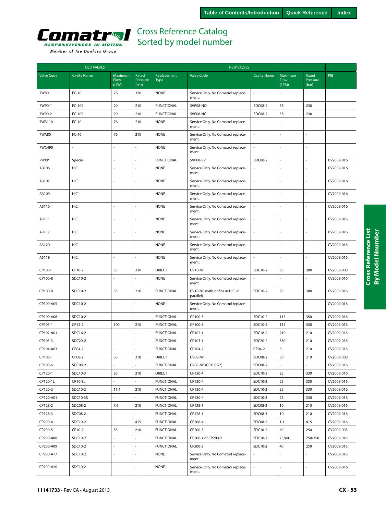

| <b>OLD VALVES</b> |                    |                                 |                            | <b>NEW VALVES</b>          |                                               |                          |                          |                            |            |
|-------------------|--------------------|---------------------------------|----------------------------|----------------------------|-----------------------------------------------|--------------------------|--------------------------|----------------------------|------------|
| <b>Valve Code</b> | <b>Cavity Name</b> | Maximum<br><b>Flow</b><br>(LPM) | Rated<br>Pressure<br>(bar) | Replacement<br><b>Type</b> | <b>Valve Code</b>                             | <b>Cavity Name</b>       | Maximum<br>Flow<br>(LPM) | Rated<br>Pressure<br>(bar) | <b>PIB</b> |
| 7W80              | $FC-10$            | 76                              | 320                        | <b>NONE</b>                | Service Only. No Comatrol replace-<br>ment.   |                          |                          |                            |            |
| 7W90-1            | FC-109             | 20                              | 210                        | <b>FUNCTIONAL</b>          | SVP08-NO                                      | SDC08-2                  | 35                       | 230                        |            |
| 7W90-2            | FC-109             | 20                              | 210                        | <b>FUNCTIONAL</b>          | SVP08-NC                                      | SDC08-2                  | 35                       | 230                        |            |
| 7WA110            | FC-10              | 76                              | 210                        | <b>NONE</b>                | Service Only. No Comatrol replace-<br>ment.   | $\sim$                   |                          |                            |            |
| 7WA80             | $FC-10$            | 76                              | 210                        | <b>NONE</b>                | Service Only. No Comatrol replace-<br>ment.   | ÷,                       | L,                       |                            |            |
| 7WC490            |                    | ä,                              |                            | <b>NONE</b>                | Service Only. No Comatrol replace-<br>ment.   | $\overline{a}$           |                          |                            |            |
| 7WXP              | Special            | ä,                              |                            | <b>FUNCTIONAL</b>          | SVP08-RV                                      | SDC08-2                  | ÷,                       |                            | CV2009-016 |
| A3106             | HIC                |                                 |                            | <b>NONE</b>                | Service Only. No Comatrol replace-<br>ment.   |                          |                          |                            | CV2009-016 |
| A3107             | HIC                |                                 |                            | <b>NONE</b>                | Service Only. No Comatrol replace-<br>ment.   | ÷,                       | J,                       |                            | CV2009-016 |
| A3109             | <b>HIC</b>         |                                 |                            | <b>NONE</b>                | Service Only. No Comatrol replace-<br>ment.   |                          |                          |                            | CV2009-016 |
| A3110             | <b>HIC</b>         |                                 |                            | <b>NONE</b>                | Service Only. No Comatrol replace-<br>ment.   | ä,                       | L,                       |                            | CV2009-016 |
| A3111             | HIC                |                                 |                            | <b>NONE</b>                | Service Only. No Comatrol replace-<br>ment.   | $\overline{a}$           | ÷,                       |                            | CV2009-016 |
| A3112             | HIC                |                                 |                            | <b>NONE</b>                | Service Only. No Comatrol replace-<br>ment.   | $\overline{a}$           | L.                       |                            | CV2009-016 |
| A3120             | HIC                | í,                              |                            | <b>NONE</b>                | Service Only. No Comatrol replace-<br>ment.   | ÷,                       | ÷,                       |                            | CV2009-016 |
| A5119             | HIC                |                                 |                            | <b>NONE</b>                | Service Only. No Comatrol replace-<br>ment.   | ÷,                       |                          |                            | CV2009-016 |
| CP100-1           | CP10-2             | 83                              | 210                        | <b>DIRECT</b>              | CV10-NP                                       | SDC10-2                  | 85                       | 300                        | CV2009-008 |
| CP100-8           | SDC10-2            | L                               | ÷,                         | <b>NONE</b>                | Service Only. No Comatrol replace-<br>ment.   | $\bar{a}$                | L.                       |                            | CV2009-016 |
| CP100-9           | SDC10-2            | 85                              | 210                        | <b>FUNCTIONAL</b>          | CV10-NP (with orifice in HIC, in<br>parallel) | SDC10-2                  | 85                       | 300                        | CV2009-016 |
| CP100-A05         | SDC10-2            | $\overline{a}$                  | ÷,                         | <b>NONE</b>                | Service Only. No Comatrol replace-<br>ment.   | ä,                       | $\overline{a}$           |                            | CV2009-016 |
| CP100-A06         | SDC10-2            |                                 |                            | <b>FUNCTIONAL</b>          | CP100-3                                       | SDC10-2                  | 115                      | 350                        | CV2009-016 |
| CP101-1           | CP12-2             | 100                             | 210                        | <b>FUNCTIONAL</b>          | CP100-3                                       | SDC10-2                  | 115                      | 350                        | CV2009-016 |
| CP102-A01         | SDC16-2            |                                 |                            | <b>FUNCTIONAL</b>          | CP102-1                                       | SDC16-2                  | 210                      | 210                        | CV2009-016 |
| CP103-3           | SDC20-2            | L,                              |                            | <b>FUNCTIONAL</b>          | CP103-1                                       | SDC20-2                  | 380                      | 210                        | CV2009-016 |
| CP104-A03         | CP04-2             |                                 |                            | <b>FUNCTIONAL</b>          | CP104-2                                       | CP04-2                   | 3                        | 210                        | CV2009-016 |
| CP108-1           | CP08-2             | 30                              | 210                        | <b>DIRECT</b>              | CV08-NP                                       | SDC08-2                  | 30                       | 210                        | CV2009-008 |
| CP108-6           | SDC08-2            |                                 |                            | <b>FUNCTIONAL</b>          | CV08-NB (CP108-7*)                            | SDC08-2                  |                          |                            | CV2009-016 |
| CP120-1           | SDC10-3            | 20                              | 210                        | <b>DIRECT</b>              | CP120-4                                       | SDC10-3                  | 25                       | 330                        | CV2009-016 |
| CP120-1L          | CP10-3L            |                                 |                            | <b>FUNCTIONAL</b>          | CP120-4                                       | SDC10-3                  | 25                       | 330                        | CV2009-016 |
| CP120-2           | SDC10-2            | 11.4                            | 210                        | <b>FUNCTIONAL</b>          | CP120-4                                       | SDC10-3                  | 25                       | 330                        | CV2009-016 |
| CP120-A01         | SDC10-3S           |                                 |                            | <b>FUNCTIONAL</b>          | CP120-4                                       | SDC10-3                  | 25                       | 330                        | CV2009-016 |
| CP128-2           | SDC08-2            | $7.6$                           | 210                        | <b>FUNCTIONAL</b>          | CP128-1                                       | SDC08-3                  | 10                       | 210                        | CV2009-016 |
| CP128-3           | SDC08-2            |                                 |                            | <b>FUNCTIONAL</b>          | CP128-1                                       | SDC08-3                  | 10                       | 210                        | CV2009-016 |
| CP200-4           | SDC10-2            | ä,                              | 415                        | <b>FUNCTIONAL</b>          | CP208-4                                       | SDC08-2                  | 1.1                      | 415                        | CV2009-016 |
| CP200-5           | CP10-2             | 38                              | 210                        | <b>FUNCTIONAL</b>          | CP200-3                                       | SDC10-2                  | 40                       | 250                        | CV2009-008 |
| CP200-A08         | SDC10-2            |                                 | ÷,                         | <b>FUNCTIONAL</b>          | CP200-1 or CP200-2                            | SDC10-2                  | 75/40                    | 250/350                    | CV2009-016 |
| CP200-A09         | SDC10-2            |                                 |                            | <b>FUNCTIONAL</b>          | CP200-3                                       | SDC10-2                  | 40                       | 250                        | CV2009-016 |
| CP200-A17         | SDC10-2            | ÷,                              |                            | <b>NONE</b>                | Service Only. No Comatrol replace-<br>ment.   |                          |                          |                            | CV2009-016 |
| CP200-A20         | SDC10-2            | L.                              | ÷.                         | <b>NONE</b>                | Service Only. No Comatrol replace-<br>ment.   | $\overline{\phantom{a}}$ | ä,                       | ä,                         | CV2009-016 |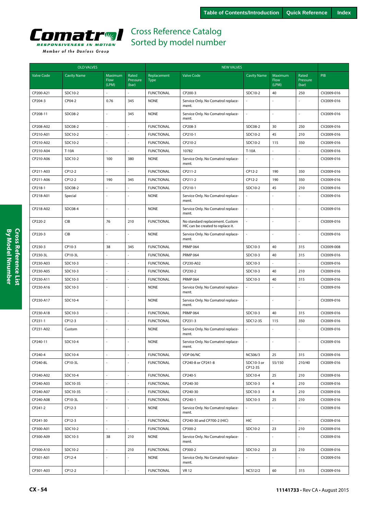

|                   | <b>OLD VALVES</b>  |                          |                            | <b>NEW VALVES</b>          |                                                                      |                       |                          |                            |            |  |  |
|-------------------|--------------------|--------------------------|----------------------------|----------------------------|----------------------------------------------------------------------|-----------------------|--------------------------|----------------------------|------------|--|--|
| <b>Valve Code</b> | <b>Cavity Name</b> | Maximum<br>Flow<br>(LPM) | Rated<br>Pressure<br>(bar) | Replacement<br><b>Type</b> | <b>Valve Code</b>                                                    | <b>Cavity Name</b>    | Maximum<br>Flow<br>(LPM) | Rated<br>Pressure<br>(bar) | <b>PIB</b> |  |  |
| CP200-A21         | SDC10-2            |                          |                            | <b>FUNCTIONAL</b>          | CP200-3                                                              | SDC10-2               | 40                       | 250                        | CV2009-016 |  |  |
| CP204-3           | CP04-2             | 0.76                     | 345                        | <b>NONE</b>                | Service Only. No Comatrol replace-<br>ment.                          | L.                    | L,                       |                            | CV2009-016 |  |  |
| CP208-11          | SDC08-2            |                          | 345                        | <b>NONE</b>                | Service Only. No Comatrol replace-<br>ment.                          | $\bar{a}$             | ÷,                       |                            | CV2009-016 |  |  |
| CP208-A02         | SDC08-2            |                          |                            | <b>FUNCTIONAL</b>          | CP208-3                                                              | SDC08-2               | 30                       | 250                        | CV2009-016 |  |  |
| CP210-A01         | SDC10-2            |                          |                            | <b>FUNCTIONAL</b>          | CP210-1                                                              | SDC10-2               | 45                       | 210                        | CV2009-016 |  |  |
| CP210-A02         | SDC10-2            |                          |                            | <b>FUNCTIONAL</b>          | CP210-2                                                              | SDC10-2               | 115                      | 350                        | CV2009-016 |  |  |
| CP210-A04         | T-10A              |                          |                            | <b>FUNCTIONAL</b>          | 10782                                                                | T-10A                 |                          |                            | CV2009-016 |  |  |
| CP210-A06         | SDC10-2            | 100                      | 380                        | <b>NONE</b>                | Service Only. No Comatrol replace-<br>ment.                          | $\bar{a}$             |                          |                            | CV2009-016 |  |  |
| CP211-A03         | CP12-2             |                          |                            | <b>FUNCTIONAL</b>          | CP211-2                                                              | CP12-2                | 190                      | 350                        | CV2009-016 |  |  |
| CP211-A06         | CP12-2             | 190                      | 345                        | <b>FUNCTIONAL</b>          | CP211-2                                                              | CP12-2                | 190                      | 350                        | CV2009-016 |  |  |
| CP218-1           | SDC08-2            |                          |                            | <b>FUNCTIONAL</b>          | CP210-1                                                              | SDC10-2               | 45                       | 210                        | CV2009-016 |  |  |
| CP218-A01         | Special            |                          |                            | <b>NONE</b>                | Service Only. No Comatrol replace-<br>ment.                          |                       |                          |                            | CV2009-016 |  |  |
| CP218-A02         | SDC08-4            |                          | $\overline{a}$             | <b>NONE</b>                | Service Only. No Comatrol replace-<br>ment.                          | $\overline{a}$        | L,                       |                            | CV2009-016 |  |  |
| CP220-2           | CIB                | 76                       | 210                        | <b>FUNCTIONAL</b>          | No standard replacement. Custom<br>HIC can be created to replace it. | L.                    | ÷,                       |                            | CV2009-016 |  |  |
| CP220-3           | <b>CIB</b>         |                          |                            | <b>NONE</b>                | Service Only. No Comatrol replace-<br>ment.                          |                       |                          |                            | CV2009-016 |  |  |
| CP230-3           | CP10-3             | 38                       | 345                        | <b>FUNCTIONAL</b>          | <b>PRMP 064</b>                                                      | SDC10-3               | 40                       | 315                        | CV2009-008 |  |  |
| CP230-3L          | CP10-3L            |                          |                            | <b>FUNCTIONAL</b>          | <b>PRMP 064</b>                                                      | SDC10-3               | 40                       | 315                        | CV2009-016 |  |  |
| CP230-A03         | SDC10-3            |                          |                            | <b>FUNCTIONAL</b>          | CP230-A02                                                            | SDC10-3               | ä,                       | ÷,                         | CV2009-016 |  |  |
| CP230-A05         | SDC10-3            |                          |                            | <b>FUNCTIONAL</b>          | CP230-2                                                              | SDC10-3               | 40                       | 210                        | CV2009-016 |  |  |
| CP230-A11         | SDC10-3            |                          |                            | <b>FUNCTIONAL</b>          | <b>PRMP 064</b>                                                      | SDC10-3               | 40                       | 315                        | CV2009-016 |  |  |
| CP230-A16         | SDC10-3            |                          |                            | <b>NONE</b>                | Service Only. No Comatrol replace-<br>ment.                          | ÷,                    |                          |                            | CV2009-016 |  |  |
| CP230-A17         | SDC10-4            |                          |                            | <b>NONE</b>                | Service Only. No Comatrol replace-<br>ment.                          |                       |                          |                            | CV2009-016 |  |  |
| CP230-A18         | SDC10-3            |                          |                            | <b>FUNCTIONAL</b>          | <b>PRMP 064</b>                                                      | SDC10-3               | 40                       | 315                        | CV2009-016 |  |  |
| CP231-1           | CP12-3             |                          |                            | <b>FUNCTIONAL</b>          | CP231-3                                                              | SDC12-3S              | 115                      | 350                        | CV2009-016 |  |  |
| CP231-A02         | Custom             |                          |                            | <b>NONE</b>                | Service Only. No Comatrol replace-<br>ment.                          | $\overline{a}$        | ÷,                       |                            | CV2009-016 |  |  |
| CP240-11          | SDC10-4            |                          | $\overline{a}$             | <b>NONE</b>                | Service Only. No Comatrol replace-<br>ment.                          | L.                    | ÷,                       | ÷,                         | CV2009-016 |  |  |
| CP240-4           | SDC10-4            |                          |                            | <b>FUNCTIONAL</b>          | VDP 06/NC                                                            | <b>NCS06/3</b>        | 25                       | 315                        | CV2009-016 |  |  |
| CP240-8L          | CP10-3L            |                          |                            | <b>FUNCTIONAL</b>          | CP240-8 or CP241-8                                                   | SDC10-3 or<br>CP12-3S | 55/150                   | 210/40                     | CV2009-016 |  |  |
| CP240-A02         | SDC10-4            |                          | ÷,                         | <b>FUNCTIONAL</b>          | CP240-5                                                              | SDC10-4               | 25                       | 210                        | CV2009-016 |  |  |
| CP240-A03         | SDC10-3S           |                          | ÷,                         | <b>FUNCTIONAL</b>          | CP240-30                                                             | SDC10-3               | $\overline{4}$           | 210                        | CV2009-016 |  |  |
| CP240-A07         | SDC10-3S           |                          |                            | <b>FUNCTIONAL</b>          | CP240-30                                                             | SDC10-3               | $\overline{4}$           | 210                        | CV2009-016 |  |  |
| CP240-A08         | CP10-3L            | $\sim$                   | ÷,                         | <b>FUNCTIONAL</b>          | CP240-1                                                              | SDC10-3               | 25                       | 210                        | CV2009-016 |  |  |
| CP241-2           | CP12-3             | ÷.                       | ÷.                         | <b>NONE</b>                | Service Only. No Comatrol replace-<br>ment.                          | $\overline{a}$        |                          |                            | CV2009-016 |  |  |
| CP241-30          | CP12-3             |                          | L.                         | <b>FUNCTIONAL</b>          | CP240-30 and CP700-2 (HIC)                                           | HIC                   |                          |                            | CV2009-016 |  |  |
| CP300-A01         | SDC10-2            |                          |                            | <b>FUNCTIONAL</b>          | CP300-2                                                              | SDC10-2               | 23                       | 210                        | CV2009-016 |  |  |
| CP300-A09         | SDC10-3            | 38                       | 210                        | <b>NONE</b>                | Service Only. No Comatrol replace-<br>ment.                          |                       |                          |                            | CV2009-016 |  |  |
| CP300-A10         | SDC10-2            | ä,                       | 210                        | <b>FUNCTIONAL</b>          | CP300-2                                                              | SDC10-2               | 23                       | 210                        | CV2009-016 |  |  |
| CP301-A01         | CP12-4             |                          |                            | <b>NONE</b>                | Service Only. No Comatrol replace-<br>ment.                          | ÷,                    |                          |                            | CV2009-016 |  |  |
| CP301-A03         | CP12-2             |                          | $\sim$                     | <b>FUNCTIONAL</b>          | <b>VR12</b>                                                          | <b>NCS12/2</b>        | 60                       | 315                        | CV2009-016 |  |  |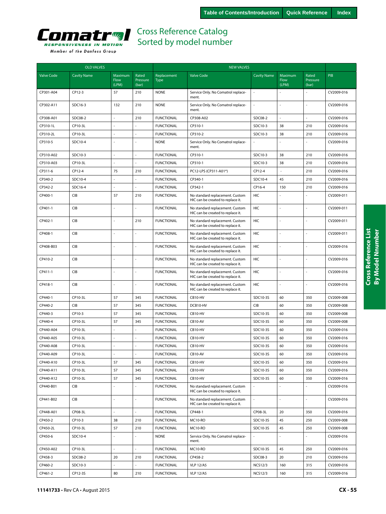

| <b>OLD VALVES</b> |                    |                          |                            | <b>NEW VALVES</b>          |                                                                      |                    |                          |                            |            |
|-------------------|--------------------|--------------------------|----------------------------|----------------------------|----------------------------------------------------------------------|--------------------|--------------------------|----------------------------|------------|
| Valve Code        | <b>Cavity Name</b> | Maximum<br>Flow<br>(LPM) | Rated<br>Pressure<br>(bar) | Replacement<br><b>Type</b> | <b>Valve Code</b>                                                    | <b>Cavity Name</b> | Maximum<br>Flow<br>(LPM) | Rated<br>Pressure<br>(bar) | PIB        |
| CP301-A04         | CP12-3             | 57                       | 210                        | <b>NONE</b>                | Service Only. No Comatrol replace-<br>ment.                          | ä,                 |                          |                            | CV2009-016 |
| CP302-A11         | SDC16-3            | 132                      | 210                        | <b>NONE</b>                | Service Only. No Comatrol replace-<br>ment.                          | ÷,                 |                          |                            | CV2009-016 |
| CP308-A01         | SDC08-2            |                          | 210                        | <b>FUNCTIONAL</b>          | CP308-A02                                                            | SDC08-2            |                          |                            | CV2009-016 |
| CP310-1L          | CP10-3L            | ÷                        | ÷,                         | <b>FUNCTIONAL</b>          | CP310-1                                                              | SDC10-3            | 38                       | 210                        | CV2009-016 |
| CP310-2L          | CP10-3L            | ÷,                       | $\overline{a}$             | <b>FUNCTIONAL</b>          | CP310-2                                                              | SDC10-3            | 38                       | 210                        | CV2009-016 |
| CP310-5           | SDC10-4            |                          |                            | <b>NONE</b>                | Service Only. No Comatrol replace-<br>ment.                          |                    |                          |                            | CV2009-016 |
| CP310-A02         | SDC10-3            | $\sim$                   |                            | <b>FUNCTIONAL</b>          | CP310-1                                                              | SDC10-3            | 38                       | 210                        | CV2009-016 |
| CP310-A03         | CP10-3L            |                          |                            | <b>FUNCTIONAL</b>          | CP310-1                                                              | SDC10-3            | 38                       | 210                        | CV2009-016 |
| CP311-6           | CP12-4             | 75                       | 210                        | <b>FUNCTIONAL</b>          | PC12-LPS (CP311-A01*)                                                | CP12-4             |                          | 210                        | CV2009-016 |
| CP340-2           | SDC10-4            |                          |                            | <b>FUNCTIONAL</b>          | CP340-1                                                              | SDC10-4            | 45                       | 210                        | CV2009-016 |
| CP342-2           | SDC16-4            |                          |                            | <b>FUNCTIONAL</b>          | CP342-1                                                              | CP16-4             | 150                      | 210                        | CV2009-016 |
| CP400-1           | <b>CIB</b>         | 57                       | 210                        | <b>FUNCTIONAL</b>          | No standard replacement. Custom<br>HIC can be created to replace it. | <b>HIC</b>         |                          |                            | CV2009-011 |
| CP401-1           | CIB                |                          |                            | <b>FUNCTIONAL</b>          | No standard replacement. Custom<br>HIC can be created to replace it. | <b>HIC</b>         |                          | ÷.                         | CV2009-011 |
| CP402-1           | CIB                |                          | 210                        | <b>FUNCTIONAL</b>          | No standard replacement. Custom<br>HIC can be created to replace it. | HIC                |                          |                            | CV2009-011 |
| CP408-1           | CIB                | ÷,                       |                            | <b>FUNCTIONAL</b>          | No standard replacement. Custom<br>HIC can be created to replace it. | HIC                | ÷,                       | ÷,                         | CV2009-011 |
| CP408-B03         | CIB                | $\ddot{\phantom{1}}$     |                            | <b>FUNCTIONAL</b>          | No standard replacement. Custom<br>HIC can be created to replace it. | HIC                |                          | $\overline{a}$             | CV2009-016 |
| CP410-2           | CIB                |                          |                            | <b>FUNCTIONAL</b>          | No standard replacement. Custom<br>HIC can be created to replace it. | HIC                |                          |                            | CV2009-016 |
| CP411-1           | CIB                | ÷,                       |                            | <b>FUNCTIONAL</b>          | No standard replacement. Custom<br>HIC can be created to replace it. | <b>HIC</b>         |                          | $\overline{a}$             | CV2009-016 |
| CP418-1           | CIB                | ÷,                       |                            | <b>FUNCTIONAL</b>          | No standard replacement. Custom<br>HIC can be created to replace it. | HIC                |                          |                            | CV2009-016 |
| CP440-1           | CP10-3L            | 57                       | 345                        | <b>FUNCTIONAL</b>          | CB10-HV                                                              | SDC10-3S           | 60                       | 350                        | CV2009-008 |
| CP440-2           | CIB                | 57                       | 345                        | <b>FUNCTIONAL</b>          | DCB10-HV                                                             | CIB                | 60                       | 350                        | CV2009-008 |
| CP440-3           | CP10-3             | 57                       | 345                        | <b>FUNCTIONAL</b>          | CB10-HV                                                              | SDC10-3S           | 60                       | 350                        | CV2009-008 |
| CP440-4           | CP10-3L            | 57                       | 345                        | <b>FUNCTIONAL</b>          | CB10-AV                                                              | SDC10-3S           | 60                       | 350                        | CV2009-008 |
| CP440-A04         | CP10-3L            | $\ddot{\phantom{1}}$     |                            | <b>FUNCTIONAL</b>          | CB10-HV                                                              | SDC10-3S           | 60                       | 350                        | CV2009-016 |
| CP440-A05         | CP10-3L            | ÷,                       |                            | <b>FUNCTIONAL</b>          | CB10-HV                                                              | SDC10-3S           | 60                       | 350                        | CV2009-016 |
| CP440-A08         | CP10-3L            |                          |                            | <b>FUNCTIONAL</b>          | CB10-HV                                                              | SDC10-3S           | 60                       | 350                        | CV2009-016 |
| CP440-A09         | CP10-3L            |                          |                            | <b>FUNCTIONAL</b>          | CB10-AV                                                              | SDC10-3S           | 60                       | 350                        | CV2009-016 |
| CP440-A10         | CP10-3L            | 57                       | 345                        | <b>FUNCTIONAL</b>          | CB10-HV                                                              | SDC10-3S           | 60                       | 350                        | CV2009-016 |
| CP440-A11         | CP10-3L            | 57                       | 345                        | <b>FUNCTIONAL</b>          | CB10-HV                                                              | SDC10-3S           | 60                       | 350                        | CV2009-016 |
| CP440-A12         | CP10-3L            | 57                       | 345                        | <b>FUNCTIONAL</b>          | CB10-HV                                                              | SDC10-3S           | 60                       | 350                        | CV2009-016 |
| CP440-B01         | CIB                | ÷,                       |                            | <b>FUNCTIONAL</b>          | No standard replacement. Custom<br>HIC can be created to replace it. |                    |                          |                            | CV2009-016 |
| CP441-B02         | <b>CIB</b>         | ÷,                       |                            | <b>FUNCTIONAL</b>          | No standard replacement. Custom<br>HIC can be created to replace it. |                    |                          |                            | CV2009-016 |
| CP448-A01         | CP08-3L            | ä,                       |                            | <b>FUNCTIONAL</b>          | CP448-1                                                              | CP08-3L            | 20                       | 350                        | CV2009-016 |
| CP450-2           | CP10-3             | 38                       | 210                        | <b>FUNCTIONAL</b>          | MC10-RO                                                              | SDC10-3S           | 45                       | 250                        | CV2009-008 |
| CP450-2L          | CP10-3L            | 57                       | 210                        | <b>FUNCTIONAL</b>          | MC10-RO                                                              | SDC10-3S           | 45                       | 250                        | CV2009-008 |
| CP450-6           | SDC10-4            |                          |                            | <b>NONE</b>                | Service Only. No Comatrol replace-<br>ment.                          |                    |                          |                            | CV2009-016 |
| CP450-A02         | CP10-3L            | ä,                       | $\sim$                     | <b>FUNCTIONAL</b>          | MC10-RO                                                              | SDC10-3S           | 45                       | 250                        | CV2009-016 |
| CP458-3           | SDC08-2            | 20                       | 210                        | <b>FUNCTIONAL</b>          | CP458-2                                                              | SDC08-3            | 20                       | 210                        | CV2009-016 |
| CP460-2           | SDC10-3            | $\overline{a}$           | $\overline{\phantom{a}}$   | <b>FUNCTIONAL</b>          | <b>VLP 12/A5</b>                                                     | <b>NCS12/3</b>     | 160                      | 315                        | CV2009-016 |
| CP461-2           | CP12-3S            | 80                       | 210                        | <b>FUNCTIONAL</b>          | <b>VLP 12/A5</b>                                                     | <b>NCS12/3</b>     | 160                      | 315                        | CV2009-016 |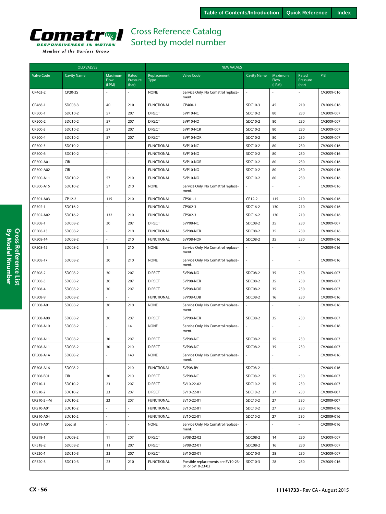

| <b>OLD VALVES</b> |                    |                                 |                            | <b>NEW VALVES</b>          |                                                        |                    |                                 |                            |            |
|-------------------|--------------------|---------------------------------|----------------------------|----------------------------|--------------------------------------------------------|--------------------|---------------------------------|----------------------------|------------|
| <b>Valve Code</b> | <b>Cavity Name</b> | Maximum<br><b>Flow</b><br>(LPM) | Rated<br>Pressure<br>(bar) | Replacement<br><b>Type</b> | <b>Valve Code</b>                                      | <b>Cavity Name</b> | Maximum<br><b>Flow</b><br>(LPM) | Rated<br>Pressure<br>(bar) | <b>PIB</b> |
| CP463-2           | CP20-3S            |                                 |                            | <b>NONE</b>                | Service Only. No Comatrol replace-<br>ment.            |                    |                                 |                            | CV2009-016 |
| CP468-1           | SDC08-3            | 40                              | 210                        | <b>FUNCTIONAL</b>          | CP460-1                                                | SDC10-3            | 45                              | 210                        | CV2009-016 |
| CP500-1           | SDC10-2            | 57                              | 207                        | <b>DIRECT</b>              | SVP10-NC                                               | SDC10-2            | 80                              | 230                        | CV2009-007 |
| CP500-2           | SDC10-2            | 57                              | 207                        | <b>DIRECT</b>              | SVP10-NO                                               | SDC10-2            | 80                              | 230                        | CV2009-007 |
| CP500-3           | SDC10-2            | 57                              | 207                        | <b>DIRECT</b>              | SVP10-NCR                                              | SDC10-2            | 80                              | 230                        | CV2009-007 |
| CP500-4           | SDC10-2            | 57                              | 207                        | <b>DIRECT</b>              | SVP10-NOR                                              | SDC10-2            | 80                              | 230                        | CV2009-007 |
| CP500-5           | SDC10-2            |                                 |                            | <b>FUNCTIONAL</b>          | SVP10-NC                                               | SDC10-2            | 80                              | 230                        | CV2009-016 |
| CP500-6           | SDC10-2            |                                 |                            | <b>FUNCTIONAL</b>          | SVP10-NO                                               | SDC10-2            | 80                              | 230                        | CV2009-016 |
| CP500-A01         | <b>CIB</b>         |                                 |                            | <b>FUNCTIONAL</b>          | SVP10-NOR                                              | SDC10-2            | 80                              | 230                        | CV2009-016 |
| CP500-A02         | <b>CIB</b>         |                                 |                            | <b>FUNCTIONAL</b>          | SVP10-NO                                               | SDC10-2            | 80                              | 230                        | CV2009-016 |
| CP500-A11         | SDC10-2            | 57                              | 210                        | <b>FUNCTIONAL</b>          | SVP10-NO                                               | SDC10-2            | 80                              | 230                        | CV2009-016 |
| CP500-A15         | SDC10-2            | 57                              | 210                        | <b>NONE</b>                | Service Only. No Comatrol replace-<br>ment.            |                    | ÷,                              |                            | CV2009-016 |
| CP501-A03         | CP12-2             | 115                             | 210                        | <b>FUNCTIONAL</b>          | CP501-1                                                | CP12-2             | 115                             | 210                        | CV2009-016 |
| CP502-1           | SDC16-2            |                                 |                            | <b>FUNCTIONAL</b>          | CP502-3                                                | SDC16-2            | 130                             | 210                        | CV2009-016 |
| CP502-A02         | SDC16-2            | 132                             | 210                        | <b>FUNCTIONAL</b>          | CP502-3                                                | SDC16-2            | 130                             | 210                        | CV2009-016 |
| CP508-1           | SDC08-2            | 30                              | 207                        | <b>DIRECT</b>              | SVP08-NC                                               | SDC08-2            | 35                              | 230                        | CV2009-007 |
| CP508-13          | SDC08-2            |                                 | 210                        | <b>FUNCTIONAL</b>          | SVP08-NCR                                              | SDC08-2            | 35                              | 230                        | CV2009-016 |
| CP508-14          | SDC08-2            |                                 | 210                        | <b>FUNCTIONAL</b>          | SVP08-NOR                                              | SDC08-2            | 35                              | 230                        | CV2009-016 |
| CP508-15          | SDC08-2            | $\mathbf{1}$                    | 210                        | <b>NONE</b>                | Service Only. No Comatrol replace-<br>ment.            |                    |                                 |                            | CV2009-016 |
| CP508-17          | SDC08-2            | 30                              | 210                        | <b>NONE</b>                | Service Only. No Comatrol replace-<br>ment.            |                    |                                 |                            | CV2009-016 |
| CP508-2           | SDC08-2            | 30                              | 207                        | <b>DIRECT</b>              | SVP08-NO                                               | SDC08-2            | 35                              | 230                        | CV2009-007 |
| CP508-3           | SDC08-2            | 30                              | 207                        | <b>DIRECT</b>              | SVP08-NCR                                              | SDC08-2            | 35                              | 230                        | CV2009-007 |
| CP508-4           | SDC08-2            | 30                              | 207                        | <b>DIRECT</b>              | SVP08-NOR                                              | SDC08-2            | 35                              | 230                        | CV2009-007 |
| CP508-9           | SDC08-2            |                                 |                            | <b>FUNCTIONAL</b>          | SVP08-CDB                                              | SDC08-2            | 16                              | 230                        | CV2009-016 |
| CP508-A01         | SDC08-2            | 30                              | 210                        | <b>NONE</b>                | Service Only. No Comatrol replace-<br>ment.            |                    |                                 |                            | CV2009-016 |
| CP508-A08         | SDC08-2            | 30                              | 207                        | <b>DIRECT</b>              | SVP08-NCR                                              | SDC08-2            | 35                              | 230                        | CV2009-007 |
| CP508-A10         | SDC08-2            |                                 | 14                         | <b>NONE</b>                | Service Only. No Comatrol replace-<br>ment.            |                    |                                 |                            | CV2009-016 |
| CP508-A11         | SDC08-2            | 30                              | 207                        | <b>DIRECT</b>              | SVP08-NC                                               | SDC08-2            | 35                              | 230                        | CV2009-007 |
| CP508-A11         | SDC08-2            | 30                              | 210                        | <b>DIRECT</b>              | SVP08-NC                                               | SDC08-2            | 35                              | 230                        | CV2006-007 |
| CP508-A14         | SDC08-2            |                                 | 140                        | <b>NONE</b>                | Service Only. No Comatrol replace-<br>ment.            |                    |                                 |                            | CV2009-016 |
| CP508-A16         | SDC08-2            |                                 | 210                        | <b>FUNCTIONAL</b>          | SVP08-RV                                               | SDC08-2            |                                 |                            | CV2009-016 |
| CP508-B01         | CIB                | 30                              | 210                        | <b>DIRECT</b>              | SVP08-NC                                               | SDC08-2            | 35                              | 230                        | CV2006-007 |
| CP510-1           | SDC10-2            | 23                              | 207                        | <b>DIRECT</b>              | SV10-22-02                                             | SDC10-2            | 35                              | 230                        | CV2009-007 |
| CP510-2           | SDC10-2            | 23                              | 207                        | <b>DIRECT</b>              | SV10-22-01                                             | SDC10-2            | 27                              | 230                        | CV2009-007 |
| CP510-2 -- M      | SDC10-2            | 23                              | 207                        | <b>FUNCTIONAL</b>          | SV10-22-01                                             | SDC10-2            | 27                              | 230                        | CV2009-007 |
| CP510-A01         | SDC10-2            | $\overline{a}$                  | ÷.                         | <b>FUNCTIONAL</b>          | SV10-22-01                                             | SDC10-2            | 27                              | 230                        | CV2009-016 |
| CP510-A04         | SDC10-2            |                                 |                            | <b>FUNCTIONAL</b>          | SV10-22-01                                             | SDC10-2            | 27                              | 230                        | CV2009-016 |
| CP511-A01         | Special            |                                 |                            | <b>NONE</b>                | Service Only. No Comatrol replace-<br>ment.            |                    |                                 |                            | CV2009-016 |
| CP518-1           | SDC08-2            | 11                              | 207                        | <b>DIRECT</b>              | SV08-22-02                                             | SDC08-2            | 14                              | 230                        | CV2009-007 |
| CP518-2           | SDC08-2            | 11                              | 207                        | <b>DIRECT</b>              | SV08-22-01                                             | SDC08-2            | 16                              | 230                        | CV2009-007 |
| CP520-1           | SDC10-3            | 23                              | 207                        | <b>DIRECT</b>              | SV10-23-01                                             | SDC10-3            | 28                              | 230                        | CV2009-007 |
| CP520-3           | SDC10-3            | 23                              | 210                        | <b>FUNCTIONAL</b>          | Possible replacements are SV10-23-<br>01 or SV10-23-02 | SDC10-3            | 28                              | 230                        | CV2009-016 |

**CX - 56 11141733** • Rev CA • August 2015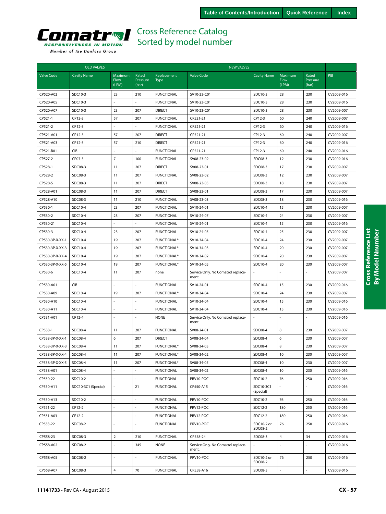

|                   | <b>OLD VALVES</b>   |                                 |                            |                            | <b>NEW VALVES</b>                           |                        |                          |                            |                          |
|-------------------|---------------------|---------------------------------|----------------------------|----------------------------|---------------------------------------------|------------------------|--------------------------|----------------------------|--------------------------|
| <b>Valve Code</b> | <b>Cavity Name</b>  | Maximum<br><b>Flow</b><br>(LPM) | Rated<br>Pressure<br>(bar) | Replacement<br><b>Type</b> | <b>Valve Code</b>                           | <b>Cavity Name</b>     | Maximum<br>Flow<br>(LPM) | Rated<br>Pressure<br>(bar) | <b>PIB</b>               |
| CP520-A02         | SDC10-3             | 23                              | 210                        | <b>FUNCTIONAL</b>          | SV10-23-C01                                 | SDC10-3                | 28                       | 230                        | CV2009-016               |
| CP520-A05         | SDC10-3             |                                 |                            | <b>FUNCTIONAL</b>          | SV10-23-C01                                 | SDC10-3                | 28                       | 230                        | CV2009-016               |
| CP520-A07         | SDC10-3             | 23                              | 207                        | <b>DIRECT</b>              | SV10-23-C01                                 | SDC10-3                | 28                       | 230                        | CV2009-007               |
| CP521-1           | CP12-3              | 57                              | 207                        | <b>FUNCTIONAL</b>          | CP521-21                                    | CP12-3                 | 60                       | 240                        | CV2009-007               |
| CP521-2           | CP12-3              | ÷.                              |                            | <b>FUNCTIONAL</b>          | CP521-21                                    | CP12-3                 | 60                       | 240                        | CV2009-016               |
| CP521-A01         | CP12-3              | 57                              | 207                        | <b>DIRECT</b>              | CP521-21                                    | CP12-3                 | 60                       | 240                        | CV2009-007               |
| CP521-A03         | CP12-3              | 57                              | 210                        | <b>DIRECT</b>              | CP521-21                                    | CP12-3                 | 60                       | 240                        | CV2009-016               |
| CP521-B01         | CIB                 | $\sim$                          |                            | <b>FUNCTIONAL</b>          | CP521-21                                    | CP12-3                 | 60                       | 240                        | CV2009-016               |
| CP527-2           | CP07-3              | $\overline{7}$                  | 100                        | <b>FUNCTIONAL</b>          | SV08-23-02                                  | SDC08-3                | 12                       | 230                        | CV2009-016               |
| CP528-1           | SDC08-3             | 11                              | 207                        | <b>DIRECT</b>              | SV08-23-01                                  | SDC08-3                | 17                       | 230                        |                          |
|                   |                     | 11                              | 207                        | <b>FUNCTIONAL</b>          |                                             | SDC08-3                | 12                       | 230                        | CV2009-007<br>CV2009-007 |
| CP528-2           | SDC08-3             |                                 |                            |                            | SV08-23-02                                  |                        |                          |                            |                          |
| CP528-5           | SDC08-3             | 11                              | 207                        | <b>DIRECT</b>              | SV08-23-03                                  | SDC08-3                | 18                       | 230                        | CV2009-007               |
| CP528-A01         | SDC08-3             | 11                              | 207                        | <b>DIRECT</b>              | SV08-23-01                                  | SDC08-3                | 17                       | 230                        | CV2009-007               |
| CP528-A10         | SDC08-3             | 11                              | 210                        | <b>FUNCTIONAL</b>          | SV08-23-03                                  | SDC08-3                | 18                       | 230                        | CV2009-016               |
| CP530-1           | SDC10-4             | 23                              | 207                        | <b>FUNCTIONAL</b>          | SV10-24-01                                  | SDC10-4                | 15                       | 230                        | CV2009-007               |
| CP530-2           | SDC10-4             | 23<br>÷.                        | 207                        | <b>FUNCTIONAL</b>          | SV10-24-07                                  | SDC10-4                | 24                       | 230                        | CV2009-007               |
| CP530-21          | SDC10-4             |                                 |                            | <b>FUNCTIONAL</b>          | SV10-24-01                                  | SDC10-4                | 15                       | 230                        | CV2009-016               |
| CP530-3           | SDC10-4             | 23                              | 207                        | <b>FUNCTIONAL</b>          | SV10-24-05                                  | SDC10-4                | 25                       | 230                        | CV2009-007               |
| CP530-3P-X-XX-1   | SDC10-4             | 19                              | 207                        | <b>FUNCTIONAL*</b>         | SV10-34-04                                  | SDC10-4                | 24                       | 230                        | CV2009-007               |
| CP530-3P-X-XX-3   | SDC10-4             | 19                              | 207                        | <b>FUNCTIONAL*</b>         | SV10-34-03                                  | SDC10-4                | 20                       | 230                        | CV2009-007               |
| CP530-3P-X-XX-4   | SDC10-4             | 19                              | 207                        | <b>FUNCTIONAL*</b>         | SV10-34-02                                  | SDC10-4                | 20                       | 230                        | CV2009-007               |
| CP530-3P-X-XX-5   | SDC10-4             | 19                              | 207                        | <b>FUNCTIONAL*</b>         | SV10-34-05                                  | SDC10-4                | 20                       | 230                        | CV2009-007               |
| CP530-6           | SDC10-4             | 11                              | 207                        | none                       | Service Only. No Comatrol replace-<br>ment. |                        |                          |                            | CV2009-007               |
| CP530-A01         | <b>CIB</b>          |                                 |                            | <b>FUNCTIONAL</b>          | SV10-24-01                                  | SDC10-4                | 15                       | 230                        | CV2009-016               |
| CP530-A09         | SDC10-4             | 19                              | 207                        | FUNCTIONAL*                | SV10-34-04                                  | SDC10-4                | 24                       | 230                        | CV2009-007               |
| CP530-A10         | SDC10-4             |                                 |                            | <b>FUNCTIONAL</b>          | SV10-34-04                                  | SDC10-4                | 15                       | 230                        | CV2009-016               |
| CP530-A11         | SDC10-4             | ÷.                              |                            | <b>FUNCTIONAL</b>          | SV10-34-04                                  | SDC10-4                | 15                       | 230                        | CV2009-016               |
| CP531-A01         | CP12-4              | ÷,                              |                            | <b>NONE</b>                | Service Only. No Comatrol replace-<br>ment. |                        | ÷.                       |                            | CV2009-016               |
| CP538-1           | SDC08-4             | 11                              | 207                        | <b>FUNCTIONAL</b>          | SV08-24-01                                  | <b>SDC08-4</b>         | 8                        | 230                        | CV2009-007               |
| CP538-3P-X-XX-1   | SDC08-4             | 6                               | 207                        | <b>DIRECT</b>              | SV08-34-04                                  | <b>SDC08-4</b>         | 6                        | 230                        | CV2009-007               |
| CP538-3P-X-XX-3   | SDC08-4             | 11                              | 207                        | <b>FUNCTIONAL*</b>         | SV08-34-03                                  | <b>SDC08-4</b>         | 8                        | 230                        | CV2009-007               |
| CP538-3P-X-XX-4   | SDC08-4             | 11                              | 207                        | FUNCTIONAL*                | SV08-34-02                                  | SDC08-4                | 10                       | 230                        | CV2009-007               |
| CP538-3P-X-XX-5   | SDC08-4             | 11                              | 207                        | FUNCTIONAL*                | SV08-34-05                                  | SDC08-4                | 10                       | 230                        | CV2009-007               |
| CP538-A01         | SDC08-4             | ÷,                              |                            | <b>FUNCTIONAL</b>          | SV08-34-02                                  | SDC08-4                | 10                       | 230                        | CV2009-016               |
| CP550-22          | SDC10-2             | $\omega$                        |                            | <b>FUNCTIONAL</b>          | PRV10-POC                                   | SDC10-2                | 76                       | 250                        | CV2009-016               |
| CP550-A11         | SDC10-3C1 (Special) | ä,                              | 21                         | <b>FUNCTIONAL</b>          | CP550-A15                                   | SDC10-3C1<br>(Special) |                          |                            | CV2009-016               |
| CP550-A13         | SDC10-2             | $\overline{\phantom{a}}$        |                            | <b>FUNCTIONAL</b>          | PRV10-POC                                   | SDC10-2                | 76                       | 250                        | CV2009-016               |
| CP551-22          | CP12-2              |                                 |                            | <b>FUNCTIONAL</b>          | PRV12-POC                                   | SDC12-2                | 180                      | 250                        | CV2009-016               |
| CP551-A03         | CP12-2              |                                 |                            | <b>FUNCTIONAL</b>          | PRV12-POC                                   | SDC12-2                | 180                      | 250                        | CV2009-016               |
| CP558-22          | SDC08-2             |                                 |                            | <b>FUNCTIONAL</b>          | PRV10-POC                                   | SDC10-2 or<br>SDC08-2  | 76                       | 250                        | CV2009-016               |
| CP558-23          | SDC08-3             | $\overline{2}$                  | 210                        | <b>FUNCTIONAL</b>          | CP558-24                                    | SDC08-3                | $\overline{\mathbf{4}}$  | 34                         | CV2009-016               |
| CP558-A02         | SDC08-2             | ä,                              | 345                        | <b>NONE</b>                | Service Only. No Comatrol replace-<br>ment. |                        |                          |                            | CV2009-016               |
| CP558-A05         | SDC08-2             | ä,                              |                            | <b>FUNCTIONAL</b>          | PRV10-POC                                   | SDC10-2 or<br>SDC08-2  | 76                       | 250                        | CV2009-016               |
| CP558-A07         | SDC08-3             | $\overline{4}$                  | 70                         | <b>FUNCTIONAL</b>          | CP558-A16                                   | SDC08-3                |                          |                            | CV2009-016               |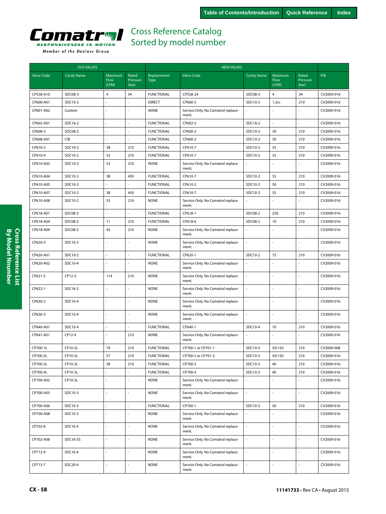

|                   | <b>OLD VALVES</b>  |                                 |                            |                            | <b>NEW VALVES</b>                           |                    |                                 |                            |            |  |
|-------------------|--------------------|---------------------------------|----------------------------|----------------------------|---------------------------------------------|--------------------|---------------------------------|----------------------------|------------|--|
| <b>Valve Code</b> | <b>Cavity Name</b> | Maximum<br><b>Flow</b><br>(LPM) | Rated<br>Pressure<br>(bar) | Replacement<br><b>Type</b> | <b>Valve Code</b>                           | <b>Cavity Name</b> | Maximum<br><b>Flow</b><br>(LPM) | Rated<br>Pressure<br>(bar) | PIB        |  |
| CP558-A10         | SDC08-3            | $\overline{4}$                  | 34                         | <b>FUNCTIONAL</b>          | CP558-24                                    | SDC08-3            | $\overline{4}$                  | 34                         | CV2009-016 |  |
| CP600-A01         | SDC10-2            |                                 |                            | <b>DIRECT</b>              | CP600-5                                     | SDC10-2            | 1.2 <sub>cc</sub>               | 210                        | CV2009-016 |  |
| CP601-A02         | Custom             |                                 |                            | <b>NONE</b>                | Service Only. No Comatrol replace-<br>ment. |                    |                                 |                            | CV2009-016 |  |
| CP602-A01         | SDC16-2            | ä,                              | ÷,                         | <b>FUNCTIONAL</b>          | CP602-5                                     | SDC16-2            | ÷,                              | ä,                         | CV2009-016 |  |
| CP608-3           | SDC08-2            |                                 |                            | <b>FUNCTIONAL</b>          | CP600-2                                     | SDC10-2            | 50                              | 210                        | CV2009-016 |  |
| CP608-A01         | CIB                | ÷.                              | ÷,                         | <b>FUNCTIONAL</b>          | CP600-2                                     | SDC10-2            | 50                              | 210                        | CV2009-016 |  |
| CP610-3           | SDC10-2            | 38                              | 210                        | <b>FUNCTIONAL</b>          | CP610-7                                     | SDC10-2            | 55                              | 210                        | CV2009-016 |  |
| CP610-4           | SDC10-2            | 53                              | 210                        | <b>FUNCTIONAL</b>          | CP610-7                                     | SDC10-2            | 55                              | 210                        | CV2009-016 |  |
| CP610-A03         | SDC10-2            | 53                              | 210                        | <b>NONE</b>                | Service Only. No Comatrol replace-<br>ment. |                    | ÷,                              | L.                         | CV2009-016 |  |
| CP610-A04         | SDC10-2            | 38                              | 450                        | <b>FUNCTIONAL</b>          | CP610-7                                     | SDC10-2            | 55                              | 210                        | CV2009-016 |  |
| CP610-A05         | SDC10-2            |                                 |                            | <b>FUNCTIONAL</b>          | CP610-2                                     | SDC10-2            | 50                              | 210                        | CV2009-016 |  |
| CP610-A07         | SDC10-2            | 38                              | 450                        | <b>FUNCTIONAL</b>          | CP610-7                                     | SDC10-2            | 55                              | 210                        | CV2009-016 |  |
| CP610-A08         | SDC10-2            | 53                              | 210                        | <b>NONE</b>                | Service Only. No Comatrol replace-<br>ment. |                    | ÷,                              | L.                         | CV2009-016 |  |
| CP618-A01         | SDC08-2            | $\sim$                          | ÷,                         | <b>FUNCTIONAL</b>          | CP618-1                                     | SDC08-2            | 250                             | 210                        | CV2009-016 |  |
| CP618-A04         | SDC08-2            | 11                              | 210                        | <b>FUNCTIONAL</b>          | CP618-6                                     | SDC08-2            | 10                              | 210                        | CV2009-016 |  |
| CP618-A09         | SDC08-2            | 45                              | 210                        | <b>NONE</b>                | Service Only. No Comatrol replace-<br>ment. |                    |                                 |                            | CV2009-016 |  |
| CP620-3           | SDC10-3            | ÷.                              | ÷,                         | <b>NONE</b>                | Service Only. No Comatrol replace-<br>ment. | ÷,                 | ÷,                              | L,                         | CV2009-016 |  |
| CP620-A01         | SDC10-2            | ä,                              | L.                         | <b>FUNCTIONAL</b>          | CP620-1                                     | SDC10-2            | 75                              | 210                        | CV2009-016 |  |
| CP620-A02         | SDC10-4            |                                 |                            | <b>NONE</b>                | Service Only. No Comatrol replace-<br>ment. |                    |                                 |                            | CV2009-016 |  |
| CP621-5           | CP12-2             | 114                             | 210                        | <b>NONE</b>                | Service Only. No Comatrol replace-<br>ment. |                    |                                 |                            | CV2009-016 |  |
| CP622-1           | SDC16-2            |                                 |                            | <b>NONE</b>                | Service Only. No Comatrol replace-<br>ment. |                    |                                 |                            | CV2009-016 |  |
| CP630-2           | SDC10-4            | $\sim$                          | $\sim$                     | <b>NONE</b>                | Service Only. No Comatrol replace-<br>ment. | ÷,                 | L.                              | L.                         | CV2009-016 |  |
| CP630-3           | SDC10-4            |                                 |                            | <b>NONE</b>                | Service Only. No Comatrol replace-<br>ment. |                    |                                 |                            | CV2009-016 |  |
| CP640-A01         | SDC10-4            | ÷,                              | ÷,                         | <b>FUNCTIONAL</b>          | CP640-1                                     | SDC10-4            | 10                              | 210                        | CV2009-016 |  |
| CP641-A01         | CP12-4             |                                 | 210                        | <b>NONE</b>                | Service Only. No Comatrol replace-<br>ment. |                    |                                 |                            | CV2009-016 |  |
| CP700-1L          | CP10-3L            | 79                              | 210                        | <b>FUNCTIONAL</b>          | CP700-1 or CP701-1                          | SDC10-3            | 50/150                          | 210                        | CV2009-008 |  |
| CP700-2L          | CP10-3L            | 57                              | 210                        | <b>FUNCTIONAL</b>          | CP700-2 or CP701-2                          | SDC10-3            | 50/150                          | 210                        | CV2009-016 |  |
| CP700-3L          | CP10-3L            | 38                              | 210                        | <b>FUNCTIONAL</b>          | CP700-3                                     | SDC10-3            | 40                              | 210                        | CV2009-016 |  |
| CP700-4L          | CP10-3L            |                                 |                            | <b>FUNCTIONAL</b>          | CP700-4                                     | SDC10-3            | 40                              | 210                        | CV2009-016 |  |
| CP700-A02         | CP10-3L            |                                 |                            | <b>NONE</b>                | Service Only. No Comatrol replace-<br>ment. |                    |                                 |                            | CV2009-016 |  |
| CP700-A05         | SDC10-3            | $\overline{\phantom{a}}$        | L.                         | <b>NONE</b>                | Service Only. No Comatrol replace-<br>ment. | L.                 | L.                              | $\overline{a}$             | CV2009-016 |  |
| CP700-A06         | SDC10-3            | ä,                              | ÷,                         | <b>FUNCTIONAL</b>          | CP700-1                                     | SDC10-3            | 50                              | 210                        | CV2009-016 |  |
| CP700-A08         | SDC10-3            |                                 |                            | <b>NONE</b>                | Service Only. No Comatrol replace-<br>ment. |                    |                                 |                            | CV2009-016 |  |
| CP702-8           | SDC16-4            |                                 |                            | <b>NONE</b>                | Service Only. No Comatrol replace-<br>ment. |                    |                                 |                            | CV2009-016 |  |
| CP702-A08         | SDC16-3S           | ä,                              | ÷,                         | <b>NONE</b>                | Service Only. No Comatrol replace-<br>ment. |                    | ÷,                              | L,                         | CV2009-016 |  |
| CP712-9           | SDC16-4            | $\sim$                          | ÷,                         | <b>NONE</b>                | Service Only. No Comatrol replace-<br>ment. | ä,                 |                                 | $\overline{a}$             | CV2009-016 |  |
| CP713-7           | SDC20-4            | $\overline{a}$                  | $\overline{a}$             | <b>NONE</b>                | Service Only. No Comatrol replace-<br>ment. | $\overline{a}$     | $\overline{a}$                  | L.                         | CV2009-016 |  |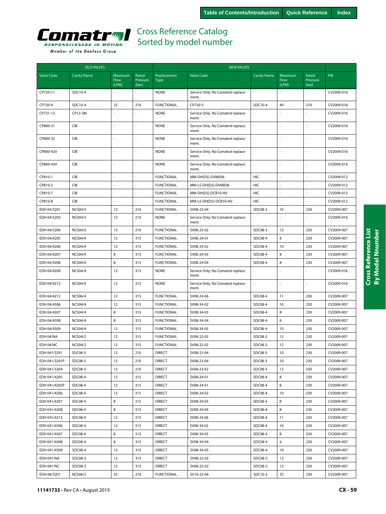

| Member of the Danfoss Group |  |  |
|-----------------------------|--|--|
|-----------------------------|--|--|

|                   | <b>OLD VALVES</b>  |                          |                            |                            | <b>NEW VALVES</b>                           |                    |                          |                            |            |
|-------------------|--------------------|--------------------------|----------------------------|----------------------------|---------------------------------------------|--------------------|--------------------------|----------------------------|------------|
| Valve Code        | <b>Cavity Name</b> | Maximum<br>Flow<br>(LPM) | Rated<br>Pressure<br>(bar) | Replacement<br><b>Type</b> | <b>Valve Code</b>                           | <b>Cavity Name</b> | Maximum<br>Flow<br>(LPM) | Rated<br>Pressure<br>(bar) | PIB        |
| CP720-11          | SDC10-4            |                          |                            | <b>NONE</b>                | Service Only. No Comatrol replace-<br>ment. |                    |                          |                            | CV2009-016 |
| CP720-9           | SDC10-4            | 25                       | 210                        | <b>FUNCTIONAL</b>          | CP720-5                                     | SDC10-4            | 40                       | 210                        | CV2009-016 |
| CP721-12          | CP12-3M            |                          |                            | <b>NONE</b>                | Service Only. No Comatrol replace-<br>ment. |                    |                          |                            | CV2009-016 |
| CP800-31          | <b>CIB</b>         |                          |                            | <b>NONE</b>                | Service Only. No Comatrol replace-<br>ment. | ä,                 |                          |                            | CV2009-016 |
| CP800-32          | <b>CIB</b>         |                          |                            | <b>NONE</b>                | Service Only. No Comatrol replace-<br>ment. | ä,                 |                          |                            | CV2009-016 |
| CP800-420         | <b>CIB</b>         |                          |                            | <b>NONE</b>                | Service Only. No Comatrol replace-<br>ment. |                    | $\overline{a}$           |                            | CV2009-016 |
| CP800-430         | CIB                | ä,                       | $\overline{\phantom{a}}$   | <b>NONE</b>                | Service Only. No Comatrol replace-<br>ment. | ä,                 | $\sim$                   |                            | CV2009-016 |
| CP810-1           | <b>CIB</b>         |                          |                            | <b>FUNCTIONAL</b>          | MM-DH(DS)-DVME06                            | HIC                |                          |                            | CV2009-012 |
| CP810-2           | CIB                |                          |                            | <b>FUNCTIONAL</b>          | MM-LS-DH(DS)-DVME06                         | HIC                |                          |                            | CV2009-012 |
| CP810-7           | CIB                |                          |                            | <b>FUNCTIONAL</b>          | MM-DH(DS)-DCB10-HV                          | HIC                |                          |                            | CV2009-012 |
| CP810-8           | <b>CIB</b>         |                          |                            | <b>FUNCTIONAL</b>          | MM-LS-DH(DS)-DCB10-HV                       | HIC                |                          |                            | CV2009-012 |
| EDH 04/3201       | <b>NCS04/3</b>     | 12                       | 210                        | <b>FUNCTIONAL</b>          | SV08-23-04                                  | SDC08-3            | 10                       | 230                        | CV2009-007 |
| EDH 04/3203       | <b>NCS04/3</b>     | 12                       | 210                        | <b>NONE</b>                | Service Only. No Comatrol replace-<br>ment. |                    |                          |                            | CV2009-016 |
| EDH 04/3204       | <b>NCS04/3</b>     | 12                       | 210                        | <b>FUNCTIONAL</b>          | SV08-23-02                                  | SDC08-3            | 12                       | 230                        | CV2009-007 |
| EDH 04/4205       | <b>NCS04/4</b>     | 12                       | 315                        | <b>FUNCTIONAL</b>          | SV08-24-01                                  | SDC08-4            | 8                        | 230                        | CV2009-007 |
| EDH 04/4206       | <b>NCS04/4</b>     | 12                       | 315                        | <b>FUNCTIONAL</b>          | SV08-24-02                                  | SDC08-4            | 10                       | 230                        | CV2009-007 |
| EDH 04/4207       | <b>NCS04/4</b>     | 8                        | 315                        | <b>FUNCTIONAL</b>          | SV08-24-03                                  | SDC08-4            | 8                        | 230                        | CV2009-007 |
| EDH 04/4208       | <b>NCS04/4</b>     | 8                        | 315                        | <b>FUNCTIONAL</b>          | SV08-24-04                                  | SDC08-4            | 8                        | 230                        | CV2009-007 |
| EDH 04/4209       | <b>NCS04/4</b>     | 12                       | 315                        | <b>NONE</b>                | Service Only. No Comatrol replace-<br>ment. |                    |                          |                            | CV2009-016 |
| EDH 04/4212       | <b>NCS04/4</b>     | 12                       | 315                        | <b>NONE</b>                | Service Only. No Comatrol replace-<br>ment. |                    |                          |                            | CV2009-016 |
| EDH 04/4213       | <b>NCS06/4</b>     | 12                       | 315                        | <b>FUNCTIONAL</b>          | SV08-24-06                                  | <b>SDC08-4</b>     | 11                       | 230                        | CV2009-007 |
| EDH 04/4306       | <b>NCS04/4</b>     | 12                       | 315                        | <b>FUNCTIONAL</b>          | SV08-34-02                                  | <b>SDC08-4</b>     | 10                       | 230                        | CV2009-007 |
| EDH 04/4307       | <b>NCS04/4</b>     | 8                        | 315                        | <b>FUNCTIONAL</b>          | SV08-34-03                                  | SDC08-4            | 8                        | 230                        | CV2009-007 |
| EDH 04/4308       | <b>NCS04/4</b>     | 8                        | 315                        | <b>FUNCTIONAL</b>          | SV08-34-04                                  | SDC08-4            | 6                        | 230                        | CV2009-007 |
| EDH 04/4309       | <b>NCS04/4</b>     | 12                       | 315                        | <b>FUNCTIONAL</b>          | SV08-34-05                                  | SDC08-4            | 10                       | 230                        | CV2009-007 |
| EDH 04/NA         | <b>NCS04/2</b>     | 12                       | 315                        | <b>FUNCTIONAL</b>          | SV08-22-03                                  | SDC08-2            | 12                       | 230                        | CV2009-007 |
| EDH 04/NC         | <b>NCS04/2</b>     | 12                       | 315                        | <b>FUNCTIONAL</b>          | SV08-22-02                                  | SDC08-2            | 12                       | 230                        | CV2009-007 |
| EDH 041/3201      | SDC08-3            | 12                       | 210                        | <b>DIRECT</b>              | SV08-23-04                                  | SDC08-3            | 10                       | 230                        | CV2009-007 |
| EDH 041/3201P     | SDC08-3            | 12                       | 210                        | <b>DIRECT</b>              | SV08-23-04                                  | SDC08-3            | 10                       | 230                        | CV2009-007 |
| EDH 041/3204      | SDC08-3            | 12                       | 210                        | <b>DIRECT</b>              | SV08-23-02                                  | SDC08-3            | 12                       | 230                        | CV2009-007 |
| EDH 041/4205      | SDC08-4            | 12                       | 315                        | <b>DIRECT</b>              | SV08-24-01                                  | <b>SDC08-4</b>     | 8                        | 230                        | CV2009-007 |
| EDH 041/4205P     | SDC08-4            | 12                       | 315                        | <b>DIRECT</b>              | SV08-24-01                                  | <b>SDC08-4</b>     | 8                        | 230                        | CV2009-007 |
| EDH 041/4206      | SDC08-4            | 12                       | 315                        | <b>DIRECT</b>              | SV08-24-02                                  | SDC08-4            | 10                       | 230                        | CV2009-007 |
| EDH 041/4207      | SDC08-4            | 8                        | 315                        | <b>DIRECT</b>              | SV08-24-03                                  | SDC08-4            | 8                        | 230                        | CV2009-007 |
| EDH 041/4208      | SDC08-4            | 8                        | 315                        | <b>DIRECT</b>              | SV08-24-04                                  | SDC08-4            | 8                        | 230                        | CV2009-007 |
| EDH 041/4213      | SDC08-4            | 12                       | 315                        | <b>DIRECT</b>              | SV08-24-06                                  | SDC08-4            | 11                       | 230                        | CV2009-007 |
| EDH 041/4306      | SDC08-4            | 12                       | 315                        | <b>DIRECT</b>              | SV08-34-02                                  | SDC08-4            | 10                       | 230                        | CV2009-007 |
| EDH 041/4307      | SDC08-4            | 8                        | 315                        | <b>DIRECT</b>              | SV08-34-03                                  | SDC08-4            | 8                        | 230                        | CV2009-007 |
| EDH 041/4308      | SDC08-4            | 8                        | 315                        | <b>DIRECT</b>              | SV08-34-04                                  | SDC08-4            | 6                        | 230                        | CV2009-007 |
| EDH 041/4309      | SDC08-4            | 12                       | 315                        | <b>DIRECT</b>              | SV08-34-05                                  | SDC08-4            | 10                       | 230                        | CV2009-007 |
| EDH 041/NA        | SDC08-2            | 12                       | 315                        | <b>DIRECT</b>              | SV08-22-03                                  | SDC08-2            | 12                       | 230                        | CV2009-007 |
| <b>EDH 041/NC</b> | SDC08-2            | 12                       | 315                        | <b>DIRECT</b>              | SV08-22-02                                  | SDC08-2            | 12                       | 230                        | CV2009-007 |
| EDH 06/3201       | <b>NCS06/3</b>     | 35                       | 210                        | <b>FUNCTIONAL</b>          | SV10-23-04                                  | SDC10-3            | 35                       | 230                        | CV2009-007 |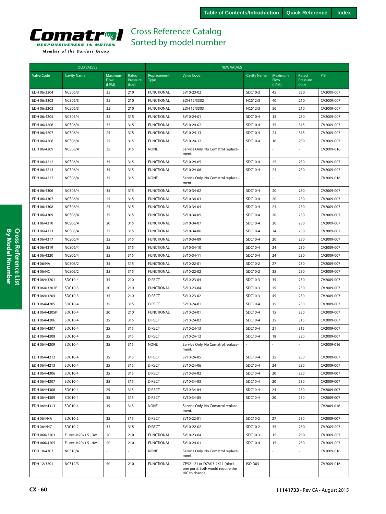

|                   | <b>OLD VALVES</b>   |                          |                            |                            | <b>NEW VALVES</b>                                                                    |                    |                                 |                            |            |
|-------------------|---------------------|--------------------------|----------------------------|----------------------------|--------------------------------------------------------------------------------------|--------------------|---------------------------------|----------------------------|------------|
| <b>Valve Code</b> | <b>Cavity Name</b>  | Maximum<br>Flow<br>(LPM) | Rated<br>Pressure<br>(bar) | Replacement<br><b>Type</b> | <b>Valve Code</b>                                                                    | <b>Cavity Name</b> | Maximum<br><b>Flow</b><br>(LPM) | Rated<br>Pressure<br>(bar) | PIB        |
| EDH 06/3204       | <b>NCS06/3</b>      | 35                       | 210                        | <b>FUNCTIONAL</b>          | SV10-23-02                                                                           | SDC10-3            | 45                              | 230                        | CV2009-007 |
| EDH 06/3302       | <b>NCS06/3</b>      | 25                       | 210                        | <b>FUNCTIONAL</b>          | EDH 12/3302                                                                          | <b>NCS12/3</b>     | 40                              | 210                        | CV2009-007 |
| EDH 06/3303       | <b>NCS06/3</b>      | 35                       | 210                        | <b>FUNCTIONAL</b>          | EDH 12/3303                                                                          | <b>NCS12/3</b>     | 50                              | 210                        | CV2009-007 |
| EDH 06/4205       | <b>NCS06/4</b>      | 35                       | 315                        | <b>FUNCTIONAL</b>          | SV10-24-01                                                                           | SDC10-4            | 15                              | 230                        | CV2009-007 |
| EDH 06/4206       | <b>NCS06/4</b>      | 35                       | 315                        | <b>FUNCTIONAL</b>          | SV10-24-02                                                                           | SDC10-4            | 35                              | 315                        | CV2009-007 |
| EDH 06/4207       | <b>NCS06/4</b>      | 25                       | 315                        | <b>FUNCTIONAL</b>          | SV10-24-13                                                                           | SDC10-4            | 21                              | 315                        | CV2009-007 |
| EDH 06/4208       | <b>NCS06/4</b>      | 25                       | 315                        | <b>FUNCTIONAL</b>          | SV10-24-12                                                                           | SDC10-4            | 18                              | 230                        | CV2009-007 |
| EDH 06/4209       | <b>NCS06/4</b>      | 35                       | 315                        | <b>NONE</b>                | Service Only. No Comatrol replace-<br>ment.                                          |                    |                                 |                            | CV2009-016 |
| EDH 06/4212       | <b>NCS06/4</b>      | 35                       | 315                        | <b>FUNCTIONAL</b>          | SV10-24-05                                                                           | SDC10-4            | 25                              | 230                        | CV2009-007 |
| EDH 06/4213       | <b>NCS06/4</b>      | 35                       | 315                        | <b>FUNCTIONAL</b>          | SV10-24-06                                                                           | SDC10-4            | 24                              | 230                        | CV2009-007 |
| EDH 06/4217       | <b>NCS06/4</b>      | 35                       | 315                        | <b>NONE</b>                | Service Only. No Comatrol replace-<br>ment.                                          |                    |                                 |                            | CV2009-016 |
| EDH 06/4306       | <b>NCS06/4</b>      | 35                       | 315                        | <b>FUNCTIONAL</b>          | SV10-34-02                                                                           | SDC10-4            | 20                              | 230                        | CV2009-007 |
| EDH 06/4307       | <b>NCS06/4</b>      | 25                       | 315                        | <b>FUNCTIONAL</b>          | SV10-34-03                                                                           | SDC10-4            | 20                              | 230                        | CV2009-007 |
| EDH 06/4308       | <b>NCS06/4</b>      | 25                       | 315                        | <b>FUNCTIONAL</b>          | SV10-34-04                                                                           | SDC10-4            | 24                              | 230                        | CV2009-007 |
| EDH 06/4309       | <b>NCS06/4</b>      | 35                       | 315                        | <b>FUNCTIONAL</b>          | SV10-34-05                                                                           | SDC10-4            | 20                              | 230                        | CV2009-007 |
| EDH 06/4310       | <b>NCS06/4</b>      | 20                       | 315                        | <b>FUNCTIONAL</b>          | SV10-34-07                                                                           | SDC10-4            | 20                              | 230                        | CV2009-007 |
| EDH 06/4313       | <b>NCS06/4</b>      | 35                       | 315                        | <b>FUNCTIONAL</b>          | SV10-34-06                                                                           | SDC10-4            | 24                              | 230                        | CV2009-007 |
| EDH 06/4317       | <b>NCS06/4</b>      | 35                       | 315                        | <b>FUNCTIONAL</b>          | SV10-34-09                                                                           | SDC10-4            | 20                              | 230                        | CV2009-007 |
| EDH 06/4319       | <b>NCS06/4</b>      | 35                       | 315                        | <b>FUNCTIONAL</b>          | SV10-34-10                                                                           | SDC10-4            | 24                              | 230                        | CV2009-007 |
| EDH 06/4320       | <b>NCS06/4</b>      | 35                       | 315                        | <b>FUNCTIONAL</b>          | SV10-34-11                                                                           | SDC10-4            | 24                              | 230                        | CV2009-007 |
| EDH 06/NA         | <b>NCS06/2</b>      | 35                       | 315                        | <b>FUNCTIONAL</b>          | SV10-22-01                                                                           | SDC10-2            | 27                              | 230                        | CV2009-007 |
| EDH 06/NC         | <b>NCS06/2</b>      | 35                       | 315                        | <b>FUNCTIONAL</b>          | SV10-22-02                                                                           | SDC10-2            | 35                              | 230                        | CV2009-007 |
| EDH 064/3201      | SDC10-4             | 35                       | 210                        | <b>DIRECT</b>              | SV10-23-04                                                                           | SDC10-3            | 35                              | 230                        | CV2009-007 |
| EDH 064/3201P     | SDC10-3             | 20                       | 210                        | <b>FUNCTIONAL</b>          | SV10-23-04                                                                           | SDC10-3            | 15                              | 230                        | CV2009-007 |
| EDH 064/3204      | SDC10-3             | 35                       | 210                        | <b>DIRECT</b>              | SV10-23-02                                                                           | SDC10-3            | 45                              | 230                        | CV2009-007 |
| EDH 064/4205      | SDC10-4             | 35                       | 315                        | <b>DIRECT</b>              | SV10-24-01                                                                           | SDC10-4            | 15                              | 230                        | CV2009-007 |
| EDH 064/4205P     | SDC10-4             | 20                       | 210                        | <b>FUNCTIONAL</b>          | SV10-24-01                                                                           | SDC10-4            | 15                              | 230                        | CV2009-007 |
| EDH 064/4206      | SDC10-4             | 35                       | 315                        | <b>DIRECT</b>              | SV10-24-02                                                                           | SDC10-4            | 35                              | 315                        | CV2009-007 |
| EDH 064/4207      | SDC10-4             | 25                       | 315                        | <b>DIRECT</b>              | SV10-24-13                                                                           | SDC10-4            | 21                              | 315                        | CV2009-007 |
| EDH 064/4208      | SDC10-4             | 25                       | 315                        | <b>DIRECT</b>              | SV10-24-12                                                                           | SDC10-4            | 18                              | 230                        | CV2009-007 |
| EDH 064/4209      | SDC10-4             | 35                       | 315                        | <b>NONE</b>                | Service Only. No Comatrol replace-<br>ment.                                          |                    |                                 |                            | CV2009-016 |
| EDH 064/4212      | SDC10-4             | 35                       | 315                        | <b>DIRECT</b>              | SV10-24-05                                                                           | SDC10-4            | 25                              | 230                        | CV2009-007 |
| EDH 064/4213      | SDC10-4             | 35                       | 315                        | <b>DIRECT</b>              | SV10-24-06                                                                           | SDC10-4            | 24                              | 230                        | CV2009-007 |
| EDH 064/4306      | SDC10-4             | 35                       | 315                        | <b>DIRECT</b>              | SV10-34-02                                                                           | SDC10-4            | 20                              | 230                        | CV2009-007 |
| EDH 064/4307      | SDC10-4             | 25                       | 315                        | <b>DIRECT</b>              | SV10-34-03                                                                           | SDC10-4            | 20                              | 230                        | CV2009-007 |
| EDH 064/4308      | SDC10-4             | 25                       | 315                        | <b>DIRECT</b>              | SV10-34-04                                                                           | SDC10-4            | 24                              | 230                        | CV2009-007 |
| EDH 064/4309      | SDC10-4             | 35                       | 315                        | <b>DIRECT</b>              | SV10-34-05                                                                           | SDC10-4            | 20                              | 230                        | CV2009-007 |
| EDH 064/4313      | SDC10-4             | 35                       | 315                        | <b>NONE</b>                | Service Only. No Comatrol replace-<br>ment.                                          | ä,                 | ÷,                              |                            | CV2009-016 |
| <b>EDH 064/NA</b> | SDC10-2             | 35                       | 315                        | <b>DIRECT</b>              | SV10-22-01                                                                           | SDC10-2            | 27                              | 230                        | CV2009-007 |
| <b>EDH 064/NC</b> | SDC10-2             | 35                       | 315                        | <b>DIRECT</b>              | SV10-22-02                                                                           | SDC10-2            | 35                              | 230                        | CV2009-007 |
| EDH 066/3201      | Flutec M20x1.5 - 3w | 20                       | 210                        | <b>FUNCTIONAL</b>          | SV10-23-04                                                                           | SDC10-3            | 15                              | 230                        | CV2009-007 |
| EDH 066/4205      | Flutec M20x1.5 - 4w | 20                       | 210                        | <b>FUNCTIONAL</b>          | SV10-24-01                                                                           | SDC10-4            | 15                              | 230                        | CV2009-007 |
| EDH 10/4307       | <b>NCS10/4</b>      |                          |                            | <b>NONE</b>                | Service Only. No Comatrol replace-<br>ment.                                          |                    | ÷,                              |                            | CV2009-016 |
| EDH 12/3201       | <b>NCS12/3</b>      | 50                       | 210                        | <b>FUNCTIONAL</b>          | CP521-21 or DCV03-2X11 (block<br>one port). Both would require the<br>HIC to change. | ISO D03            | ÷,                              |                            | CV2009-016 |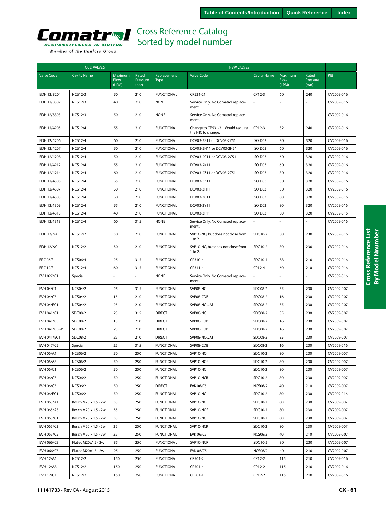

| <b>OLD VALVES</b> |                      |                                 |                            | <b>NEW VALVES</b>          |                                                         |                    |                          |                            |            |
|-------------------|----------------------|---------------------------------|----------------------------|----------------------------|---------------------------------------------------------|--------------------|--------------------------|----------------------------|------------|
| <b>Valve Code</b> | <b>Cavity Name</b>   | Maximum<br><b>Flow</b><br>(LPM) | Rated<br>Pressure<br>(bar) | Replacement<br><b>Type</b> | <b>Valve Code</b>                                       | <b>Cavity Name</b> | Maximum<br>Flow<br>(LPM) | Rated<br>Pressure<br>(bar) | PIB        |
| EDH 12/3204       | <b>NCS12/3</b>       | 50                              | 210                        | <b>FUNCTIONAL</b>          | CP521-21                                                | CP12-3             | 60                       | 240                        | CV2009-016 |
| EDH 12/3302       | <b>NCS12/3</b>       | 40                              | 210                        | <b>NONE</b>                | Service Only. No Comatrol replace-<br>ment.             | L.                 | ÷,                       |                            | CV2009-016 |
| EDH 12/3303       | <b>NCS12/3</b>       | 50                              | 210                        | <b>NONE</b>                | Service Only. No Comatrol replace-<br>ment.             | l,                 | ÷,                       |                            | CV2009-016 |
| EDH 12/4205       | <b>NCS12/4</b>       | 55                              | 210                        | <b>FUNCTIONAL</b>          | Change to CP531-21. Would require<br>the HIC to change. | CP12-3             | 32                       | 240                        | CV2009-016 |
| EDH 12/4206       | <b>NCS12/4</b>       | 60                              | 210                        | <b>FUNCTIONAL</b>          | DCV03-2Z11 or DCV03-2Z51                                | ISO D03            | 80                       | 320                        | CV2009-016 |
| EDH 12/4207       | <b>NCS12/4</b>       | 50                              | 210                        | <b>FUNCTIONAL</b>          | DCV03-2H11 or DCV03-2H51                                | ISO D03            | 60                       | 320                        | CV2009-016 |
| EDH 12/4208       | <b>NCS12/4</b>       | 50                              | 210                        | <b>FUNCTIONAL</b>          | DCV03-2C11 or DCV03-2C51                                | ISO D03            | 60                       | 320                        | CV2009-016 |
| EDH 12/4212       | <b>NCS12/4</b>       | 55                              | 210                        | <b>FUNCTIONAL</b>          | DCV03-2K11                                              | ISO D03            | 60                       | 320                        | CV2009-016 |
| EDH 12/4214       | <b>NCS12/4</b>       | 60                              | 210                        | <b>FUNCTIONAL</b>          | DCV03-2Z11 or DCV03-2Z51                                | ISO D03            | 80                       | 320                        | CV2009-016 |
| EDH 12/4306       | <b>NCS12/4</b>       | 55                              | 210                        | <b>FUNCTIONAL</b>          | DCV03-3Z11                                              | ISO D03            | 80                       | 320                        | CV2009-016 |
| EDH 12/4307       | <b>NCS12/4</b>       | 50                              | 210                        | <b>FUNCTIONAL</b>          | DCV03-3H11                                              | ISO D03            | 80                       | 320                        | CV2009-016 |
| EDH 12/4308       | <b>NCS12/4</b>       | 50                              | 210                        | <b>FUNCTIONAL</b>          | DCV03-3C11                                              | ISO D03            | 60                       | 320                        | CV2009-016 |
| EDH 12/4309       | <b>NCS12/4</b>       | 55                              | 210                        | <b>FUNCTIONAL</b>          | DCV03-3Y11                                              | ISO D03            | 80                       | 320                        | CV2009-016 |
| EDH 12/4310       | <b>NCS12/4</b>       | 40                              | 210                        | <b>FUNCTIONAL</b>          | DCV03-3F11                                              | ISO D03            | 80                       | 320                        | CV2009-016 |
| EDH 12/4313       | <b>NCS12/4</b>       | 60                              | 315                        | <b>NONE</b>                | Service Only. No Comatrol replace-<br>ment.             |                    |                          |                            | CV2009-016 |
| EDH 12/NA         | <b>NCS12/2</b>       | 30                              | 210                        | <b>FUNCTIONAL</b>          | SVP10-NO, but does not close from<br>1 to 2.            | SDC10-2            | 80                       | 230                        | CV2009-016 |
| EDH 12/NC         | <b>NCS12/2</b>       | 30                              | 210                        | <b>FUNCTIONAL</b>          | SVP10-NC, but does not close from<br>1 to 2.            | SDC10-2            | 80                       | 230                        | CV2009-016 |
| <b>ERC 06/F</b>   | <b>NCS06/4</b>       | 25                              | 315                        | <b>FUNCTIONAL</b>          | CP310-4                                                 | SDC10-4            | 38                       | 210                        | CV2009-016 |
| <b>ERC 12/F</b>   | <b>NCS12/4</b>       | 60                              | 315                        | <b>FUNCTIONAL</b>          | CP311-4                                                 | CP12-4             | 60                       | 210                        | CV2009-016 |
| EVH 027/C1        | Special              |                                 |                            | <b>NONE</b>                | Service Only. No Comatrol replace-<br>ment.             |                    |                          |                            | CV2009-016 |
| EVH 04/C1         | <b>NCS04/2</b>       | 25                              | 315                        | <b>FUNCTIONAL</b>          | SVP08-NC                                                | SDC08-2            | 35                       | 230                        | CV2009-007 |
| <b>EVH 04/C5</b>  | <b>NCS04/2</b>       | 15                              | 210                        | <b>FUNCTIONAL</b>          | SVP08-CDB                                               | SDC08-2            | 16                       | 230                        | CV2009-007 |
| <b>EVH 04/EC1</b> | <b>NCS04/2</b>       | 25                              | 210                        | <b>FUNCTIONAL</b>          | SVP08-NC-M                                              | SDC08-2            | 35                       | 230                        | CV2009-007 |
| EVH 041/C1        | SDC08-2              | 25                              | 315                        | <b>DIRECT</b>              | SVP08-NC                                                | SDC08-2            | 35                       | 230                        | CV2009-007 |
| EVH 041/C5        | SDC08-2              | 15                              | 210                        | <b>DIRECT</b>              | SVP08-CDB                                               | SDC08-2            | 16                       | 230                        | CV2009-007 |
| EVH 041/C5-W      | SDC08-2              | 25                              | 210                        | <b>DIRECT</b>              | SVP08-CDB                                               | SDC08-2            | 16                       | 230                        | CV2009-007 |
| EVH 041/EC1       | SDC08-2              | 25                              | 210                        | <b>DIRECT</b>              | SVP08-NC-M                                              | SDC08-2            | 35                       | 230                        | CV2009-007 |
| EVH 047/C5        | Special              | 25                              | 315                        | <b>FUNCTIONAL</b>          | SVP08-CDB                                               | SDC08-2            | 16                       | 230                        | CV2009-016 |
| EVH 06/A1         | <b>NCS06/2</b>       | 50                              | 250                        | <b>FUNCTIONAL</b>          | SVP10-NO                                                | SDC10-2            | 80                       | 230                        | CV2009-007 |
| EVH 06/A3         | <b>NCS06/2</b>       | 50                              | 250                        | <b>FUNCTIONAL</b>          | SVP10-NOR                                               | SDC10-2            | 80                       | 230                        | CV2009-007 |
| EVH 06/C1         | <b>NCS06/2</b>       | 50                              | 250                        | <b>FUNCTIONAL</b>          | SVP10-NC                                                | SDC10-2            | 80                       | 230                        | CV2009-007 |
| EVH 06/C3         | <b>NCS06/2</b>       | 50                              | 250                        | <b>FUNCTIONAL</b>          | SVP10-NCR                                               | SDC10-2            | 80                       | 230                        | CV2009-007 |
| EVH 06/C5         | <b>NCS06/2</b>       | 50                              | 250                        | <b>DIRECT</b>              | <b>EVK 06/C5</b>                                        | <b>NCS06/2</b>     | 40                       | 210                        | CV2009-007 |
| <b>EVH 06/EC1</b> | <b>NCS06/2</b>       | 50                              | 250                        | <b>FUNCTIONAL</b>          | SVP10-NC                                                | SDC10-2            | 80                       | 230                        | CV2009-016 |
| EVH 065/A1        | Bosch M20 x 1.5 - 2w | 35                              | 250                        | <b>FUNCTIONAL</b>          | SVP10-NO                                                | SDC10-2            | 80                       | 230                        | CV2009-007 |
| EVH 065/A3        | Bosch M20 x 1.5 - 2w | 35                              | 250                        | <b>FUNCTIONAL</b>          | SVP10-NOR                                               | SDC10-2            | 80                       | 230                        | CV2009-007 |
| EVH 065/C1        | Bosch M20 x 1.5 - 2w | 35                              | 250                        | <b>FUNCTIONAL</b>          | SVP10-NC                                                | SDC10-2            | 80                       | 230                        | CV2009-007 |
| EVH 065/C3        | Bosch M20 x 1.5 - 2w | 35                              | 250                        | <b>FUNCTIONAL</b>          | SVP10-NCR                                               | SDC10-2            | 80                       | 230                        | CV2009-007 |
| EVH 065/C5        | Bosch M20 x 1.5 - 2w | 25                              | 250                        | <b>FUNCTIONAL</b>          | <b>EVK 06/C5</b>                                        | <b>NCS06/2</b>     | 40                       | 210                        | CV2009-007 |
| EVH 066/C3        | Flutec M20x1.5 - 2w  | 35                              | 250                        | <b>FUNCTIONAL</b>          | SVP10-NCR                                               | SDC10-2            | 80                       | 230                        | CV2009-007 |
| EVH 066/C5        | Flutec M20x1.5 - 2w  | 25                              | 250                        | <b>FUNCTIONAL</b>          | <b>EVK 06/C5</b>                                        | <b>NCS06/2</b>     | 40                       | 210                        | CV2009-007 |
| <b>EVH 12/A1</b>  | <b>NCS12/2</b>       | 150                             | 250                        | <b>FUNCTIONAL</b>          | CP501-2                                                 | CP12-2             | 115                      | 210                        | CV2009-016 |
| <b>EVH 12/A3</b>  | <b>NCS12/2</b>       | 150                             | 250                        | <b>FUNCTIONAL</b>          | CP501-4                                                 | CP12-2             | 115                      | 210                        | CV2009-016 |
| EVH 12/C1         | <b>NCS12/2</b>       | 150                             | 250                        | <b>FUNCTIONAL</b>          | CP501-1                                                 | CP12-2             | 115                      | 210                        | CV2009-016 |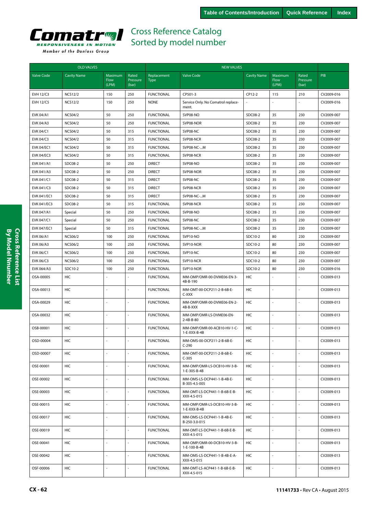

Valve Co

|                    | <b>OLD VALVES</b>  |                                 |                            | <b>NEW VALVES</b>          |                                             |                    |                          |                            |            |  |  |  |
|--------------------|--------------------|---------------------------------|----------------------------|----------------------------|---------------------------------------------|--------------------|--------------------------|----------------------------|------------|--|--|--|
| <b>Valve Code</b>  | <b>Cavity Name</b> | <b>Maximum</b><br>Flow<br>(LPM) | Rated<br>Pressure<br>(bar) | Replacement<br><b>Type</b> | <b>Valve Code</b>                           | <b>Cavity Name</b> | Maximum<br>Flow<br>(LPM) | Rated<br>Pressure<br>(bar) | PIB        |  |  |  |
| <b>EVH 12/C3</b>   | <b>NCS12/2</b>     | 150                             | 250                        | <b>FUNCTIONAL</b>          | CP501-3                                     | CP12-2             | 115                      | 210                        | CV2009-016 |  |  |  |
| <b>EVH 12/C5</b>   | <b>NCS12/2</b>     | 150                             | 250                        | <b>NONE</b>                | Service Only. No Comatrol replace-<br>ment. |                    |                          |                            | CV2009-016 |  |  |  |
| EVK 04/A1          | <b>NCS04/2</b>     | 50                              | 250                        | <b>FUNCTIONAL</b>          | SVP08-NO                                    | SDC08-2            | 35                       | 230                        | CV2009-007 |  |  |  |
| EVK 04/A3          | <b>NCS04/2</b>     | 50                              | 250                        | <b>FUNCTIONAL</b>          | SVP08-NOR                                   | SDC08-2            | 35                       | 230                        | CV2009-007 |  |  |  |
| EVK 04/C1          | <b>NCS04/2</b>     | 50                              | 315                        | <b>FUNCTIONAL</b>          | SVP08-NC                                    | SDC08-2            | 35                       | 230                        | CV2009-007 |  |  |  |
| EVK 04/C3          | <b>NCS04/2</b>     | 50                              | 315                        | <b>FUNCTIONAL</b>          | SVP08-NCR                                   | SDC08-2            | 35                       | 230                        | CV2009-007 |  |  |  |
| EVK 04/EC1         | <b>NCS04/2</b>     | 50                              | 315                        | <b>FUNCTIONAL</b>          | SVP08-NC-M                                  | SDC08-2            | 35                       | 230                        | CV2009-007 |  |  |  |
| <b>EVK 04/EC3</b>  | <b>NCS04/2</b>     | 50                              | 315                        | <b>FUNCTIONAL</b>          | SVP08-NCR                                   | SDC08-2            | 35                       | 230                        | CV2009-007 |  |  |  |
| EVK 041/A1         | SDC08-2            | 50                              | 250                        | <b>DIRECT</b>              | SVP08-NO                                    | SDC08-2            | 35                       | 230                        | CV2009-007 |  |  |  |
| EVK 041/A3         | SDC08-2            | 50                              | 250                        | <b>DIRECT</b>              | SVP08-NOR                                   | SDC08-2            | 35                       | 230                        | CV2009-007 |  |  |  |
| EVK 041/C1         | SDC08-2            | 50                              | 315                        | <b>DIRECT</b>              | SVP08-NC                                    | SDC08-2            | 35                       | 230                        | CV2009-007 |  |  |  |
| EVK 041/C3         | SDC08-2            | 50                              | 315                        | <b>DIRECT</b>              | SVP08-NCR                                   | SDC08-2            | 35                       | 230                        | CV2009-007 |  |  |  |
| EVK 041/EC1        | SDC08-2            | 50                              | 315                        | <b>DIRECT</b>              | SVP08-NC-M                                  | SDC08-2            | 35                       | 230                        | CV2009-007 |  |  |  |
| EVK 041/EC3        | SDC08-2            | 50                              | 315                        | <b>FUNCTIONAL</b>          | SVP08-NCR                                   | SDC08-2            | 35                       | 230                        | CV2009-007 |  |  |  |
| EVK 047/A1         | Special            | 50                              | 250                        | <b>FUNCTIONAL</b>          | SVP08-NO                                    | SDC08-2            | 35                       | 230                        | CV2009-007 |  |  |  |
| EVK 047/C1         | Special            | 50                              | 250                        | <b>FUNCTIONAL</b>          | SVP08-NC                                    | SDC08-2            | 35                       | 230                        | CV2009-007 |  |  |  |
| <b>EVK 047/EC1</b> | Special            | 50                              | 315                        | <b>FUNCTIONAL</b>          | SVP08-NC-M                                  | SDC08-2            | 35                       | 230                        | CV2009-007 |  |  |  |
| EVK 06/A1          | <b>NCS06/2</b>     | 100                             | 250                        | <b>FUNCTIONAL</b>          | SVP10-NO                                    | SDC10-2            | 80                       | 230                        | CV2009-007 |  |  |  |
| EVK 06/A3          | <b>NCS06/2</b>     | 100                             | 250                        | <b>FUNCTIONAL</b>          | SVP10-NOR                                   | SDC10-2            | 80                       | 230                        | CV2009-007 |  |  |  |
| EVK 06/C1          | <b>NCS06/2</b>     | 100                             | 250                        | <b>FUNCTIONAL</b>          | SVP10-NC                                    | SDC10-2            | 80                       | 230                        | CV2009-007 |  |  |  |
| EVK 06/C3          | <b>NCS06/2</b>     | 100                             | 250                        | <b>FUNCTIONAL</b>          | SVP10-NCR                                   | SDC10-2            | 80                       | 230                        | CV2009-007 |  |  |  |
| EVK 064/A3         | SDC10-2            | 100                             | 250                        | <b>FUNCTIONAL</b>          | SVP10-NOR                                   | SDC10-2            | 80                       | 230                        | CV2009-016 |  |  |  |
| OSA-00005          | HIC                |                                 |                            | <b>FUNCTIONAL</b>          | MM-OMP/OMR-00-DVME06-EN-3-<br>4B-B-190      | HIC                |                          |                            | CV2009-013 |  |  |  |
| OSA-00013          | <b>HIC</b>         |                                 |                            | <b>FUNCTIONAL</b>          | MM-OMT-00-DCP211-2-B-6B-E-<br>C-XXX         | <b>HIC</b>         |                          |                            | CV2009-013 |  |  |  |
| OSA-00029          | HIC                |                                 |                            | <b>FUNCTIONAL</b>          | MM-OMP/OMR-00-DVME06-EN-2-                  | HIC                |                          |                            | CV2009-013 |  |  |  |

| <b>EVK 041/EC3</b> | SDC08-2        | 50             | 315                      | <b>FUNCTIONAL</b> | SVP08-NCR                                     | SDC08-2    | 35             | 230            | CV2009-007 |
|--------------------|----------------|----------------|--------------------------|-------------------|-----------------------------------------------|------------|----------------|----------------|------------|
| EVK 047/A1         | Special        | 50             | 250                      | <b>FUNCTIONAL</b> | SVP08-NO                                      | SDC08-2    | 35             | 230            | CV2009-007 |
| EVK 047/C1         | Special        | 50             | 250                      | <b>FUNCTIONAL</b> | SVP08-NC                                      | SDC08-2    | 35             | 230            | CV2009-007 |
| EVK 047/EC1        | Special        | 50             | 315                      | <b>FUNCTIONAL</b> | SVP08-NC-M                                    | SDC08-2    | 35             | 230            | CV2009-007 |
| EVK 06/A1          | <b>NCS06/2</b> | 100            | 250                      | <b>FUNCTIONAL</b> | SVP10-NO                                      | SDC10-2    | 80             | 230            | CV2009-007 |
| <b>EVK 06/A3</b>   | <b>NCS06/2</b> | 100            | 250                      | <b>FUNCTIONAL</b> | SVP10-NOR                                     | SDC10-2    | 80             | 230            | CV2009-007 |
| EVK 06/C1          | <b>NCS06/2</b> | 100            | 250                      | <b>FUNCTIONAL</b> | SVP10-NC                                      | SDC10-2    | 80             | 230            | CV2009-007 |
| EVK 06/C3          | <b>NCS06/2</b> | 100            | 250                      | <b>FUNCTIONAL</b> | SVP10-NCR                                     | SDC10-2    | 80             | 230            | CV2009-007 |
| EVK 064/A3         | SDC10-2        | 100            | 250                      | <b>FUNCTIONAL</b> | SVP10-NOR                                     | SDC10-2    | 80             | 230            | CV2009-016 |
| OSA-00005          | HIC            | $\overline{a}$ | $\mathcal{L}$            | <b>FUNCTIONAL</b> | MM-OMP/OMR-00-DVME06-EN-3-<br>4B-B-190        | HIC        |                |                | CV2009-013 |
| OSA-00013          | HIC            |                | L.                       | <b>FUNCTIONAL</b> | MM-OMT-00-DCP211-2-B-6B-E-<br>C-XXX           | HIC        | $\overline{a}$ |                | CV2009-013 |
| OSA-00029          | <b>HIC</b>     | ÷.             | ÷,                       | <b>FUNCTIONAL</b> | MM-OMP/OMR-00-DVME06-EN-2-<br>4B-B-XXX        | HIC        | ÷,             |                | CV2009-013 |
| OSA-00032          | HIC            |                | ÷,                       | <b>FUNCTIONAL</b> | MM-OMP/OMR-LS-DVME06-EN-<br>$2 - 4B - B - 80$ | HIC        |                |                | CV2009-013 |
| OSB-00001          | HIC            |                | $\overline{a}$           | <b>FUNCTIONAL</b> | MM-OMP/OMR-00-ACB10-HV-1-C-<br>$1-E-XXX-B-4B$ | HIC        | $\overline{a}$ |                | CV2009-013 |
| OSD-00004          | <b>HIC</b>     | ÷.             | ÷,                       | <b>FUNCTIONAL</b> | MM-OMS-00-DCP211-2-B-6B-E-<br>$C-290$         | <b>HIC</b> | ÷,             |                | CV2009-013 |
| OSD-00007          | <b>HIC</b>     |                | ÷,                       | <b>FUNCTIONAL</b> | MM-OMT-00-DCP211-2-B-6B-E-<br>$C-305$         | <b>HIC</b> |                |                | CV2009-013 |
| OSE-00001          | HIC            | $\overline{a}$ | $\overline{a}$           | <b>FUNCTIONAL</b> | MM-OMP/OMR-LS-DCB10-HV-3-B-<br>1-E-305-B-4B   | <b>HIC</b> | $\overline{a}$ |                | CV2009-013 |
| OSE-00002          | HIC            |                | ÷,                       | <b>FUNCTIONAL</b> | MM-OMS-LS-DCP441-1-B-4B-E-<br>B-305-4.5-005   | HIC        | L.             |                | CV2009-013 |
| OSE-00003          | <b>HIC</b>     | ÷.             | ÷,                       | <b>FUNCTIONAL</b> | MM-OMT-LS-DCP441-1-B-6B-E-B-<br>XXX-4.5-015   | <b>HIC</b> | L.             |                | CV2009-013 |
| OSE-00015          | HIC            |                | ÷,                       | <b>FUNCTIONAL</b> | MM-OMP/OMR-LS-DCB10-HV-3-B-<br>$1-E-XXX-B-4B$ | <b>HIC</b> | L.             |                | CV2009-013 |
| OSE-00017          | HIC            |                |                          | <b>FUNCTIONAL</b> | MM-OMS-LS-DCP441-1-B-4B-E-<br>B-250-3.0-015   | <b>HIC</b> |                |                | CV2009-013 |
| OSE-00019          | HIC            | $\overline{a}$ | $\overline{a}$           | <b>FUNCTIONAL</b> | MM-OMT-LS-DCP441-1-B-6B-E-B-<br>XXX-4.5-015   | HIC        | $\overline{a}$ |                | CV2009-013 |
| OSE-00041          | <b>HIC</b>     | ÷.             | $\overline{\phantom{a}}$ | <b>FUNCTIONAL</b> | MM-OMP/OMR-00-DCB10-HV-3-B-<br>1-E-100-B-4B   | <b>HIC</b> | $\sim$         | $\overline{a}$ | CV2009-013 |
| OSE-00042          | HIC            |                |                          | <b>FUNCTIONAL</b> | MM-OMS-LS-DCP441-1-B-4B-E-A-<br>XXX-4.5-015   | HIC        |                |                | CV2009-013 |
| OSF-00006          | HIC            | ä,             | $\overline{a}$           | <b>FUNCTIONAL</b> | MM-OMT-LS-ACP441-1-B-6B-E-B-<br>XXX-4.5-015   | <b>HIC</b> | $\overline{a}$ |                | CV2009-013 |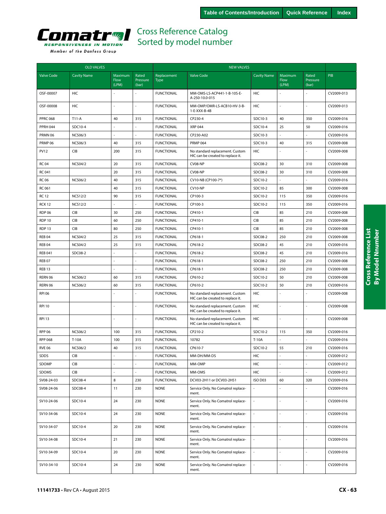

| <b>OLD VALVES</b> |                    |                          |                            | <b>NEW VALVES</b>          |                                                                      |                    |                                 |                            |            |
|-------------------|--------------------|--------------------------|----------------------------|----------------------------|----------------------------------------------------------------------|--------------------|---------------------------------|----------------------------|------------|
| <b>Valve Code</b> | <b>Cavity Name</b> | Maximum<br>Flow<br>(LPM) | Rated<br>Pressure<br>(bar) | Replacement<br><b>Type</b> | <b>Valve Code</b>                                                    | <b>Cavity Name</b> | Maximum<br><b>Flow</b><br>(LPM) | Rated<br>Pressure<br>(bar) | <b>PIB</b> |
| OSF-00007         | HIC                |                          |                            | <b>FUNCTIONAL</b>          | MM-OMS-LS-ACP441-1-B-10S-E-<br>A-250-10.0-015                        | HIC                |                                 |                            | CV2009-013 |
| OSF-00008         | HIC                |                          |                            | <b>FUNCTIONAL</b>          | MM-OMP/OMR-LS-ACB10-HV-3-B-<br>1-E-XXX-B-4B                          | HIC                |                                 | ÷,                         | CV2009-013 |
| <b>PPRC 068</b>   | $T11-A$            | 40                       | 315                        | <b>FUNCTIONAL</b>          | CP230-4                                                              | SDC10-3            | 40                              | 350                        | CV2009-016 |
| <b>PPRH 044</b>   | SDC10-4            | ÷,                       |                            | <b>FUNCTIONAL</b>          | <b>XRP 044</b>                                                       | SDC10-4            | 25                              | 50                         | CV2009-016 |
| PRMN 06           | <b>NCS06/3</b>     |                          |                            | <b>FUNCTIONAL</b>          | CP230-A02                                                            | SDC10-3            |                                 |                            | CV2009-016 |
| PRMP 06           | <b>NCS06/3</b>     | 40                       | 315                        | <b>FUNCTIONAL</b>          | <b>PRMP 064</b>                                                      | SDC10-3            | 40                              | 315                        | CV2009-008 |
| <b>PV12</b>       | CIB                | 200                      | 315                        | <b>FUNCTIONAL</b>          | No standard replacement. Custom<br>HIC can be created to replace it. | HIC                |                                 |                            | CV2009-008 |
| <b>RC 04</b>      | <b>NCS04/2</b>     | 20                       | 315                        | <b>FUNCTIONAL</b>          | CV08-NP                                                              | SDC08-2            | 30                              | 310                        | CV2009-008 |
| <b>RC 041</b>     |                    | 20                       | 315                        | <b>FUNCTIONAL</b>          | CV08-NP                                                              | SDC08-2            | 30                              | 310                        | CV2009-008 |
| <b>RC 06</b>      | <b>NCS06/2</b>     | 40                       | 315                        | <b>FUNCTIONAL</b>          | CV10-NB (CP100-7*)                                                   | SDC10-2            |                                 |                            | CV2009-016 |
| RC 061            |                    | 40                       | 315                        | <b>FUNCTIONAL</b>          | CV10-NP                                                              | SDC10-2            | 85                              | 300                        | CV2009-008 |
| <b>RC12</b>       | <b>NCS12/2</b>     | 90                       | 315                        | <b>FUNCTIONAL</b>          | CP100-3                                                              | SDC10-2            | 115                             | 350                        | CV2009-016 |
| <b>RCK 12</b>     | <b>NCS12/2</b>     | L.                       | L,                         | <b>FUNCTIONAL</b>          | CP100-3                                                              | SDC10-2            | 115                             | 350                        | CV2009-016 |
| <b>RDP 06</b>     | CIB                | 30                       | 250                        | <b>FUNCTIONAL</b>          | CP410-1                                                              | <b>CIB</b>         | 85                              | 210                        | CV2009-008 |
| <b>RDP 10</b>     | <b>CIB</b>         | 60                       | 250                        | <b>FUNCTIONAL</b>          | CP410-1                                                              | <b>CIB</b>         | 85                              | 210                        | CV2009-008 |
| RDP <sub>13</sub> | CIB                | 80                       | 250                        | <b>FUNCTIONAL</b>          | CP410-1                                                              | <b>CIB</b>         | 85                              | 210                        | CV2009-008 |
| <b>REB 04</b>     | <b>NCS04/2</b>     | 25                       | 315                        | <b>FUNCTIONAL</b>          | CP618-1                                                              | SDC08-2            | 250                             | 210                        | CV2009-008 |
| REB <sub>04</sub> | <b>NCS04/2</b>     | 25                       | 315                        | <b>FUNCTIONAL</b>          | CP618-2                                                              | SDC08-2            | 45                              | 210                        | CV2009-016 |
| <b>REB 041</b>    | SDC08-2            | ÷,                       | L,                         | <b>FUNCTIONAL</b>          | CP618-2                                                              | SDC08-2            | 45                              | 210                        | CV2009-016 |
| <b>REB 07</b>     |                    |                          |                            | <b>FUNCTIONAL</b>          | CP618-1                                                              | SDC08-2            | 250                             | 210                        | CV2009-008 |
| <b>REB 13</b>     |                    |                          |                            | <b>FUNCTIONAL</b>          | CP618-1                                                              | SDC08-2            | 250                             | 210                        | CV2009-008 |
| RERN 06           | <b>NCS06/2</b>     | 60                       | 315                        | <b>FUNCTIONAL</b>          | CP610-2                                                              | SDC10-2            | 50                              | 210                        | CV2009-008 |
| RERN 06           | <b>NCS06/2</b>     | 60                       | 315                        | <b>FUNCTIONAL</b>          | CP610-2                                                              | SDC10-2            | 50                              | 210                        | CV2009-016 |
| <b>RPI 06</b>     |                    | $\sim$                   |                            | <b>FUNCTIONAL</b>          | No standard replacement. Custom<br>HIC can be created to replace it. | HIC                | L.                              | ÷,                         | CV2009-008 |
| <b>RPI 10</b>     |                    |                          |                            | <b>FUNCTIONAL</b>          | No standard replacement. Custom<br>HIC can be created to replace it. | HIC                |                                 |                            | CV2009-008 |
| <b>RPI 13</b>     |                    | $\overline{a}$           | L.                         | <b>FUNCTIONAL</b>          | No standard replacement. Custom<br>HIC can be created to replace it. | HIC                | ÷,                              | $\overline{\phantom{a}}$   | CV2009-008 |
| <b>RPP 06</b>     | <b>NCS06/2</b>     | 100                      | 315                        | <b>FUNCTIONAL</b>          | CP210-2                                                              | SDC10-2            | 115                             | 350                        | CV2009-016 |
| <b>RPP 068</b>    | T-10A              | 100                      | 315                        | <b>FUNCTIONAL</b>          | 10782                                                                | T-10A              |                                 |                            | CV2009-016 |
| <b>RVE 06</b>     | <b>NCS06/2</b>     | 40                       | 315                        | <b>FUNCTIONAL</b>          | CP610-7                                                              | SDC10-2            | 55                              | 210                        | CV2009-016 |
| SDDS              | <b>CIB</b>         | $\sim$                   |                            | <b>FUNCTIONAL</b>          | MM-DH/MM-DS                                                          | HIC                |                                 |                            | CV2009-012 |
| SDOMP             | <b>CIB</b>         |                          |                            | <b>FUNCTIONAL</b>          | MM-OMP                                                               | HIC                |                                 |                            | CV2009-012 |
| SDOMS             | CIB                | $\overline{a}$           |                            | <b>FUNCTIONAL</b>          | MM-OMS                                                               | HIC                |                                 |                            | CV2009-012 |
| SV08-24-03        | SDC08-4            | 8                        | 230                        | <b>FUNCTIONAL</b>          | DCV03-2H11 or DCV03-2H51                                             | ISO D03            | 60                              | 320                        | CV2009-016 |
| SV08-24-06        | SDC08-4            | 11                       | 230                        | <b>NONE</b>                | Service Only. No Comatrol replace-<br>ment.                          |                    |                                 |                            | CV2009-016 |
| SV10-24-06        | SDC10-4            | 24                       | 230                        | <b>NONE</b>                | Service Only. No Comatrol replace-<br>ment.                          | ä,                 |                                 | ä,                         | CV2009-016 |
| SV10-34-06        | SDC10-4            | 24                       | 230                        | <b>NONE</b>                | Service Only. No Comatrol replace-<br>ment.                          | ÷,                 | L.                              | ä,                         | CV2009-016 |
| SV10-34-07        | SDC10-4            | 20                       | 230                        | <b>NONE</b>                | Service Only. No Comatrol replace-<br>ment.                          |                    |                                 |                            | CV2009-016 |
| SV10-34-08        | SDC10-4            | 21                       | 230                        | <b>NONE</b>                | Service Only. No Comatrol replace-<br>ment.                          | L,                 | L.                              | $\overline{\phantom{a}}$   | CV2009-016 |
| SV10-34-09        | SDC10-4            | 20                       | 230                        | <b>NONE</b>                | Service Only. No Comatrol replace-<br>ment.                          | $\blacksquare$     | ä,                              | $\omega$                   | CV2009-016 |
| SV10-34-10        | SDC10-4            | 24                       | 230                        | <b>NONE</b>                | Service Only. No Comatrol replace-<br>ment.                          |                    |                                 |                            | CV2009-016 |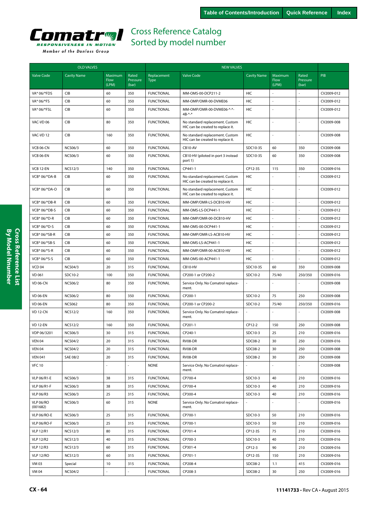

|                       | <b>OLD VALVES</b>  |                          |                            | <b>NEW VALVES</b>          |                                                                      |                     |                          |                            |            |  |
|-----------------------|--------------------|--------------------------|----------------------------|----------------------------|----------------------------------------------------------------------|---------------------|--------------------------|----------------------------|------------|--|
| <b>Valve Code</b>     | <b>Cavity Name</b> | Maximum<br>Flow<br>(LPM) | Rated<br>Pressure<br>(bar) | Replacement<br><b>Type</b> | <b>Valve Code</b>                                                    | <b>Cavity Name</b>  | Maximum<br>Flow<br>(LPM) | Rated<br>Pressure<br>(bar) | <b>PIB</b> |  |
| VA* 06/*FDS           | CIB                | 60                       | 350                        | <b>FUNCTIONAL</b>          | MM-OMS-00-DCP211-2                                                   | HIC                 |                          |                            | CV2009-012 |  |
| VA* 06/*FS            | CIB                | 60                       | 350                        | <b>FUNCTIONAL</b>          | MM-OMP/OMR-00-DVME06                                                 | HIC                 |                          |                            | CV2009-012 |  |
| VA* 06/*FSL           | CIB                | 60                       | 350                        | <b>FUNCTIONAL</b>          | MM-OMP/OMR-00-DVME06-*-*-<br>$4B^{-*}-$                              | <b>HIC</b>          |                          |                            | CV2009-012 |  |
| VAC-VD 06             | CIB                | 80                       | 350                        | <b>FUNCTIONAL</b>          | No standard replacement. Custom<br>HIC can be created to replace it. | <b>HIC</b>          | ÷,                       |                            | CV2009-008 |  |
| VAC-VD 12             | CIB                | 160                      | 350                        | <b>FUNCTIONAL</b>          | No standard replacement. Custom<br>HIC can be created to replace it. | HIC                 |                          |                            | CV2009-008 |  |
| <b>VCB 06-CN</b>      | <b>NCS06/3</b>     | 60                       | 350                        | <b>FUNCTIONAL</b>          | CB10-AV                                                              | SDC10-3S            | 60                       | 350                        | CV2009-008 |  |
| VCB 06-EN             | <b>NCS06/3</b>     | 60                       | 350                        | <b>FUNCTIONAL</b>          | CB10-HV (piloted in port 3 instead<br>port 1)                        | SDC10-3S            | 60                       | 350                        | CV2009-008 |  |
| VCB 12-EN             | <b>NCS12/3</b>     | 140                      | 350                        | <b>FUNCTIONAL</b>          | CP441-1                                                              | CP12-3S             | 115                      | 350                        | CV2009-016 |  |
| VCB* 06/*DA-B         | CIB                | 60                       | 350                        | <b>FUNCTIONAL</b>          | No standard replacement. Custom<br>HIC can be created to replace it. | HIC                 | ÷,                       |                            | CV2009-012 |  |
| VCB* 06/*DA-O         | <b>CIB</b>         | 60                       | 350                        | <b>FUNCTIONAL</b>          | No standard replacement. Custom<br>HIC can be created to replace it. | HIC                 |                          |                            | CV2009-012 |  |
| VCB* 06/*DB-R         | <b>CIB</b>         | 60                       | 350                        | <b>FUNCTIONAL</b>          | MM-OMP/OMR-LS-DCB10-HV                                               | HIC                 | ÷,                       |                            | CV2009-012 |  |
| VCB* 06/*DB-S         | <b>CIB</b>         | 60                       | 350                        | <b>FUNCTIONAL</b>          | MM-OMS-LS-DCP441-1                                                   | HIC                 |                          |                            | CV2009-012 |  |
| VCB* 06/*D-R          | <b>CIB</b>         | 60                       | 350                        | <b>FUNCTIONAL</b>          | MM-OMP/OMR-00-DCB10-HV                                               | HIC                 |                          |                            | CV2009-012 |  |
| VCB* 06/*D-S          | <b>CIB</b>         | 60                       | 350                        | <b>FUNCTIONAL</b>          | MM-OMS-00-DCP441-1                                                   | HIC                 | ÷                        |                            | CV2009-012 |  |
| VCB* 06/*SB-R         | <b>CIB</b>         | 60                       | 350                        | <b>FUNCTIONAL</b>          | MM-OMP/OMR-LS-ACB10-HV                                               | HIC                 |                          |                            | CV2009-012 |  |
| VCB* 06/*SB-S         | CIB                | 60                       | 350                        | <b>FUNCTIONAL</b>          | MM-OMS-LS-ACP441-1                                                   | HIC                 |                          |                            | CV2009-012 |  |
| VCB* 06/*S-R          | <b>CIB</b>         | 60                       | 350                        | <b>FUNCTIONAL</b>          | MM-OMP/OMR-00-ACB10-HV                                               | HIC                 |                          |                            | CV2009-012 |  |
| VCB* 06/*S-S          | CIB                | 60                       | 350                        | <b>FUNCTIONAL</b>          | MM-OMS-00-ACP441-1                                                   | HIC                 |                          |                            | CV2009-012 |  |
| VCD <sub>04</sub>     | <b>NCS04/3</b>     | 20                       | 315                        | <b>FUNCTIONAL</b>          | CB10-HV                                                              | SDC10-3S            | 60                       | 350                        | CV2009-008 |  |
| VD 061                | SDC10-2            | 100                      | 350                        | <b>FUNCTIONAL</b>          | CP200-1 or CP200-2                                                   | SDC10-2             | 75/40                    | 250/350                    | CV2009-016 |  |
| <b>VD 06-CN</b>       | <b>NCS06/2</b>     | 80                       | 350                        | <b>FUNCTIONAL</b>          | Service Only. No Comatrol replace-<br>ment.                          |                     |                          |                            | CV2009-008 |  |
| <b>VD 06-EN</b>       | <b>NCS06/2</b>     | 80                       | 350                        | <b>FUNCTIONAL</b>          | CP200-1                                                              | SDC10-2             | 75                       | 250                        | CV2009-008 |  |
| <b>VD 06-EN</b>       | <b>NCS062</b>      | 80                       | 350                        | <b>FUNCTIONAL</b>          | CP200-1 or CP200-2                                                   | SDC10-2             | 75/40                    | 250/350                    | CV2009-016 |  |
| <b>VD 12-CN</b>       | <b>NCS12/2</b>     | 160                      | 350                        | <b>FUNCTIONAL</b>          | Service Only. No Comatrol replace-<br>ment.                          |                     |                          |                            | CV2009-008 |  |
| <b>VD 12-EN</b>       | <b>NCS12/2</b>     | 160                      | 350                        | <b>FUNCTIONAL</b>          | CP201-1                                                              | CP12-2              | 150                      | 250                        | CV2009-008 |  |
| VDP 06/3201           | <b>NCS06/3</b>     | 30                       | 315                        | <b>FUNCTIONAL</b>          | CP240-1                                                              | SDC10-3             | 25                       | 210                        | CV2009-016 |  |
| <b>VEN 04</b>         | <b>NCS04/2</b>     | 20                       | 315                        | <b>FUNCTIONAL</b>          | RV08-DR                                                              | SDC08-2             | 30                       | 250                        | CV2009-016 |  |
| <b>VEN 04</b>         | <b>NCS04/2</b>     | 20                       | 315                        | <b>FUNCTIONAL</b>          | RV08-DR                                                              | SDC08-2             | 30                       | 250                        | CV2009-008 |  |
| <b>VEN 041</b>        | SAE 08/2           | 20                       | 315                        | <b>FUNCTIONAL</b>          | RV08-DR                                                              | SDC08-2             | 30                       | 250                        | CV2009-008 |  |
| <b>VFC 10</b>         |                    |                          |                            | <b>NONE</b>                | Service Only. No Comatrol replace-<br>ment.                          | $\bar{\phantom{a}}$ |                          |                            | CV2009-008 |  |
| <b>VLP 06/R1-E</b>    | <b>NCS06/3</b>     | 38                       | 315                        | <b>FUNCTIONAL</b>          | CP700-4                                                              | SDC10-3             | 40                       | 210                        | CV2009-016 |  |
| <b>VLP 06/R1-F</b>    | <b>NCS06/3</b>     | 38                       | 315                        | <b>FUNCTIONAL</b>          | CP700-4                                                              | SDC10-3             | 40                       | 210                        | CV2009-016 |  |
| <b>VLP 06/R3</b>      | <b>NCS06/3</b>     | 25                       | 315                        | <b>FUNCTIONAL</b>          | CP300-4                                                              | SDC10-3             | 40                       | 210                        | CV2009-016 |  |
| VLP 06/RO<br>(001682) | <b>NCS06/3</b>     | 60                       | 315                        | <b>NONE</b>                | Service Only. No Comatrol replace-<br>ment.                          | ÷,                  | ÷,                       |                            | CV2009-016 |  |
| VLP 06/RO-E           | <b>NCS06/3</b>     | 25                       | 315                        | <b>FUNCTIONAL</b>          | CP700-1                                                              | SDC10-3             | 50                       | 210                        | CV2009-016 |  |
| VLP 06/RO-F           | <b>NCS06/3</b>     | 25                       | 315                        | <b>FUNCTIONAL</b>          | CP700-1                                                              | SDC10-3             | 50                       | 210                        | CV2009-016 |  |
| <b>VLP 12/R1</b>      | <b>NCS12/3</b>     | 80                       | 315                        | <b>FUNCTIONAL</b>          | CP701-4                                                              | CP12-3S             | 75                       | 210                        | CV2009-016 |  |
| <b>VLP 12/R2</b>      | <b>NCS12/3</b>     | 40                       | 315                        | <b>FUNCTIONAL</b>          | CP700-3                                                              | SDC10-3             | 40                       | 210                        | CV2009-016 |  |
| <b>VLP 12/R3</b>      | <b>NCS12/3</b>     | 60                       | 315                        | <b>FUNCTIONAL</b>          | CP301-4                                                              | CP12-3              | 90                       | 210                        | CV2009-016 |  |
| <b>VLP 12/RO</b>      | <b>NCS12/3</b>     | 60                       | 315                        | <b>FUNCTIONAL</b>          | CP701-1                                                              | CP12-3S             | 150                      | 210                        | CV2009-016 |  |
| VM 03                 | Special            | 10                       | 315                        | <b>FUNCTIONAL</b>          | CP208-4                                                              | SDC08-2             | 1.1                      | 415                        | CV2009-016 |  |
| <b>VM 04</b>          | <b>NCS04/2</b>     |                          |                            | <b>FUNCTIONAL</b>          | CP208-3                                                              | SDC08-2             | 30                       | 250                        | CV2009-016 |  |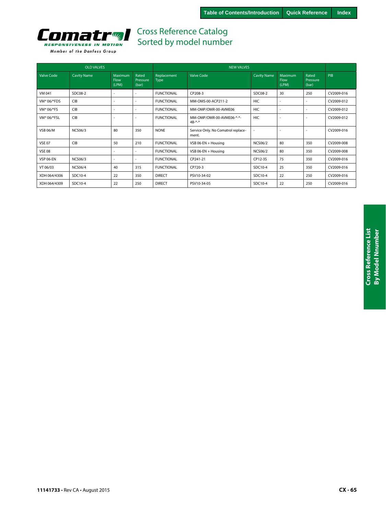

|                   | <b>OLD VALVES</b>  |                          |                            |                     |                                             |                          |                                 |                            |            |
|-------------------|--------------------|--------------------------|----------------------------|---------------------|---------------------------------------------|--------------------------|---------------------------------|----------------------------|------------|
| <b>Valve Code</b> | <b>Cavity Name</b> | Maximum<br>Flow<br>(LPM) | Rated<br>Pressure<br>(bar) | Replacement<br>Type | <b>Valve Code</b>                           | <b>Cavity Name</b>       | <b>Maximum</b><br>Flow<br>(LPM) | Rated<br>Pressure<br>(bar) | PIB        |
| VM 041            | SDC08-2            |                          |                            | <b>FUNCTIONAL</b>   | CP208-3                                     | SDC08-2                  | 30                              | 250                        | CV2009-016 |
| VM* 06/*FDS       | <b>CIB</b>         |                          |                            | <b>FUNCTIONAL</b>   | MM-OMS-00-ACP211-2                          | <b>HIC</b>               |                                 |                            | CV2009-012 |
| VM* 06/*FS        | <b>CIB</b>         |                          | $\sim$                     | <b>FUNCTIONAL</b>   | MM-OMP/OMR-00-AVME06                        | HIC                      |                                 |                            | CV2009-012 |
| VM* 06/*FSL       | <b>CIB</b>         | <u>. .</u>               | $\overline{\phantom{a}}$   | <b>FUNCTIONAL</b>   | MM-OMP/OMR-00-AVME06-*-*-<br>$4B-*-$        | <b>HIC</b>               |                                 |                            | CV2009-012 |
| <b>VSB 06/M</b>   | <b>NCS06/3</b>     | 80                       | 350                        | <b>NONE</b>         | Service Only. No Comatrol replace-<br>ment. | $\overline{\phantom{a}}$ |                                 |                            | CV2009-016 |
| <b>VSE 07</b>     | <b>CIB</b>         | 50                       | 210                        | <b>FUNCTIONAL</b>   | VSB 06-EN + Housing                         | <b>NCS06/2</b>           | 80                              | 350                        | CV2009-008 |
| <b>VSE 08</b>     |                    |                          |                            | <b>FUNCTIONAL</b>   | VSB 06-EN + Housing                         | <b>NCS06/2</b>           | 80                              | 350                        | CV2009-008 |
| <b>VSP 06-EN</b>  | <b>NCS06/3</b>     | $\overline{\phantom{a}}$ | $\overline{\phantom{a}}$   | <b>FUNCTIONAL</b>   | CP241-21                                    | CP12-3S                  | 75                              | 350                        | CV2009-016 |
| VT 06/03          | <b>NCS06/4</b>     | 40                       | 315                        | <b>FUNCTIONAL</b>   | CP720-3                                     | SDC10-4                  | 25                              | 350                        | CV2009-016 |
| XDH 064/4306      | SDC10-4            | 22                       | 350                        | <b>DIRECT</b>       | PSV10-34-02                                 | SDC10-4                  | 22                              | 250                        | CV2009-016 |
| XDH 064/4309      | SDC10-4            | 22                       | 250                        | <b>DIRECT</b>       | PSV10-34-05                                 | SDC10-4                  | 22                              | 250                        | CV2009-016 |